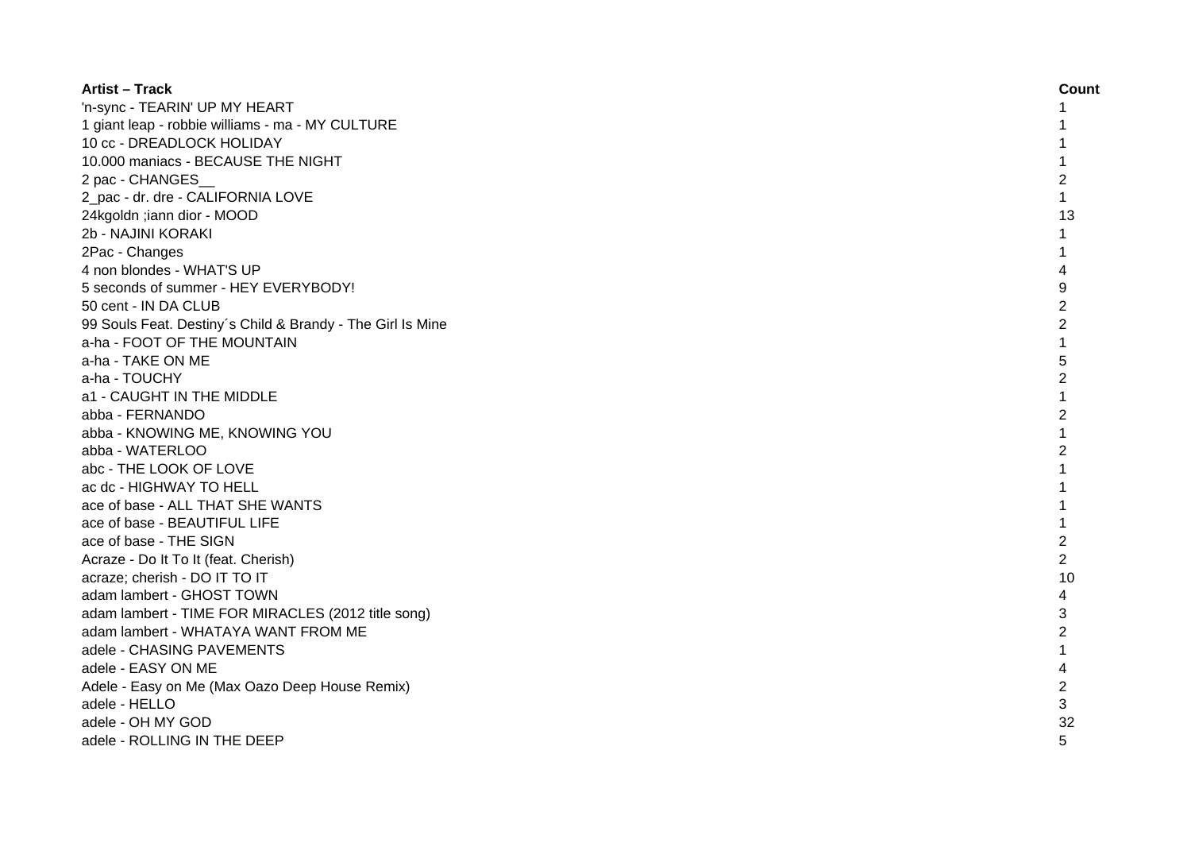| <b>Artist - Track</b>                                      | Count          |
|------------------------------------------------------------|----------------|
| 'n-sync - TEARIN' UP MY HEART                              | 1              |
| 1 giant leap - robbie williams - ma - MY CULTURE           |                |
| 10 cc - DREADLOCK HOLIDAY                                  |                |
| 10.000 maniacs - BECAUSE THE NIGHT                         |                |
| 2 pac - CHANGES                                            | $\overline{2}$ |
| 2 pac - dr. dre - CALIFORNIA LOVE                          | $\mathbf{1}$   |
| 24kgoldn ;iann dior - MOOD                                 | 13             |
| 2b - NAJINI KORAKI                                         | 1              |
| 2Pac - Changes                                             | 1              |
| 4 non blondes - WHAT'S UP                                  | 4              |
| 5 seconds of summer - HEY EVERYBODY!                       | 9              |
| 50 cent - IN DA CLUB                                       | $\overline{c}$ |
| 99 Souls Feat. Destiny's Child & Brandy - The Girl Is Mine | $\overline{2}$ |
| a-ha - FOOT OF THE MOUNTAIN                                | $\mathbf{1}$   |
| a-ha - TAKE ON ME                                          | 5              |
| a-ha - TOUCHY                                              | $\overline{2}$ |
| a1 - CAUGHT IN THE MIDDLE                                  | $\mathbf{1}$   |
| abba - FERNANDO                                            | $\overline{2}$ |
| abba - KNOWING ME, KNOWING YOU                             | 1              |
| abba - WATERLOO                                            | $\overline{2}$ |
| abc - THE LOOK OF LOVE                                     | $\mathbf{1}$   |
| ac dc - HIGHWAY TO HELL                                    |                |
| ace of base - ALL THAT SHE WANTS                           |                |
| ace of base - BEAUTIFUL LIFE                               |                |
| ace of base - THE SIGN                                     | $\overline{c}$ |
| Acraze - Do It To It (feat. Cherish)                       | $\overline{c}$ |
| acraze; cherish - DO IT TO IT                              | 10             |
| adam lambert - GHOST TOWN                                  | 4              |
| adam lambert - TIME FOR MIRACLES (2012 title song)         | 3              |
| adam lambert - WHATAYA WANT FROM ME                        | $\overline{c}$ |
| adele - CHASING PAVEMENTS                                  | 1              |
| adele - EASY ON ME                                         | 4              |
| Adele - Easy on Me (Max Oazo Deep House Remix)             | $\overline{c}$ |
| adele - HELLO                                              | 3              |
| adele - OH MY GOD                                          | 32             |
| adele - ROLLING IN THE DEEP                                | 5              |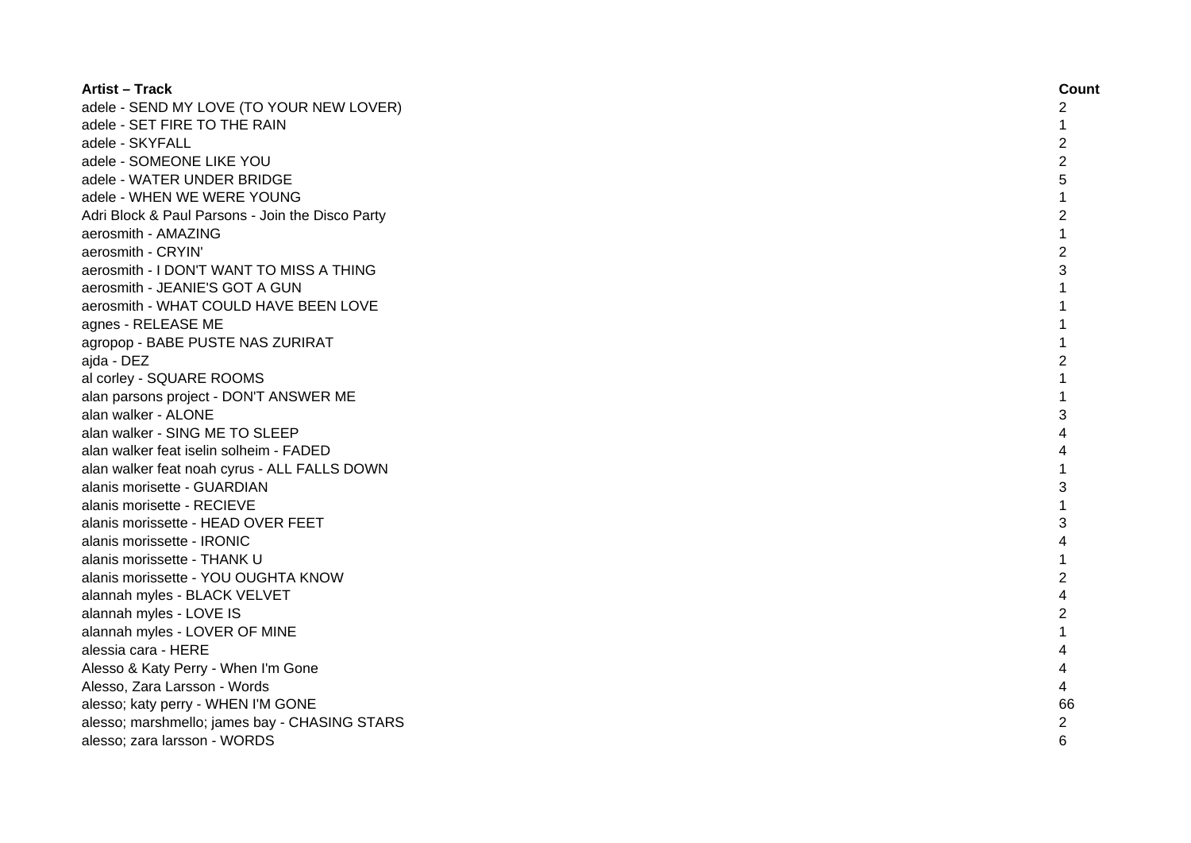| <b>Artist - Track</b>                            | Count          |
|--------------------------------------------------|----------------|
| adele - SEND MY LOVE (TO YOUR NEW LOVER)         | 2              |
| adele - SET FIRE TO THE RAIN                     | 1              |
| adele - SKYFALL                                  | $\overline{2}$ |
| adele - SOMEONE LIKE YOU                         | $\overline{c}$ |
| adele - WATER UNDER BRIDGE                       | 5              |
| adele - WHEN WE WERE YOUNG                       |                |
| Adri Block & Paul Parsons - Join the Disco Party | 2              |
| aerosmith - AMAZING                              | $\mathbf{1}$   |
| aerosmith - CRYIN'                               | $\overline{c}$ |
| aerosmith - I DON'T WANT TO MISS A THING         | 3              |
| aerosmith - JEANIE'S GOT A GUN                   | $\mathbf{1}$   |
| aerosmith - WHAT COULD HAVE BEEN LOVE            | 1              |
| agnes - RELEASE ME                               | 1              |
| agropop - BABE PUSTE NAS ZURIRAT                 | 1              |
| ajda - DEZ                                       | $\overline{2}$ |
| al corley - SQUARE ROOMS                         | 1              |
| alan parsons project - DON'T ANSWER ME           |                |
| alan walker - ALONE                              | 3              |
| alan walker - SING ME TO SLEEP                   |                |
| alan walker feat iselin solheim - FADED          | Δ              |
| alan walker feat noah cyrus - ALL FALLS DOWN     |                |
| alanis morisette - GUARDIAN                      | 3              |
| alanis morisette - RECIEVE                       |                |
| alanis morissette - HEAD OVER FEET               | 3              |
| alanis morissette - IRONIC                       |                |
| alanis morissette - THANK U                      | 1              |
| alanis morissette - YOU OUGHTA KNOW              | $\overline{c}$ |
| alannah myles - BLACK VELVET                     | 4              |
| alannah myles - LOVE IS                          | $\overline{2}$ |
| alannah myles - LOVER OF MINE                    | 1              |
| alessia cara - HERE                              |                |
| Alesso & Katy Perry - When I'm Gone              |                |
| Alesso, Zara Larsson - Words                     | 4              |
| alesso; katy perry - WHEN I'M GONE               | 66             |
| alesso; marshmello; james bay - CHASING STARS    | $\overline{c}$ |
| alesso; zara larsson - WORDS                     | 6              |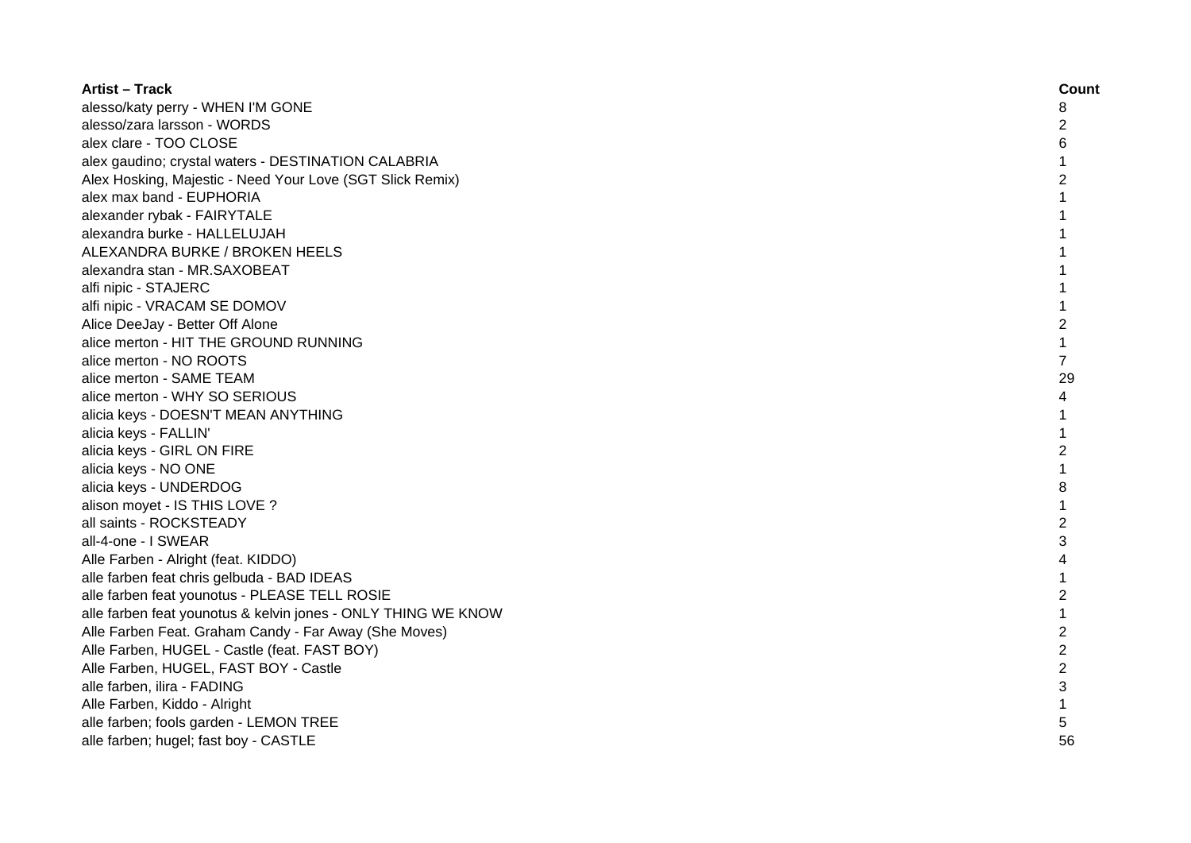| <b>Artist – Track</b>                                         | Count          |
|---------------------------------------------------------------|----------------|
| alesso/katy perry - WHEN I'M GONE                             | 8              |
| alesso/zara larsson - WORDS                                   | $\overline{c}$ |
| alex clare - TOO CLOSE                                        | 6              |
| alex gaudino; crystal waters - DESTINATION CALABRIA           | $\mathbf{1}$   |
| Alex Hosking, Majestic - Need Your Love (SGT Slick Remix)     | $\overline{c}$ |
| alex max band - EUPHORIA                                      | 1              |
| alexander rybak - FAIRYTALE                                   | 1              |
| alexandra burke - HALLELUJAH                                  | 1              |
| ALEXANDRA BURKE / BROKEN HEELS                                | 1              |
| alexandra stan - MR.SAXOBEAT                                  | 1              |
| alfi nipic - STAJERC                                          | 1              |
| alfi nipic - VRACAM SE DOMOV                                  | $\mathbf{1}$   |
| Alice DeeJay - Better Off Alone                               | $\overline{c}$ |
| alice merton - HIT THE GROUND RUNNING                         | $\mathbf{1}$   |
| alice merton - NO ROOTS                                       | $\overline{7}$ |
| alice merton - SAME TEAM                                      | 29             |
| alice merton - WHY SO SERIOUS                                 | 4              |
| alicia keys - DOESN'T MEAN ANYTHING                           | 1              |
| alicia keys - FALLIN'                                         | 1              |
| alicia keys - GIRL ON FIRE                                    | $\overline{2}$ |
| alicia keys - NO ONE                                          | $\mathbf{1}$   |
| alicia keys - UNDERDOG                                        | 8              |
| alison moyet - IS THIS LOVE ?                                 |                |
| all saints - ROCKSTEADY                                       | $\overline{2}$ |
| all-4-one - I SWEAR                                           | 3              |
| Alle Farben - Alright (feat. KIDDO)                           | 4              |
| alle farben feat chris gelbuda - BAD IDEAS                    | 1              |
| alle farben feat younotus - PLEASE TELL ROSIE                 | $\overline{c}$ |
| alle farben feat younotus & kelvin jones - ONLY THING WE KNOW | $\mathbf{1}$   |
| Alle Farben Feat. Graham Candy - Far Away (She Moves)         | $\overline{2}$ |
| Alle Farben, HUGEL - Castle (feat. FAST BOY)                  | $\overline{2}$ |
| Alle Farben, HUGEL, FAST BOY - Castle                         | $\overline{c}$ |
| alle farben, ilira - FADING                                   | 3              |
| Alle Farben, Kiddo - Alright                                  | $\mathbf{1}$   |
| alle farben; fools garden - LEMON TREE                        | 5              |
| alle farben; hugel; fast boy - CASTLE                         | 56             |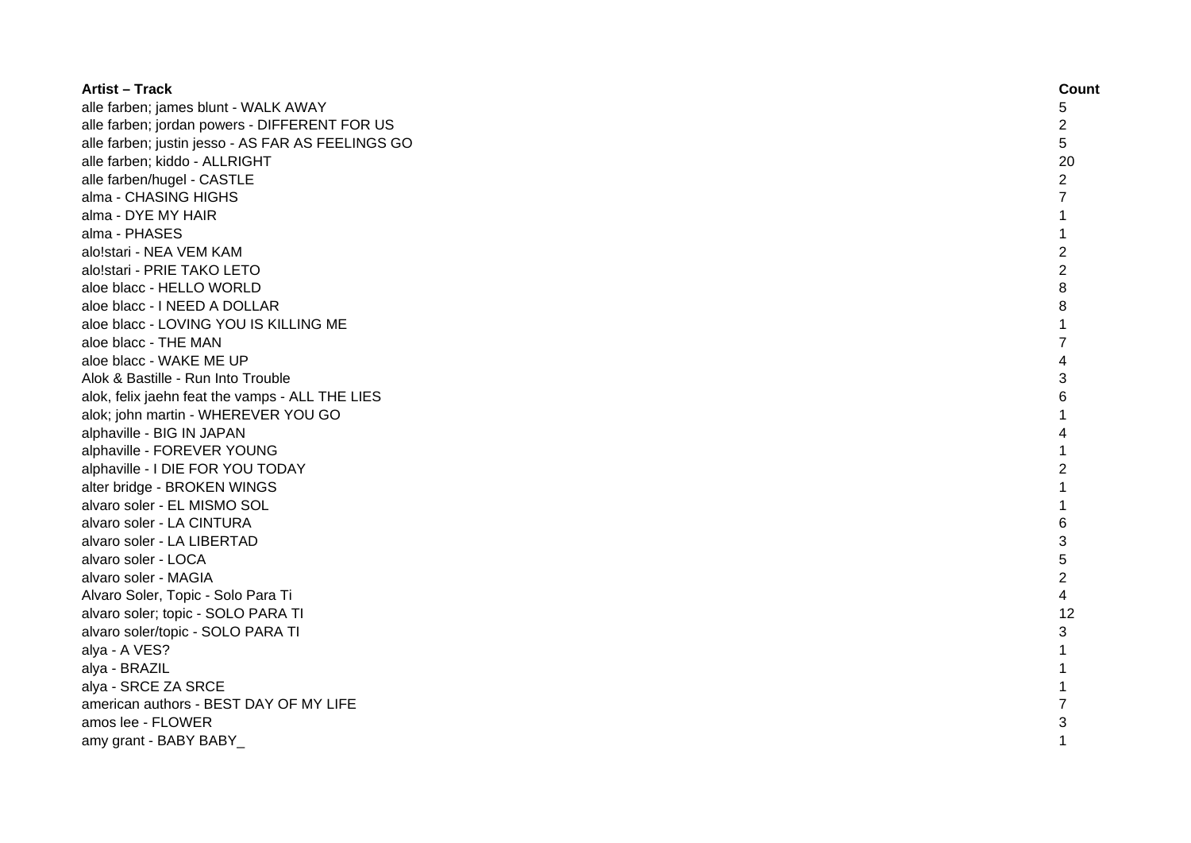| <b>Artist - Track</b>                             | Count          |
|---------------------------------------------------|----------------|
| alle farben; james blunt - WALK AWAY              | 5              |
| alle farben; jordan powers - DIFFERENT FOR US     | 2              |
| alle farben; justin jesso - AS FAR AS FEELINGS GO | 5              |
| alle farben; kiddo - ALLRIGHT                     | 20             |
| alle farben/hugel - CASTLE                        | $\overline{2}$ |
| alma - CHASING HIGHS                              | 7              |
| alma - DYE MY HAIR                                | 1              |
| alma - PHASES                                     | 1              |
| alo!stari - NEA VEM KAM                           | $\overline{2}$ |
| alo!stari - PRIE TAKO LETO                        | $\overline{2}$ |
| aloe blacc - HELLO WORLD                          | 8              |
| aloe blacc - I NEED A DOLLAR                      | 8              |
| aloe blacc - LOVING YOU IS KILLING ME             | 1              |
| aloe blacc - THE MAN                              | $\overline{7}$ |
| aloe blacc - WAKE ME UP                           | 4              |
| Alok & Bastille - Run Into Trouble                | 3              |
| alok, felix jaehn feat the vamps - ALL THE LIES   | 6              |
| alok; john martin - WHEREVER YOU GO               |                |
| alphaville - BIG IN JAPAN                         | Δ              |
| alphaville - FOREVER YOUNG                        |                |
| alphaville - I DIE FOR YOU TODAY                  | $\overline{2}$ |
| alter bridge - BROKEN WINGS                       |                |
| alvaro soler - EL MISMO SOL                       |                |
| alvaro soler - LA CINTURA                         | 6              |
| alvaro soler - LA LIBERTAD                        | 3              |
| alvaro soler - LOCA                               | 5              |
| alvaro soler - MAGIA                              | $\overline{c}$ |
| Alvaro Soler, Topic - Solo Para Ti                | 4              |
| alvaro soler; topic - SOLO PARA TI                | 12             |
| alvaro soler/topic - SOLO PARA TI                 | 3              |
| alya - A VES?                                     |                |
| alya - BRAZIL                                     |                |
| alya - SRCE ZA SRCE                               |                |
| american authors - BEST DAY OF MY LIFE            |                |
| amos lee - FLOWER                                 | 3              |
| amy grant - BABY BABY                             |                |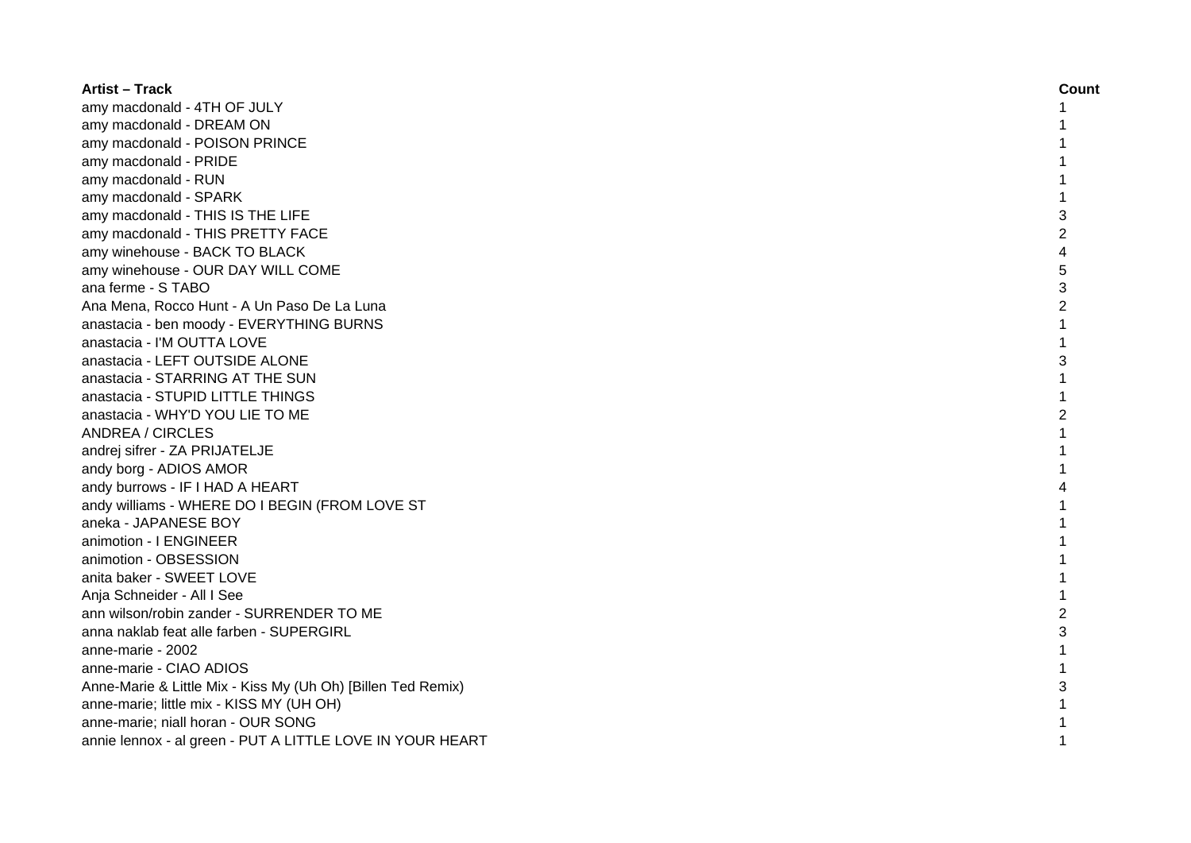| <b>Artist - Track</b>                                        | Count          |
|--------------------------------------------------------------|----------------|
| amy macdonald - 4TH OF JULY                                  |                |
| amy macdonald - DREAM ON                                     |                |
| amy macdonald - POISON PRINCE                                |                |
| amy macdonald - PRIDE                                        |                |
| amy macdonald - RUN                                          |                |
| amy macdonald - SPARK                                        |                |
| amy macdonald - THIS IS THE LIFE                             | 3              |
| amy macdonald - THIS PRETTY FACE                             | $\overline{c}$ |
| amy winehouse - BACK TO BLACK                                | 4              |
| amy winehouse - OUR DAY WILL COME                            | 5              |
| ana ferme - S TABO                                           | 3              |
| Ana Mena, Rocco Hunt - A Un Paso De La Luna                  | $\overline{2}$ |
| anastacia - ben moody - EVERYTHING BURNS                     | $\mathbf{1}$   |
| anastacia - I'M OUTTA LOVE                                   | $\mathbf{1}$   |
| anastacia - LEFT OUTSIDE ALONE                               | 3              |
| anastacia - STARRING AT THE SUN                              |                |
| anastacia - STUPID LITTLE THINGS                             |                |
| anastacia - WHY'D YOU LIE TO ME                              | $\mathfrak{p}$ |
| <b>ANDREA / CIRCLES</b>                                      |                |
| andrej sifrer - ZA PRIJATELJE                                |                |
| andy borg - ADIOS AMOR                                       |                |
| andy burrows - IF I HAD A HEART                              |                |
| andy williams - WHERE DO I BEGIN (FROM LOVE ST               |                |
| aneka - JAPANESE BOY                                         |                |
| animotion - I ENGINEER                                       |                |
| animotion - OBSESSION                                        |                |
| anita baker - SWEET LOVE                                     |                |
| Anja Schneider - All I See                                   |                |
| ann wilson/robin zander - SURRENDER TO ME                    | $\overline{c}$ |
| anna naklab feat alle farben - SUPERGIRL                     | 3              |
| anne-marie - 2002                                            |                |
| anne-marie - CIAO ADIOS                                      |                |
| Anne-Marie & Little Mix - Kiss My (Uh Oh) [Billen Ted Remix) | 3              |
| anne-marie; little mix - KISS MY (UH OH)                     |                |
| anne-marie; niall horan - OUR SONG                           |                |
| annie lennox - al green - PUT A LITTLE LOVE IN YOUR HEART    |                |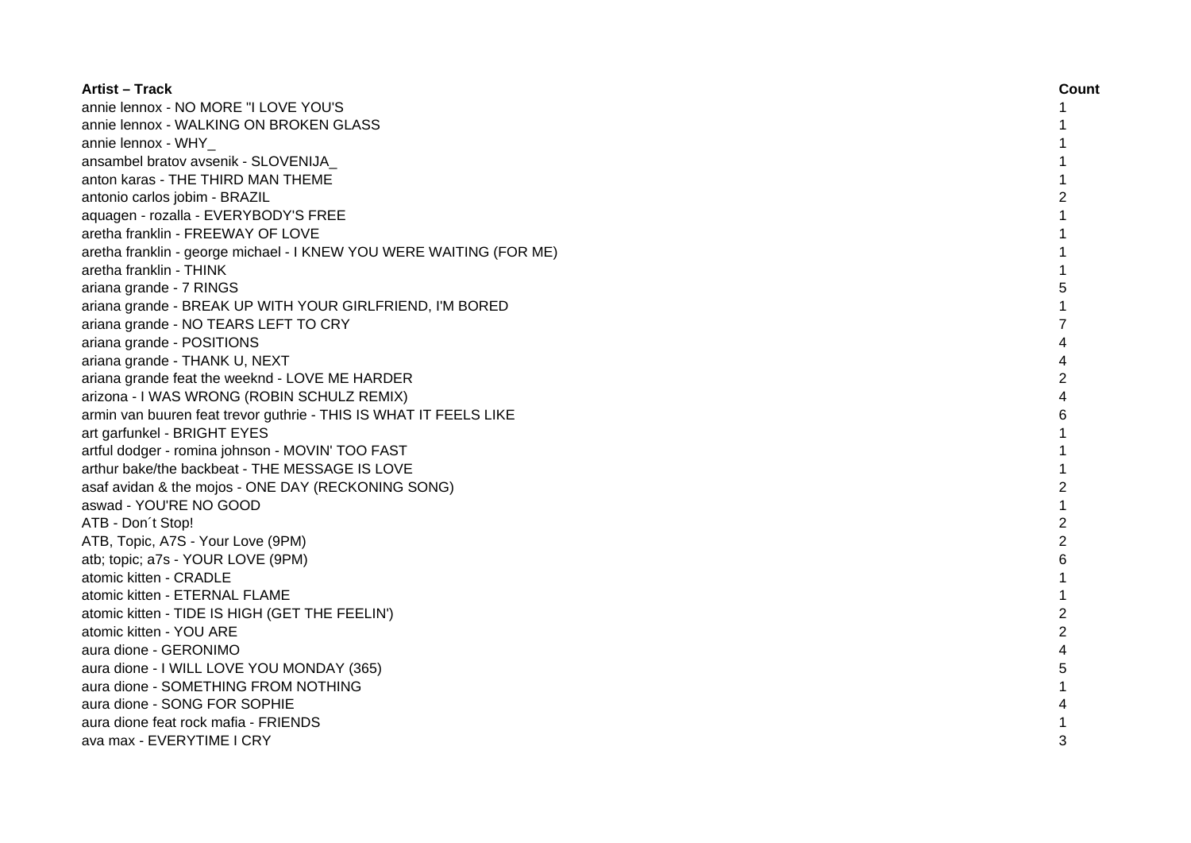| <b>Artist - Track</b>                                               | Count          |
|---------------------------------------------------------------------|----------------|
| annie lennox - NO MORE "I LOVE YOU'S                                |                |
| annie lennox - WALKING ON BROKEN GLASS                              |                |
| annie lennox - WHY                                                  |                |
| ansambel bratov avsenik - SLOVENIJA_                                |                |
| anton karas - THE THIRD MAN THEME                                   |                |
| antonio carlos jobim - BRAZIL                                       | 2              |
| aquagen - rozalla - EVERYBODY'S FREE                                |                |
| aretha franklin - FREEWAY OF LOVE                                   |                |
| aretha franklin - george michael - I KNEW YOU WERE WAITING (FOR ME) |                |
| aretha franklin - THINK                                             |                |
| ariana grande - 7 RINGS                                             | 5              |
| ariana grande - BREAK UP WITH YOUR GIRLFRIEND, I'M BORED            |                |
| ariana grande - NO TEARS LEFT TO CRY                                |                |
| ariana grande - POSITIONS                                           |                |
| ariana grande - THANK U, NEXT                                       |                |
| ariana grande feat the weeknd - LOVE ME HARDER                      |                |
| arizona - I WAS WRONG (ROBIN SCHULZ REMIX)                          | 4              |
| armin van buuren feat trevor guthrie - THIS IS WHAT IT FEELS LIKE   | 6              |
| art garfunkel - BRIGHT EYES                                         |                |
| artful dodger - romina johnson - MOVIN' TOO FAST                    |                |
| arthur bake/the backbeat - THE MESSAGE IS LOVE                      |                |
| asaf avidan & the mojos - ONE DAY (RECKONING SONG)                  | $\overline{c}$ |
| aswad - YOU'RE NO GOOD                                              |                |
| ATB - Don't Stop!                                                   | $\overline{2}$ |
| ATB, Topic, A7S - Your Love (9PM)                                   | $\overline{2}$ |
| atb; topic; a7s - YOUR LOVE (9PM)                                   | 6              |
| atomic kitten - CRADLE                                              |                |
| atomic kitten - ETERNAL FLAME                                       |                |
| atomic kitten - TIDE IS HIGH (GET THE FEELIN')                      | $\overline{c}$ |
| atomic kitten - YOU ARE                                             | $\overline{2}$ |
| aura dione - GERONIMO                                               |                |
| aura dione - I WILL LOVE YOU MONDAY (365)                           | 5              |
| aura dione - SOMETHING FROM NOTHING                                 |                |
| aura dione - SONG FOR SOPHIE                                        |                |
| aura dione feat rock mafia - FRIENDS                                |                |
| ava max - EVERYTIME I CRY                                           | 3              |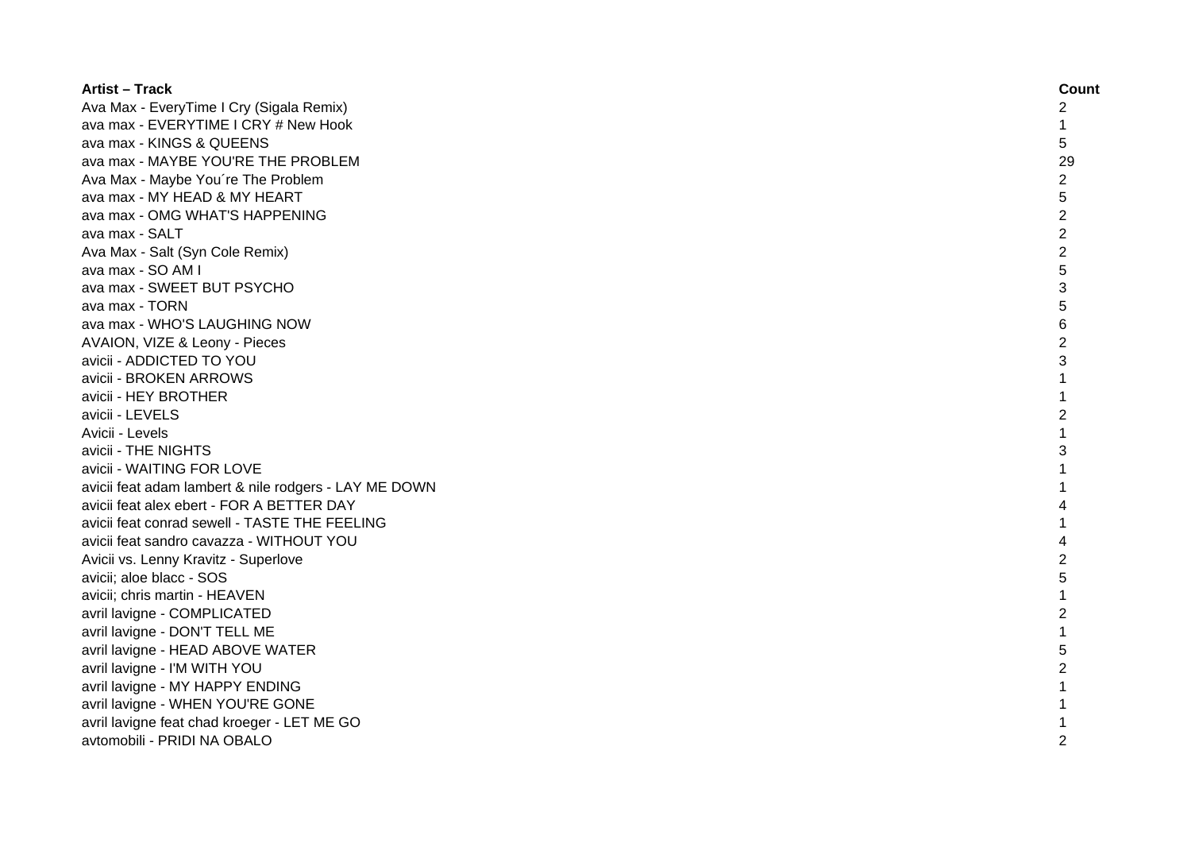| <b>Artist - Track</b>                                 | Count          |
|-------------------------------------------------------|----------------|
| Ava Max - EveryTime I Cry (Sigala Remix)              | 2              |
| ava max - EVERYTIME I CRY # New Hook                  | 1              |
| ava max - KINGS & QUEENS                              | 5              |
| ava max - MAYBE YOU'RE THE PROBLEM                    | 29             |
| Ava Max - Maybe You're The Problem                    | $\overline{c}$ |
| ava max - MY HEAD & MY HEART                          | 5              |
| ava max - OMG WHAT'S HAPPENING                        | $\overline{c}$ |
| ava max - SALT                                        | $\overline{2}$ |
| Ava Max - Salt (Syn Cole Remix)                       | $\overline{c}$ |
| ava max - SO AM I                                     | 5              |
| ava max - SWEET BUT PSYCHO                            | 3              |
| ava max - TORN                                        | 5              |
| ava max - WHO'S LAUGHING NOW                          | 6              |
| AVAION, VIZE & Leony - Pieces                         | $\overline{c}$ |
| avicii - ADDICTED TO YOU                              | 3              |
| avicii - BROKEN ARROWS                                | $\mathbf{1}$   |
| avicii - HEY BROTHER                                  | 1              |
| avicii - LEVELS                                       | $\overline{2}$ |
| Avicii - Levels                                       | 1              |
| avicii - THE NIGHTS                                   | 3              |
| avicii - WAITING FOR LOVE                             |                |
| avicii feat adam lambert & nile rodgers - LAY ME DOWN |                |
| avicii feat alex ebert - FOR A BETTER DAY             | Δ              |
| avicii feat conrad sewell - TASTE THE FEELING         |                |
| avicii feat sandro cavazza - WITHOUT YOU              | 4              |
| Avicii vs. Lenny Kravitz - Superlove                  | 2              |
| avicii; aloe blacc - SOS                              | 5              |
| avicii; chris martin - HEAVEN                         | $\mathbf{1}$   |
| avril lavigne - COMPLICATED                           | $\overline{2}$ |
| avril lavigne - DON'T TELL ME                         | 1              |
| avril lavigne - HEAD ABOVE WATER                      | 5              |
| avril lavigne - I'M WITH YOU                          | $\overline{2}$ |
| avril lavigne - MY HAPPY ENDING                       |                |
| avril lavigne - WHEN YOU'RE GONE                      |                |
| avril lavigne feat chad kroeger - LET ME GO           |                |
| avtomobili - PRIDI NA OBALO                           | $\overline{2}$ |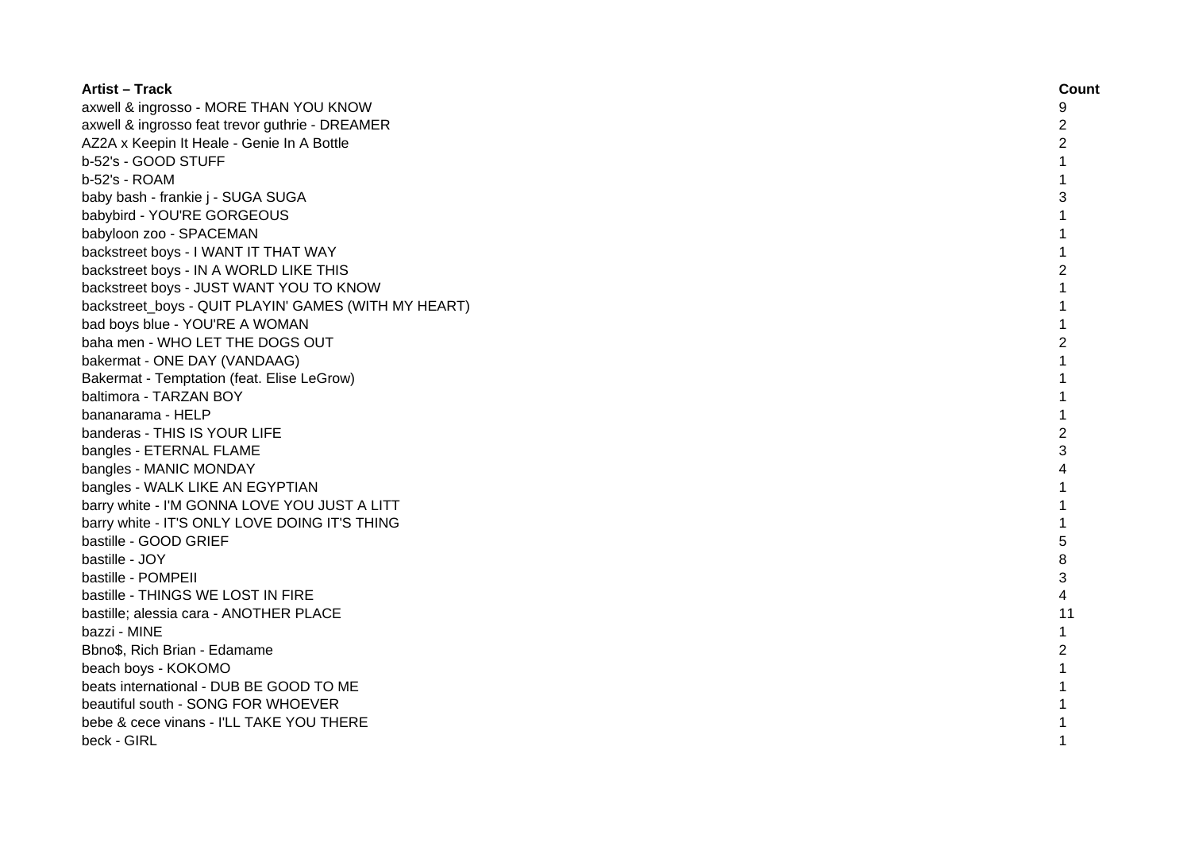| <b>Artist - Track</b>                                | Count          |
|------------------------------------------------------|----------------|
| axwell & ingrosso - MORE THAN YOU KNOW               | 9              |
| axwell & ingrosso feat trevor guthrie - DREAMER      | 2              |
| AZ2A x Keepin It Heale - Genie In A Bottle           | $\overline{c}$ |
| b-52's - GOOD STUFF                                  |                |
| b-52's - ROAM                                        |                |
| baby bash - frankie j - SUGA SUGA                    | 3              |
| babybird - YOU'RE GORGEOUS                           |                |
| babyloon zoo - SPACEMAN                              |                |
| backstreet boys - I WANT IT THAT WAY                 |                |
| backstreet boys - IN A WORLD LIKE THIS               | $\overline{2}$ |
| backstreet boys - JUST WANT YOU TO KNOW              | 1              |
| backstreet_boys - QUIT PLAYIN' GAMES (WITH MY HEART) | 1              |
| bad boys blue - YOU'RE A WOMAN                       | $\mathbf{1}$   |
| baha men - WHO LET THE DOGS OUT                      | 2              |
| bakermat - ONE DAY (VANDAAG)                         | 1              |
| Bakermat - Temptation (feat. Elise LeGrow)           | 1              |
| baltimora - TARZAN BOY                               |                |
| bananarama - HELP                                    |                |
| banderas - THIS IS YOUR LIFE                         | $\overline{c}$ |
| bangles - ETERNAL FLAME                              | 3              |
| bangles - MANIC MONDAY                               |                |
| bangles - WALK LIKE AN EGYPTIAN                      |                |
| barry white - I'M GONNA LOVE YOU JUST A LITT         |                |
| barry white - IT'S ONLY LOVE DOING IT'S THING        |                |
| bastille - GOOD GRIEF                                | 5              |
| bastille - JOY                                       | 8              |
| bastille - POMPEII                                   | 3              |
| bastille - THINGS WE LOST IN FIRE                    | 4              |
| bastille; alessia cara - ANOTHER PLACE               | 11             |
| bazzi - MINE                                         | $\mathbf{1}$   |
| Bbno\$, Rich Brian - Edamame                         | $\overline{c}$ |
| beach boys - KOKOMO                                  |                |
| beats international - DUB BE GOOD TO ME              |                |
| beautiful south - SONG FOR WHOEVER                   |                |
| bebe & cece vinans - I'LL TAKE YOU THERE             |                |
| beck - GIRL                                          |                |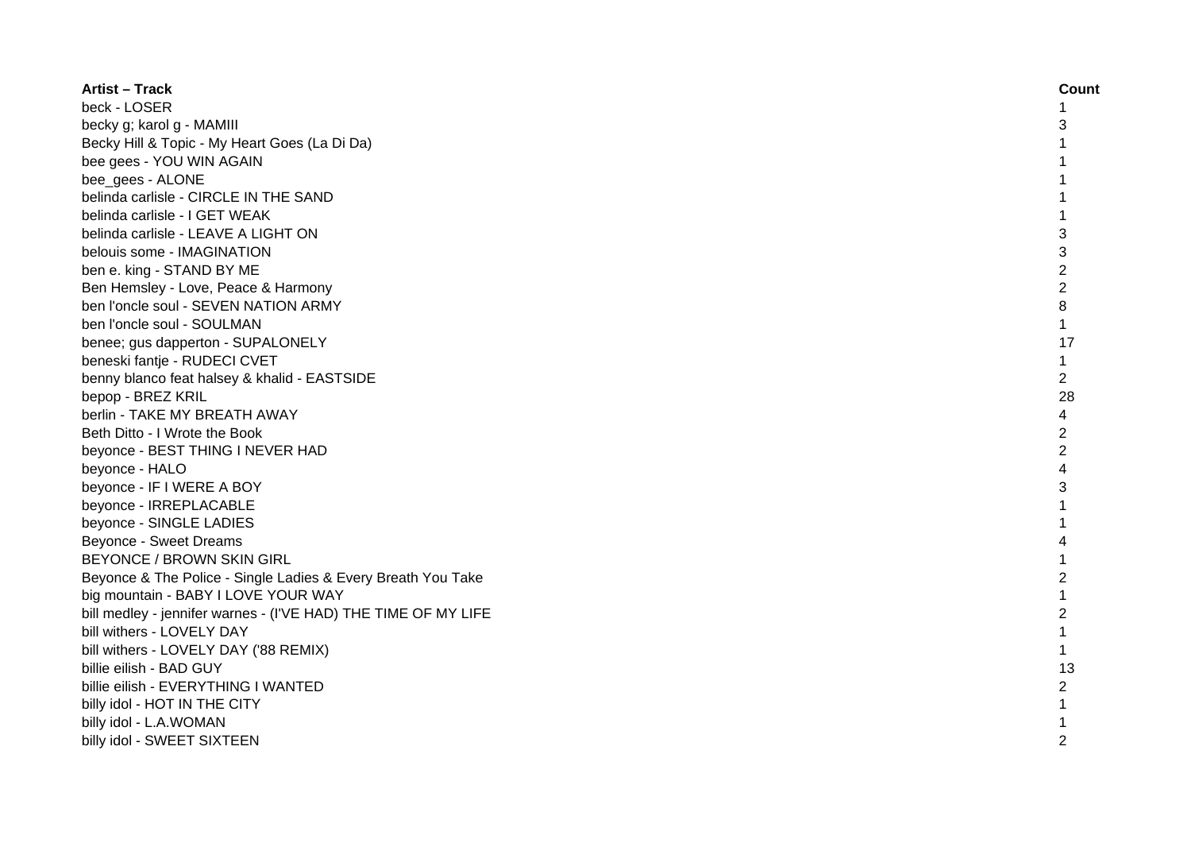| <b>Artist - Track</b>                                          | Count          |
|----------------------------------------------------------------|----------------|
| beck - LOSER                                                   | 1              |
| becky g; karol g - MAMIII                                      | 3              |
| Becky Hill & Topic - My Heart Goes (La Di Da)                  | 1              |
| bee gees - YOU WIN AGAIN                                       | 1              |
| bee_gees - ALONE                                               | 1              |
| belinda carlisle - CIRCLE IN THE SAND                          | 1              |
| belinda carlisle - I GET WEAK                                  | $\mathbf{1}$   |
| belinda carlisle - LEAVE A LIGHT ON                            | 3              |
| belouis some - IMAGINATION                                     | 3              |
| ben e. king - STAND BY ME                                      | $\overline{2}$ |
| Ben Hemsley - Love, Peace & Harmony                            | $\overline{2}$ |
| ben l'oncle soul - SEVEN NATION ARMY                           | 8              |
| ben l'oncle soul - SOULMAN                                     | $\mathbf{1}$   |
| benee; gus dapperton - SUPALONELY                              | 17             |
| beneski fantje - RUDECI CVET                                   | 1              |
| benny blanco feat halsey & khalid - EASTSIDE                   | 2              |
| bepop - BREZ KRIL                                              | 28             |
| berlin - TAKE MY BREATH AWAY                                   | 4              |
| Beth Ditto - I Wrote the Book                                  | 2              |
| beyonce - BEST THING I NEVER HAD                               | $\overline{2}$ |
| beyonce - HALO                                                 | 4              |
| beyonce - IF I WERE A BOY                                      | 3              |
| beyonce - IRREPLACABLE                                         |                |
| beyonce - SINGLE LADIES                                        | 1              |
| Beyonce - Sweet Dreams                                         | 4              |
| <b>BEYONCE / BROWN SKIN GIRL</b>                               | 1              |
| Beyonce & The Police - Single Ladies & Every Breath You Take   | $\overline{2}$ |
| big mountain - BABY I LOVE YOUR WAY                            | 1              |
| bill medley - jennifer warnes - (I'VE HAD) THE TIME OF MY LIFE | $\overline{c}$ |
| bill withers - LOVELY DAY                                      | $\mathbf{1}$   |
| bill withers - LOVELY DAY ('88 REMIX)                          | $\mathbf{1}$   |
| billie eilish - BAD GUY                                        | 13             |
| billie eilish - EVERYTHING I WANTED                            | $\overline{2}$ |
| billy idol - HOT IN THE CITY                                   | $\mathbf{1}$   |
| billy idol - L.A.WOMAN                                         |                |
| billy idol - SWEET SIXTEEN                                     | 2              |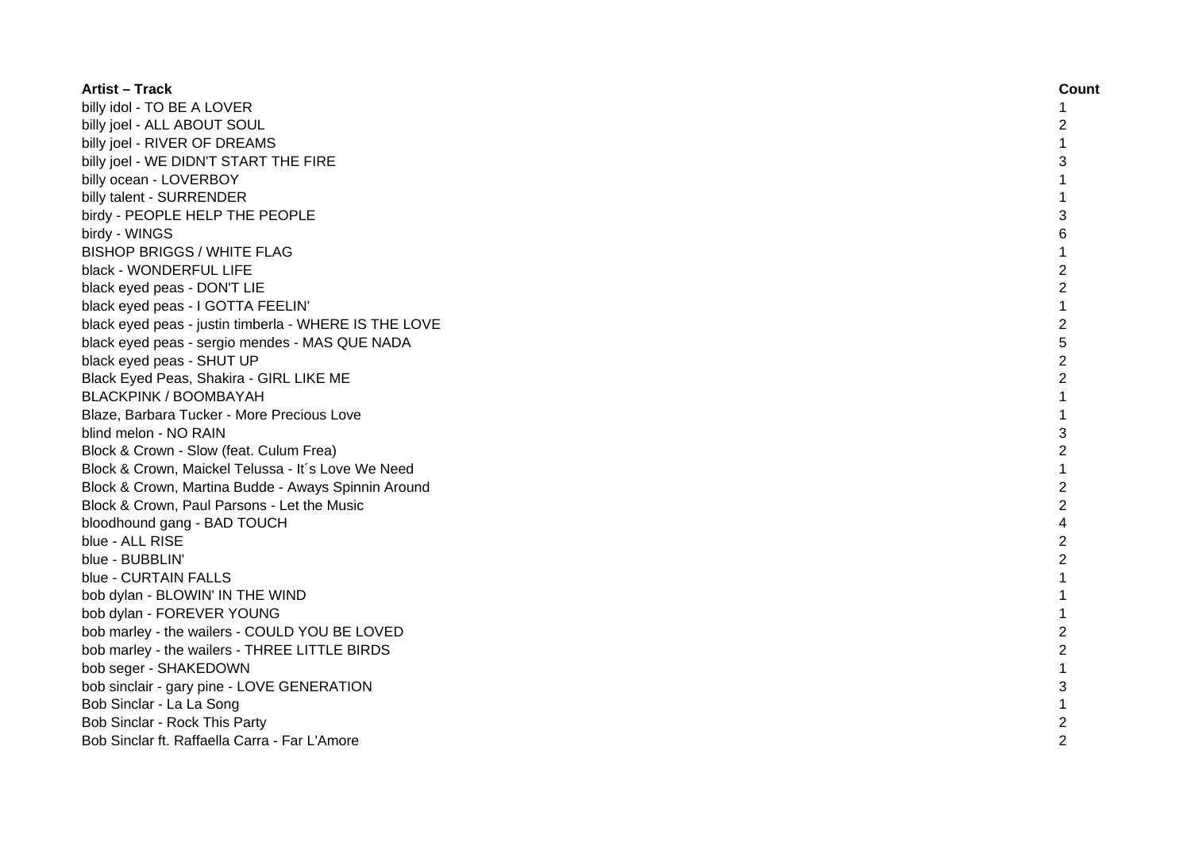| <b>Artist – Track</b>                                 | Count          |
|-------------------------------------------------------|----------------|
| billy idol - TO BE A LOVER                            | 1              |
| billy joel - ALL ABOUT SOUL                           | 2              |
| billy joel - RIVER OF DREAMS                          | $\mathbf{1}$   |
| billy joel - WE DIDN'T START THE FIRE                 | 3              |
| billy ocean - LOVERBOY                                | 1              |
| billy talent - SURRENDER                              | 1              |
| birdy - PEOPLE HELP THE PEOPLE                        | 3              |
| birdy - WINGS                                         | 6              |
| <b>BISHOP BRIGGS / WHITE FLAG</b>                     | 1              |
| black - WONDERFUL LIFE                                | $\overline{c}$ |
| black eyed peas - DON'T LIE                           | $\overline{2}$ |
| black eyed peas - I GOTTA FEELIN'                     | $\mathbf{1}$   |
| black eyed peas - justin timberla - WHERE IS THE LOVE | $\overline{2}$ |
| black eyed peas - sergio mendes - MAS QUE NADA        | 5              |
| black eyed peas - SHUT UP                             | $\overline{2}$ |
| Black Eyed Peas, Shakira - GIRL LIKE ME               | $\overline{c}$ |
| <b>BLACKPINK / BOOMBAYAH</b>                          | $\mathbf{1}$   |
| Blaze, Barbara Tucker - More Precious Love            |                |
| blind melon - NO RAIN                                 | 3              |
| Block & Crown - Slow (feat. Culum Frea)               | $\overline{2}$ |
| Block & Crown, Maickel Telussa - It's Love We Need    | $\mathbf{1}$   |
| Block & Crown, Martina Budde - Aways Spinnin Around   | $\overline{c}$ |
| Block & Crown, Paul Parsons - Let the Music           | $\overline{c}$ |
| bloodhound gang - BAD TOUCH                           | 4              |
| blue - ALL RISE                                       | $\overline{c}$ |
| blue - BUBBLIN'                                       | $\overline{c}$ |
| blue - CURTAIN FALLS                                  | 1              |
| bob dylan - BLOWIN' IN THE WIND                       | 1              |
| bob dylan - FOREVER YOUNG                             | $\mathbf 1$    |
| bob marley - the wailers - COULD YOU BE LOVED         | $\overline{c}$ |
| bob marley - the wailers - THREE LITTLE BIRDS         | $\overline{c}$ |
| bob seger - SHAKEDOWN                                 | 1              |
| bob sinclair - gary pine - LOVE GENERATION            | 3              |
| Bob Sinclar - La La Song                              | 1              |
| Bob Sinclar - Rock This Party                         | 2              |
| Bob Sinclar ft. Raffaella Carra - Far L'Amore         | $\overline{2}$ |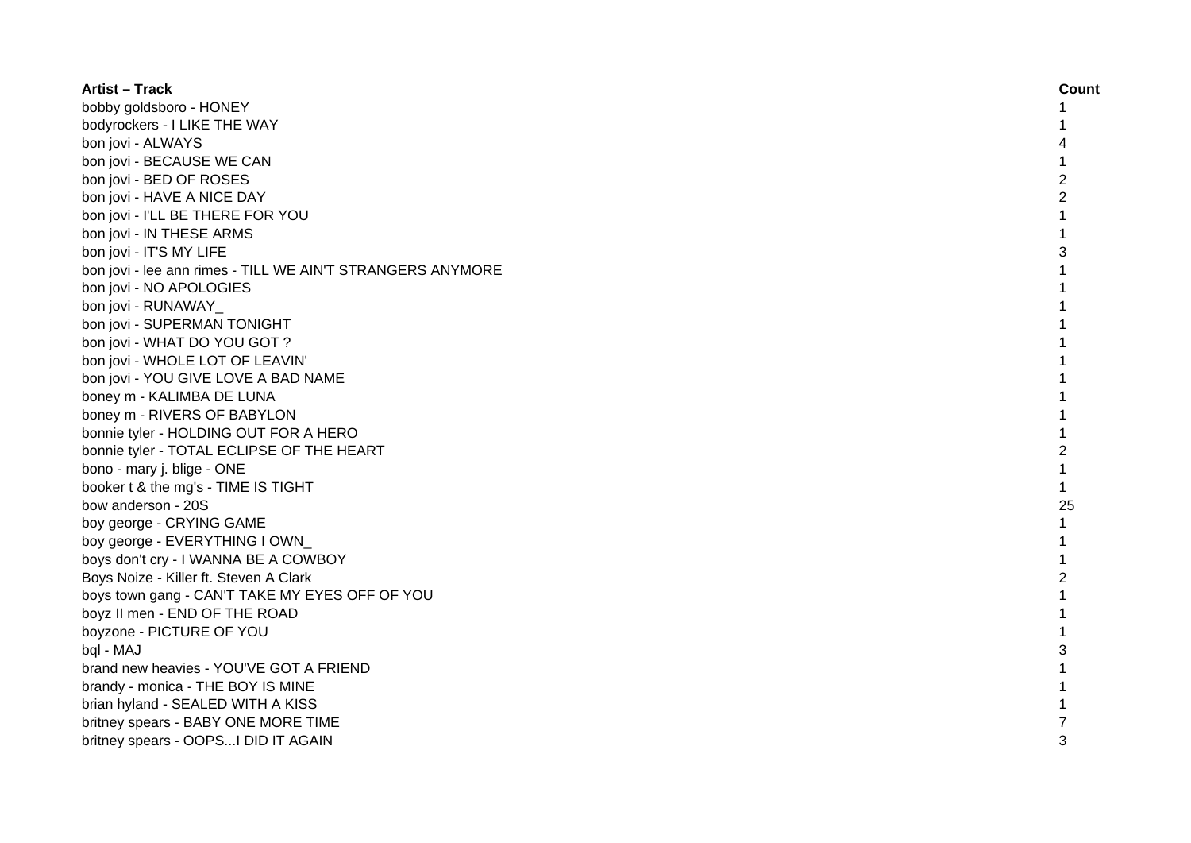| <b>Artist - Track</b>                                      | Count          |
|------------------------------------------------------------|----------------|
| bobby goldsboro - HONEY                                    |                |
| bodyrockers - I LIKE THE WAY                               |                |
| bon jovi - ALWAYS                                          | 4              |
| bon jovi - BECAUSE WE CAN                                  |                |
| bon jovi - BED OF ROSES                                    | $\overline{c}$ |
| bon jovi - HAVE A NICE DAY                                 | $\overline{c}$ |
| bon jovi - I'LL BE THERE FOR YOU                           | 1              |
| bon jovi - IN THESE ARMS                                   | 1              |
| bon jovi - IT'S MY LIFE                                    | 3              |
| bon jovi - lee ann rimes - TILL WE AIN'T STRANGERS ANYMORE | 1              |
| bon jovi - NO APOLOGIES                                    | $\mathbf{1}$   |
| bon jovi - RUNAWAY                                         | 1              |
| bon jovi - SUPERMAN TONIGHT                                | 1              |
| bon jovi - WHAT DO YOU GOT ?                               | 1              |
| bon jovi - WHOLE LOT OF LEAVIN'                            |                |
| bon jovi - YOU GIVE LOVE A BAD NAME                        |                |
| boney m - KALIMBA DE LUNA                                  |                |
| boney m - RIVERS OF BABYLON                                |                |
| bonnie tyler - HOLDING OUT FOR A HERO                      |                |
| bonnie tyler - TOTAL ECLIPSE OF THE HEART                  | 2              |
| bono - mary j. blige - ONE                                 | 1              |
| booker t & the mg's - TIME IS TIGHT                        | $\mathbf{1}$   |
| bow anderson - 20S                                         | 25             |
| boy george - CRYING GAME                                   | $\mathbf{1}$   |
| boy george - EVERYTHING I OWN                              | 1              |
| boys don't cry - I WANNA BE A COWBOY                       | 1              |
| Boys Noize - Killer ft. Steven A Clark                     | $\overline{c}$ |
| boys town gang - CAN'T TAKE MY EYES OFF OF YOU             | 1              |
| boyz II men - END OF THE ROAD                              | 1              |
| boyzone - PICTURE OF YOU                                   |                |
| bql - MAJ                                                  | 3              |
| brand new heavies - YOU'VE GOT A FRIEND                    |                |
| brandy - monica - THE BOY IS MINE                          |                |
| brian hyland - SEALED WITH A KISS                          |                |
| britney spears - BABY ONE MORE TIME                        |                |
| britney spears - OOPSI DID IT AGAIN                        | 3              |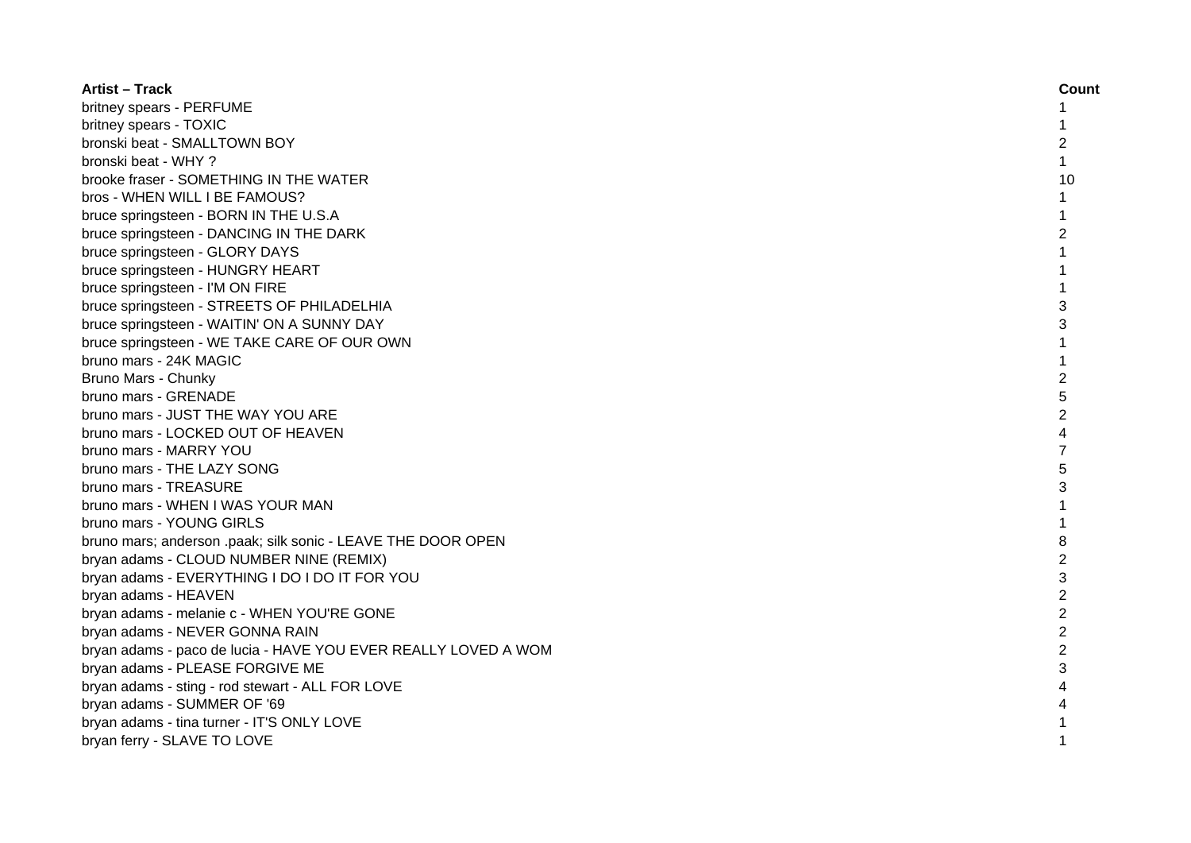| <b>Artist – Track</b>                                          | Count          |
|----------------------------------------------------------------|----------------|
| britney spears - PERFUME                                       | 1              |
| britney spears - TOXIC                                         | 1              |
| bronski beat - SMALLTOWN BOY                                   | 2              |
| bronski beat - WHY ?                                           | $\mathbf{1}$   |
| brooke fraser - SOMETHING IN THE WATER                         | 10             |
| bros - WHEN WILL I BE FAMOUS?                                  | 1              |
| bruce springsteen - BORN IN THE U.S.A                          | 1              |
| bruce springsteen - DANCING IN THE DARK                        | 2              |
| bruce springsteen - GLORY DAYS                                 | 1              |
| bruce springsteen - HUNGRY HEART                               | 1              |
| bruce springsteen - I'M ON FIRE                                | 1              |
| bruce springsteen - STREETS OF PHILADELHIA                     | 3              |
| bruce springsteen - WAITIN' ON A SUNNY DAY                     | 3              |
| bruce springsteen - WE TAKE CARE OF OUR OWN                    | $\mathbf{1}$   |
| bruno mars - 24K MAGIC                                         | $\mathbf{1}$   |
| Bruno Mars - Chunky                                            | $\overline{2}$ |
| bruno mars - GRENADE                                           | 5              |
| bruno mars - JUST THE WAY YOU ARE                              | $\overline{2}$ |
| bruno mars - LOCKED OUT OF HEAVEN                              | 4              |
| bruno mars - MARRY YOU                                         | 7              |
| bruno mars - THE LAZY SONG                                     | 5              |
| bruno mars - TREASURE                                          | 3              |
| bruno mars - WHEN I WAS YOUR MAN                               |                |
| bruno mars - YOUNG GIRLS                                       |                |
| bruno mars; anderson .paak; silk sonic - LEAVE THE DOOR OPEN   | 8              |
| bryan adams - CLOUD NUMBER NINE (REMIX)                        | $\overline{2}$ |
| bryan adams - EVERYTHING I DO I DO IT FOR YOU                  | 3              |
| bryan adams - HEAVEN                                           | $\overline{2}$ |
| bryan adams - melanie c - WHEN YOU'RE GONE                     | $\overline{c}$ |
| bryan adams - NEVER GONNA RAIN                                 | $\overline{2}$ |
| bryan adams - paco de lucia - HAVE YOU EVER REALLY LOVED A WOM | $\overline{2}$ |
| bryan adams - PLEASE FORGIVE ME                                | 3              |
| bryan adams - sting - rod stewart - ALL FOR LOVE               | 4              |
| bryan adams - SUMMER OF '69                                    |                |
| bryan adams - tina turner - IT'S ONLY LOVE                     |                |
| bryan ferry - SLAVE TO LOVE                                    |                |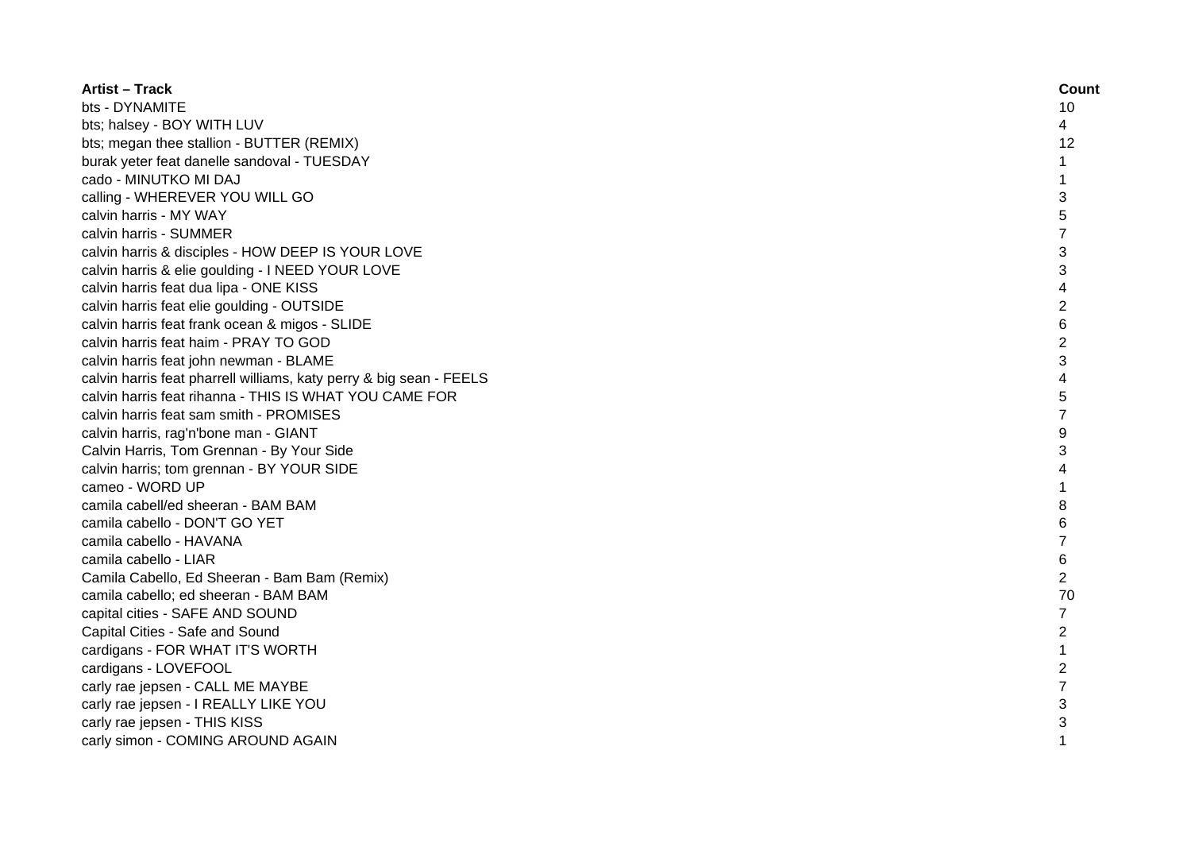| <b>Artist - Track</b>                                               | Count          |
|---------------------------------------------------------------------|----------------|
| bts - DYNAMITE                                                      | 10             |
| bts; halsey - BOY WITH LUV                                          | 4              |
| bts; megan thee stallion - BUTTER (REMIX)                           | 12             |
| burak yeter feat danelle sandoval - TUESDAY                         | $\mathbf{1}$   |
| cado - MINUTKO MI DAJ                                               | 1              |
| calling - WHEREVER YOU WILL GO                                      | 3              |
| calvin harris - MY WAY                                              | 5              |
| calvin harris - SUMMER                                              | 7              |
| calvin harris & disciples - HOW DEEP IS YOUR LOVE                   | 3              |
| calvin harris & elie goulding - I NEED YOUR LOVE                    | 3              |
| calvin harris feat dua lipa - ONE KISS                              | 4              |
| calvin harris feat elie goulding - OUTSIDE                          | $\overline{c}$ |
| calvin harris feat frank ocean & migos - SLIDE                      | 6              |
| calvin harris feat haim - PRAY TO GOD                               | $\overline{c}$ |
| calvin harris feat john newman - BLAME                              | 3              |
| calvin harris feat pharrell williams, katy perry & big sean - FEELS | 4              |
| calvin harris feat rihanna - THIS IS WHAT YOU CAME FOR              | 5              |
| calvin harris feat sam smith - PROMISES                             | $\overline{7}$ |
| calvin harris, rag'n'bone man - GIANT                               | 9              |
| Calvin Harris, Tom Grennan - By Your Side                           | 3              |
| calvin harris; tom grennan - BY YOUR SIDE                           | 4              |
| cameo - WORD UP                                                     | 1              |
| camila cabell/ed sheeran - BAM BAM                                  | 8              |
| camila cabello - DON'T GO YET                                       | 6              |
| camila cabello - HAVANA                                             | 7              |
| camila cabello - LIAR                                               | $6\phantom{1}$ |
| Camila Cabello, Ed Sheeran - Bam Bam (Remix)                        | $\overline{2}$ |
| camila cabello; ed sheeran - BAM BAM                                | 70             |
| capital cities - SAFE AND SOUND                                     | $\overline{7}$ |
| Capital Cities - Safe and Sound                                     | $\overline{c}$ |
| cardigans - FOR WHAT IT'S WORTH                                     | $\mathbf{1}$   |
| cardigans - LOVEFOOL                                                | $\overline{2}$ |
| carly rae jepsen - CALL ME MAYBE                                    | $\overline{7}$ |
| carly rae jepsen - I REALLY LIKE YOU                                | 3              |
| carly rae jepsen - THIS KISS                                        | 3              |
| carly simon - COMING AROUND AGAIN                                   | 1              |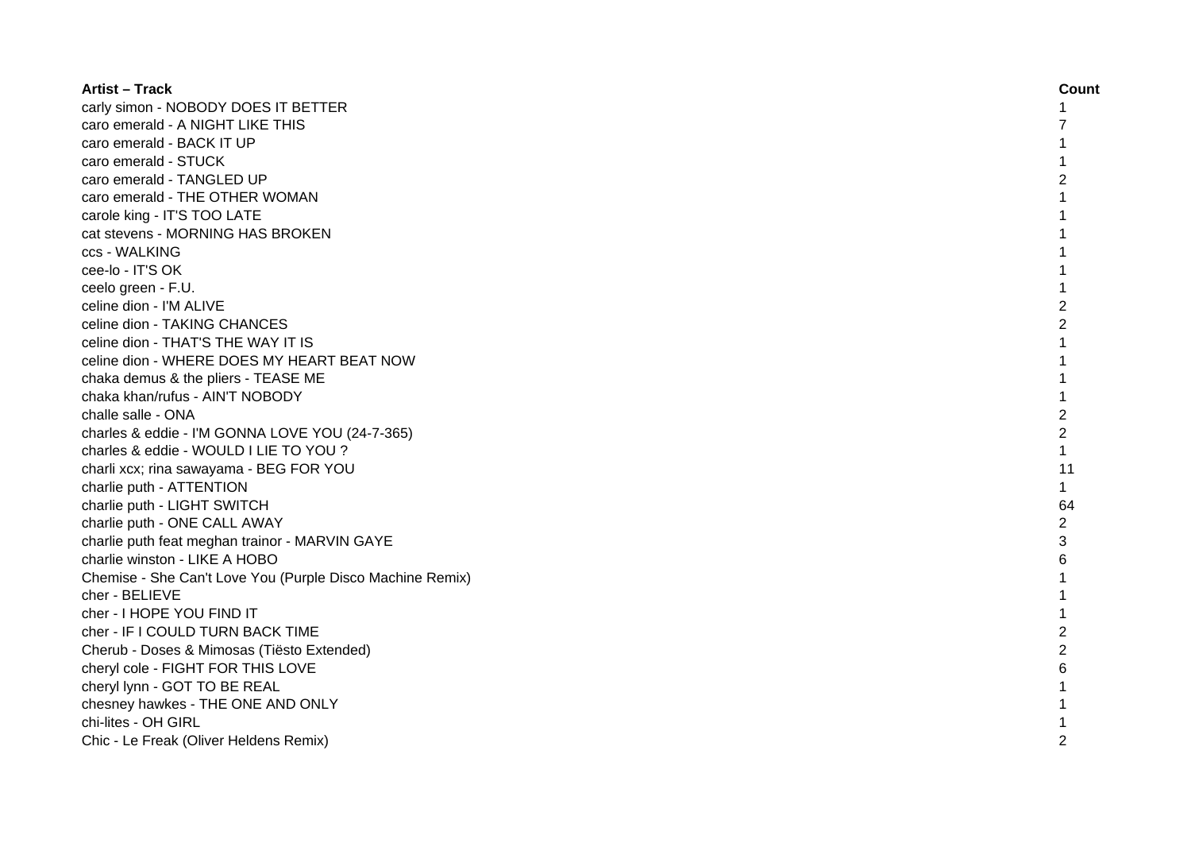| <b>Artist - Track</b>                                     | Count          |
|-----------------------------------------------------------|----------------|
| carly simon - NOBODY DOES IT BETTER                       | 1              |
| caro emerald - A NIGHT LIKE THIS                          |                |
| caro emerald - BACK IT UP                                 |                |
| caro emerald - STUCK                                      |                |
| caro emerald - TANGLED UP                                 | 2              |
| caro emerald - THE OTHER WOMAN                            | 1              |
| carole king - IT'S TOO LATE                               |                |
| cat stevens - MORNING HAS BROKEN                          |                |
| ccs - WALKING                                             |                |
| cee-lo - IT'S OK                                          | 1              |
| ceelo green - F.U.                                        | $\mathbf{1}$   |
| celine dion - I'M ALIVE                                   | $\overline{c}$ |
| celine dion - TAKING CHANCES                              | $\overline{2}$ |
| celine dion - THAT'S THE WAY IT IS                        | $\mathbf{1}$   |
| celine dion - WHERE DOES MY HEART BEAT NOW                | $\mathbf{1}$   |
| chaka demus & the pliers - TEASE ME                       | 1              |
| chaka khan/rufus - AIN'T NOBODY                           | 1              |
| challe salle - ONA                                        | $\overline{2}$ |
| charles & eddie - I'M GONNA LOVE YOU (24-7-365)           | $\overline{c}$ |
| charles & eddie - WOULD I LIE TO YOU?                     | $\mathbf{1}$   |
| charli xcx; rina sawayama - BEG FOR YOU                   | 11             |
| charlie puth - ATTENTION                                  | $\mathbf{1}$   |
| charlie puth - LIGHT SWITCH                               | 64             |
| charlie puth - ONE CALL AWAY                              | $\overline{c}$ |
| charlie puth feat meghan trainor - MARVIN GAYE            | 3              |
| charlie winston - LIKE A HOBO                             | 6              |
| Chemise - She Can't Love You (Purple Disco Machine Remix) | $\mathbf{1}$   |
| cher - BELIEVE                                            | 1              |
| cher - I HOPE YOU FIND IT                                 | $\mathbf{1}$   |
| cher - IF I COULD TURN BACK TIME                          | $\overline{c}$ |
| Cherub - Doses & Mimosas (Tiësto Extended)                | $\overline{2}$ |
| cheryl cole - FIGHT FOR THIS LOVE                         | 6              |
| cheryl lynn - GOT TO BE REAL                              |                |
| chesney hawkes - THE ONE AND ONLY                         |                |
| chi-lites - OH GIRL                                       |                |
| Chic - Le Freak (Oliver Heldens Remix)                    | $\mathfrak{p}$ |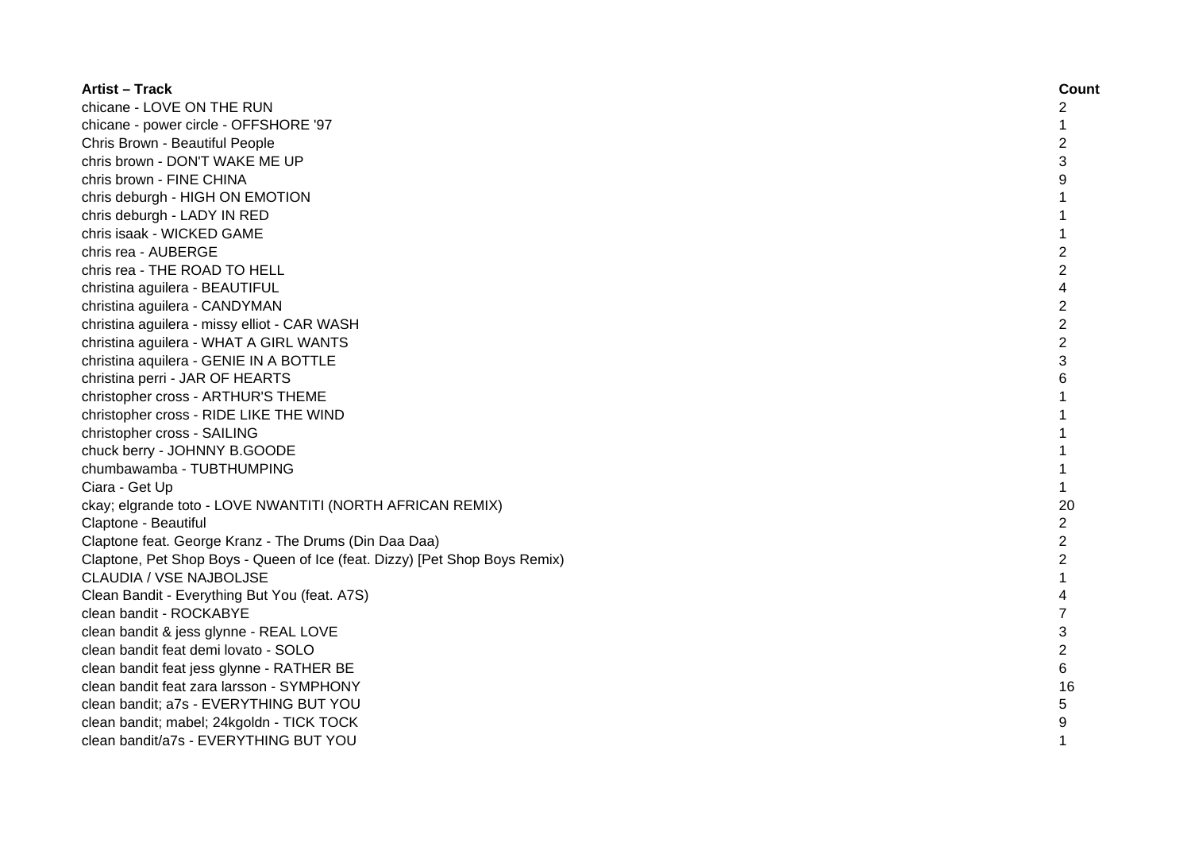| <b>Artist – Track</b>                                                      | Count          |
|----------------------------------------------------------------------------|----------------|
| chicane - LOVE ON THE RUN                                                  | 2              |
| chicane - power circle - OFFSHORE '97                                      | 1              |
| Chris Brown - Beautiful People                                             | $\overline{c}$ |
| chris brown - DON'T WAKE ME UP                                             | 3              |
| chris brown - FINE CHINA                                                   | 9              |
| chris deburgh - HIGH ON EMOTION                                            | 1              |
| chris deburgh - LADY IN RED                                                | 1              |
| chris isaak - WICKED GAME                                                  | 1              |
| chris rea - AUBERGE                                                        | $\overline{2}$ |
| chris rea - THE ROAD TO HELL                                               | $\overline{2}$ |
| christina aguilera - BEAUTIFUL                                             | $\overline{4}$ |
| christina aguilera - CANDYMAN                                              | $\overline{2}$ |
| christina aguilera - missy elliot - CAR WASH                               | $\overline{c}$ |
| christina aguilera - WHAT A GIRL WANTS                                     | $\overline{2}$ |
| christina aquilera - GENIE IN A BOTTLE                                     | 3              |
| christina perri - JAR OF HEARTS                                            | 6              |
| christopher cross - ARTHUR'S THEME                                         | $\mathbf{1}$   |
| christopher cross - RIDE LIKE THE WIND                                     | $\mathbf{1}$   |
| christopher cross - SAILING                                                | $\mathbf{1}$   |
| chuck berry - JOHNNY B.GOODE                                               |                |
| chumbawamba - TUBTHUMPING                                                  | $\mathbf{1}$   |
| Ciara - Get Up                                                             | $\mathbf{1}$   |
| ckay; elgrande toto - LOVE NWANTITI (NORTH AFRICAN REMIX)                  | 20             |
| Claptone - Beautiful                                                       | $\overline{c}$ |
| Claptone feat. George Kranz - The Drums (Din Daa Daa)                      | $\overline{c}$ |
| Claptone, Pet Shop Boys - Queen of Ice (feat. Dizzy) [Pet Shop Boys Remix) | $\overline{c}$ |
| CLAUDIA / VSE NAJBOLJSE                                                    | 1              |
| Clean Bandit - Everything But You (feat. A7S)                              | 4              |
| clean bandit - ROCKABYE                                                    | $\overline{7}$ |
| clean bandit & jess glynne - REAL LOVE                                     | 3              |
| clean bandit feat demi lovato - SOLO                                       | $\overline{c}$ |
| clean bandit feat jess glynne - RATHER BE                                  | 6              |
| clean bandit feat zara larsson - SYMPHONY                                  | 16             |
| clean bandit; a7s - EVERYTHING BUT YOU                                     | 5              |
| clean bandit; mabel; 24kgoldn - TICK TOCK                                  | 9              |
| clean bandit/a7s - EVERYTHING BUT YOU                                      | 1              |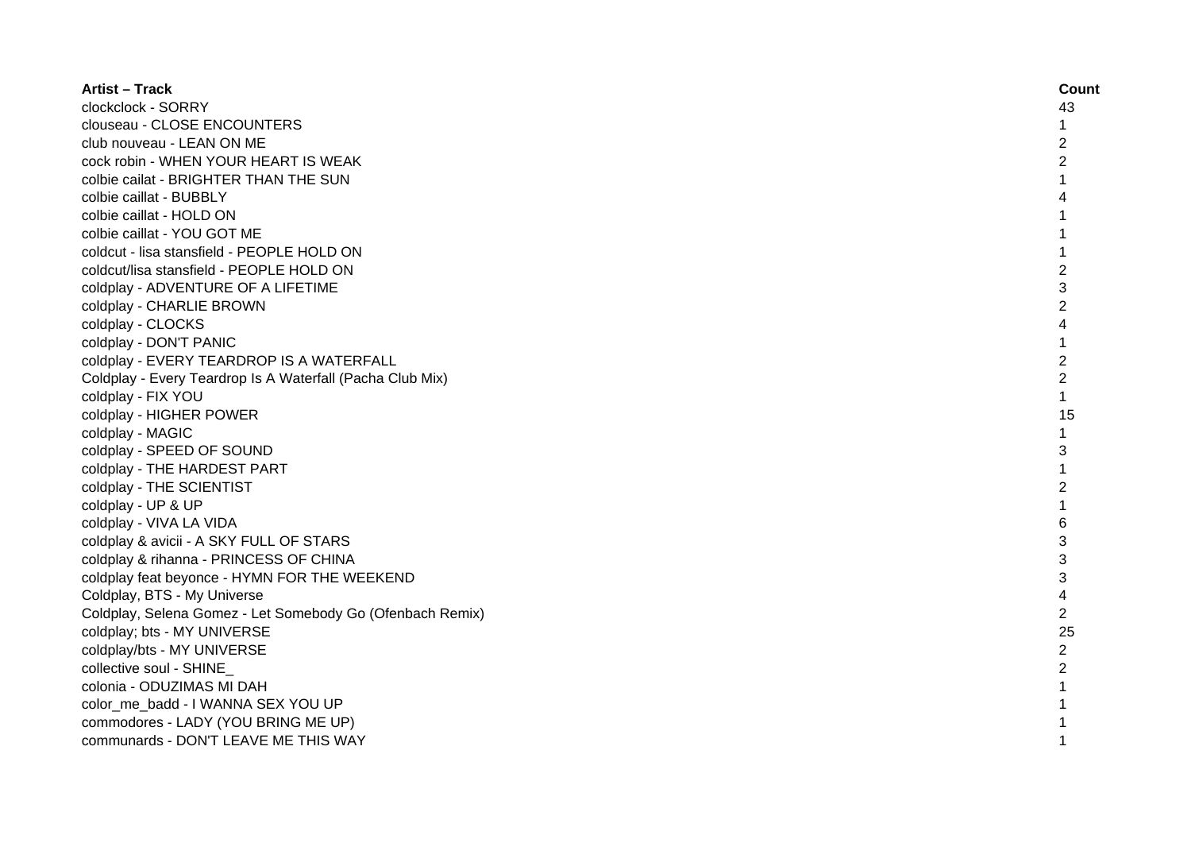| <b>Artist - Track</b>                                     | Count          |
|-----------------------------------------------------------|----------------|
| clockclock - SORRY                                        | 43             |
| clouseau - CLOSE ENCOUNTERS                               | 1              |
| club nouveau - LEAN ON ME                                 | $\overline{c}$ |
| cock robin - WHEN YOUR HEART IS WEAK                      | $\overline{c}$ |
| colbie cailat - BRIGHTER THAN THE SUN                     | 1              |
| colbie caillat - BUBBLY                                   |                |
| colbie caillat - HOLD ON                                  |                |
| colbie caillat - YOU GOT ME                               |                |
| coldcut - lisa stansfield - PEOPLE HOLD ON                | 1              |
| coldcut/lisa stansfield - PEOPLE HOLD ON                  | $\overline{2}$ |
| coldplay - ADVENTURE OF A LIFETIME                        | 3              |
| coldplay - CHARLIE BROWN                                  | $\overline{c}$ |
| coldplay - CLOCKS                                         | $\overline{4}$ |
| coldplay - DON'T PANIC                                    | $\mathbf{1}$   |
| coldplay - EVERY TEARDROP IS A WATERFALL                  | $\overline{2}$ |
| Coldplay - Every Teardrop Is A Waterfall (Pacha Club Mix) | $\overline{2}$ |
| coldplay - FIX YOU                                        | $\mathbf{1}$   |
| coldplay - HIGHER POWER                                   | 15             |
| coldplay - MAGIC                                          | 1              |
| coldplay - SPEED OF SOUND                                 | 3              |
| coldplay - THE HARDEST PART                               |                |
| coldplay - THE SCIENTIST                                  | $\overline{2}$ |
| coldplay - UP & UP                                        |                |
| coldplay - VIVA LA VIDA                                   | 6              |
| coldplay & avicii - A SKY FULL OF STARS                   | 3              |
| coldplay & rihanna - PRINCESS OF CHINA                    | 3              |
| coldplay feat beyonce - HYMN FOR THE WEEKEND              | 3              |
| Coldplay, BTS - My Universe                               | 4              |
| Coldplay, Selena Gomez - Let Somebody Go (Ofenbach Remix) | $\overline{c}$ |
| coldplay; bts - MY UNIVERSE                               | 25             |
| coldplay/bts - MY UNIVERSE                                | $\overline{c}$ |
| collective soul - SHINE                                   | $\overline{c}$ |
| colonia - ODUZIMAS MI DAH                                 | 1              |
| color me badd - I WANNA SEX YOU UP                        |                |
| commodores - LADY (YOU BRING ME UP)                       |                |
| communards - DON'T LEAVE ME THIS WAY                      | 1              |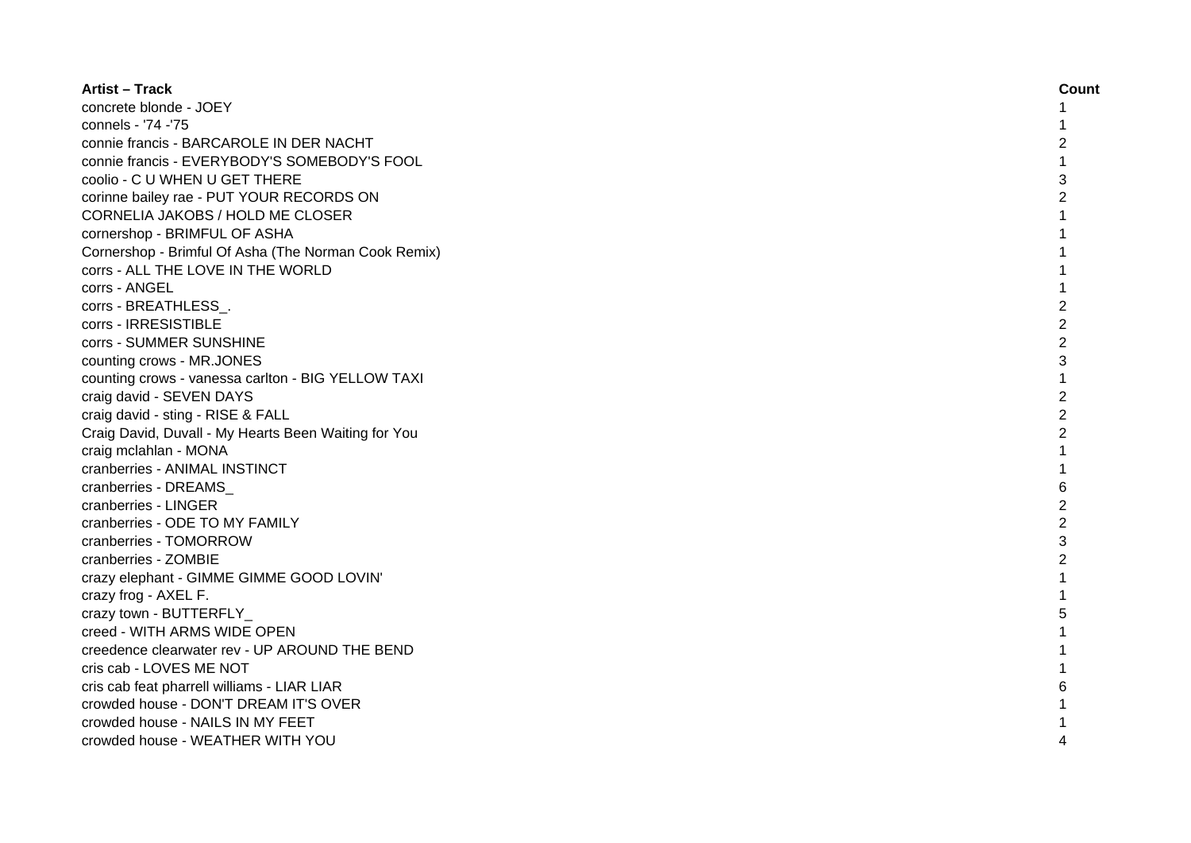| <b>Artist - Track</b>                                | Count          |
|------------------------------------------------------|----------------|
| concrete blonde - JOEY                               | 1              |
| connels - '74 -'75                                   |                |
| connie francis - BARCAROLE IN DER NACHT              | 2              |
| connie francis - EVERYBODY'S SOMEBODY'S FOOL         | 1              |
| coolio - C U WHEN U GET THERE                        | 3              |
| corinne bailey rae - PUT YOUR RECORDS ON             | $\overline{2}$ |
| CORNELIA JAKOBS / HOLD ME CLOSER                     | 1              |
| cornershop - BRIMFUL OF ASHA                         |                |
| Cornershop - Brimful Of Asha (The Norman Cook Remix) |                |
| corrs - ALL THE LOVE IN THE WORLD                    |                |
| corrs - ANGEL                                        | 1              |
| corrs - BREATHLESS_.                                 | $\overline{c}$ |
| corrs - IRRESISTIBLE                                 | $\overline{2}$ |
| corrs - SUMMER SUNSHINE                              | $\overline{2}$ |
| counting crows - MR.JONES                            | 3              |
| counting crows - vanessa carlton - BIG YELLOW TAXI   | $\mathbf{1}$   |
| craig david - SEVEN DAYS                             | $\overline{2}$ |
| craig david - sting - RISE & FALL                    | $\overline{2}$ |
| Craig David, Duvall - My Hearts Been Waiting for You | $\overline{2}$ |
| craig mclahlan - MONA                                |                |
| cranberries - ANIMAL INSTINCT                        |                |
| cranberries - DREAMS                                 | 6              |
| cranberries - LINGER                                 | $\overline{2}$ |
| cranberries - ODE TO MY FAMILY                       | $\overline{2}$ |
| cranberries - TOMORROW                               | 3              |
| cranberries - ZOMBIE                                 | $\overline{c}$ |
| crazy elephant - GIMME GIMME GOOD LOVIN'             |                |
| crazy frog - AXEL F.                                 |                |
| crazy town - BUTTERFLY                               | 5              |
| creed - WITH ARMS WIDE OPEN                          | 1              |
| creedence clearwater rev - UP AROUND THE BEND        | 1              |
| cris cab - LOVES ME NOT                              | 1              |
| cris cab feat pharrell williams - LIAR LIAR          | 6              |
| crowded house - DON'T DREAM IT'S OVER                |                |
| crowded house - NAILS IN MY FEET                     |                |
| crowded house - WEATHER WITH YOU                     | 4              |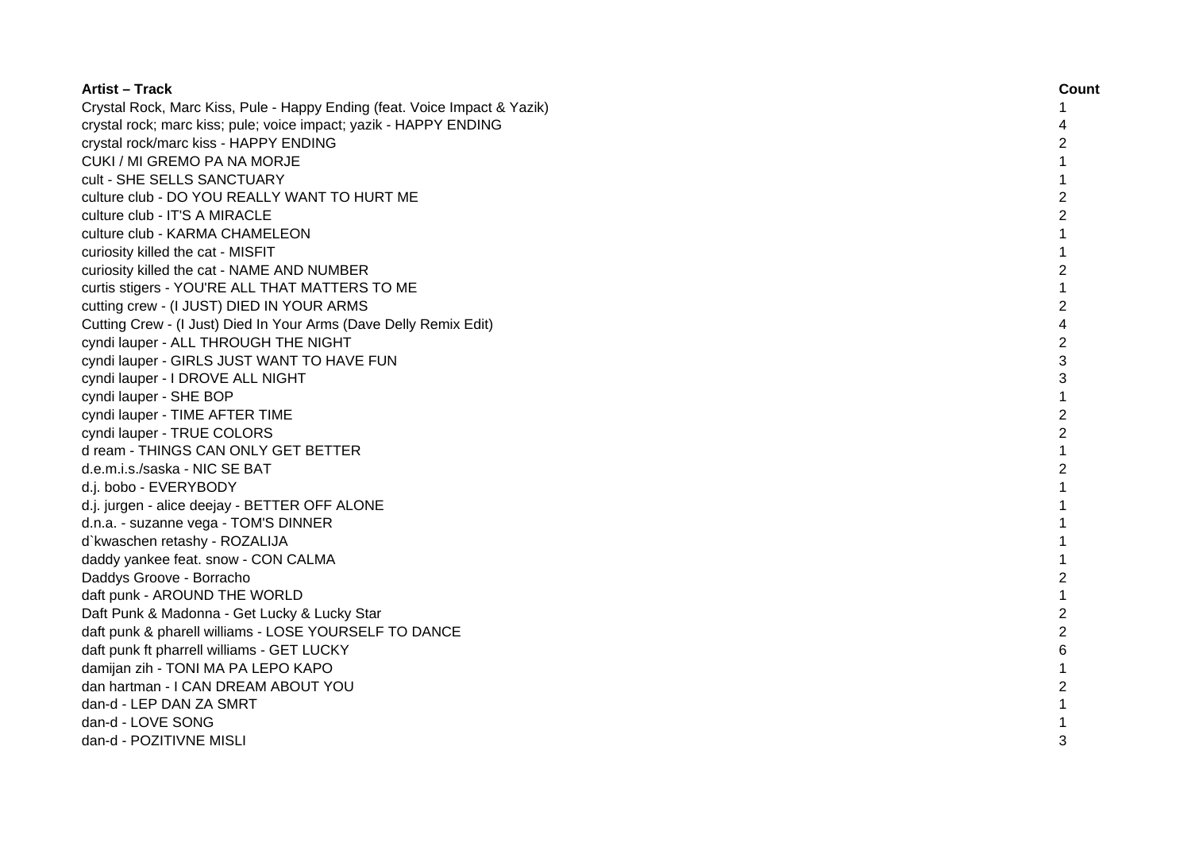| <b>Artist - Track</b>                                                     | Count          |
|---------------------------------------------------------------------------|----------------|
| Crystal Rock, Marc Kiss, Pule - Happy Ending (feat. Voice Impact & Yazik) | 1              |
| crystal rock; marc kiss; pule; voice impact; yazik - HAPPY ENDING         | 4              |
| crystal rock/marc kiss - HAPPY ENDING                                     | 2              |
| CUKI / MI GREMO PA NA MORJE                                               | 1              |
| cult - SHE SELLS SANCTUARY                                                | 1              |
| culture club - DO YOU REALLY WANT TO HURT ME                              | $\overline{2}$ |
| culture club - IT'S A MIRACLE                                             | $\overline{2}$ |
| culture club - KARMA CHAMELEON                                            | $\mathbf{1}$   |
| curiosity killed the cat - MISFIT                                         | $\mathbf{1}$   |
| curiosity killed the cat - NAME AND NUMBER                                | $\overline{2}$ |
| curtis stigers - YOU'RE ALL THAT MATTERS TO ME                            | $\mathbf{1}$   |
| cutting crew - (I JUST) DIED IN YOUR ARMS                                 | $\overline{2}$ |
| Cutting Crew - (I Just) Died In Your Arms (Dave Delly Remix Edit)         | 4              |
| cyndi lauper - ALL THROUGH THE NIGHT                                      | $\overline{2}$ |
| cyndi lauper - GIRLS JUST WANT TO HAVE FUN                                | 3              |
| cyndi lauper - I DROVE ALL NIGHT                                          | 3              |
| cyndi lauper - SHE BOP                                                    | $\mathbf{1}$   |
| cyndi lauper - TIME AFTER TIME                                            | $\overline{2}$ |
| cyndi lauper - TRUE COLORS                                                | $\overline{2}$ |
| d ream - THINGS CAN ONLY GET BETTER                                       |                |
| d.e.m.i.s./saska - NIC SE BAT                                             | $\overline{2}$ |
| d.j. bobo - EVERYBODY                                                     |                |
| d.j. jurgen - alice deejay - BETTER OFF ALONE                             |                |
| d.n.a. - suzanne vega - TOM'S DINNER                                      |                |
| d'kwaschen retashy - ROZALIJA                                             |                |
| daddy yankee feat. snow - CON CALMA                                       |                |
| Daddys Groove - Borracho                                                  | 2              |
| daft punk - AROUND THE WORLD                                              | $\mathbf{1}$   |
| Daft Punk & Madonna - Get Lucky & Lucky Star                              | $\overline{2}$ |
| daft punk & pharell williams - LOSE YOURSELF TO DANCE                     | 2              |
| daft punk ft pharrell williams - GET LUCKY                                | 6              |
| damijan zih - TONI MA PA LEPO KAPO                                        | $\mathbf{1}$   |
| dan hartman - I CAN DREAM ABOUT YOU                                       | $\overline{c}$ |
| dan-d - LEP DAN ZA SMRT                                                   | 1              |
| dan-d - LOVE SONG                                                         |                |
| dan-d - POZITIVNE MISLI                                                   | 3              |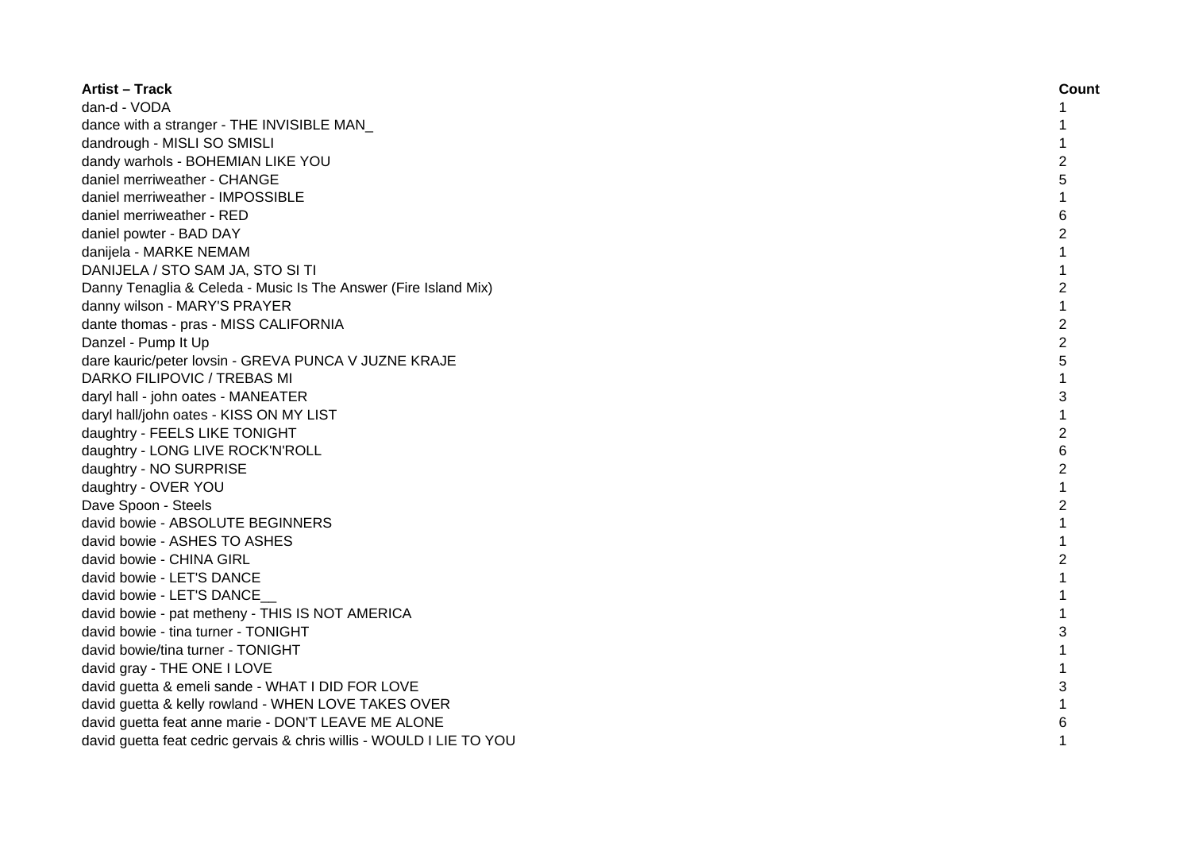| <b>Artist - Track</b>                                                | Count          |
|----------------------------------------------------------------------|----------------|
| dan-d - VODA                                                         | 1              |
| dance with a stranger - THE INVISIBLE MAN                            | 1              |
| dandrough - MISLI SO SMISLI                                          | 1              |
| dandy warhols - BOHEMIAN LIKE YOU                                    | $\overline{c}$ |
| daniel merriweather - CHANGE                                         | 5              |
| daniel merriweather - IMPOSSIBLE                                     | 1              |
| daniel merriweather - RED                                            | 6              |
| daniel powter - BAD DAY                                              | $\overline{c}$ |
| danijela - MARKE NEMAM                                               | $\mathbf{1}$   |
| DANIJELA / STO SAM JA, STO SI TI                                     | 1              |
| Danny Tenaglia & Celeda - Music Is The Answer (Fire Island Mix)      | $\overline{c}$ |
| danny wilson - MARY'S PRAYER                                         | 1              |
| dante thomas - pras - MISS CALIFORNIA                                | $\overline{c}$ |
| Danzel - Pump It Up                                                  | $\overline{c}$ |
| dare kauric/peter lovsin - GREVA PUNCA V JUZNE KRAJE                 | 5              |
| DARKO FILIPOVIC / TREBAS MI                                          | 1              |
| daryl hall - john oates - MANEATER                                   | 3              |
| daryl hall/john oates - KISS ON MY LIST                              | 1              |
| daughtry - FEELS LIKE TONIGHT                                        | $\overline{c}$ |
| daughtry - LONG LIVE ROCK'N'ROLL                                     | 6              |
| daughtry - NO SURPRISE                                               | $\overline{c}$ |
| daughtry - OVER YOU                                                  | 1              |
| Dave Spoon - Steels                                                  | $\overline{2}$ |
| david bowie - ABSOLUTE BEGINNERS                                     | 1              |
| david bowie - ASHES TO ASHES                                         | 1              |
| david bowie - CHINA GIRL                                             | $\overline{c}$ |
| david bowie - LET'S DANCE                                            | 1              |
| david bowie - LET'S DANCE                                            | 1              |
| david bowie - pat metheny - THIS IS NOT AMERICA                      | 1              |
| david bowie - tina turner - TONIGHT                                  | 3              |
| david bowie/tina turner - TONIGHT                                    | 1              |
| david gray - THE ONE I LOVE                                          | 1              |
| david guetta & emeli sande - WHAT I DID FOR LOVE                     | 3              |
| david guetta & kelly rowland - WHEN LOVE TAKES OVER                  | $\mathbf{1}$   |
| david guetta feat anne marie - DON'T LEAVE ME ALONE                  | 6              |
| david guetta feat cedric gervais & chris willis - WOULD I LIE TO YOU | 1              |
|                                                                      |                |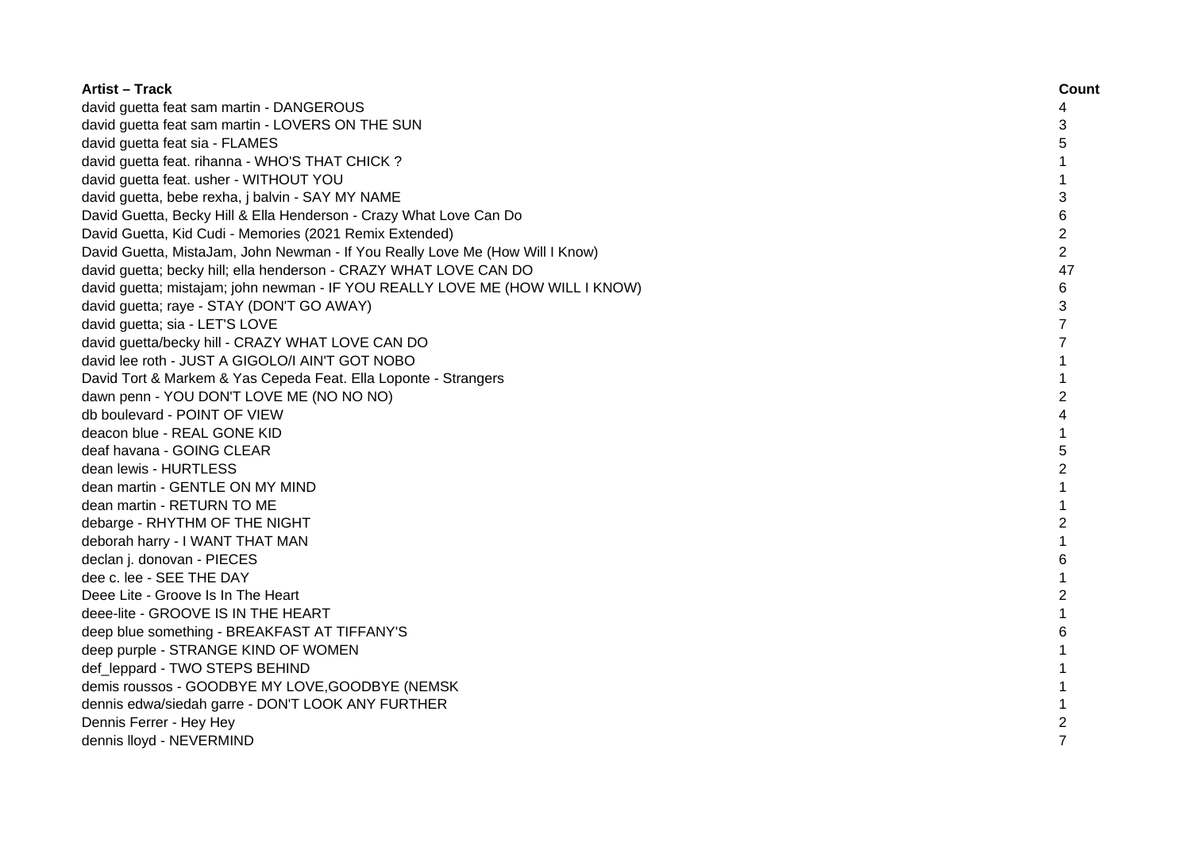| <b>Artist – Track</b>                                                         | Count          |
|-------------------------------------------------------------------------------|----------------|
| david guetta feat sam martin - DANGEROUS                                      | 4              |
| david guetta feat sam martin - LOVERS ON THE SUN                              | 3              |
| david guetta feat sia - FLAMES                                                | 5              |
| david guetta feat. rihanna - WHO'S THAT CHICK ?                               | 1              |
| david guetta feat. usher - WITHOUT YOU                                        | 1              |
| david guetta, bebe rexha, j balvin - SAY MY NAME                              | 3              |
| David Guetta, Becky Hill & Ella Henderson - Crazy What Love Can Do            | 6              |
| David Guetta, Kid Cudi - Memories (2021 Remix Extended)                       | $\overline{c}$ |
| David Guetta, MistaJam, John Newman - If You Really Love Me (How Will I Know) | $\overline{2}$ |
| david guetta; becky hill; ella henderson - CRAZY WHAT LOVE CAN DO             | 47             |
| david guetta; mistajam; john newman - IF YOU REALLY LOVE ME (HOW WILL I KNOW) | 6              |
| david guetta; raye - STAY (DON'T GO AWAY)                                     | 3              |
| david guetta; sia - LET'S LOVE                                                | 7              |
| david guetta/becky hill - CRAZY WHAT LOVE CAN DO                              | $\overline{7}$ |
| david lee roth - JUST A GIGOLO/I AIN'T GOT NOBO                               | $\mathbf{1}$   |
| David Tort & Markem & Yas Cepeda Feat. Ella Loponte - Strangers               | $\mathbf{1}$   |
| dawn penn - YOU DON'T LOVE ME (NO NO NO)                                      | $\overline{2}$ |
| db boulevard - POINT OF VIEW                                                  | 4              |
| deacon blue - REAL GONE KID                                                   | 1              |
| deaf havana - GOING CLEAR                                                     | 5              |
| dean lewis - HURTLESS                                                         | $\overline{c}$ |
| dean martin - GENTLE ON MY MIND                                               | 1              |
| dean martin - RETURN TO ME                                                    |                |
| debarge - RHYTHM OF THE NIGHT                                                 | 2              |
| deborah harry - I WANT THAT MAN                                               |                |
| declan j. donovan - PIECES                                                    | 6              |
| dee c. lee - SEE THE DAY                                                      |                |
| Deee Lite - Groove Is In The Heart                                            | 2              |
| deee-lite - GROOVE IS IN THE HEART                                            | 1              |
| deep blue something - BREAKFAST AT TIFFANY'S                                  | 6              |
| deep purple - STRANGE KIND OF WOMEN                                           | 1              |
| def_leppard - TWO STEPS BEHIND                                                | 1              |
| demis roussos - GOODBYE MY LOVE, GOODBYE (NEMSK                               | 1              |
| dennis edwa/siedah garre - DON'T LOOK ANY FURTHER                             | 1              |
| Dennis Ferrer - Hey Hey                                                       | 2              |
| dennis lloyd - NEVERMIND                                                      | $\overline{7}$ |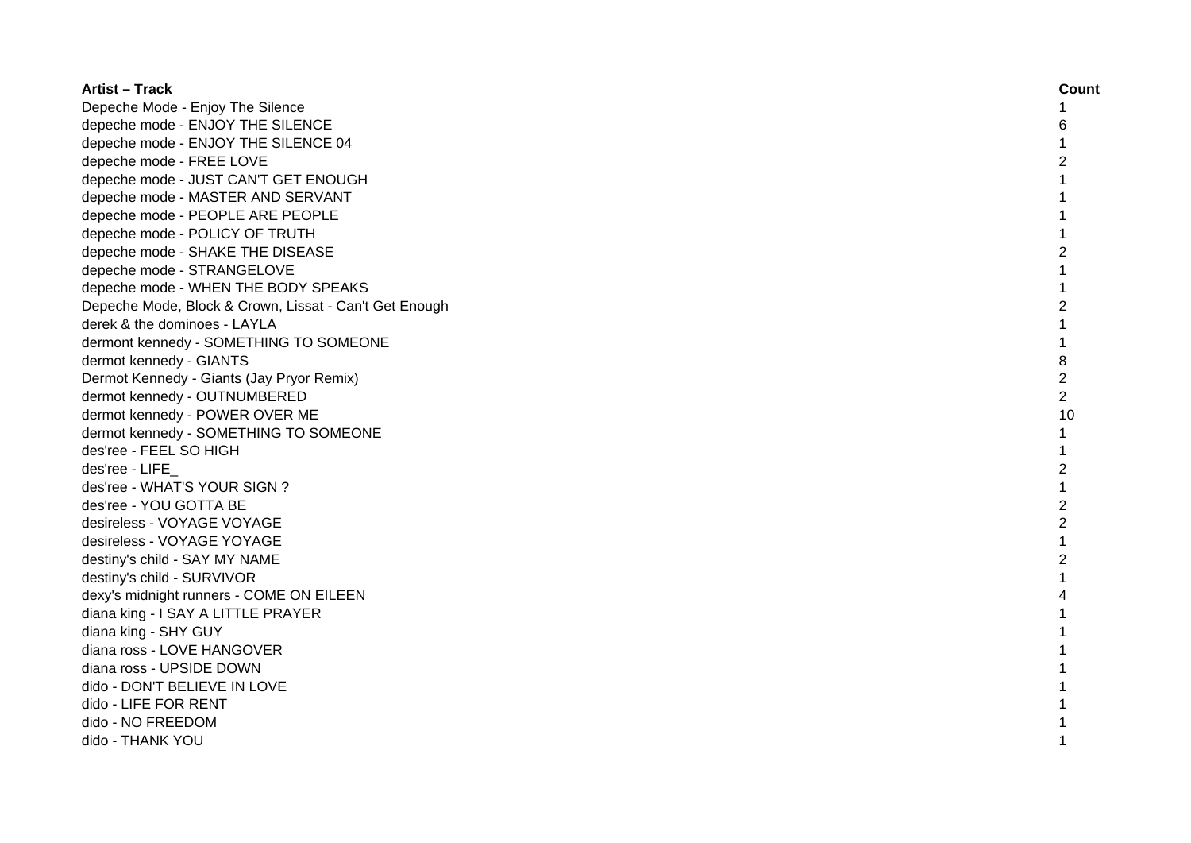| <b>Artist - Track</b>                                  | Count          |
|--------------------------------------------------------|----------------|
| Depeche Mode - Enjoy The Silence                       | 1              |
| depeche mode - ENJOY THE SILENCE                       | 6              |
| depeche mode - ENJOY THE SILENCE 04                    | 1              |
| depeche mode - FREE LOVE                               | 2              |
| depeche mode - JUST CAN'T GET ENOUGH                   | 1              |
| depeche mode - MASTER AND SERVANT                      | 1              |
| depeche mode - PEOPLE ARE PEOPLE                       |                |
| depeche mode - POLICY OF TRUTH                         |                |
| depeche mode - SHAKE THE DISEASE                       | 2              |
| depeche mode - STRANGELOVE                             | $\mathbf{1}$   |
| depeche mode - WHEN THE BODY SPEAKS                    | $\mathbf 1$    |
| Depeche Mode, Block & Crown, Lissat - Can't Get Enough | $\overline{2}$ |
| derek & the dominoes - LAYLA                           | $\mathbf{1}$   |
| dermont kennedy - SOMETHING TO SOMEONE                 | $\mathbf{1}$   |
| dermot kennedy - GIANTS                                | 8              |
| Dermot Kennedy - Giants (Jay Pryor Remix)              | $\overline{c}$ |
| dermot kennedy - OUTNUMBERED                           | $\overline{2}$ |
| dermot kennedy - POWER OVER ME                         | 10             |
| dermot kennedy - SOMETHING TO SOMEONE                  | $\mathbf{1}$   |
| des'ree - FEEL SO HIGH                                 | 1              |
| des'ree - LIFE                                         | $\overline{2}$ |
| des'ree - WHAT'S YOUR SIGN ?                           |                |
| des'ree - YOU GOTTA BE                                 | $\overline{2}$ |
| desireless - VOYAGE VOYAGE                             | $\overline{c}$ |
| desireless - VOYAGE YOYAGE                             | $\mathbf{1}$   |
| destiny's child - SAY MY NAME                          | 2              |
| destiny's child - SURVIVOR                             | 1              |
| dexy's midnight runners - COME ON EILEEN               | 4              |
| diana king - I SAY A LITTLE PRAYER                     | 1              |
| diana king - SHY GUY                                   | 1              |
| diana ross - LOVE HANGOVER                             |                |
| diana ross - UPSIDE DOWN                               |                |
| dido - DON'T BELIEVE IN LOVE                           |                |
| dido - LIFE FOR RENT                                   |                |
| dido - NO FREEDOM                                      |                |
| dido - THANK YOU                                       |                |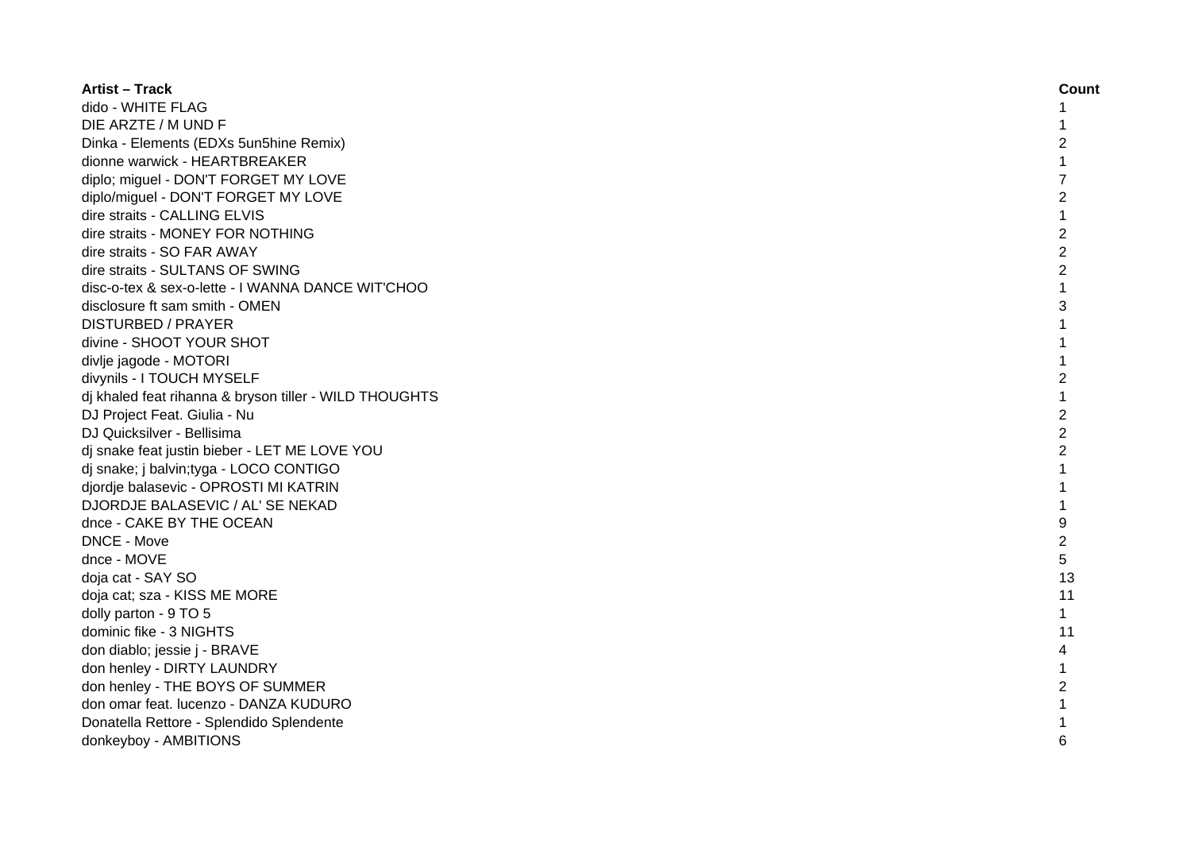| <b>Artist - Track</b>                                  | Count          |
|--------------------------------------------------------|----------------|
| dido - WHITE FLAG                                      |                |
| DIE ARZTE / M UND F                                    |                |
| Dinka - Elements (EDXs 5un5hine Remix)                 | 2              |
| dionne warwick - HEARTBREAKER                          |                |
| diplo; miguel - DON'T FORGET MY LOVE                   | $\overline{7}$ |
| diplo/miguel - DON'T FORGET MY LOVE                    | $\overline{c}$ |
| dire straits - CALLING ELVIS                           | 1              |
| dire straits - MONEY FOR NOTHING                       | $\overline{c}$ |
| dire straits - SO FAR AWAY                             | $\overline{c}$ |
| dire straits - SULTANS OF SWING                        | $\overline{2}$ |
| disc-o-tex & sex-o-lette - I WANNA DANCE WIT'CHOO      | $\mathbf{1}$   |
| disclosure ft sam smith - OMEN                         | 3              |
| <b>DISTURBED / PRAYER</b>                              | 1              |
| divine - SHOOT YOUR SHOT                               | 1              |
| divlje jagode - MOTORI                                 |                |
| divynils - I TOUCH MYSELF                              | $\overline{c}$ |
| dj khaled feat rihanna & bryson tiller - WILD THOUGHTS |                |
| DJ Project Feat. Giulia - Nu                           | $\overline{2}$ |
| DJ Quicksilver - Bellisima                             | $\overline{2}$ |
| dj snake feat justin bieber - LET ME LOVE YOU          | 2              |
| dj snake; j balvin;tyga - LOCO CONTIGO                 | $\mathbf{1}$   |
| djordje balasevic - OPROSTI MI KATRIN                  |                |
| DJORDJE BALASEVIC / AL' SE NEKAD                       | 1              |
| dnce - CAKE BY THE OCEAN                               | 9              |
| DNCE - Move                                            | 2              |
| dnce - MOVE                                            | 5              |
| doja cat - SAY SO                                      | 13             |
| doja cat; sza - KISS ME MORE                           | 11             |
| dolly parton - 9 TO 5                                  | 1              |
| dominic fike - 3 NIGHTS                                | 11             |
| don diablo; jessie j - BRAVE                           | 4              |
| don henley - DIRTY LAUNDRY                             | 1              |
| don henley - THE BOYS OF SUMMER                        | 2              |
| don omar feat. lucenzo - DANZA KUDURO                  | $\mathbf{1}$   |
| Donatella Rettore - Splendido Splendente               |                |
| donkeyboy - AMBITIONS                                  | 6              |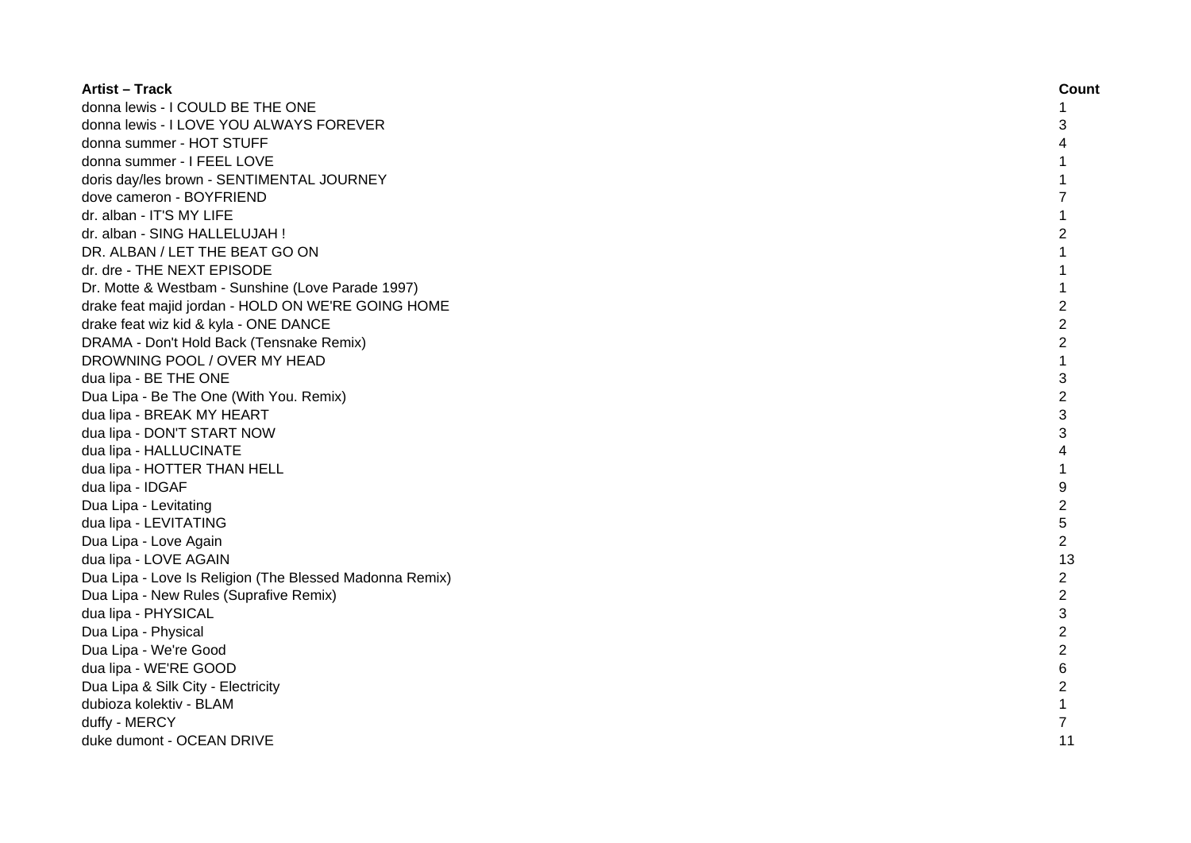| <b>Artist - Track</b>                                   | Count          |
|---------------------------------------------------------|----------------|
| donna lewis - I COULD BE THE ONE                        | 1              |
| donna lewis - I LOVE YOU ALWAYS FOREVER                 | 3              |
| donna summer - HOT STUFF                                | 4              |
| donna summer - I FEEL LOVE                              |                |
| doris day/les brown - SENTIMENTAL JOURNEY               | 1              |
| dove cameron - BOYFRIEND                                | $\overline{7}$ |
| dr. alban - IT'S MY LIFE                                | 1              |
| dr. alban - SING HALLELUJAH !                           | $\overline{2}$ |
| DR. ALBAN / LET THE BEAT GO ON                          | $\mathbf{1}$   |
| dr. dre - THE NEXT EPISODE                              | 1              |
| Dr. Motte & Westbam - Sunshine (Love Parade 1997)       | $\mathbf{1}$   |
| drake feat majid jordan - HOLD ON WE'RE GOING HOME      | $\overline{2}$ |
| drake feat wiz kid & kyla - ONE DANCE                   | $\overline{2}$ |
| DRAMA - Don't Hold Back (Tensnake Remix)                | $\overline{2}$ |
| DROWNING POOL / OVER MY HEAD                            |                |
| dua lipa - BE THE ONE                                   | 3              |
| Dua Lipa - Be The One (With You. Remix)                 | $\overline{2}$ |
| dua lipa - BREAK MY HEART                               | 3              |
| dua lipa - DON'T START NOW                              | 3              |
| dua lipa - HALLUCINATE                                  | 4              |
| dua lipa - HOTTER THAN HELL                             | $\mathbf{1}$   |
| dua lipa - IDGAF                                        | 9              |
| Dua Lipa - Levitating                                   | 2              |
| dua lipa - LEVITATING                                   | 5              |
| Dua Lipa - Love Again                                   | $\overline{2}$ |
| dua lipa - LOVE AGAIN                                   | 13             |
| Dua Lipa - Love Is Religion (The Blessed Madonna Remix) | $\overline{c}$ |
| Dua Lipa - New Rules (Suprafive Remix)                  | $\overline{c}$ |
| dua lipa - PHYSICAL                                     | 3              |
| Dua Lipa - Physical                                     | $\overline{2}$ |
| Dua Lipa - We're Good                                   | $\overline{c}$ |
| dua lipa - WE'RE GOOD                                   | 6              |
| Dua Lipa & Silk City - Electricity                      | $\overline{c}$ |
| dubioza kolektiv - BLAM                                 | 1              |
| duffy - MERCY                                           | 7              |
| duke dumont - OCEAN DRIVE                               | 11             |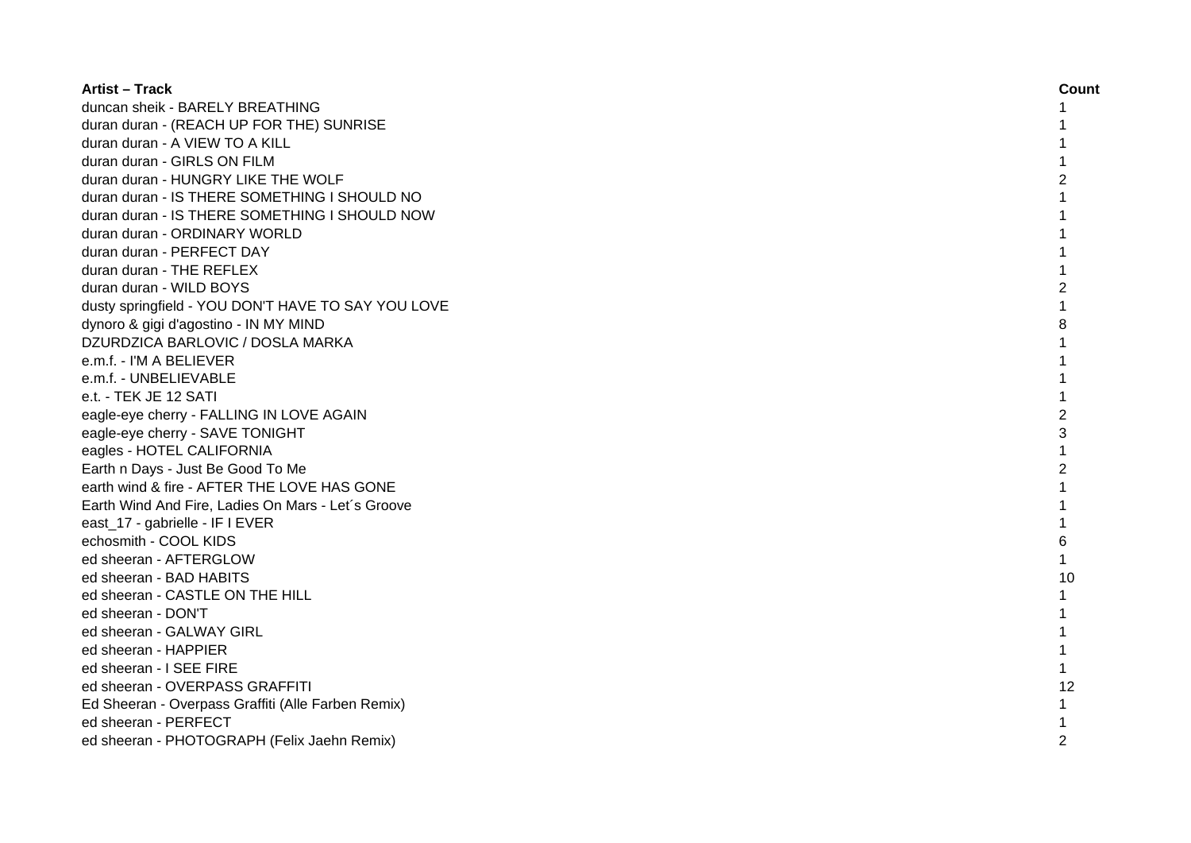| <b>Artist - Track</b>                              | Count          |
|----------------------------------------------------|----------------|
| duncan sheik - BARELY BREATHING                    | 1              |
| duran duran - (REACH UP FOR THE) SUNRISE           |                |
| duran duran - A VIEW TO A KILL                     |                |
| duran duran - GIRLS ON FILM                        |                |
| duran duran - HUNGRY LIKE THE WOLF                 | 2              |
| duran duran - IS THERE SOMETHING I SHOULD NO       |                |
| duran duran - IS THERE SOMETHING I SHOULD NOW      |                |
| duran duran - ORDINARY WORLD                       |                |
| duran duran - PERFECT DAY                          |                |
| duran duran - THE REFLEX                           |                |
| duran duran - WILD BOYS                            | 2              |
| dusty springfield - YOU DON'T HAVE TO SAY YOU LOVE |                |
| dynoro & gigi d'agostino - IN MY MIND              | 8              |
| DZURDZICA BARLOVIC / DOSLA MARKA                   |                |
| e.m.f. - I'M A BELIEVER                            |                |
| e.m.f. - UNBELIEVABLE                              |                |
| e.t. - TEK JE 12 SATI                              |                |
| eagle-eye cherry - FALLING IN LOVE AGAIN           | $\overline{c}$ |
| eagle-eye cherry - SAVE TONIGHT                    | 3              |
| eagles - HOTEL CALIFORNIA                          | $\mathbf{1}$   |
| Earth n Days - Just Be Good To Me                  | $\overline{c}$ |
| earth wind & fire - AFTER THE LOVE HAS GONE        | 1              |
| Earth Wind And Fire, Ladies On Mars - Let's Groove |                |
| east_17 - gabrielle - IF I EVER                    |                |
| echosmith - COOL KIDS                              | 6              |
| ed sheeran - AFTERGLOW                             | 1              |
| ed sheeran - BAD HABITS                            | 10             |
| ed sheeran - CASTLE ON THE HILL                    | $\mathbf{1}$   |
| ed sheeran - DON'T                                 |                |
| ed sheeran - GALWAY GIRL                           |                |
| ed sheeran - HAPPIER                               | 1              |
| ed sheeran - I SEE FIRE                            | $\mathbf{1}$   |
| ed sheeran - OVERPASS GRAFFITI                     | 12             |
| Ed Sheeran - Overpass Graffiti (Alle Farben Remix) | $\mathbf{1}$   |
| ed sheeran - PERFECT                               |                |
| ed sheeran - PHOTOGRAPH (Felix Jaehn Remix)        | 2              |
|                                                    |                |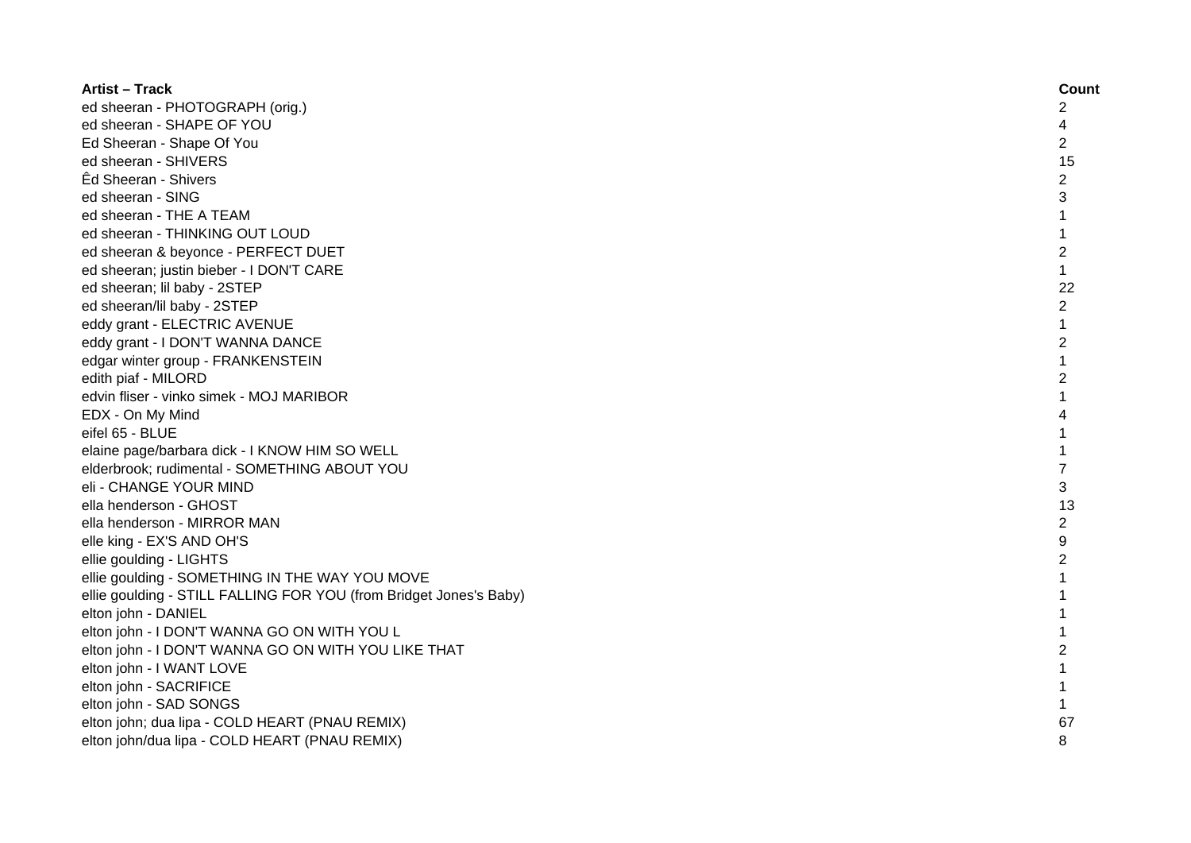| <b>Artist - Track</b>                                              | Count          |
|--------------------------------------------------------------------|----------------|
| ed sheeran - PHOTOGRAPH (orig.)                                    | $\overline{c}$ |
| ed sheeran - SHAPE OF YOU                                          | 4              |
| Ed Sheeran - Shape Of You                                          | 2              |
| ed sheeran - SHIVERS                                               | 15             |
| Êd Sheeran - Shivers                                               | $\overline{2}$ |
| ed sheeran - SING                                                  | 3              |
| ed sheeran - THE A TEAM                                            | $\mathbf{1}$   |
| ed sheeran - THINKING OUT LOUD                                     | $\mathbf{1}$   |
| ed sheeran & beyonce - PERFECT DUET                                | $\overline{2}$ |
| ed sheeran; justin bieber - I DON'T CARE                           | $\mathbf{1}$   |
| ed sheeran; lil baby - 2STEP                                       | 22             |
| ed sheeran/lil baby - 2STEP                                        | $\overline{2}$ |
| eddy grant - ELECTRIC AVENUE                                       | $\mathbf{1}$   |
| eddy grant - I DON'T WANNA DANCE                                   | $\overline{c}$ |
| edgar winter group - FRANKENSTEIN                                  | $\mathbf{1}$   |
| edith piaf - MILORD                                                | $\overline{c}$ |
| edvin fliser - vinko simek - MOJ MARIBOR                           | $\mathbf{1}$   |
| EDX - On My Mind                                                   | 4              |
| eifel 65 - BLUE                                                    | 1              |
| elaine page/barbara dick - I KNOW HIM SO WELL                      | 1              |
| elderbrook; rudimental - SOMETHING ABOUT YOU                       | $\overline{7}$ |
| eli - CHANGE YOUR MIND                                             | 3              |
| ella henderson - GHOST                                             | 13             |
| ella henderson - MIRROR MAN                                        | $\overline{2}$ |
| elle king - EX'S AND OH'S                                          | 9              |
| ellie goulding - LIGHTS                                            | $\overline{c}$ |
| ellie goulding - SOMETHING IN THE WAY YOU MOVE                     | 1              |
| ellie goulding - STILL FALLING FOR YOU (from Bridget Jones's Baby) | 1              |
| elton john - DANIEL                                                | 1              |
| elton john - I DON'T WANNA GO ON WITH YOU L                        | $\mathbf 1$    |
| elton john - I DON'T WANNA GO ON WITH YOU LIKE THAT                | $\overline{c}$ |
| elton john - I WANT LOVE                                           | 1              |
| elton john - SACRIFICE                                             | $\mathbf 1$    |
| elton john - SAD SONGS                                             | $\mathbf{1}$   |
| elton john; dua lipa - COLD HEART (PNAU REMIX)                     | 67             |
| elton john/dua lipa - COLD HEART (PNAU REMIX)                      | 8              |
|                                                                    |                |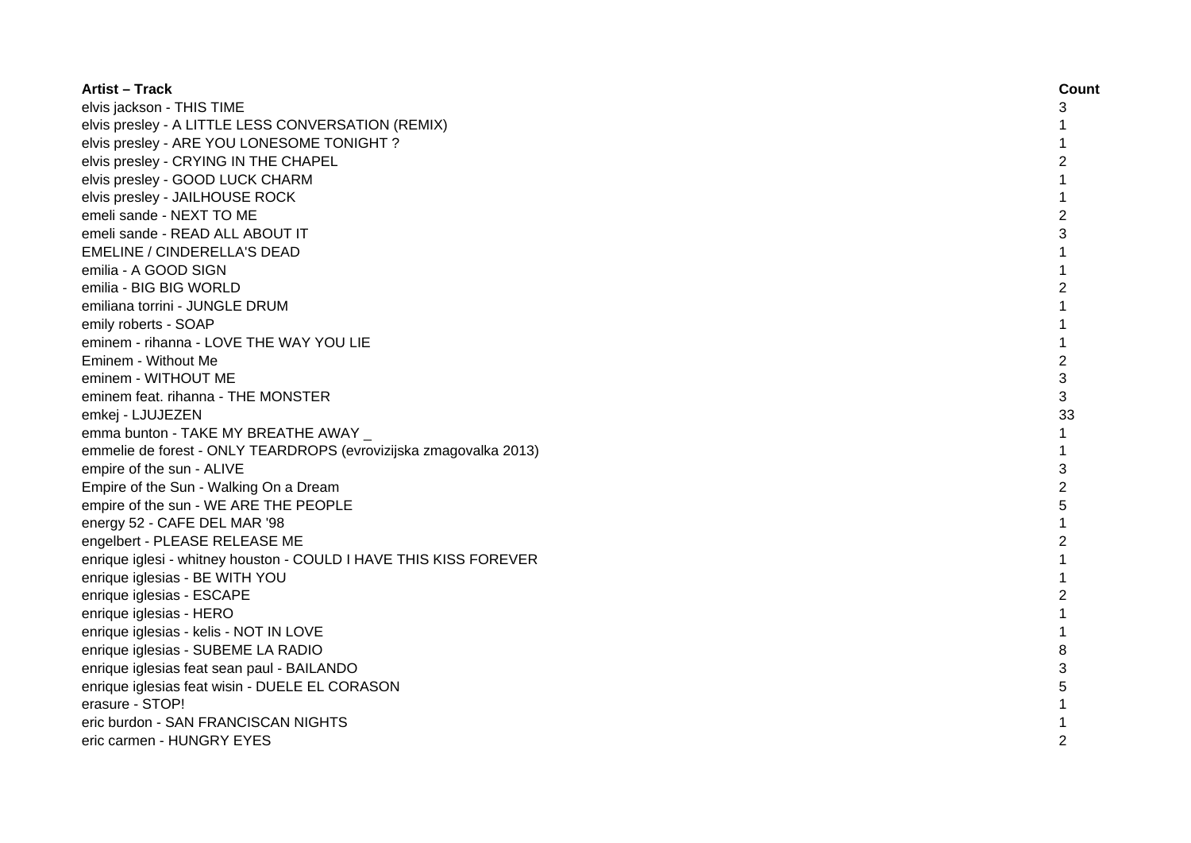| <b>Artist - Track</b>                                             | Count          |
|-------------------------------------------------------------------|----------------|
| elvis jackson - THIS TIME                                         | 3              |
| elvis presley - A LITTLE LESS CONVERSATION (REMIX)                | 1              |
| elvis presley - ARE YOU LONESOME TONIGHT?                         | 1              |
| elvis presley - CRYING IN THE CHAPEL                              | $\overline{c}$ |
| elvis presley - GOOD LUCK CHARM                                   | 1              |
| elvis presley - JAILHOUSE ROCK                                    | 1              |
| emeli sande - NEXT TO ME                                          | $\overline{2}$ |
| emeli sande - READ ALL ABOUT IT                                   | 3              |
| EMELINE / CINDERELLA'S DEAD                                       | 1              |
| emilia - A GOOD SIGN                                              | $\mathbf{1}$   |
| emilia - BIG BIG WORLD                                            | $\overline{c}$ |
| emiliana torrini - JUNGLE DRUM                                    | 1              |
| emily roberts - SOAP                                              | $\mathbf{1}$   |
| eminem - rihanna - LOVE THE WAY YOU LIE                           | $\mathbf{1}$   |
| Eminem - Without Me                                               | $\overline{2}$ |
| eminem - WITHOUT ME                                               | 3              |
| eminem feat. rihanna - THE MONSTER                                | 3              |
| emkej - LJUJEZEN                                                  | 33             |
| emma bunton - TAKE MY BREATHE AWAY _                              | $\mathbf{1}$   |
| emmelie de forest - ONLY TEARDROPS (evrovizijska zmagovalka 2013) | $\mathbf{1}$   |
| empire of the sun - ALIVE                                         | 3              |
| Empire of the Sun - Walking On a Dream                            | $\overline{2}$ |
| empire of the sun - WE ARE THE PEOPLE                             | 5              |
| energy 52 - CAFE DEL MAR '98                                      | 1              |
| engelbert - PLEASE RELEASE ME                                     | $\overline{2}$ |
| enrique iglesi - whitney houston - COULD I HAVE THIS KISS FOREVER |                |
| enrique iglesias - BE WITH YOU                                    |                |
| enrique iglesias - ESCAPE                                         | 2              |
| enrique iglesias - HERO                                           |                |
| enrique iglesias - kelis - NOT IN LOVE                            |                |
| enrique iglesias - SUBEME LA RADIO                                | 8              |
| enrique iglesias feat sean paul - BAILANDO                        | 3              |
| enrique iglesias feat wisin - DUELE EL CORASON                    | 5              |
| erasure - STOP!                                                   | 1              |
| eric burdon - SAN FRANCISCAN NIGHTS                               |                |
| eric carmen - HUNGRY EYES                                         | 2              |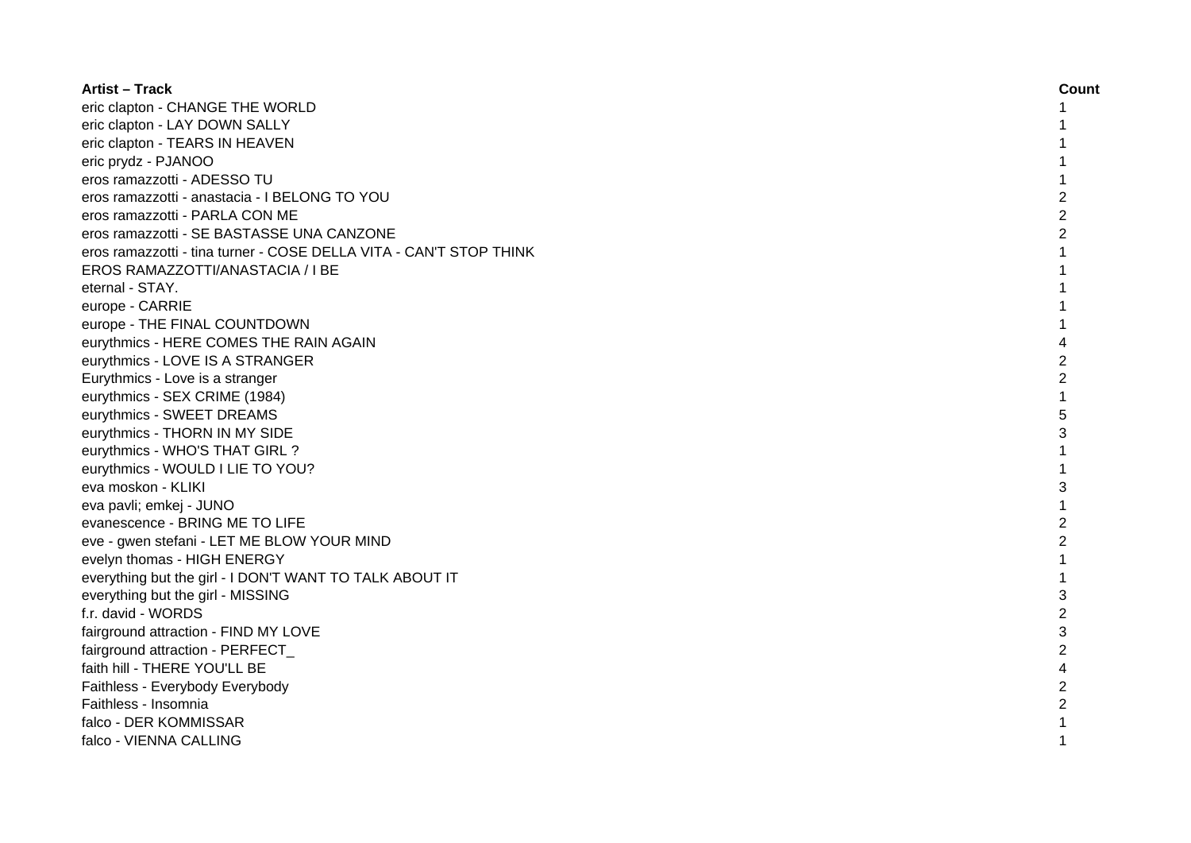| <b>Artist - Track</b>                                              | Count          |
|--------------------------------------------------------------------|----------------|
| eric clapton - CHANGE THE WORLD                                    |                |
| eric clapton - LAY DOWN SALLY                                      |                |
| eric clapton - TEARS IN HEAVEN                                     |                |
| eric prydz - PJANOO                                                |                |
| eros ramazzotti - ADESSO TU                                        |                |
| eros ramazzotti - anastacia - I BELONG TO YOU                      | $\overline{c}$ |
| eros ramazzotti - PARLA CON ME                                     | $\overline{c}$ |
| eros ramazzotti - SE BASTASSE UNA CANZONE                          | $\overline{2}$ |
| eros ramazzotti - tina turner - COSE DELLA VITA - CAN'T STOP THINK | 1              |
| EROS RAMAZZOTTI/ANASTACIA / I BE                                   | 1              |
| eternal - STAY.                                                    | 1              |
| europe - CARRIE                                                    | 1              |
| europe - THE FINAL COUNTDOWN                                       | 1              |
| eurythmics - HERE COMES THE RAIN AGAIN                             | 4              |
| eurythmics - LOVE IS A STRANGER                                    | 2              |
| Eurythmics - Love is a stranger                                    | $\overline{2}$ |
| eurythmics - SEX CRIME (1984)                                      | $\mathbf{1}$   |
| eurythmics - SWEET DREAMS                                          | 5              |
| eurythmics - THORN IN MY SIDE                                      | 3              |
| eurythmics - WHO'S THAT GIRL ?                                     |                |
| eurythmics - WOULD I LIE TO YOU?                                   |                |
| eva moskon - KLIKI                                                 | 3              |
| eva pavli; emkej - JUNO                                            |                |
| evanescence - BRING ME TO LIFE                                     | $\overline{2}$ |
| eve - gwen stefani - LET ME BLOW YOUR MIND                         | 2              |
| evelyn thomas - HIGH ENERGY                                        | $\mathbf{1}$   |
| everything but the girl - I DON'T WANT TO TALK ABOUT IT            | $\mathbf{1}$   |
| everything but the girl - MISSING                                  | 3              |
| f.r. david - WORDS                                                 | $\overline{2}$ |
| fairground attraction - FIND MY LOVE                               | 3              |
| fairground attraction - PERFECT                                    | $\overline{2}$ |
| faith hill - THERE YOU'LL BE                                       | 4              |
| Faithless - Everybody Everybody                                    | $\overline{c}$ |
| Faithless - Insomnia                                               | $\overline{c}$ |
| falco - DER KOMMISSAR                                              |                |
| falco - VIENNA CALLING                                             | 1              |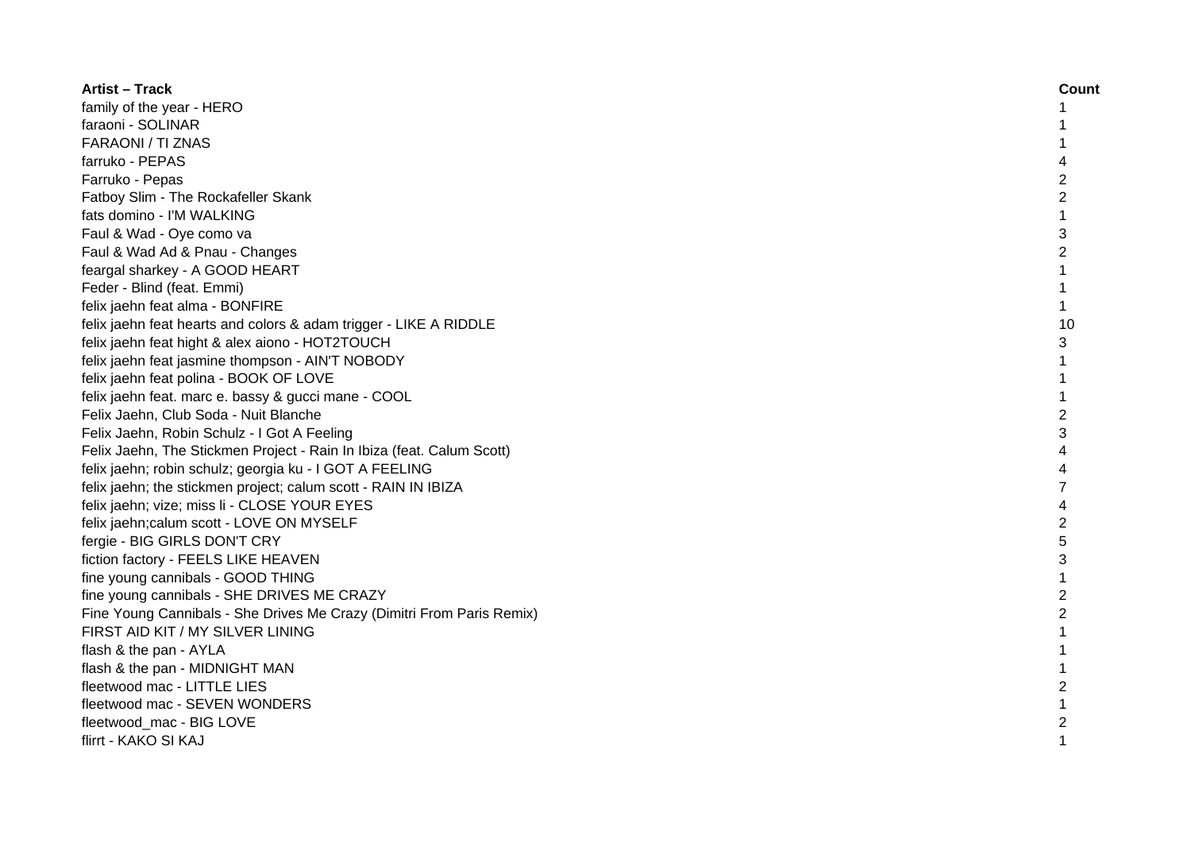| <b>Artist – Track</b>                                                 | Count          |
|-----------------------------------------------------------------------|----------------|
| family of the year - HERO                                             |                |
| faraoni - SOLINAR                                                     |                |
| <b>FARAONI / TI ZNAS</b>                                              |                |
| farruko - PEPAS                                                       |                |
| Farruko - Pepas                                                       | $\overline{c}$ |
| Fatboy Slim - The Rockafeller Skank                                   | $\overline{2}$ |
| fats domino - I'M WALKING                                             | 1              |
| Faul & Wad - Oye como va                                              | 3              |
| Faul & Wad Ad & Pnau - Changes                                        | $\overline{c}$ |
| feargal sharkey - A GOOD HEART                                        | $\mathbf{1}$   |
| Feder - Blind (feat. Emmi)                                            | $\mathbf{1}$   |
| felix jaehn feat alma - BONFIRE                                       | $\mathbf{1}$   |
| felix jaehn feat hearts and colors & adam trigger - LIKE A RIDDLE     | 10             |
| felix jaehn feat hight & alex aiono - HOT2TOUCH                       | 3              |
| felix jaehn feat jasmine thompson - AIN'T NOBODY                      | $\mathbf{1}$   |
| felix jaehn feat polina - BOOK OF LOVE                                | $\mathbf{1}$   |
| felix jaehn feat. marc e. bassy & gucci mane - COOL                   | $\mathbf{1}$   |
| Felix Jaehn, Club Soda - Nuit Blanche                                 | $\overline{2}$ |
| Felix Jaehn, Robin Schulz - I Got A Feeling                           | 3              |
| Felix Jaehn, The Stickmen Project - Rain In Ibiza (feat. Calum Scott) |                |
| felix jaehn; robin schulz; georgia ku - I GOT A FEELING               |                |
| felix jaehn; the stickmen project; calum scott - RAIN IN IBIZA        |                |
| felix jaehn; vize; miss li - CLOSE YOUR EYES                          | 4              |
| felix jaehn; calum scott - LOVE ON MYSELF                             | $\overline{c}$ |
| fergie - BIG GIRLS DON'T CRY                                          | 5              |
| fiction factory - FEELS LIKE HEAVEN                                   | 3              |
| fine young cannibals - GOOD THING                                     | $\mathbf{1}$   |
| fine young cannibals - SHE DRIVES ME CRAZY                            | 2              |
| Fine Young Cannibals - She Drives Me Crazy (Dimitri From Paris Remix) | $\overline{2}$ |
| FIRST AID KIT / MY SILVER LINING                                      | 1              |
| flash & the pan - AYLA                                                | 1              |
| flash & the pan - MIDNIGHT MAN                                        | 1              |
| fleetwood mac - LITTLE LIES                                           | $\overline{c}$ |
| fleetwood mac - SEVEN WONDERS                                         |                |
| fleetwood mac - BIG LOVE                                              | 2              |
| flirrt - KAKO SI KAJ                                                  | 1              |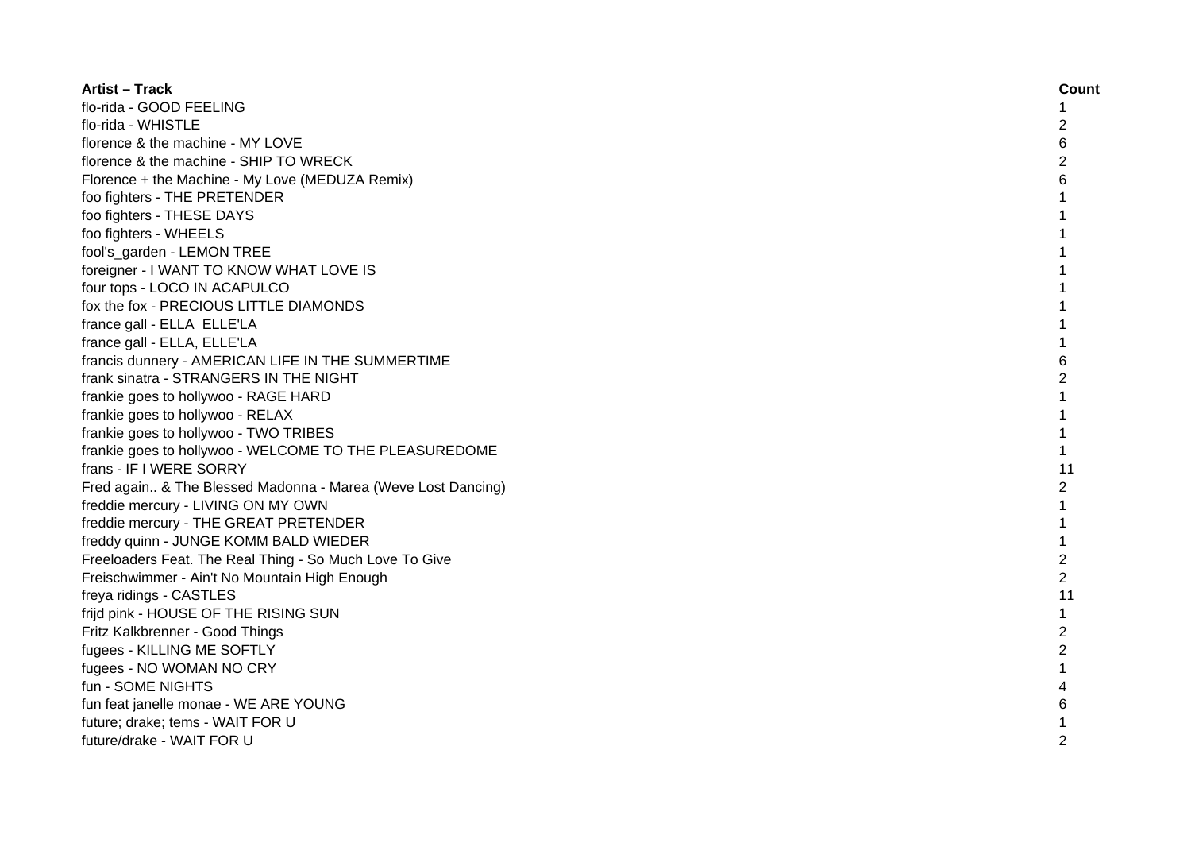| <b>Artist – Track</b>                                        | Count          |
|--------------------------------------------------------------|----------------|
| flo-rida - GOOD FEELING                                      | 1              |
| flo-rida - WHISTLE                                           | 2              |
| florence & the machine - MY LOVE                             | 6              |
| florence & the machine - SHIP TO WRECK                       | $\overline{c}$ |
| Florence + the Machine - My Love (MEDUZA Remix)              | 6              |
| foo fighters - THE PRETENDER                                 | 1              |
| foo fighters - THESE DAYS                                    | 1              |
| foo fighters - WHEELS                                        | 1              |
| fool's_garden - LEMON TREE                                   | 1              |
| foreigner - I WANT TO KNOW WHAT LOVE IS                      | 1              |
| four tops - LOCO IN ACAPULCO                                 | 1              |
| fox the fox - PRECIOUS LITTLE DIAMONDS                       | $\mathbf{1}$   |
| france gall - ELLA ELLE'LA                                   | $\mathbf{1}$   |
| france gall - ELLA, ELLE'LA                                  | $\mathbf{1}$   |
| francis dunnery - AMERICAN LIFE IN THE SUMMERTIME            | 6              |
| frank sinatra - STRANGERS IN THE NIGHT                       | $\overline{2}$ |
| frankie goes to hollywoo - RAGE HARD                         | $\mathbf{1}$   |
| frankie goes to hollywoo - RELAX                             | 1              |
| frankie goes to hollywoo - TWO TRIBES                        | $\mathbf{1}$   |
| frankie goes to hollywoo - WELCOME TO THE PLEASUREDOME       | $\mathbf{1}$   |
| frans - IF I WERE SORRY                                      | 11             |
| Fred again & The Blessed Madonna - Marea (Weve Lost Dancing) | $\overline{2}$ |
| freddie mercury - LIVING ON MY OWN                           | 1              |
| freddie mercury - THE GREAT PRETENDER                        | 1              |
| freddy quinn - JUNGE KOMM BALD WIEDER                        | 1              |
| Freeloaders Feat. The Real Thing - So Much Love To Give      | $\overline{c}$ |
| Freischwimmer - Ain't No Mountain High Enough                | 2              |
| freya ridings - CASTLES                                      | 11             |
| frijd pink - HOUSE OF THE RISING SUN                         | $\mathbf{1}$   |
| Fritz Kalkbrenner - Good Things                              | 2              |
| fugees - KILLING ME SOFTLY                                   | $\overline{c}$ |
| fugees - NO WOMAN NO CRY                                     | 1              |
| fun - SOME NIGHTS                                            | 4              |
| fun feat janelle monae - WE ARE YOUNG                        | 6              |
| future; drake; tems - WAIT FOR U                             |                |
| future/drake - WAIT FOR U                                    | 2              |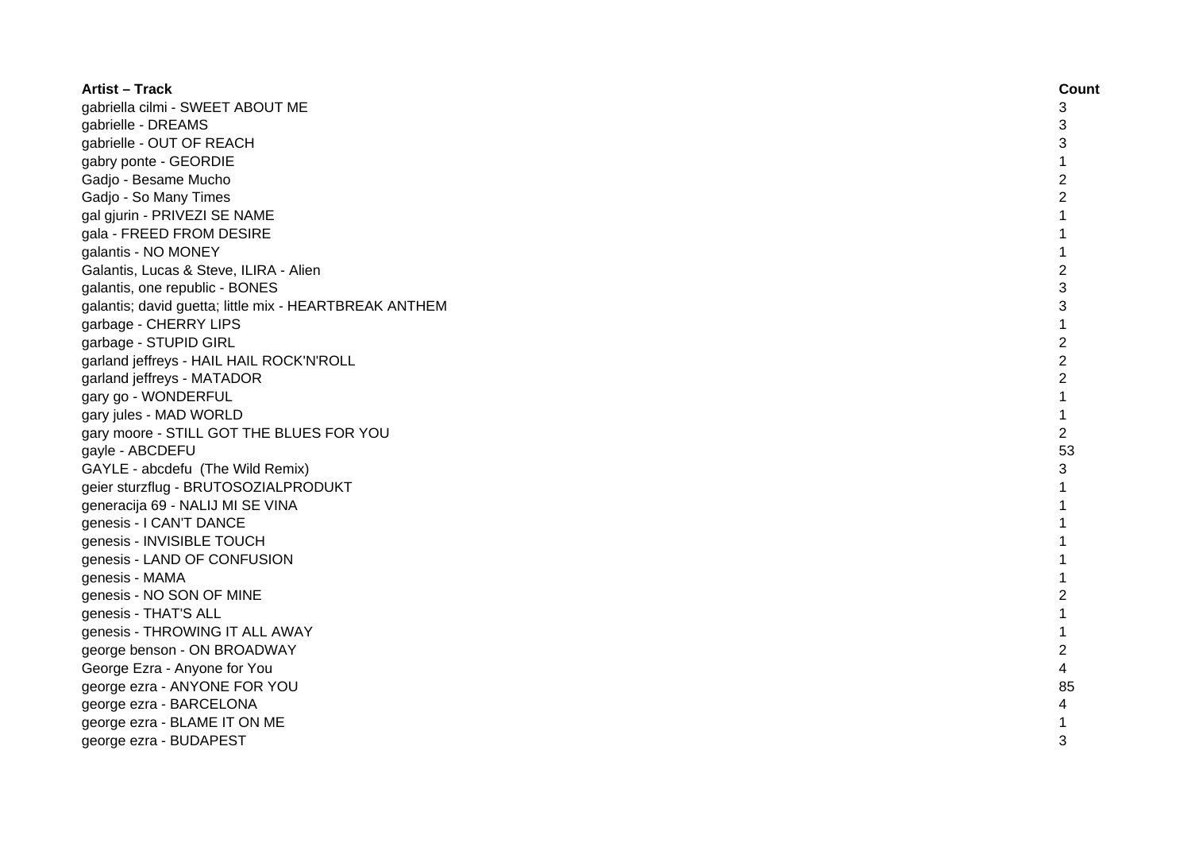| <b>Artist - Track</b>                                  | Count          |
|--------------------------------------------------------|----------------|
| gabriella cilmi - SWEET ABOUT ME                       | 3              |
| gabrielle - DREAMS                                     | 3              |
| gabrielle - OUT OF REACH                               | 3              |
| gabry ponte - GEORDIE                                  | 1              |
| Gadjo - Besame Mucho                                   | $\overline{c}$ |
| Gadjo - So Many Times                                  | $\overline{2}$ |
| gal gjurin - PRIVEZI SE NAME                           | 1              |
| gala - FREED FROM DESIRE                               | 1              |
| galantis - NO MONEY                                    | 1              |
| Galantis, Lucas & Steve, ILIRA - Alien                 | $\overline{2}$ |
| galantis, one republic - BONES                         | 3              |
| galantis; david guetta; little mix - HEARTBREAK ANTHEM | 3              |
| garbage - CHERRY LIPS                                  | $\mathbf{1}$   |
| garbage - STUPID GIRL                                  | $\overline{c}$ |
| garland jeffreys - HAIL HAIL ROCK'N'ROLL               | $\overline{2}$ |
| garland jeffreys - MATADOR                             | $\overline{c}$ |
| gary go - WONDERFUL                                    | $\mathbf{1}$   |
| gary jules - MAD WORLD                                 | 1              |
| gary moore - STILL GOT THE BLUES FOR YOU               | 2              |
| gayle - ABCDEFU                                        | 53             |
| GAYLE - abcdefu (The Wild Remix)                       | 3              |
| geier sturzflug - BRUTOSOZIALPRODUKT                   | $\mathbf{1}$   |
| generacija 69 - NALIJ MI SE VINA                       | 1              |
| genesis - I CAN'T DANCE                                | 1              |
| genesis - INVISIBLE TOUCH                              | 1              |
| genesis - LAND OF CONFUSION                            |                |
| genesis - MAMA                                         |                |
| genesis - NO SON OF MINE                               | $\overline{c}$ |
| genesis - THAT'S ALL                                   | 1              |
| genesis - THROWING IT ALL AWAY                         | 1              |
| george benson - ON BROADWAY                            | $\overline{2}$ |
| George Ezra - Anyone for You                           | 4              |
| george ezra - ANYONE FOR YOU                           | 85             |
| george ezra - BARCELONA                                | 4              |
| george ezra - BLAME IT ON ME                           |                |
| george ezra - BUDAPEST                                 | 3              |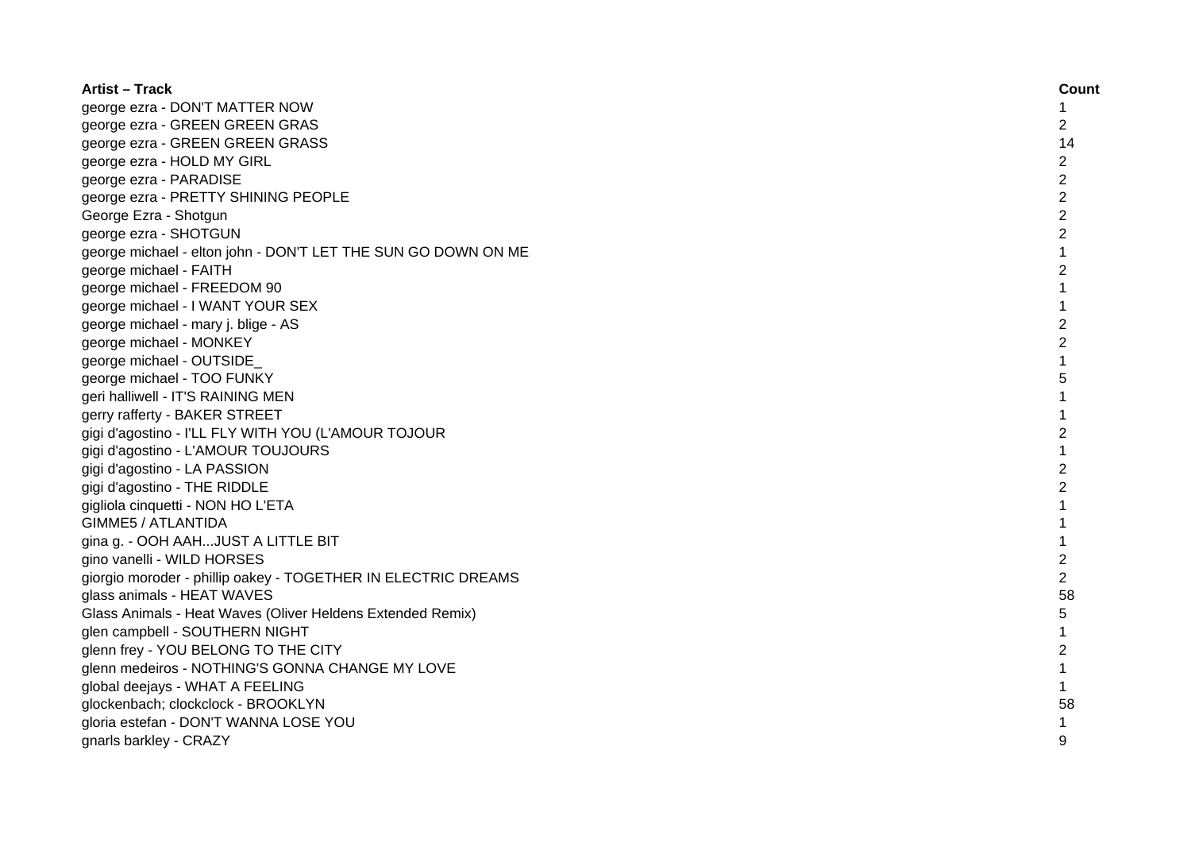| <b>Artist – Track</b>                                         | Count          |
|---------------------------------------------------------------|----------------|
| george ezra - DON'T MATTER NOW                                | 1              |
| george ezra - GREEN GREEN GRAS                                | 2              |
| george ezra - GREEN GREEN GRASS                               | 14             |
| george ezra - HOLD MY GIRL                                    | $\overline{2}$ |
| george ezra - PARADISE                                        | $\overline{2}$ |
| george ezra - PRETTY SHINING PEOPLE                           | $\overline{2}$ |
| George Ezra - Shotgun                                         | $\overline{2}$ |
| george ezra - SHOTGUN                                         | $\overline{c}$ |
| george michael - elton john - DON'T LET THE SUN GO DOWN ON ME | 1              |
| george michael - FAITH                                        | $\overline{c}$ |
| george michael - FREEDOM 90                                   | $\mathbf{1}$   |
| george michael - I WANT YOUR SEX                              | $\mathbf{1}$   |
| george michael - mary j. blige - AS                           | $\overline{2}$ |
| george michael - MONKEY                                       | $\overline{2}$ |
| george michael - OUTSIDE                                      | $\mathbf{1}$   |
| george michael - TOO FUNKY                                    | 5              |
| geri halliwell - IT'S RAINING MEN                             | $\mathbf{1}$   |
| gerry rafferty - BAKER STREET                                 | 1              |
| gigi d'agostino - I'LL FLY WITH YOU (L'AMOUR TOJOUR           | $\overline{c}$ |
| gigi d'agostino - L'AMOUR TOUJOURS                            | $\mathbf{1}$   |
| gigi d'agostino - LA PASSION                                  | $\overline{2}$ |
| gigi d'agostino - THE RIDDLE                                  | $\overline{2}$ |
| gigliola cinquetti - NON HO L'ETA                             | 1              |
| <b>GIMME5 / ATLANTIDA</b>                                     | 1              |
| gina g. - OOH AAHJUST A LITTLE BIT                            | 1              |
| gino vanelli - WILD HORSES                                    | $\overline{c}$ |
| giorgio moroder - phillip oakey - TOGETHER IN ELECTRIC DREAMS | $\overline{c}$ |
| glass animals - HEAT WAVES                                    | 58             |
| Glass Animals - Heat Waves (Oliver Heldens Extended Remix)    | 5              |
| glen campbell - SOUTHERN NIGHT                                | 1              |
| glenn frey - YOU BELONG TO THE CITY                           | $\overline{c}$ |
| glenn medeiros - NOTHING'S GONNA CHANGE MY LOVE               | $\mathbf{1}$   |
| global deejays - WHAT A FEELING                               | $\mathbf{1}$   |
| glockenbach; clockclock - BROOKLYN                            | 58             |
| gloria estefan - DON'T WANNA LOSE YOU                         | 1              |
| gnarls barkley - CRAZY                                        | 9              |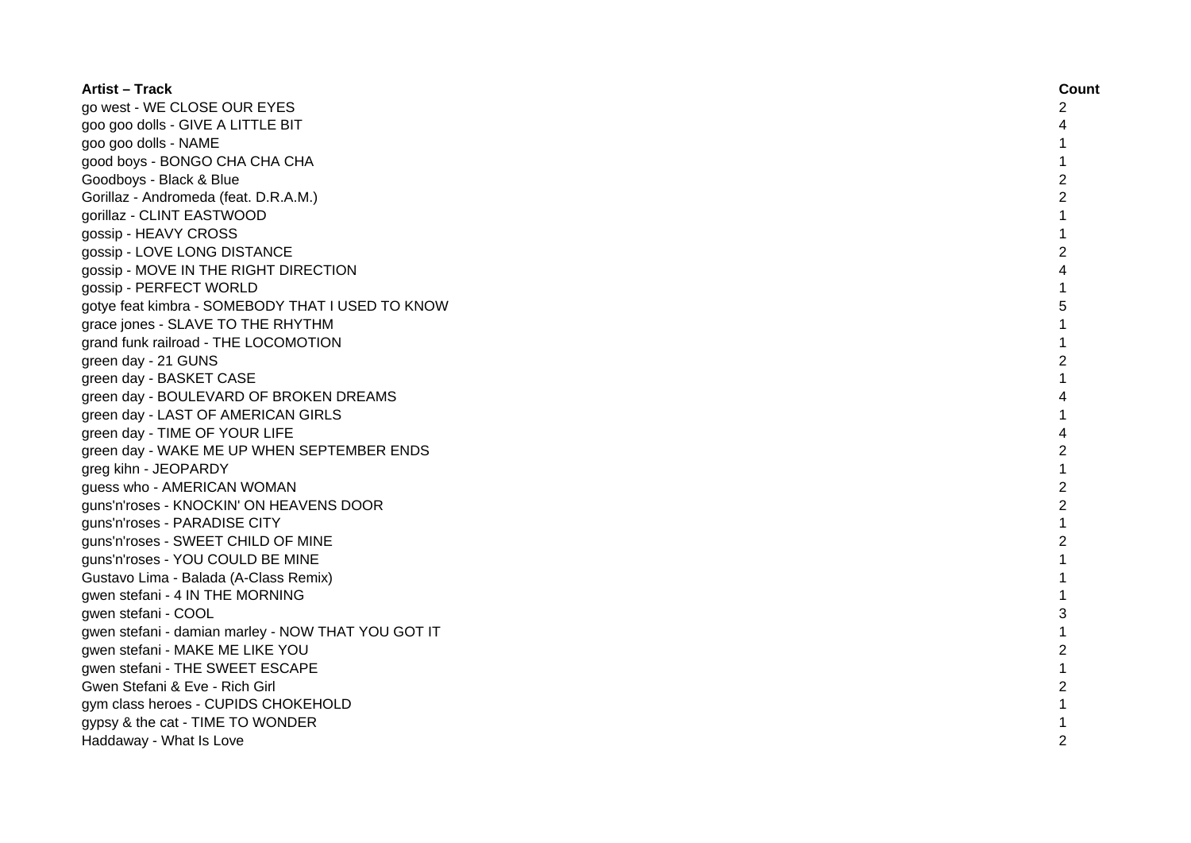| <b>Artist – Track</b>                              | Count          |
|----------------------------------------------------|----------------|
| go west - WE CLOSE OUR EYES                        | 2              |
| goo goo dolls - GIVE A LITTLE BIT                  | 4              |
| goo goo dolls - NAME                               |                |
| good boys - BONGO CHA CHA CHA                      |                |
| Goodboys - Black & Blue                            | 2              |
| Gorillaz - Andromeda (feat. D.R.A.M.)              | $\overline{c}$ |
| gorillaz - CLINT EASTWOOD                          | 1              |
| gossip - HEAVY CROSS                               | 1              |
| gossip - LOVE LONG DISTANCE                        | 2              |
| gossip - MOVE IN THE RIGHT DIRECTION               | 4              |
| gossip - PERFECT WORLD                             | 1              |
| gotye feat kimbra - SOMEBODY THAT I USED TO KNOW   | 5              |
| grace jones - SLAVE TO THE RHYTHM                  | 1              |
| grand funk railroad - THE LOCOMOTION               | $\mathbf{1}$   |
| green day - 21 GUNS                                | $\overline{2}$ |
| green day - BASKET CASE                            | 1              |
| green day - BOULEVARD OF BROKEN DREAMS             | 4              |
| green day - LAST OF AMERICAN GIRLS                 |                |
| green day - TIME OF YOUR LIFE                      | 4              |
| green day - WAKE ME UP WHEN SEPTEMBER ENDS         | 2              |
| greg kihn - JEOPARDY                               | 1              |
| guess who - AMERICAN WOMAN                         | $\overline{c}$ |
| guns'n'roses - KNOCKIN' ON HEAVENS DOOR            | $\overline{c}$ |
| guns'n'roses - PARADISE CITY                       |                |
| guns'n'roses - SWEET CHILD OF MINE                 | $\overline{2}$ |
| guns'n'roses - YOU COULD BE MINE                   |                |
| Gustavo Lima - Balada (A-Class Remix)              | 1              |
| gwen stefani - 4 IN THE MORNING                    |                |
| gwen stefani - COOL                                | 3              |
| gwen stefani - damian marley - NOW THAT YOU GOT IT | $\mathbf{1}$   |
| gwen stefani - MAKE ME LIKE YOU                    | $\overline{c}$ |
| gwen stefani - THE SWEET ESCAPE                    | 1              |
| Gwen Stefani & Eve - Rich Girl                     | 2              |
| gym class heroes - CUPIDS CHOKEHOLD                |                |
| gypsy & the cat - TIME TO WONDER                   |                |
| Haddaway - What Is Love                            | $\mathfrak{p}$ |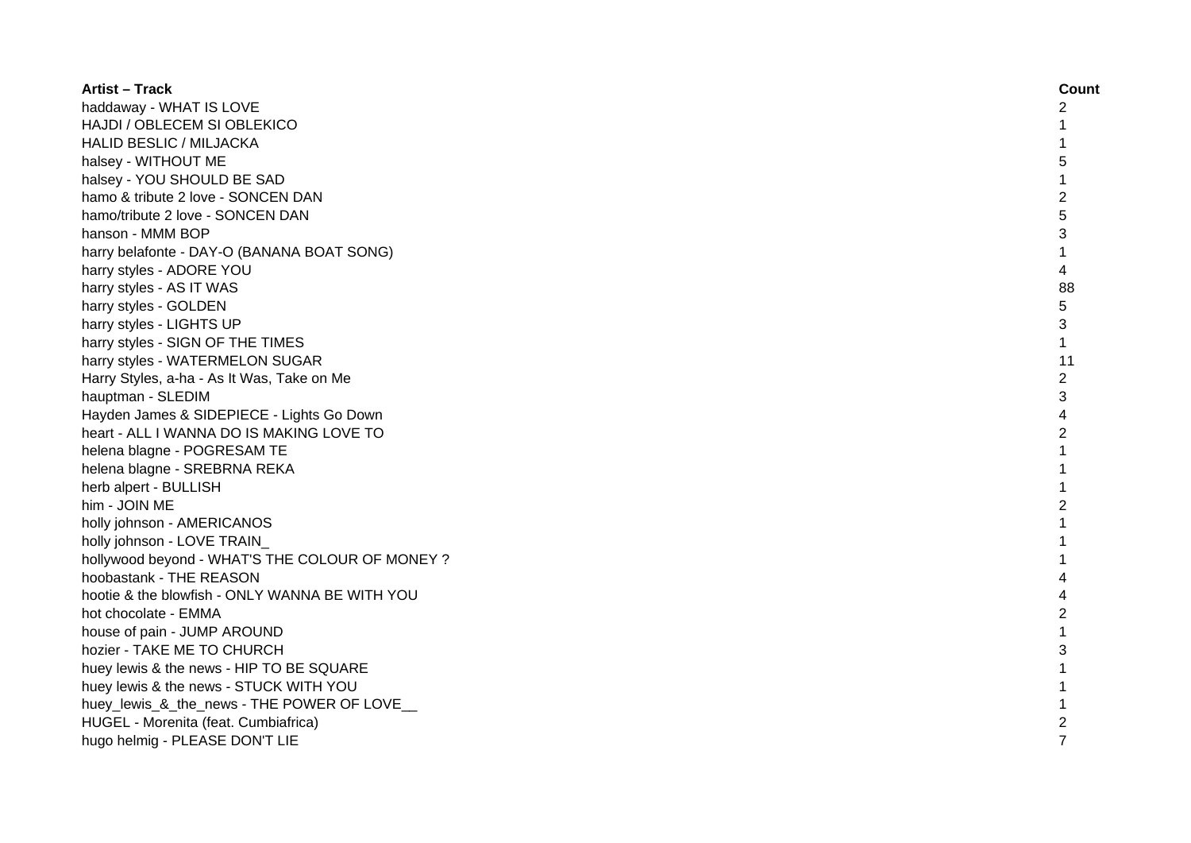| <b>Artist - Track</b>                          | Count          |
|------------------------------------------------|----------------|
| haddaway - WHAT IS LOVE                        | 2              |
| HAJDI / OBLECEM SI OBLEKICO                    |                |
| <b>HALID BESLIC / MILJACKA</b>                 |                |
| halsey - WITHOUT ME                            | 5              |
| halsey - YOU SHOULD BE SAD                     | 1              |
| hamo & tribute 2 love - SONCEN DAN             | 2              |
| hamo/tribute 2 love - SONCEN DAN               | 5              |
| hanson - MMM BOP                               | 3              |
| harry belafonte - DAY-O (BANANA BOAT SONG)     | $\mathbf{1}$   |
| harry styles - ADORE YOU                       | 4              |
| harry styles - AS IT WAS                       | 88             |
| harry styles - GOLDEN                          | 5              |
| harry styles - LIGHTS UP                       | 3              |
| harry styles - SIGN OF THE TIMES               | $\mathbf{1}$   |
| harry styles - WATERMELON SUGAR                | 11             |
| Harry Styles, a-ha - As It Was, Take on Me     | $\overline{c}$ |
| hauptman - SLEDIM                              | 3              |
| Hayden James & SIDEPIECE - Lights Go Down      | 4              |
| heart - ALL I WANNA DO IS MAKING LOVE TO       | 2              |
| helena blagne - POGRESAM TE                    | $\mathbf{1}$   |
| helena blagne - SREBRNA REKA                   | $\mathbf{1}$   |
| herb alpert - BULLISH                          | 1              |
| him - JOIN ME                                  | $\overline{2}$ |
| holly johnson - AMERICANOS                     | 1              |
| holly johnson - LOVE TRAIN                     |                |
| hollywood beyond - WHAT'S THE COLOUR OF MONEY? |                |
| hoobastank - THE REASON                        |                |
| hootie & the blowfish - ONLY WANNA BE WITH YOU |                |
| hot chocolate - EMMA                           | $\overline{2}$ |
| house of pain - JUMP AROUND                    | $\mathbf{1}$   |
| hozier - TAKE ME TO CHURCH                     | 3              |
| huey lewis & the news - HIP TO BE SQUARE       | 1              |
| huey lewis & the news - STUCK WITH YOU         | $\mathbf{1}$   |
| huey_lewis_&_the_news - THE POWER OF LOVE      | 1              |
| HUGEL - Morenita (feat. Cumbiafrica)           | $\overline{c}$ |
| hugo helmig - PLEASE DON'T LIE                 | $\overline{7}$ |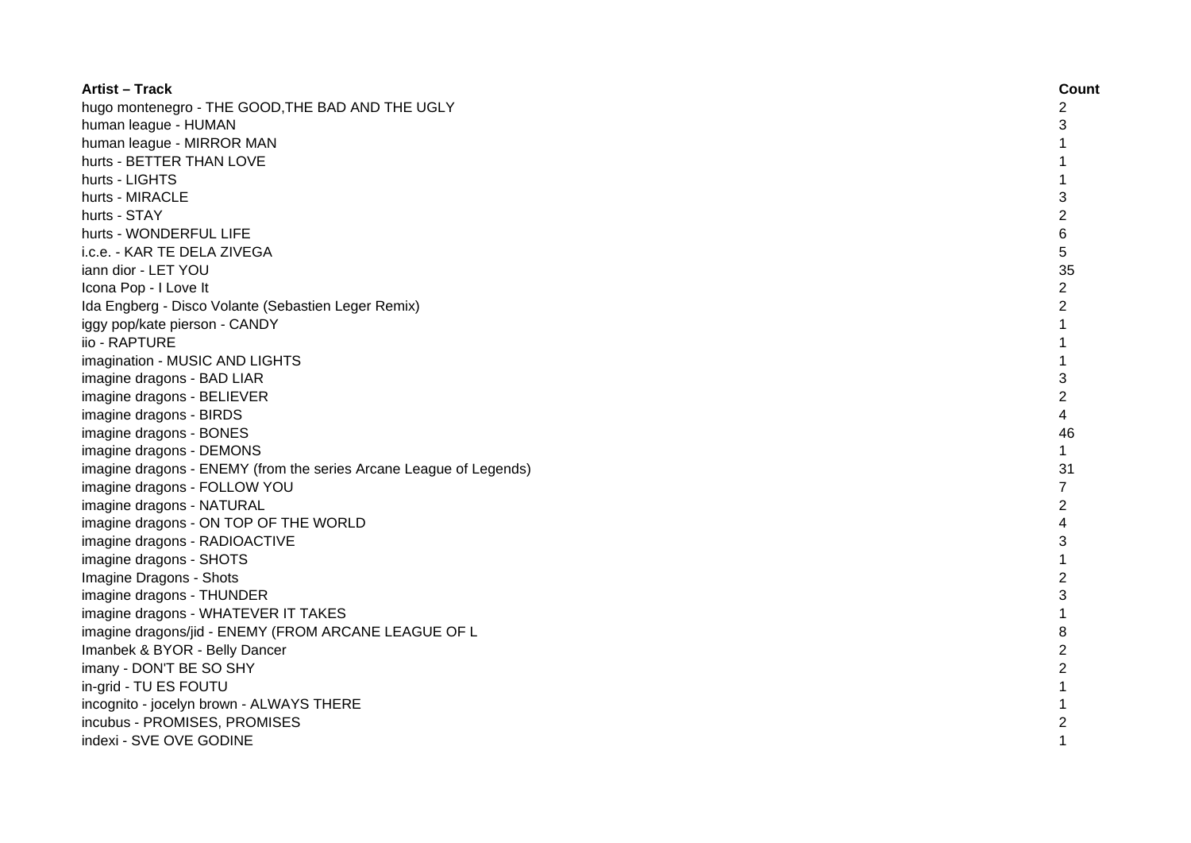| <b>Artist - Track</b>                                              | Count          |
|--------------------------------------------------------------------|----------------|
| hugo montenegro - THE GOOD, THE BAD AND THE UGLY                   | $\overline{c}$ |
| human league - HUMAN                                               | 3              |
| human league - MIRROR MAN                                          | 1              |
| hurts - BETTER THAN LOVE                                           | 1              |
| hurts - LIGHTS                                                     | $\mathbf{1}$   |
| hurts - MIRACLE                                                    | 3              |
| hurts - STAY                                                       | $\overline{2}$ |
| hurts - WONDERFUL LIFE                                             | $\,6$          |
| i.c.e. - KAR TE DELA ZIVEGA                                        | 5              |
| iann dior - LET YOU                                                | 35             |
| Icona Pop - I Love It                                              | $\overline{2}$ |
| Ida Engberg - Disco Volante (Sebastien Leger Remix)                | $\overline{2}$ |
| iggy pop/kate pierson - CANDY                                      | $\mathbf{1}$   |
| iio - RAPTURE                                                      | $\mathbf{1}$   |
| imagination - MUSIC AND LIGHTS                                     | $\mathbf{1}$   |
| imagine dragons - BAD LIAR                                         | 3              |
| imagine dragons - BELIEVER                                         | $\overline{2}$ |
| imagine dragons - BIRDS                                            | 4              |
| imagine dragons - BONES                                            | 46             |
| imagine dragons - DEMONS                                           | $\mathbf{1}$   |
| imagine dragons - ENEMY (from the series Arcane League of Legends) | 31             |
| imagine dragons - FOLLOW YOU                                       | $\overline{7}$ |
| imagine dragons - NATURAL                                          | $\overline{2}$ |
| imagine dragons - ON TOP OF THE WORLD                              | 4              |
| imagine dragons - RADIOACTIVE                                      | 3              |
| imagine dragons - SHOTS                                            | $\mathbf{1}$   |
| Imagine Dragons - Shots                                            | $\overline{c}$ |
| imagine dragons - THUNDER                                          | 3              |
| imagine dragons - WHATEVER IT TAKES                                | $\mathbf{1}$   |
| imagine dragons/jid - ENEMY (FROM ARCANE LEAGUE OF L               | 8              |
| Imanbek & BYOR - Belly Dancer                                      | $\overline{2}$ |
| imany - DON'T BE SO SHY                                            | $\overline{2}$ |
| in-grid - TU ES FOUTU                                              | 1              |
| incognito - jocelyn brown - ALWAYS THERE                           | 1              |
| incubus - PROMISES, PROMISES                                       | $\overline{c}$ |
| indexi - SVE OVE GODINE                                            | $\mathbf{1}$   |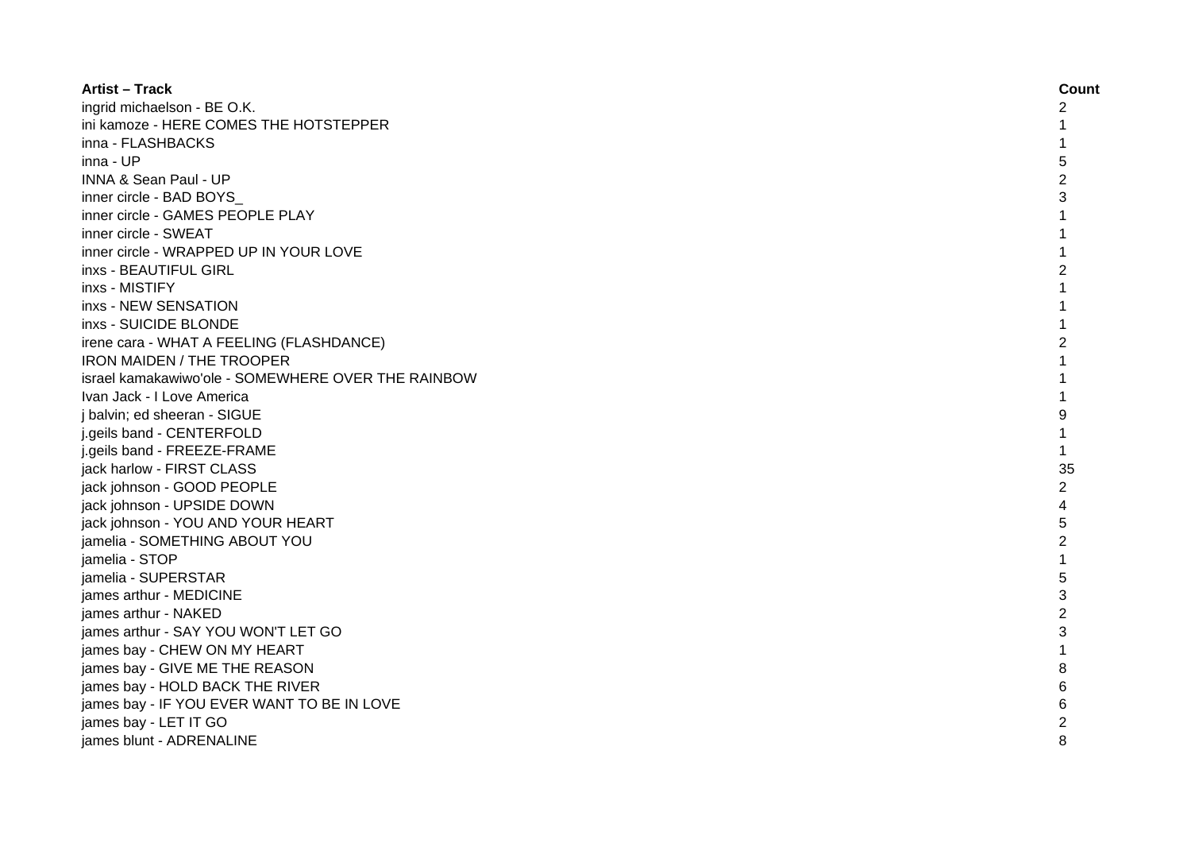| <b>Artist - Track</b>                              | Count          |
|----------------------------------------------------|----------------|
| ingrid michaelson - BE O.K.                        | 2              |
| ini kamoze - HERE COMES THE HOTSTEPPER             |                |
| inna - FLASHBACKS                                  |                |
| inna - UP                                          | 5              |
| <b>INNA &amp; Sean Paul - UP</b>                   | 2              |
| inner circle - BAD BOYS                            | 3              |
| inner circle - GAMES PEOPLE PLAY                   |                |
| inner circle - SWEAT                               |                |
| inner circle - WRAPPED UP IN YOUR LOVE             |                |
| inxs - BEAUTIFUL GIRL                              | 2              |
| inxs - MISTIFY                                     | 1              |
| inxs - NEW SENSATION                               | 1              |
| inxs - SUICIDE BLONDE                              | $\mathbf{1}$   |
| irene cara - WHAT A FEELING (FLASHDANCE)           | 2              |
| <b>IRON MAIDEN / THE TROOPER</b>                   | 1              |
| israel kamakawiwo'ole - SOMEWHERE OVER THE RAINBOW | 1              |
| Ivan Jack - I Love America                         |                |
| j balvin; ed sheeran - SIGUE                       | 9              |
| j.geils band - CENTERFOLD                          |                |
| j.geils band - FREEZE-FRAME                        |                |
| jack harlow - FIRST CLASS                          | 35             |
| jack johnson - GOOD PEOPLE                         | $\overline{c}$ |
| jack johnson - UPSIDE DOWN                         | 4              |
| jack johnson - YOU AND YOUR HEART                  | 5              |
| jamelia - SOMETHING ABOUT YOU                      | $\overline{2}$ |
| jamelia - STOP                                     |                |
| jamelia - SUPERSTAR                                | 5              |
| james arthur - MEDICINE                            | 3              |
| james arthur - NAKED                               | $\overline{c}$ |
| james arthur - SAY YOU WON'T LET GO                | 3              |
| james bay - CHEW ON MY HEART                       | 1              |
| james bay - GIVE ME THE REASON                     | 8              |
| james bay - HOLD BACK THE RIVER                    | 6              |
| james bay - IF YOU EVER WANT TO BE IN LOVE         |                |
| james bay - LET IT GO                              |                |
| james blunt - ADRENALINE                           | 8              |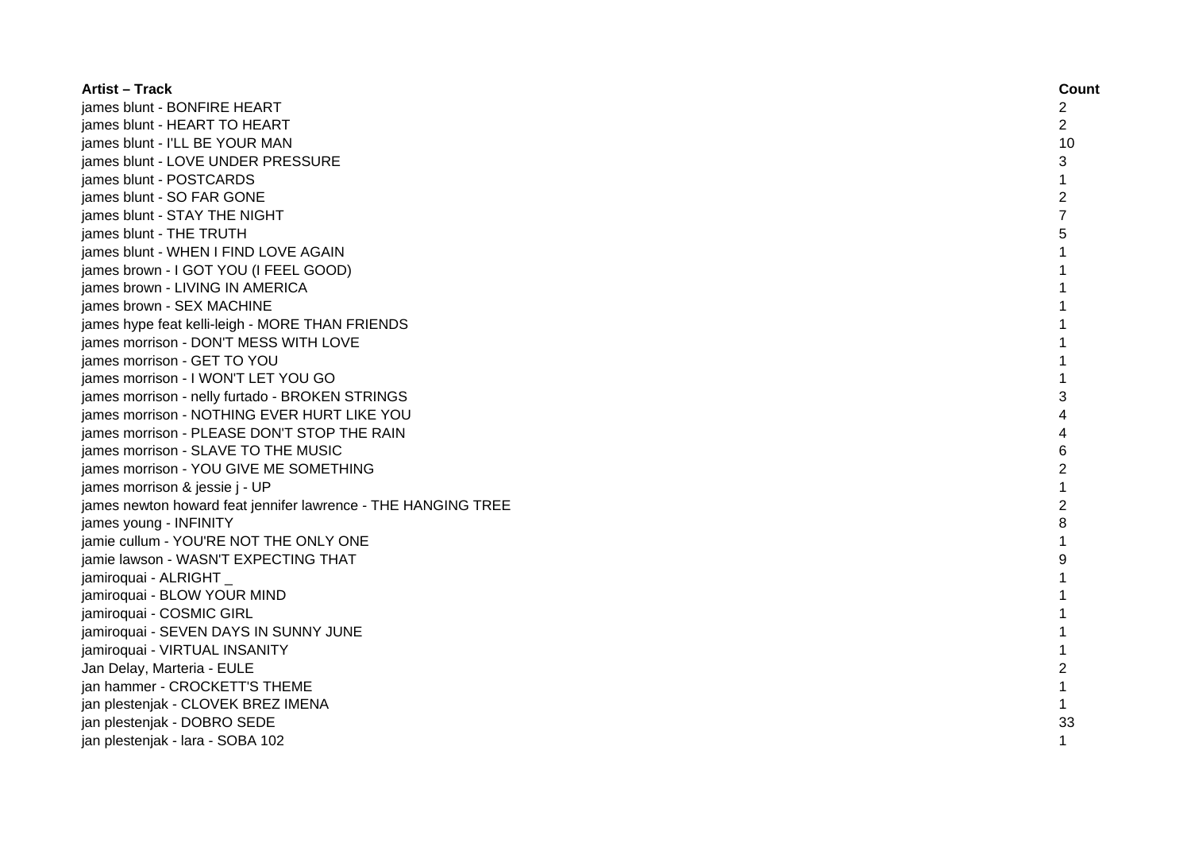| <b>Artist - Track</b>                                         | Count          |
|---------------------------------------------------------------|----------------|
| james blunt - BONFIRE HEART                                   | 2              |
| james blunt - HEART TO HEART                                  | 2              |
| james blunt - I'LL BE YOUR MAN                                | 10             |
| james blunt - LOVE UNDER PRESSURE                             | 3              |
| james blunt - POSTCARDS                                       | 1              |
| james blunt - SO FAR GONE                                     | 2              |
| james blunt - STAY THE NIGHT                                  |                |
| james blunt - THE TRUTH                                       | 5              |
| james blunt - WHEN I FIND LOVE AGAIN                          |                |
| james brown - I GOT YOU (I FEEL GOOD)                         |                |
| james brown - LIVING IN AMERICA                               |                |
| james brown - SEX MACHINE                                     |                |
| james hype feat kelli-leigh - MORE THAN FRIENDS               |                |
| james morrison - DON'T MESS WITH LOVE                         |                |
| james morrison - GET TO YOU                                   |                |
| james morrison - I WON'T LET YOU GO                           |                |
| james morrison - nelly furtado - BROKEN STRINGS               | 3              |
| james morrison - NOTHING EVER HURT LIKE YOU                   |                |
| james morrison - PLEASE DON'T STOP THE RAIN                   |                |
| james morrison - SLAVE TO THE MUSIC                           | 6              |
| james morrison - YOU GIVE ME SOMETHING                        | 2              |
| james morrison & jessie j - UP                                |                |
| james newton howard feat jennifer lawrence - THE HANGING TREE | $\overline{2}$ |
| james young - INFINITY                                        | 8              |
| jamie cullum - YOU'RE NOT THE ONLY ONE                        | 1              |
| jamie lawson - WASN'T EXPECTING THAT                          | 9              |
| jamiroquai - ALRIGHT                                          |                |
| jamiroquai - BLOW YOUR MIND                                   |                |
| jamiroquai - COSMIC GIRL                                      | 1              |
| jamiroquai - SEVEN DAYS IN SUNNY JUNE                         | 1              |
| jamiroquai - VIRTUAL INSANITY                                 |                |
| Jan Delay, Marteria - EULE                                    | $\overline{c}$ |
| jan hammer - CROCKETT'S THEME                                 |                |
| jan plestenjak - CLOVEK BREZ IMENA                            | $\mathbf{1}$   |
| jan plestenjak - DOBRO SEDE                                   | 33             |
| jan plestenjak - lara - SOBA 102                              | 1              |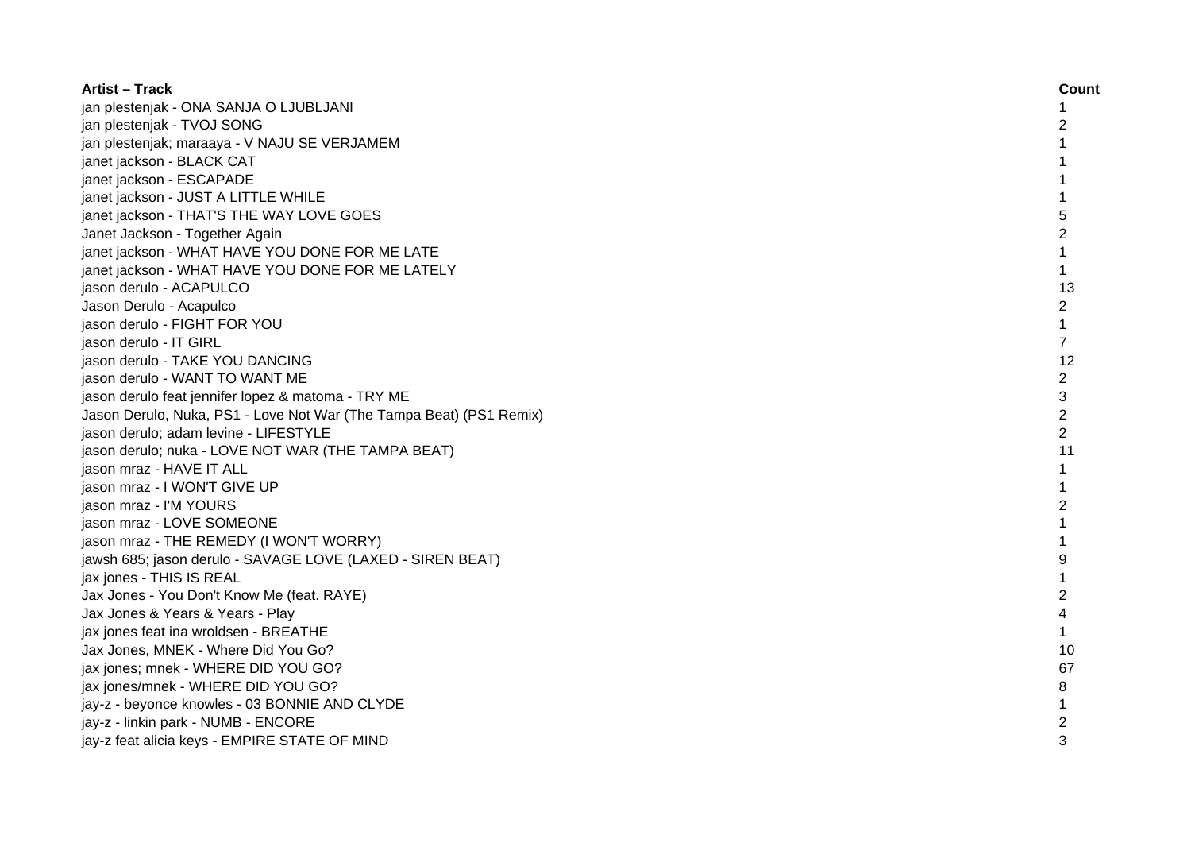| <b>Artist – Track</b>                                               | Count          |
|---------------------------------------------------------------------|----------------|
| jan plestenjak - ONA SANJA O LJUBLJANI                              |                |
| jan plestenjak - TVOJ SONG                                          | 2              |
| jan plestenjak; maraaya - V NAJU SE VERJAMEM                        |                |
| janet jackson - BLACK CAT                                           |                |
| janet jackson - ESCAPADE                                            | 1              |
| janet jackson - JUST A LITTLE WHILE                                 | 1              |
| janet jackson - THAT'S THE WAY LOVE GOES                            | 5              |
| Janet Jackson - Together Again                                      | 2              |
| janet jackson - WHAT HAVE YOU DONE FOR ME LATE                      | $\mathbf{1}$   |
| janet jackson - WHAT HAVE YOU DONE FOR ME LATELY                    | $\mathbf{1}$   |
| jason derulo - ACAPULCO                                             | 13             |
| Jason Derulo - Acapulco                                             | $\overline{c}$ |
| jason derulo - FIGHT FOR YOU                                        | $\mathbf{1}$   |
| jason derulo - IT GIRL                                              | $\overline{7}$ |
| jason derulo - TAKE YOU DANCING                                     | 12             |
| jason derulo - WANT TO WANT ME                                      | 2              |
| jason derulo feat jennifer lopez & matoma - TRY ME                  | 3              |
| Jason Derulo, Nuka, PS1 - Love Not War (The Tampa Beat) (PS1 Remix) | $\overline{2}$ |
| jason derulo; adam levine - LIFESTYLE                               | $\mathcal{P}$  |
| jason derulo; nuka - LOVE NOT WAR (THE TAMPA BEAT)                  | 11             |
| jason mraz - HAVE IT ALL                                            | 1              |
| jason mraz - I WON'T GIVE UP                                        |                |
| jason mraz - I'M YOURS                                              | 2              |
| jason mraz - LOVE SOMEONE                                           |                |
| jason mraz - THE REMEDY (I WON'T WORRY)                             |                |
| jawsh 685; jason derulo - SAVAGE LOVE (LAXED - SIREN BEAT)          | 9              |
| jax jones - THIS IS REAL                                            | 1              |
| Jax Jones - You Don't Know Me (feat. RAYE)                          | $\overline{2}$ |
| Jax Jones & Years & Years - Play                                    | 4              |
| jax jones feat ina wroldsen - BREATHE                               | $\mathbf{1}$   |
| Jax Jones, MNEK - Where Did You Go?                                 | 10             |
| jax jones; mnek - WHERE DID YOU GO?                                 | 67             |
| jax jones/mnek - WHERE DID YOU GO?                                  | 8              |
| jay-z - beyonce knowles - 03 BONNIE AND CLYDE                       | 1              |
| jay-z - linkin park - NUMB - ENCORE                                 | 2              |
| jay-z feat alicia keys - EMPIRE STATE OF MIND                       | 3              |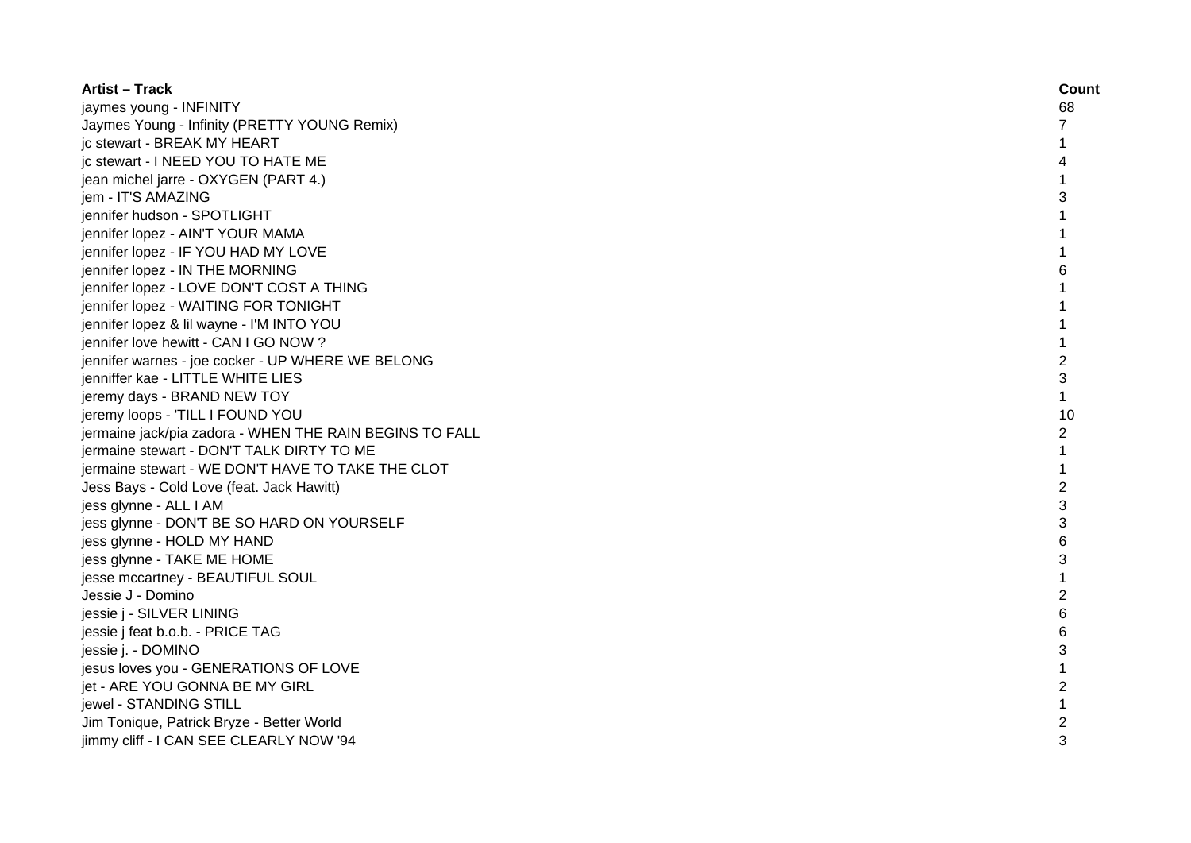| <b>Artist - Track</b>                                   | Count          |
|---------------------------------------------------------|----------------|
| jaymes young - INFINITY                                 | 68             |
| Jaymes Young - Infinity (PRETTY YOUNG Remix)            | $\overline{7}$ |
| jc stewart - BREAK MY HEART                             | 1              |
| jc stewart - I NEED YOU TO HATE ME                      |                |
| jean michel jarre - OXYGEN (PART 4.)                    |                |
| jem - IT'S AMAZING                                      | 3              |
| jennifer hudson - SPOTLIGHT                             | 1              |
| jennifer lopez - AIN'T YOUR MAMA                        | 1              |
| jennifer lopez - IF YOU HAD MY LOVE                     | 1              |
| jennifer lopez - IN THE MORNING                         | 6              |
| jennifer lopez - LOVE DON'T COST A THING                | 1              |
| jennifer lopez - WAITING FOR TONIGHT                    | 1              |
| jennifer lopez & lil wayne - I'M INTO YOU               | $\mathbf{1}$   |
| jennifer love hewitt - CAN I GO NOW?                    | $\mathbf{1}$   |
| jennifer warnes - joe cocker - UP WHERE WE BELONG       | $\overline{c}$ |
| jenniffer kae - LITTLE WHITE LIES                       | 3              |
| jeremy days - BRAND NEW TOY                             | $\mathbf{1}$   |
| jeremy loops - 'TILL I FOUND YOU                        | 10             |
| jermaine jack/pia zadora - WHEN THE RAIN BEGINS TO FALL | $\overline{2}$ |
| jermaine stewart - DON'T TALK DIRTY TO ME               |                |
| jermaine stewart - WE DON'T HAVE TO TAKE THE CLOT       |                |
| Jess Bays - Cold Love (feat. Jack Hawitt)               | $\overline{c}$ |
| jess glynne - ALL I AM                                  | 3              |
| jess glynne - DON'T BE SO HARD ON YOURSELF              | 3              |
| jess glynne - HOLD MY HAND                              | 6              |
| jess glynne - TAKE ME HOME                              | 3              |
| jesse mccartney - BEAUTIFUL SOUL                        | 1              |
| Jessie J - Domino                                       | $\overline{c}$ |
| jessie j - SILVER LINING                                | 6              |
| jessie j feat b.o.b. - PRICE TAG                        | 6              |
| jessie j. - DOMINO                                      | 3              |
| jesus loves you - GENERATIONS OF LOVE                   | 1              |
| jet - ARE YOU GONNA BE MY GIRL                          | $\overline{2}$ |
| jewel - STANDING STILL                                  |                |
| Jim Tonique, Patrick Bryze - Better World               | 2              |
| jimmy cliff - I CAN SEE CLEARLY NOW '94                 | 3              |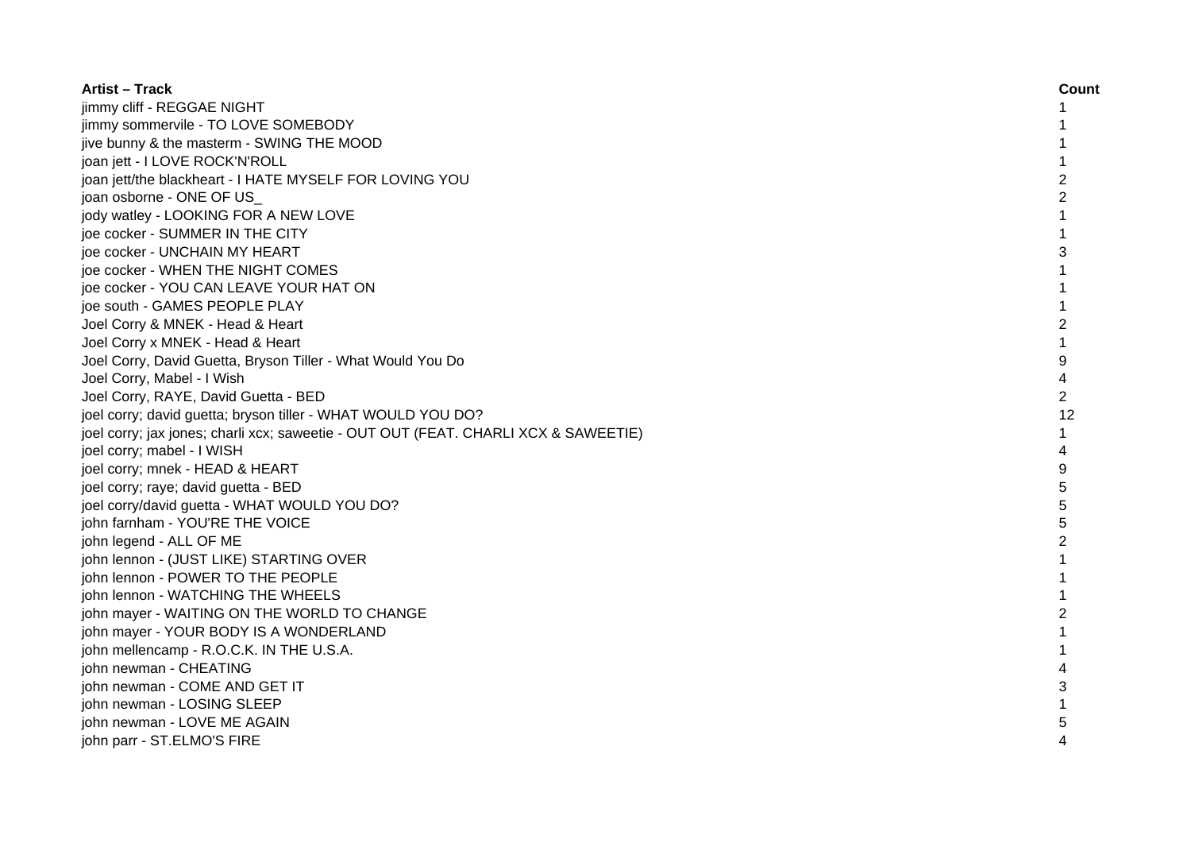| <b>Artist – Track</b>                                                               | Count          |
|-------------------------------------------------------------------------------------|----------------|
| jimmy cliff - REGGAE NIGHT                                                          |                |
| jimmy sommervile - TO LOVE SOMEBODY                                                 |                |
| jive bunny & the masterm - SWING THE MOOD                                           | 1              |
| joan jett - I LOVE ROCK'N'ROLL                                                      | $\mathbf{1}$   |
| joan jett/the blackheart - I HATE MYSELF FOR LOVING YOU                             | $\overline{2}$ |
| joan osborne - ONE OF US                                                            | $\overline{c}$ |
| jody watley - LOOKING FOR A NEW LOVE                                                | 1              |
| joe cocker - SUMMER IN THE CITY                                                     | 1              |
| joe cocker - UNCHAIN MY HEART                                                       | 3              |
| joe cocker - WHEN THE NIGHT COMES                                                   | 1              |
| joe cocker - YOU CAN LEAVE YOUR HAT ON                                              | 1              |
| joe south - GAMES PEOPLE PLAY                                                       | $\mathbf{1}$   |
| Joel Corry & MNEK - Head & Heart                                                    | 2              |
| Joel Corry x MNEK - Head & Heart                                                    | $\mathbf{1}$   |
| Joel Corry, David Guetta, Bryson Tiller - What Would You Do                         | 9              |
| Joel Corry, Mabel - I Wish                                                          | 4              |
| Joel Corry, RAYE, David Guetta - BED                                                | $\overline{2}$ |
| joel corry; david guetta; bryson tiller - WHAT WOULD YOU DO?                        | 12             |
| joel corry; jax jones; charli xcx; saweetie - OUT OUT (FEAT. CHARLI XCX & SAWEETIE) | 1              |
| joel corry; mabel - I WISH                                                          | 4              |
| joel corry; mnek - HEAD & HEART                                                     | 9              |
| joel corry; raye; david guetta - BED                                                | 5              |
| joel corry/david guetta - WHAT WOULD YOU DO?                                        | 5              |
| john farnham - YOU'RE THE VOICE                                                     | 5              |
| john legend - ALL OF ME                                                             | $\overline{2}$ |
| john lennon - (JUST LIKE) STARTING OVER                                             |                |
| john lennon - POWER TO THE PEOPLE                                                   |                |
| john lennon - WATCHING THE WHEELS                                                   |                |
| john mayer - WAITING ON THE WORLD TO CHANGE                                         | $\mathfrak{p}$ |
| john mayer - YOUR BODY IS A WONDERLAND                                              |                |
| john mellencamp - R.O.C.K. IN THE U.S.A.                                            | 1              |
| john newman - CHEATING                                                              | 4              |
| john newman - COME AND GET IT                                                       | 3              |
| john newman - LOSING SLEEP                                                          | 1              |
| john newman - LOVE ME AGAIN                                                         |                |
| john parr - ST.ELMO'S FIRE                                                          | 4              |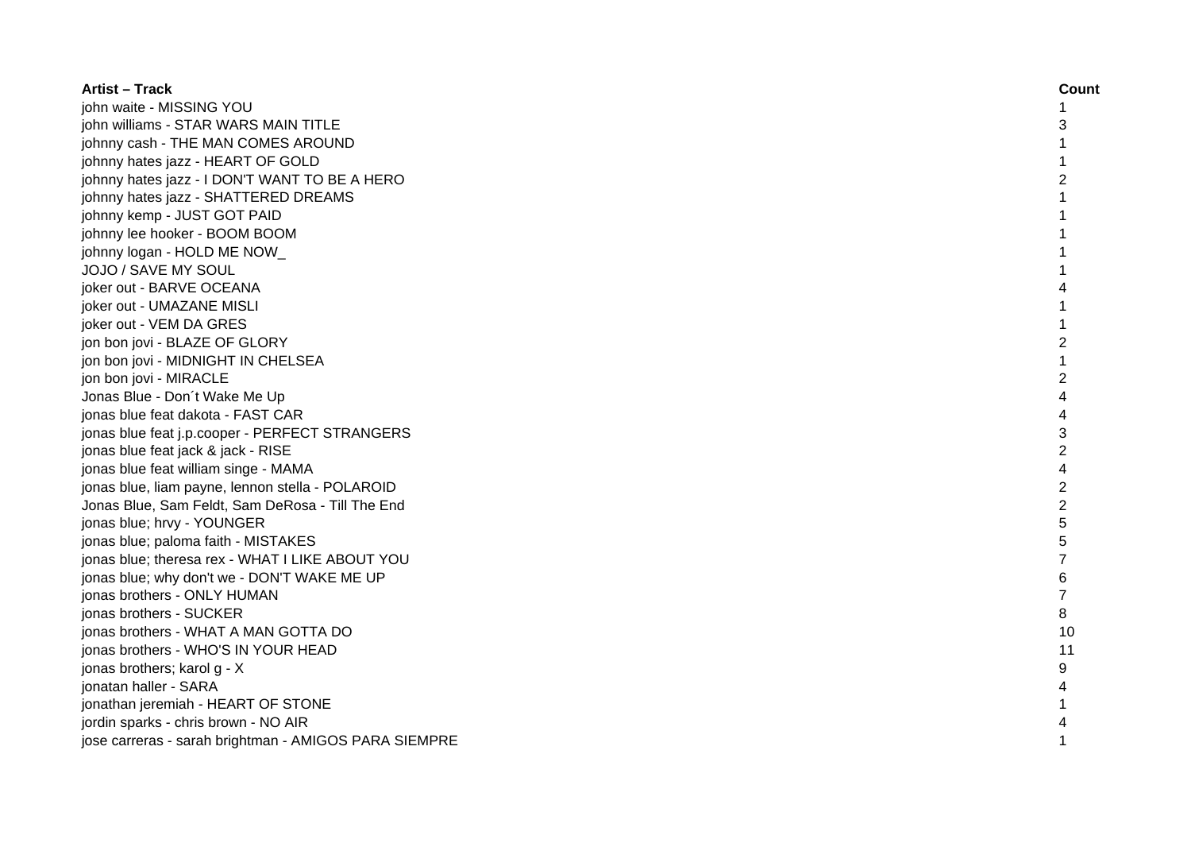| <b>Artist - Track</b>                                 | Count          |
|-------------------------------------------------------|----------------|
| john waite - MISSING YOU                              |                |
| john williams - STAR WARS MAIN TITLE                  | 3              |
| johnny cash - THE MAN COMES AROUND                    |                |
| johnny hates jazz - HEART OF GOLD                     |                |
| johnny hates jazz - I DON'T WANT TO BE A HERO         | 2              |
| johnny hates jazz - SHATTERED DREAMS                  |                |
| johnny kemp - JUST GOT PAID                           | 1              |
| johnny lee hooker - BOOM BOOM                         | 1              |
| johnny logan - HOLD ME NOW                            | 1              |
| JOJO / SAVE MY SOUL                                   | 1              |
| joker out - BARVE OCEANA                              | 4              |
| joker out - UMAZANE MISLI                             |                |
| joker out - VEM DA GRES                               |                |
| jon bon jovi - BLAZE OF GLORY                         | $\overline{2}$ |
| jon bon jovi - MIDNIGHT IN CHELSEA                    |                |
| jon bon jovi - MIRACLE                                | 2              |
| Jonas Blue - Don't Wake Me Up                         | 4              |
| jonas blue feat dakota - FAST CAR                     | 4              |
| jonas blue feat j.p.cooper - PERFECT STRANGERS        | 3              |
| jonas blue feat jack & jack - RISE                    | 2              |
| jonas blue feat william singe - MAMA                  | 4              |
| jonas blue, liam payne, lennon stella - POLAROID      | $\overline{2}$ |
| Jonas Blue, Sam Feldt, Sam DeRosa - Till The End      | $\overline{c}$ |
| jonas blue; hrvy - YOUNGER                            | 5              |
| jonas blue; paloma faith - MISTAKES                   | 5              |
| jonas blue; theresa rex - WHAT I LIKE ABOUT YOU       | 7              |
| jonas blue; why don't we - DON'T WAKE ME UP           | 6              |
| jonas brothers - ONLY HUMAN                           | 7              |
| jonas brothers - SUCKER                               | 8              |
| jonas brothers - WHAT A MAN GOTTA DO                  | 10             |
| jonas brothers - WHO'S IN YOUR HEAD                   | 11             |
| jonas brothers; karol g - X                           | 9              |
| jonatan haller - SARA                                 |                |
| jonathan jeremiah - HEART OF STONE                    |                |
| jordin sparks - chris brown - NO AIR                  |                |
| jose carreras - sarah brightman - AMIGOS PARA SIEMPRE |                |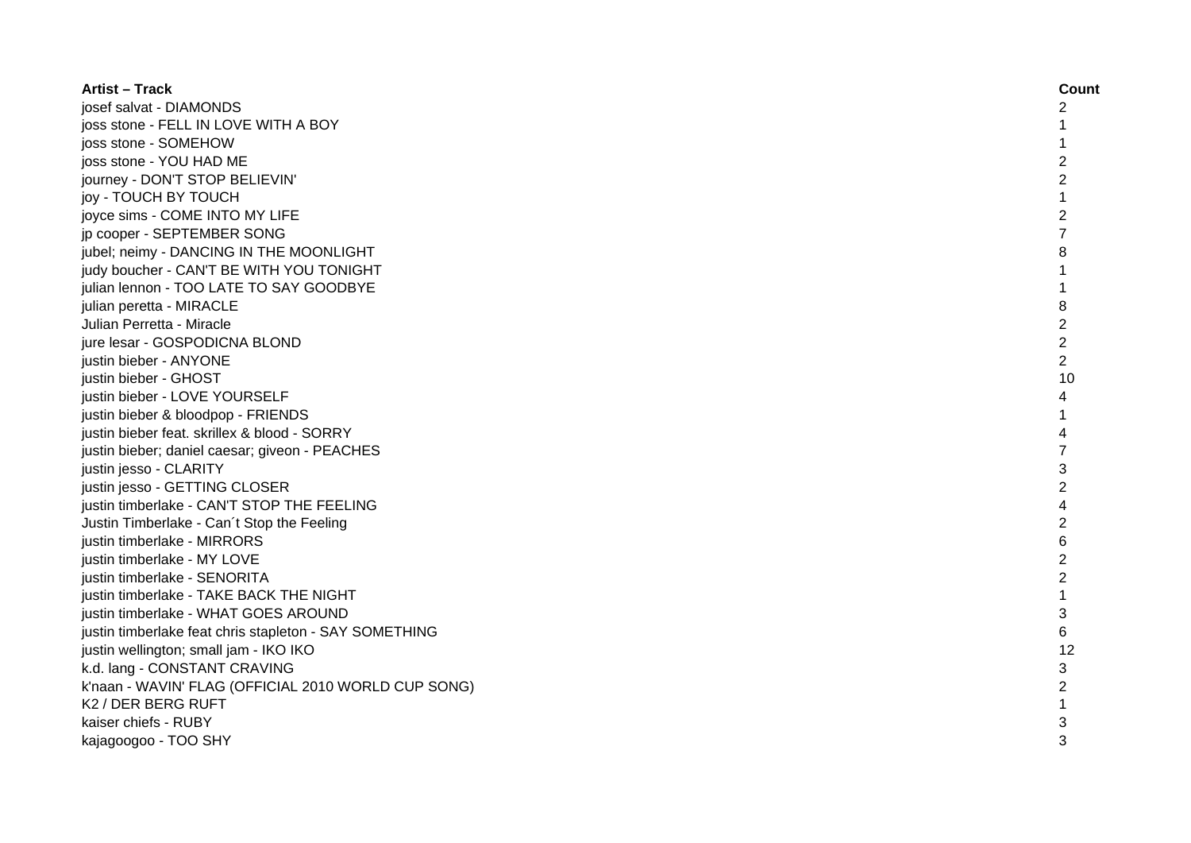| <b>Artist - Track</b>                                  | Count          |
|--------------------------------------------------------|----------------|
| josef salvat - DIAMONDS                                | 2              |
| joss stone - FELL IN LOVE WITH A BOY                   | 1              |
| joss stone - SOMEHOW                                   | 1              |
| joss stone - YOU HAD ME                                | $\overline{c}$ |
| journey - DON'T STOP BELIEVIN'                         | $\overline{c}$ |
| joy - TOUCH BY TOUCH                                   | 1              |
| joyce sims - COME INTO MY LIFE                         | $\overline{c}$ |
| jp cooper - SEPTEMBER SONG                             | 7              |
| jubel; neimy - DANCING IN THE MOONLIGHT                | 8              |
| judy boucher - CAN'T BE WITH YOU TONIGHT               | $\mathbf{1}$   |
| julian lennon - TOO LATE TO SAY GOODBYE                | $\mathbf{1}$   |
| julian peretta - MIRACLE                               | 8              |
| Julian Perretta - Miracle                              | $\overline{2}$ |
| jure lesar - GOSPODICNA BLOND                          | $\overline{c}$ |
| justin bieber - ANYONE                                 | $\overline{2}$ |
| justin bieber - GHOST                                  | 10             |
| justin bieber - LOVE YOURSELF                          | 4              |
| justin bieber & bloodpop - FRIENDS                     |                |
| justin bieber feat. skrillex & blood - SORRY           | 4              |
| justin bieber; daniel caesar; giveon - PEACHES         | 7              |
| justin jesso - CLARITY                                 | 3              |
| justin jesso - GETTING CLOSER                          | $\overline{2}$ |
| justin timberlake - CAN'T STOP THE FEELING             | 4              |
| Justin Timberlake - Can't Stop the Feeling             | $\overline{c}$ |
| justin timberlake - MIRRORS                            | 6              |
| justin timberlake - MY LOVE                            | $\overline{c}$ |
| justin timberlake - SENORITA                           | $\overline{c}$ |
| justin timberlake - TAKE BACK THE NIGHT                | $\mathbf{1}$   |
| justin timberlake - WHAT GOES AROUND                   | 3              |
| justin timberlake feat chris stapleton - SAY SOMETHING | 6              |
| justin wellington; small jam - IKO IKO                 | 12             |
| k.d. lang - CONSTANT CRAVING                           | 3              |
| k'naan - WAVIN' FLAG (OFFICIAL 2010 WORLD CUP SONG)    | $\overline{c}$ |
| K2 / DER BERG RUFT                                     |                |
| kaiser chiefs - RUBY                                   | 3              |
| kajagoogoo - TOO SHY                                   | 3              |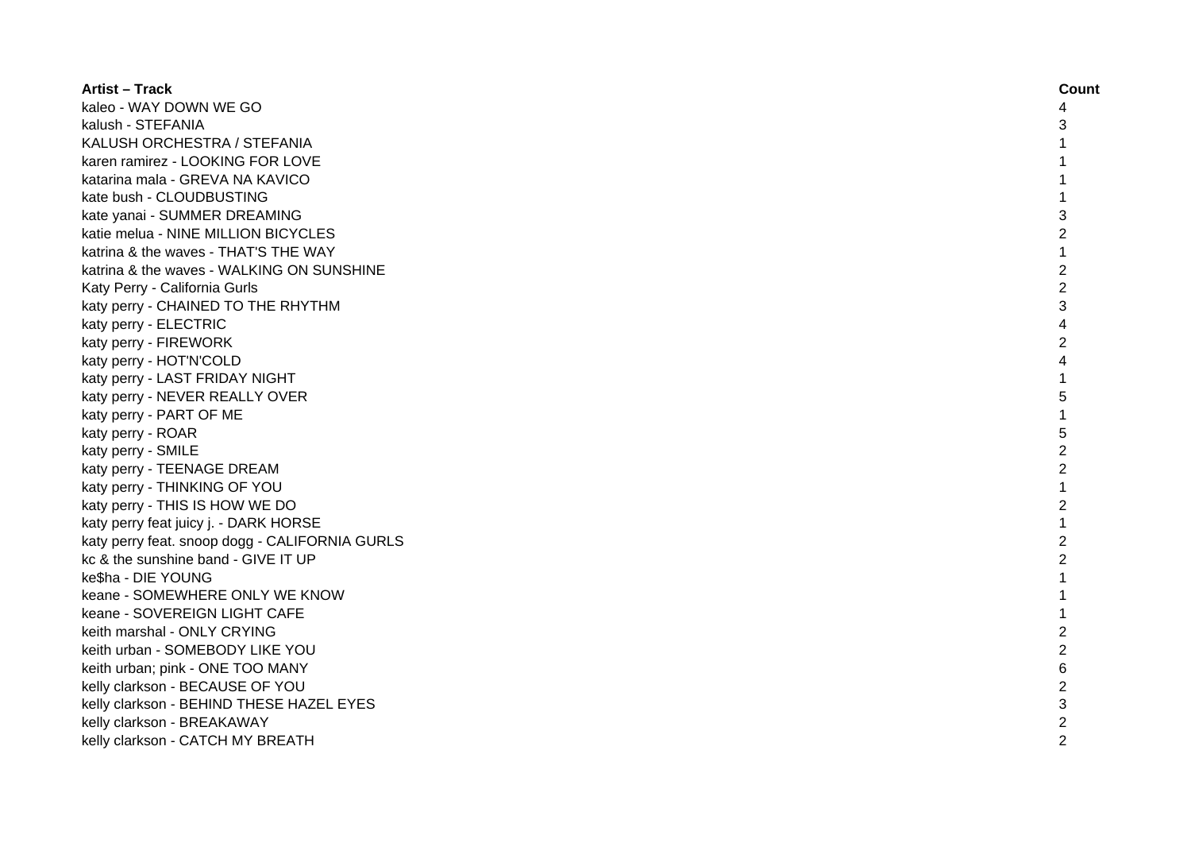| <b>Artist - Track</b>                          | Count                    |
|------------------------------------------------|--------------------------|
| kaleo - WAY DOWN WE GO                         | 4                        |
| kalush - STEFANIA                              | 3                        |
| KALUSH ORCHESTRA / STEFANIA                    | $\mathbf{1}$             |
| karen ramirez - LOOKING FOR LOVE               | $\mathbf{1}$             |
| katarina mala - GREVA NA KAVICO                | $\mathbf{1}$             |
| kate bush - CLOUDBUSTING                       | $\mathbf{1}$             |
| kate yanai - SUMMER DREAMING                   | 3                        |
| katie melua - NINE MILLION BICYCLES            | $\overline{c}$           |
| katrina & the waves - THAT'S THE WAY           | $\mathbf{1}$             |
| katrina & the waves - WALKING ON SUNSHINE      | $\overline{c}$           |
| Katy Perry - California Gurls                  | $\overline{2}$           |
| katy perry - CHAINED TO THE RHYTHM             | 3                        |
| katy perry - ELECTRIC                          | $\overline{\mathcal{A}}$ |
| katy perry - FIREWORK                          | $\overline{2}$           |
| katy perry - HOT'N'COLD                        | $\overline{\mathcal{A}}$ |
| katy perry - LAST FRIDAY NIGHT                 | $\mathbf{1}$             |
| katy perry - NEVER REALLY OVER                 | 5                        |
| katy perry - PART OF ME                        | $\mathbf{1}$             |
| katy perry - ROAR                              | 5                        |
| katy perry - SMILE                             | $\overline{2}$           |
| katy perry - TEENAGE DREAM                     | $\overline{2}$           |
| katy perry - THINKING OF YOU                   | $\mathbf{1}$             |
| katy perry - THIS IS HOW WE DO                 | $\overline{2}$           |
| katy perry feat juicy j. - DARK HORSE          | $\mathbf{1}$             |
| katy perry feat. snoop dogg - CALIFORNIA GURLS | $\overline{2}$           |
| kc & the sunshine band - GIVE IT UP            | $\overline{c}$           |
| ke\$ha - DIE YOUNG                             | $\mathbf{1}$             |
| keane - SOMEWHERE ONLY WE KNOW                 | $\mathbf{1}$             |
| keane - SOVEREIGN LIGHT CAFE                   | $\mathbf{1}$             |
| keith marshal - ONLY CRYING                    | $\overline{2}$           |
| keith urban - SOMEBODY LIKE YOU                | $\overline{2}$           |
| keith urban; pink - ONE TOO MANY               | 6                        |
| kelly clarkson - BECAUSE OF YOU                | $\overline{2}$           |
| kelly clarkson - BEHIND THESE HAZEL EYES       | 3                        |
| kelly clarkson - BREAKAWAY                     | $\overline{c}$           |
| kelly clarkson - CATCH MY BREATH               | $\overline{2}$           |
|                                                |                          |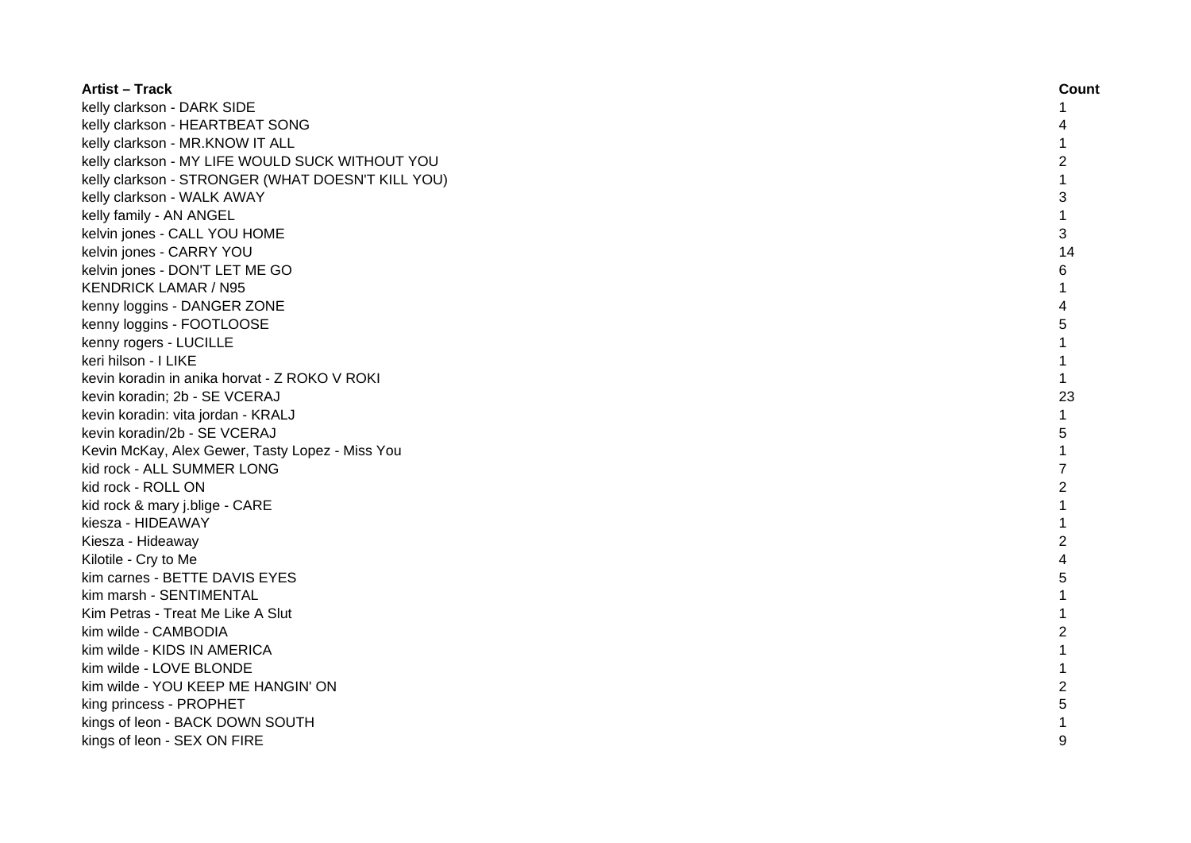| <b>Artist - Track</b>                             | Count          |
|---------------------------------------------------|----------------|
| kelly clarkson - DARK SIDE                        | 1              |
| kelly clarkson - HEARTBEAT SONG                   |                |
| kelly clarkson - MR.KNOW IT ALL                   | 1              |
| kelly clarkson - MY LIFE WOULD SUCK WITHOUT YOU   | 2              |
| kelly clarkson - STRONGER (WHAT DOESN'T KILL YOU) | 1              |
| kelly clarkson - WALK AWAY                        | 3              |
| kelly family - AN ANGEL                           | $\mathbf 1$    |
| kelvin jones - CALL YOU HOME                      | 3              |
| kelvin jones - CARRY YOU                          | 14             |
| kelvin jones - DON'T LET ME GO                    | 6              |
| <b>KENDRICK LAMAR / N95</b>                       | 1              |
| kenny loggins - DANGER ZONE                       | 4              |
| kenny loggins - FOOTLOOSE                         | 5              |
| kenny rogers - LUCILLE                            | $\mathbf{1}$   |
| keri hilson - I LIKE                              | $\mathbf{1}$   |
| kevin koradin in anika horvat - Z ROKO V ROKI     | $\mathbf{1}$   |
| kevin koradin; 2b - SE VCERAJ                     | 23             |
| kevin koradin: vita jordan - KRALJ                | $\mathbf{1}$   |
| kevin koradin/2b - SE VCERAJ                      | 5              |
| Kevin McKay, Alex Gewer, Tasty Lopez - Miss You   | $\mathbf{1}$   |
| kid rock - ALL SUMMER LONG                        | $\overline{7}$ |
| kid rock - ROLL ON                                | 2              |
| kid rock & mary j.blige - CARE                    | 1              |
| kiesza - HIDEAWAY                                 | 1              |
| Kiesza - Hideaway                                 | $\overline{c}$ |
| Kilotile - Cry to Me                              | 4              |
| kim carnes - BETTE DAVIS EYES                     | 5              |
| kim marsh - SENTIMENTAL                           | 1              |
| Kim Petras - Treat Me Like A Slut                 | 1              |
| kim wilde - CAMBODIA                              | $\overline{c}$ |
| kim wilde - KIDS IN AMERICA                       | 1              |
| kim wilde - LOVE BLONDE                           | 1              |
| kim wilde - YOU KEEP ME HANGIN' ON                | 2              |
| king princess - PROPHET                           | 5              |
| kings of leon - BACK DOWN SOUTH                   |                |
| kings of leon - SEX ON FIRE                       | 9              |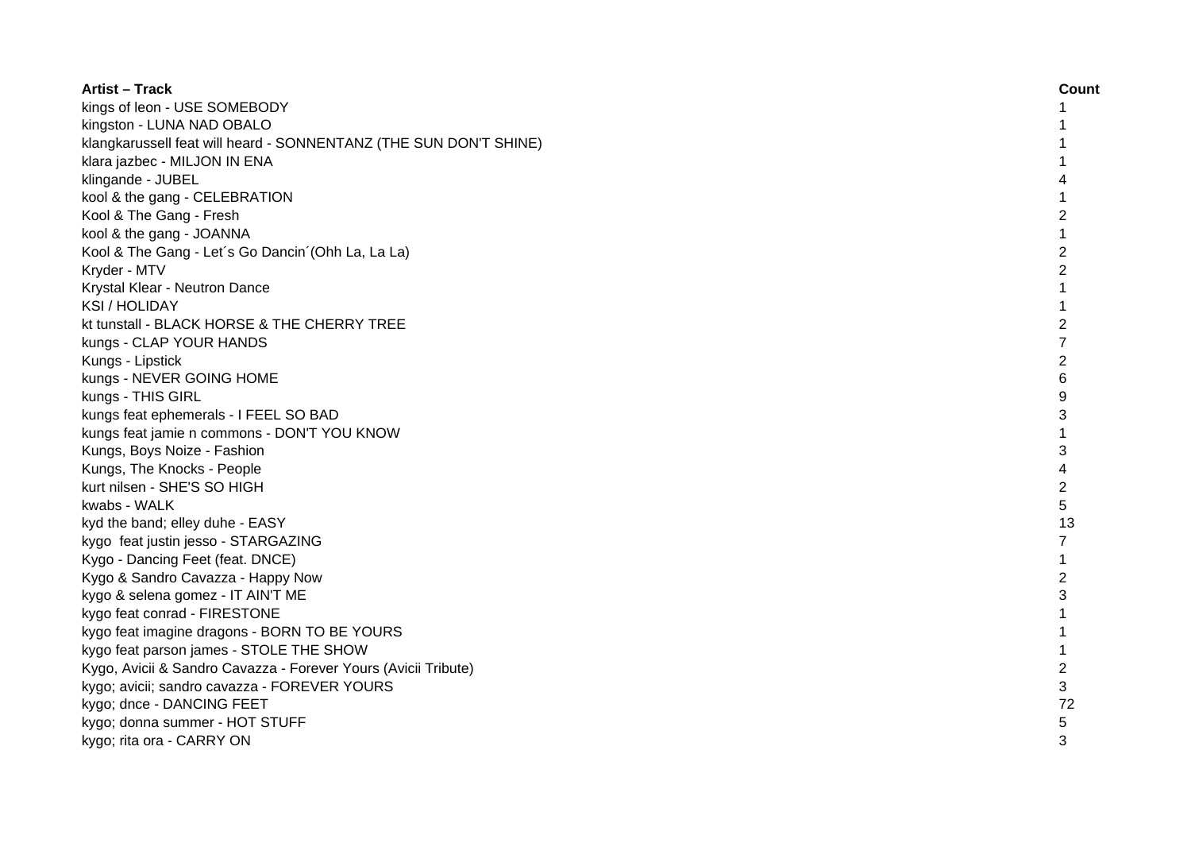| <b>Artist - Track</b>                                             | Count          |
|-------------------------------------------------------------------|----------------|
| kings of leon - USE SOMEBODY                                      | 1              |
| kingston - LUNA NAD OBALO                                         |                |
| klangkarussell feat will heard - SONNENTANZ (THE SUN DON'T SHINE) |                |
| klara jazbec - MILJON IN ENA                                      |                |
| klingande - JUBEL                                                 |                |
| kool & the gang - CELEBRATION                                     | 1              |
| Kool & The Gang - Fresh                                           | $\overline{2}$ |
| kool & the gang - JOANNA                                          | 1              |
| Kool & The Gang - Let's Go Dancin' (Ohh La, La La)                | $\overline{c}$ |
| Kryder - MTV                                                      | $\overline{c}$ |
| Krystal Klear - Neutron Dance                                     | 1              |
| <b>KSI/HOLIDAY</b>                                                | $\mathbf{1}$   |
| kt tunstall - BLACK HORSE & THE CHERRY TREE                       | $\overline{2}$ |
| kungs - CLAP YOUR HANDS                                           | $\overline{7}$ |
| Kungs - Lipstick                                                  | $\overline{2}$ |
| kungs - NEVER GOING HOME                                          | 6              |
| kungs - THIS GIRL                                                 | 9              |
| kungs feat ephemerals - I FEEL SO BAD                             | 3              |
| kungs feat jamie n commons - DON'T YOU KNOW                       | $\mathbf{1}$   |
| Kungs, Boys Noize - Fashion                                       | 3              |
| Kungs, The Knocks - People                                        | 4              |
| kurt nilsen - SHE'S SO HIGH                                       | 2              |
| kwabs - WALK                                                      | 5              |
| kyd the band; elley duhe - EASY                                   | 13             |
| kygo feat justin jesso - STARGAZING                               | $\overline{7}$ |
| Kygo - Dancing Feet (feat. DNCE)                                  | 1              |
| Kygo & Sandro Cavazza - Happy Now                                 | $\overline{c}$ |
| kygo & selena gomez - IT AIN'T ME                                 | 3              |
| kygo feat conrad - FIRESTONE                                      |                |
| kygo feat imagine dragons - BORN TO BE YOURS                      |                |
| kygo feat parson james - STOLE THE SHOW                           | $\mathbf{1}$   |
| Kygo, Avicii & Sandro Cavazza - Forever Yours (Avicii Tribute)    | $\overline{c}$ |
| kygo; avicii; sandro cavazza - FOREVER YOURS                      | 3              |
| kygo; dnce - DANCING FEET                                         | 72             |
| kygo; donna summer - HOT STUFF                                    | 5              |
| kygo; rita ora - CARRY ON                                         | 3              |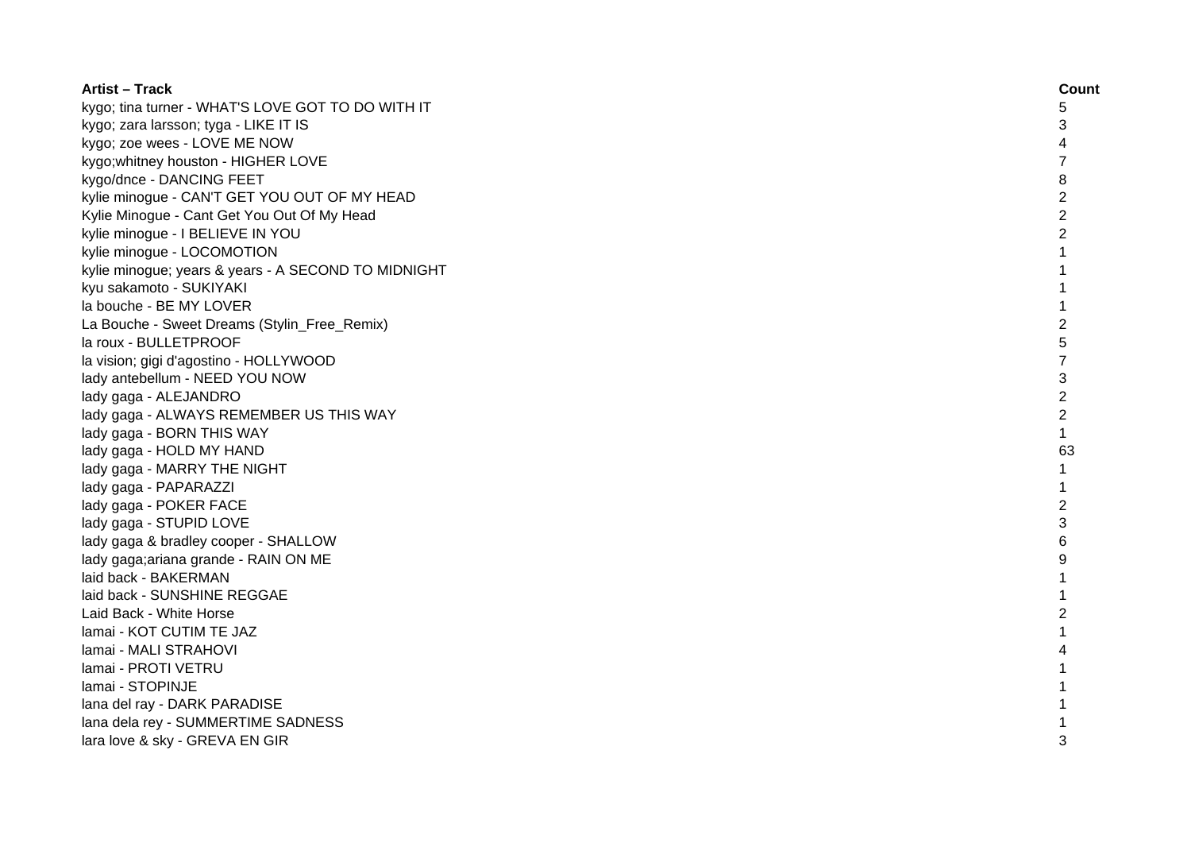| <b>Artist - Track</b>                               | Count          |
|-----------------------------------------------------|----------------|
| kygo; tina turner - WHAT'S LOVE GOT TO DO WITH IT   | 5              |
| kygo; zara larsson; tyga - LIKE IT IS               | 3              |
| kygo; zoe wees - LOVE ME NOW                        | 4              |
| kygo; whitney houston - HIGHER LOVE                 | 7              |
| kygo/dnce - DANCING FEET                            | 8              |
| kylie minogue - CAN'T GET YOU OUT OF MY HEAD        | $\overline{c}$ |
| Kylie Minogue - Cant Get You Out Of My Head         | $\overline{c}$ |
| kylie minogue - I BELIEVE IN YOU                    | $\overline{c}$ |
| kylie minogue - LOCOMOTION                          | 1              |
| kylie minogue; years & years - A SECOND TO MIDNIGHT | 1              |
| kyu sakamoto - SUKIYAKI                             |                |
| la bouche - BE MY LOVER                             |                |
| La Bouche - Sweet Dreams (Stylin_Free_Remix)        | 2              |
| la roux - BULLETPROOF                               | 5              |
| la vision; gigi d'agostino - HOLLYWOOD              | 7              |
| lady antebellum - NEED YOU NOW                      | 3              |
| lady gaga - ALEJANDRO                               | $\overline{c}$ |
| lady gaga - ALWAYS REMEMBER US THIS WAY             | $\overline{c}$ |
| lady gaga - BORN THIS WAY                           | $\mathbf{1}$   |
| lady gaga - HOLD MY HAND                            | 63             |
| lady gaga - MARRY THE NIGHT                         | 1              |
| lady gaga - PAPARAZZI                               | 1              |
| lady gaga - POKER FACE                              | 2              |
| lady gaga - STUPID LOVE                             | 3              |
| lady gaga & bradley cooper - SHALLOW                | 6              |
| lady gaga; ariana grande - RAIN ON ME               | 9              |
| laid back - BAKERMAN                                | 1              |
| laid back - SUNSHINE REGGAE                         | 1              |
| Laid Back - White Horse                             | 2              |
| lamai - KOT CUTIM TE JAZ                            | 1              |
| lamai - MALI STRAHOVI                               | 4              |
| lamai - PROTI VETRU                                 | 1              |
| lamai - STOPINJE                                    | 1              |
| lana del ray - DARK PARADISE                        | 1              |
| lana dela rey - SUMMERTIME SADNESS                  | 1              |
| lara love & sky - GREVA EN GIR                      | 3              |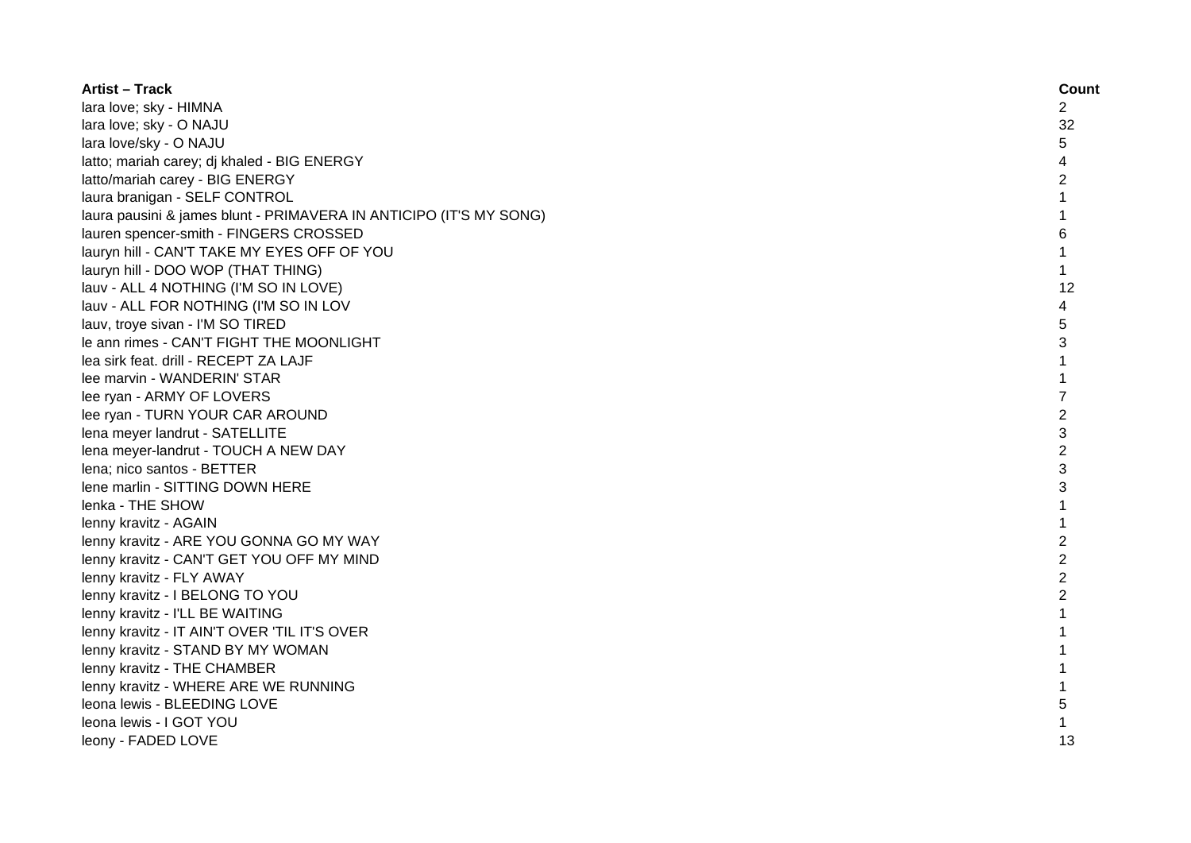| <b>Artist - Track</b>                                              | Count          |
|--------------------------------------------------------------------|----------------|
| lara love; sky - HIMNA                                             | 2              |
| lara love; sky - O NAJU                                            | 32             |
| lara love/sky - O NAJU                                             | 5.             |
| latto; mariah carey; dj khaled - BIG ENERGY                        |                |
| latto/mariah carey - BIG ENERGY                                    | 2              |
| laura branigan - SELF CONTROL                                      | 1              |
| laura pausini & james blunt - PRIMAVERA IN ANTICIPO (IT'S MY SONG) |                |
| lauren spencer-smith - FINGERS CROSSED                             | 6              |
| lauryn hill - CAN'T TAKE MY EYES OFF OF YOU                        | 1              |
| lauryn hill - DOO WOP (THAT THING)                                 | $\mathbf{1}$   |
| lauv - ALL 4 NOTHING (I'M SO IN LOVE)                              | 12             |
| lauv - ALL FOR NOTHING (I'M SO IN LOV                              | 4              |
| lauv, troye sivan - I'M SO TIRED                                   | 5              |
| le ann rimes - CAN'T FIGHT THE MOONLIGHT                           | 3              |
| lea sirk feat. drill - RECEPT ZA LAJF                              | 1              |
| lee marvin - WANDERIN' STAR                                        | $\mathbf{1}$   |
| lee ryan - ARMY OF LOVERS                                          | 7              |
| lee ryan - TURN YOUR CAR AROUND                                    | 2              |
| lena meyer landrut - SATELLITE                                     | 3              |
| lena meyer-landrut - TOUCH A NEW DAY                               | $\overline{2}$ |
| lena; nico santos - BETTER                                         | 3              |
| lene marlin - SITTING DOWN HERE                                    | 3              |
| lenka - THE SHOW                                                   |                |
| lenny kravitz - AGAIN                                              |                |
| lenny kravitz - ARE YOU GONNA GO MY WAY                            | $\overline{c}$ |
| lenny kravitz - CAN'T GET YOU OFF MY MIND                          | $\overline{2}$ |
| lenny kravitz - FLY AWAY                                           | $\overline{2}$ |
| lenny kravitz - I BELONG TO YOU                                    | $\overline{2}$ |
| lenny kravitz - I'LL BE WAITING                                    | $\mathbf{1}$   |
| lenny kravitz - IT AIN'T OVER 'TIL IT'S OVER                       | 1              |
| lenny kravitz - STAND BY MY WOMAN                                  |                |
| lenny kravitz - THE CHAMBER                                        |                |
| lenny kravitz - WHERE ARE WE RUNNING                               |                |
| leona lewis - BLEEDING LOVE                                        | 5              |
| leona lewis - I GOT YOU                                            |                |
| leony - FADED LOVE                                                 | 13             |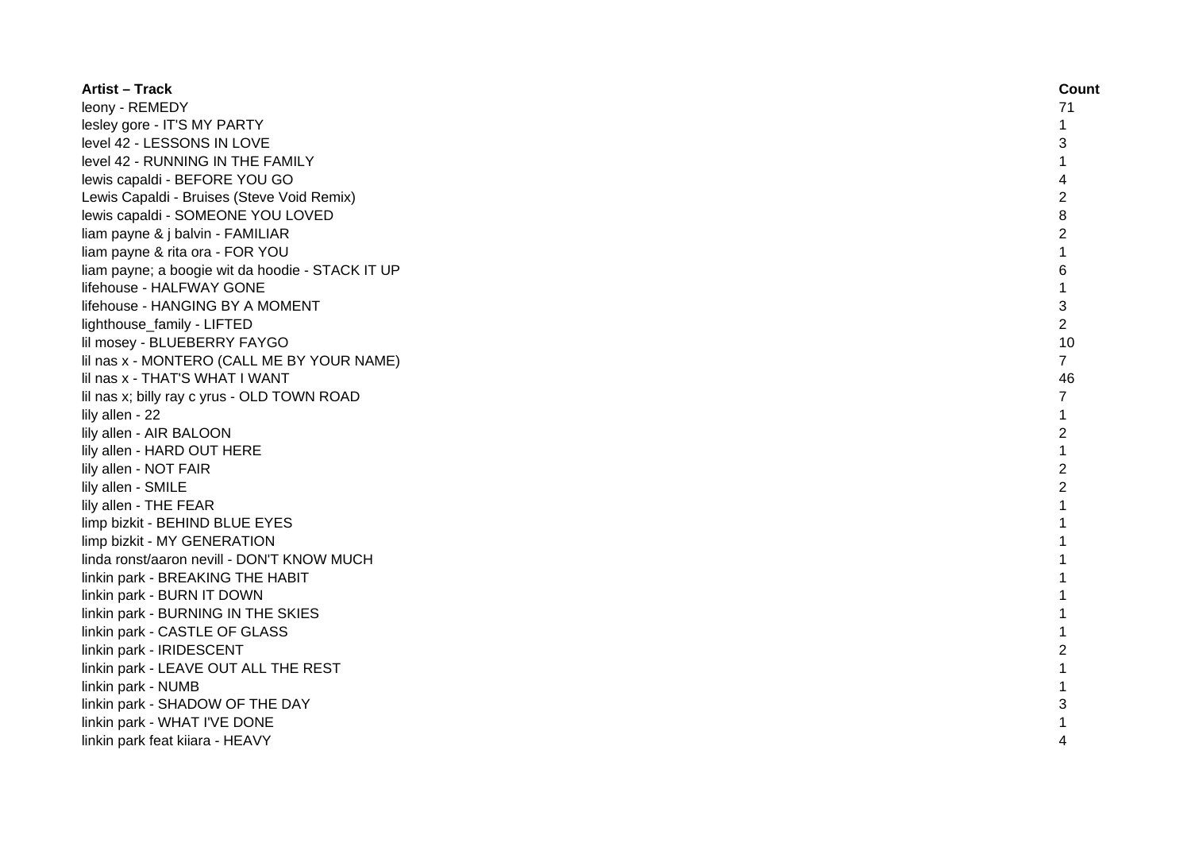| <b>Artist - Track</b>                            | Count          |
|--------------------------------------------------|----------------|
| leony - REMEDY                                   | 71             |
| lesley gore - IT'S MY PARTY                      | 1              |
| level 42 - LESSONS IN LOVE                       | 3              |
| level 42 - RUNNING IN THE FAMILY                 | 1              |
| lewis capaldi - BEFORE YOU GO                    | 4              |
| Lewis Capaldi - Bruises (Steve Void Remix)       | $\overline{c}$ |
| lewis capaldi - SOMEONE YOU LOVED                | 8              |
| liam payne & j balvin - FAMILIAR                 | $\overline{c}$ |
| liam payne & rita ora - FOR YOU                  | $\mathbf{1}$   |
| liam payne; a boogie wit da hoodie - STACK IT UP | 6              |
| lifehouse - HALFWAY GONE                         | 1              |
| lifehouse - HANGING BY A MOMENT                  | 3              |
| lighthouse_family - LIFTED                       | $\overline{2}$ |
| lil mosey - BLUEBERRY FAYGO                      | 10             |
| lil nas x - MONTERO (CALL ME BY YOUR NAME)       | $\overline{7}$ |
| lil nas x - THAT'S WHAT I WANT                   | 46             |
| lil nas x; billy ray c yrus - OLD TOWN ROAD      | $\overline{7}$ |
| lily allen - 22                                  | $\mathbf{1}$   |
| lily allen - AIR BALOON                          | $\overline{c}$ |
| lily allen - HARD OUT HERE                       | $\mathbf{1}$   |
| lily allen - NOT FAIR                            | $\overline{2}$ |
| lily allen - SMILE                               | $\overline{2}$ |
| lily allen - THE FEAR                            | $\mathbf{1}$   |
| limp bizkit - BEHIND BLUE EYES                   |                |
| limp bizkit - MY GENERATION                      |                |
| linda ronst/aaron nevill - DON'T KNOW MUCH       |                |
| linkin park - BREAKING THE HABIT                 |                |
| linkin park - BURN IT DOWN                       |                |
| linkin park - BURNING IN THE SKIES               | 1              |
| linkin park - CASTLE OF GLASS                    | 1              |
| linkin park - IRIDESCENT                         | 2              |
| linkin park - LEAVE OUT ALL THE REST             | 1              |
| linkin park - NUMB                               | $\mathbf{1}$   |
| linkin park - SHADOW OF THE DAY                  | 3              |
| linkin park - WHAT I'VE DONE                     |                |
| linkin park feat kiiara - HEAVY                  | 4              |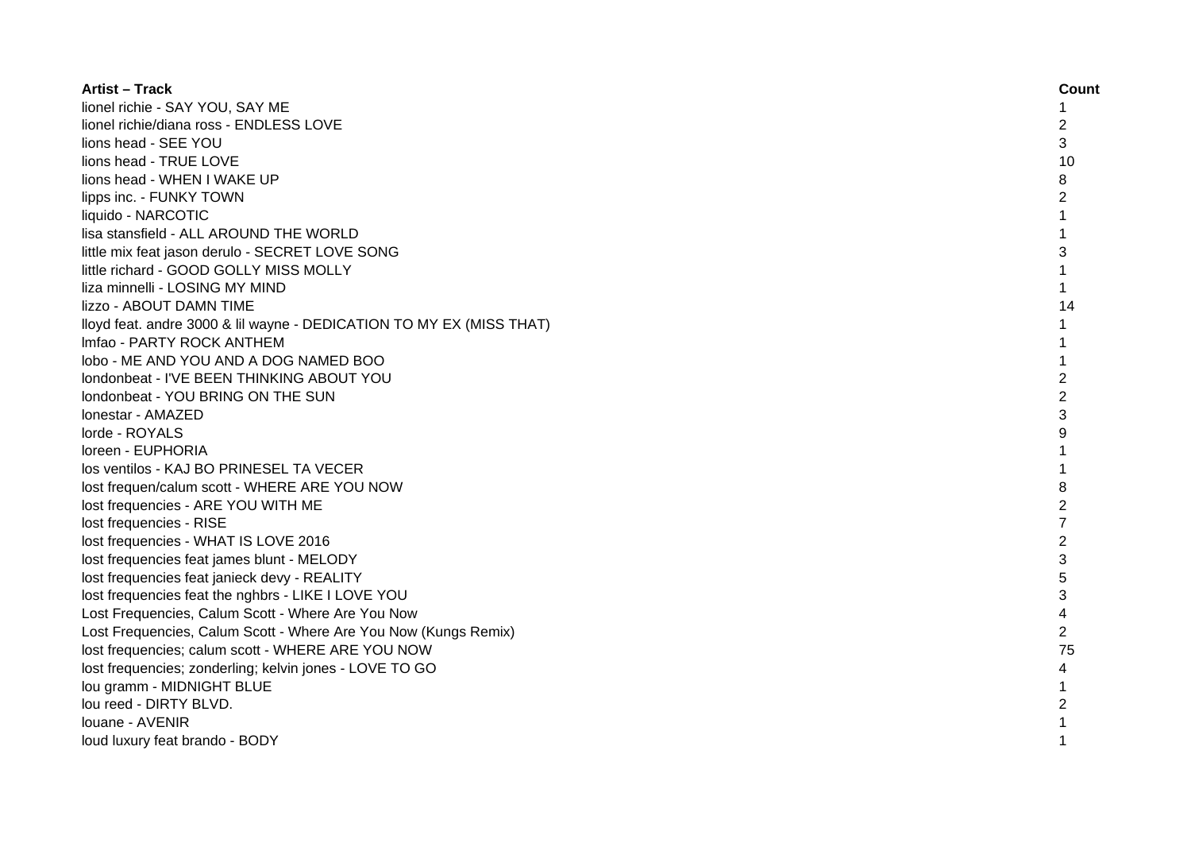| <b>Artist - Track</b>                                                | Count          |
|----------------------------------------------------------------------|----------------|
| lionel richie - SAY YOU, SAY ME                                      | 1              |
| lionel richie/diana ross - ENDLESS LOVE                              | 2              |
| lions head - SEE YOU                                                 | 3              |
| lions head - TRUE LOVE                                               | 10             |
| lions head - WHEN I WAKE UP                                          | 8              |
| lipps inc. - FUNKY TOWN                                              | $\overline{c}$ |
| liquido - NARCOTIC                                                   | 1              |
| lisa stansfield - ALL AROUND THE WORLD                               | 1              |
| little mix feat jason derulo - SECRET LOVE SONG                      | 3              |
| little richard - GOOD GOLLY MISS MOLLY                               | $\mathbf{1}$   |
| liza minnelli - LOSING MY MIND                                       | $\mathbf{1}$   |
| lizzo - ABOUT DAMN TIME                                              | 14             |
| lloyd feat. andre 3000 & lil wayne - DEDICATION TO MY EX (MISS THAT) | $\mathbf{1}$   |
| Imfao - PARTY ROCK ANTHEM                                            | $\mathbf{1}$   |
| lobo - ME AND YOU AND A DOG NAMED BOO                                | $\mathbf{1}$   |
| Iondonbeat - I'VE BEEN THINKING ABOUT YOU                            | $\overline{2}$ |
| londonbeat - YOU BRING ON THE SUN                                    | $\overline{2}$ |
| Ionestar - AMAZED                                                    | 3              |
| lorde - ROYALS                                                       | 9              |
| loreen - EUPHORIA                                                    | $\mathbf{1}$   |
| los ventilos - KAJ BO PRINESEL TA VECER                              | 1              |
| lost frequen/calum scott - WHERE ARE YOU NOW                         | 8              |
| lost frequencies - ARE YOU WITH ME                                   | $\overline{2}$ |
| lost frequencies - RISE                                              | $\overline{7}$ |
| lost frequencies - WHAT IS LOVE 2016                                 | $\overline{2}$ |
| lost frequencies feat james blunt - MELODY                           | 3              |
| lost frequencies feat janieck devy - REALITY                         | 5              |
| lost frequencies feat the nghbrs - LIKE I LOVE YOU                   | 3              |
| Lost Frequencies, Calum Scott - Where Are You Now                    | 4              |
| Lost Frequencies, Calum Scott - Where Are You Now (Kungs Remix)      | $\overline{c}$ |
| lost frequencies; calum scott - WHERE ARE YOU NOW                    | 75             |
| lost frequencies; zonderling; kelvin jones - LOVE TO GO              | 4              |
| lou gramm - MIDNIGHT BLUE                                            | 1              |
| lou reed - DIRTY BLVD.                                               | $\overline{c}$ |
| louane - AVENIR                                                      |                |
| loud luxury feat brando - BODY                                       | 1              |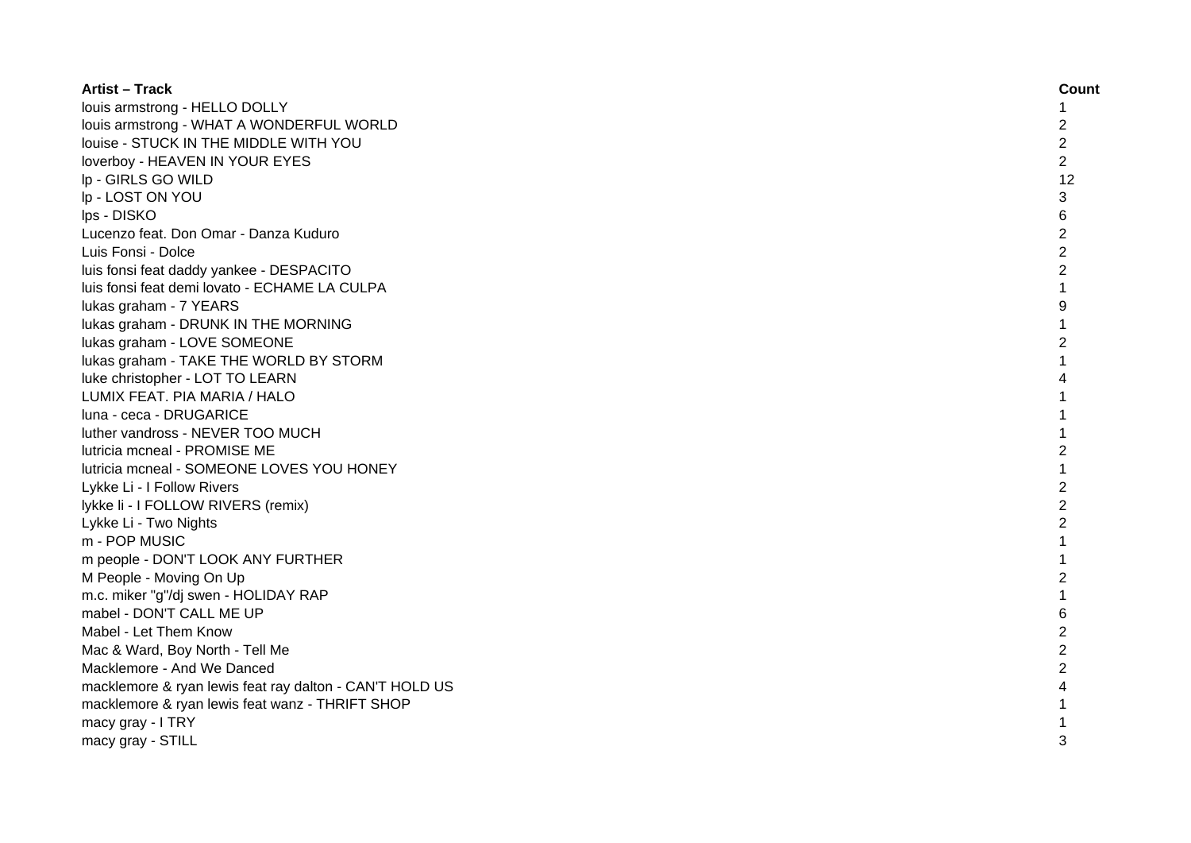| <b>Artist - Track</b>                                   | Count          |
|---------------------------------------------------------|----------------|
| louis armstrong - HELLO DOLLY                           | 1              |
| louis armstrong - WHAT A WONDERFUL WORLD                | $\overline{c}$ |
| louise - STUCK IN THE MIDDLE WITH YOU                   | $\overline{c}$ |
| loverboy - HEAVEN IN YOUR EYES                          | $\overline{c}$ |
| lp - GIRLS GO WILD                                      | 12             |
| Ip - LOST ON YOU                                        | 3              |
| lps - DISKO                                             | 6              |
| Lucenzo feat. Don Omar - Danza Kuduro                   | $\overline{c}$ |
| Luis Fonsi - Dolce                                      | $\overline{2}$ |
| luis fonsi feat daddy yankee - DESPACITO                | $\overline{2}$ |
| luis fonsi feat demi lovato - ECHAME LA CULPA           | $\mathbf 1$    |
| lukas graham - 7 YEARS                                  | 9              |
| lukas graham - DRUNK IN THE MORNING                     | $\mathbf{1}$   |
| lukas graham - LOVE SOMEONE                             | $\overline{2}$ |
| lukas graham - TAKE THE WORLD BY STORM                  | $\mathbf{1}$   |
| luke christopher - LOT TO LEARN                         | 4              |
| LUMIX FEAT. PIA MARIA / HALO                            |                |
| luna - ceca - DRUGARICE                                 | 1              |
| luther vandross - NEVER TOO MUCH                        | $\mathbf{1}$   |
| lutricia mcneal - PROMISE ME                            | $\overline{c}$ |
| lutricia mcneal - SOMEONE LOVES YOU HONEY               | 1              |
| Lykke Li - I Follow Rivers                              | $\overline{2}$ |
| lykke li - I FOLLOW RIVERS (remix)                      | $\overline{2}$ |
| Lykke Li - Two Nights                                   | $\overline{2}$ |
| m - POP MUSIC                                           |                |
| m people - DON'T LOOK ANY FURTHER                       |                |
| M People - Moving On Up                                 | 2              |
| m.c. miker "g"/dj swen - HOLIDAY RAP                    |                |
| mabel - DON'T CALL ME UP                                | 6              |
| Mabel - Let Them Know                                   | $\overline{c}$ |
| Mac & Ward, Boy North - Tell Me                         | $\overline{c}$ |
| Macklemore - And We Danced                              | $\overline{2}$ |
| macklemore & ryan lewis feat ray dalton - CAN'T HOLD US | 4              |
| macklemore & ryan lewis feat wanz - THRIFT SHOP         | 1              |
| macy gray - I TRY                                       |                |
| macy gray - STILL                                       | 3              |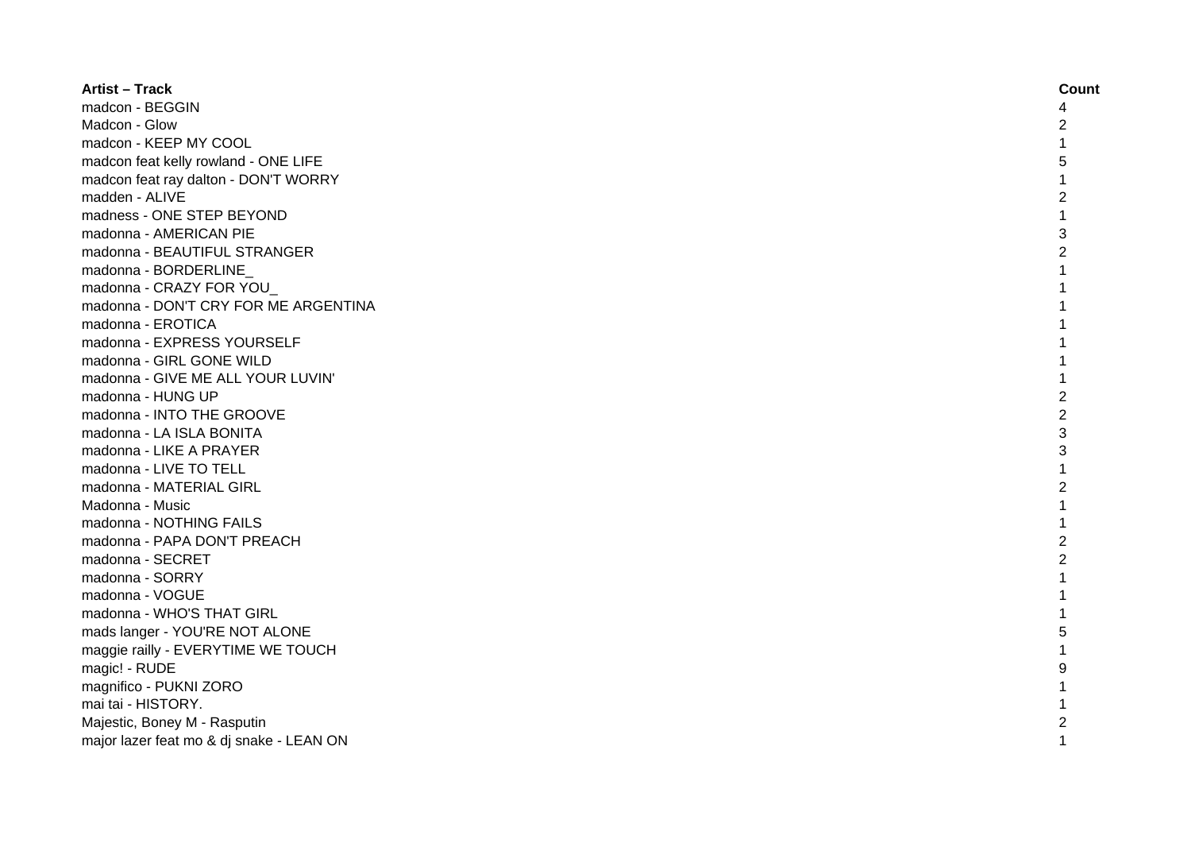| <b>Artist - Track</b>                    | Count          |
|------------------------------------------|----------------|
| madcon - BEGGIN                          | 4              |
| Madcon - Glow                            | $\overline{c}$ |
| madcon - KEEP MY COOL                    | $\mathbf 1$    |
| madcon feat kelly rowland - ONE LIFE     | 5              |
| madcon feat ray dalton - DON'T WORRY     | 1              |
| madden - ALIVE                           | $\overline{c}$ |
| madness - ONE STEP BEYOND                | $\mathbf{1}$   |
| madonna - AMERICAN PIE                   | 3              |
| madonna - BEAUTIFUL STRANGER             | $\overline{c}$ |
| madonna - BORDERLINE                     | 1              |
| madonna - CRAZY FOR YOU                  | 1              |
| madonna - DON'T CRY FOR ME ARGENTINA     | 1              |
| madonna - EROTICA                        | 1              |
| madonna - EXPRESS YOURSELF               | 1              |
| madonna - GIRL GONE WILD                 | $\mathbf 1$    |
| madonna - GIVE ME ALL YOUR LUVIN'        | 1              |
| madonna - HUNG UP                        | $\overline{c}$ |
| madonna - INTO THE GROOVE                | $\overline{c}$ |
| madonna - LA ISLA BONITA                 | 3              |
| madonna - LIKE A PRAYER                  | 3              |
| madonna - LIVE TO TELL                   | $\mathbf{1}$   |
| madonna - MATERIAL GIRL                  | $\overline{c}$ |
| Madonna - Music                          | $\mathbf{1}$   |
| madonna - NOTHING FAILS                  | 1              |
| madonna - PAPA DON'T PREACH              | $\overline{2}$ |
| madonna - SECRET                         | $\overline{2}$ |
| madonna - SORRY                          | $\mathbf 1$    |
| madonna - VOGUE                          | $\mathbf 1$    |
| madonna - WHO'S THAT GIRL                | $\mathbf 1$    |
| mads langer - YOU'RE NOT ALONE           | 5              |
| maggie railly - EVERYTIME WE TOUCH       | $\mathbf 1$    |
| magic! - RUDE                            | 9              |
| magnifico - PUKNI ZORO                   | 1              |
| mai tai - HISTORY.                       | 1              |
| Majestic, Boney M - Rasputin             | $\overline{c}$ |
| major lazer feat mo & dj snake - LEAN ON | $\mathbf{1}$   |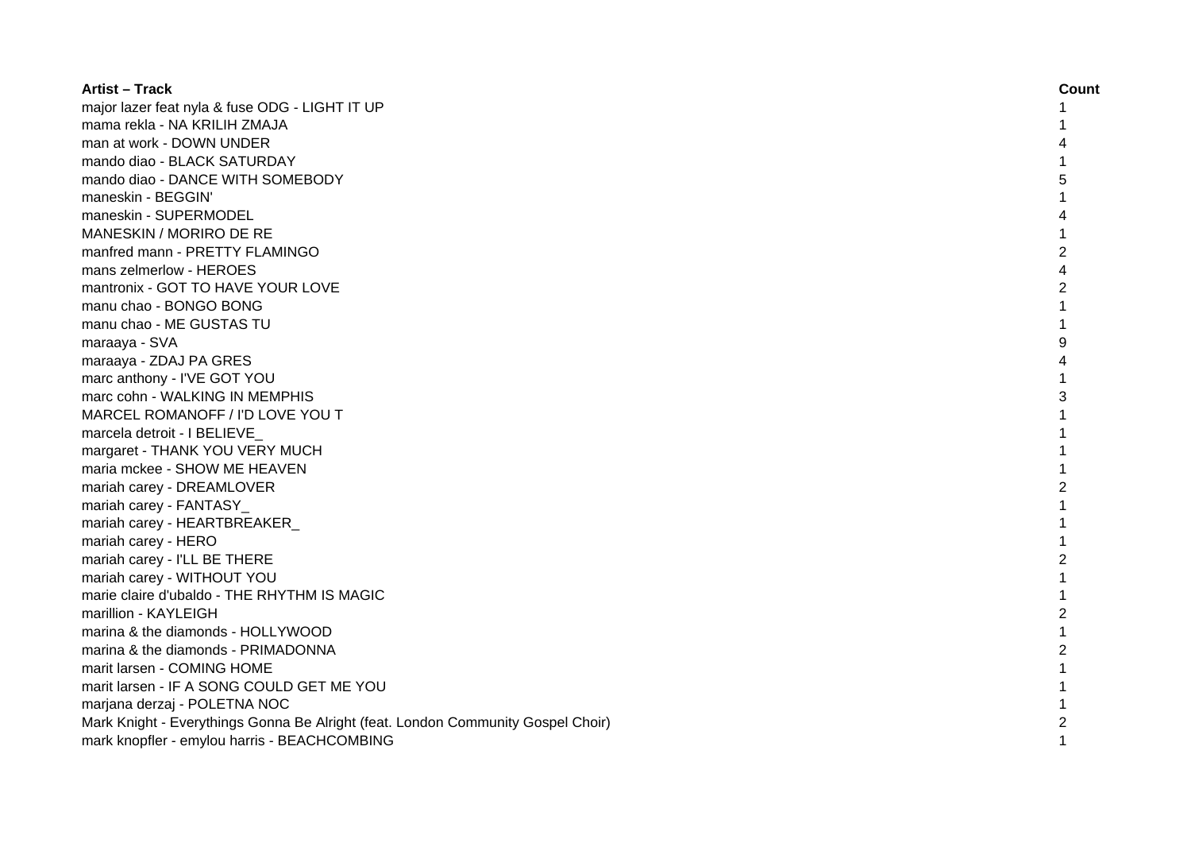| <b>Artist - Track</b>                                                            | Count          |
|----------------------------------------------------------------------------------|----------------|
| major lazer feat nyla & fuse ODG - LIGHT IT UP                                   |                |
| mama rekla - NA KRILIH ZMAJA                                                     |                |
| man at work - DOWN UNDER                                                         |                |
| mando diao - BLACK SATURDAY                                                      |                |
| mando diao - DANCE WITH SOMEBODY                                                 |                |
| maneskin - BEGGIN'                                                               |                |
| maneskin - SUPERMODEL                                                            |                |
| MANESKIN / MORIRO DE RE                                                          | 1              |
| manfred mann - PRETTY FLAMINGO                                                   | $\overline{c}$ |
| mans zelmerlow - HEROES                                                          | 4              |
| mantronix - GOT TO HAVE YOUR LOVE                                                | $\overline{c}$ |
| manu chao - BONGO BONG                                                           |                |
| manu chao - ME GUSTAS TU                                                         |                |
| maraaya - SVA                                                                    | 9              |
| maraaya - ZDAJ PA GRES                                                           |                |
| marc anthony - I'VE GOT YOU                                                      |                |
| marc cohn - WALKING IN MEMPHIS                                                   | 3              |
| MARCEL ROMANOFF / I'D LOVE YOU T                                                 |                |
| marcela detroit - I BELIEVE                                                      |                |
| margaret - THANK YOU VERY MUCH                                                   |                |
| maria mckee - SHOW ME HEAVEN                                                     |                |
| mariah carey - DREAMLOVER                                                        | 2              |
| mariah carey - FANTASY_                                                          |                |
| mariah carey - HEARTBREAKER                                                      | 1              |
| mariah carey - HERO                                                              | 1              |
| mariah carey - I'LL BE THERE                                                     | 2              |
| mariah carey - WITHOUT YOU                                                       | $\mathbf{1}$   |
| marie claire d'ubaldo - THE RHYTHM IS MAGIC                                      | $\mathbf{1}$   |
| marillion - KAYLEIGH                                                             | $\overline{c}$ |
| marina & the diamonds - HOLLYWOOD                                                | $\mathbf{1}$   |
| marina & the diamonds - PRIMADONNA                                               | $\overline{c}$ |
| marit larsen - COMING HOME                                                       | $\mathbf{1}$   |
| marit larsen - IF A SONG COULD GET ME YOU                                        | $\mathbf{1}$   |
| marjana derzaj - POLETNA NOC                                                     | $\mathbf{1}$   |
| Mark Knight - Everythings Gonna Be Alright (feat. London Community Gospel Choir) | $\overline{c}$ |
| mark knopfler - emylou harris - BEACHCOMBING                                     | $\mathbf{1}$   |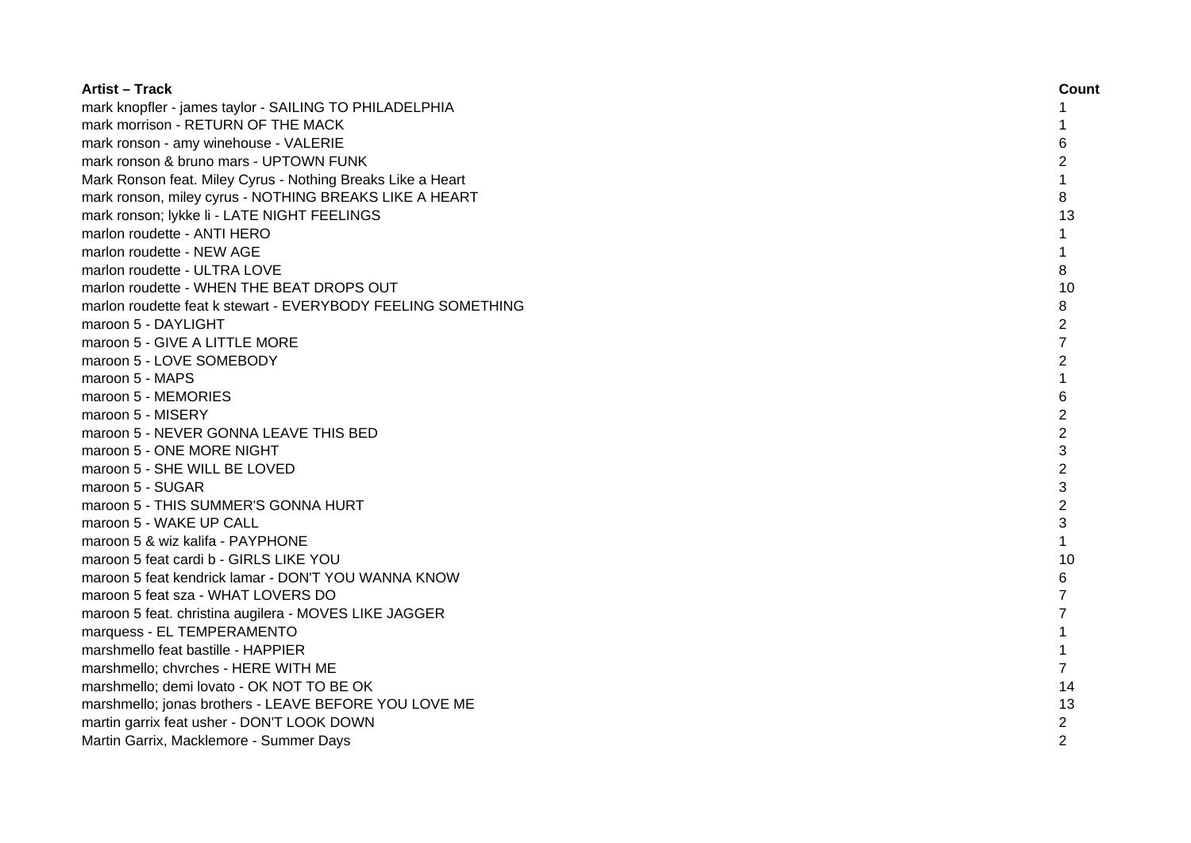| <b>Artist – Track</b>                                        | Count          |
|--------------------------------------------------------------|----------------|
| mark knopfler - james taylor - SAILING TO PHILADELPHIA       |                |
| mark morrison - RETURN OF THE MACK                           |                |
| mark ronson - amy winehouse - VALERIE                        | 6              |
| mark ronson & bruno mars - UPTOWN FUNK                       | $\overline{2}$ |
| Mark Ronson feat. Miley Cyrus - Nothing Breaks Like a Heart  | 1              |
| mark ronson, miley cyrus - NOTHING BREAKS LIKE A HEART       | 8              |
| mark ronson; lykke li - LATE NIGHT FEELINGS                  | 13             |
| marlon roudette - ANTI HERO                                  | 1              |
| marlon roudette - NEW AGE                                    | $\mathbf{1}$   |
| marlon roudette - ULTRA LOVE                                 | 8              |
| marlon roudette - WHEN THE BEAT DROPS OUT                    | 10             |
| marlon roudette feat k stewart - EVERYBODY FEELING SOMETHING | 8              |
| maroon 5 - DAYLIGHT                                          | $\overline{c}$ |
| maroon 5 - GIVE A LITTLE MORE                                | $\overline{7}$ |
| maroon 5 - LOVE SOMEBODY                                     | $\overline{2}$ |
| maroon 5 - MAPS                                              | 1              |
| maroon 5 - MEMORIES                                          | 6              |
| maroon 5 - MISERY                                            | $\overline{c}$ |
| maroon 5 - NEVER GONNA LEAVE THIS BED                        | $\overline{2}$ |
| maroon 5 - ONE MORE NIGHT                                    | 3              |
| maroon 5 - SHE WILL BE LOVED                                 | $\overline{c}$ |
| maroon 5 - SUGAR                                             | 3              |
| maroon 5 - THIS SUMMER'S GONNA HURT                          | $\overline{2}$ |
| maroon 5 - WAKE UP CALL                                      | 3              |
| maroon 5 & wiz kalifa - PAYPHONE                             | $\mathbf{1}$   |
| maroon 5 feat cardi b - GIRLS LIKE YOU                       | 10             |
| maroon 5 feat kendrick lamar - DON'T YOU WANNA KNOW          | 6              |
| maroon 5 feat sza - WHAT LOVERS DO                           | 7              |
| maroon 5 feat. christina augilera - MOVES LIKE JAGGER        | 7              |
| marquess - EL TEMPERAMENTO                                   | 1              |
| marshmello feat bastille - HAPPIER                           | $\mathbf{1}$   |
| marshmello; chvrches - HERE WITH ME                          | $\overline{7}$ |
| marshmello; demi lovato - OK NOT TO BE OK                    | 14             |
| marshmello; jonas brothers - LEAVE BEFORE YOU LOVE ME        | 13             |
| martin garrix feat usher - DON'T LOOK DOWN                   | $\overline{c}$ |
| Martin Garrix, Macklemore - Summer Days                      | $\overline{2}$ |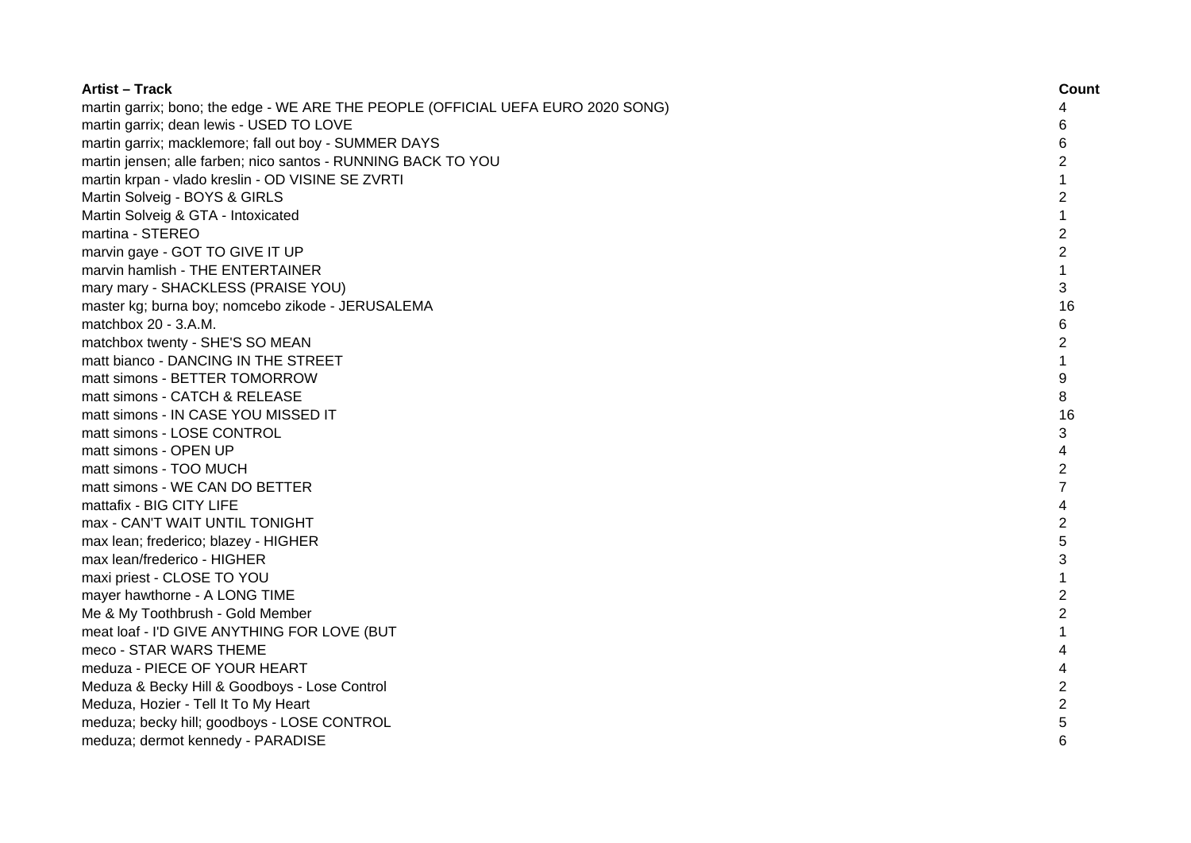| <b>Artist - Track</b>                                                            | Count          |
|----------------------------------------------------------------------------------|----------------|
| martin garrix; bono; the edge - WE ARE THE PEOPLE (OFFICIAL UEFA EURO 2020 SONG) | 4              |
| martin garrix; dean lewis - USED TO LOVE                                         | 6              |
| martin garrix; macklemore; fall out boy - SUMMER DAYS                            | 6              |
| martin jensen; alle farben; nico santos - RUNNING BACK TO YOU                    | 2              |
| martin krpan - vlado kreslin - OD VISINE SE ZVRTI                                |                |
| Martin Solveig - BOYS & GIRLS                                                    | 2              |
| Martin Solveig & GTA - Intoxicated                                               | 1              |
| martina - STEREO                                                                 | $\overline{c}$ |
| marvin gaye - GOT TO GIVE IT UP                                                  | $\overline{2}$ |
| marvin hamlish - THE ENTERTAINER                                                 | $\mathbf{1}$   |
| mary mary - SHACKLESS (PRAISE YOU)                                               | 3              |
| master kg; burna boy; nomcebo zikode - JERUSALEMA                                | 16             |
| matchbox 20 - 3.A.M.                                                             | 6              |
| matchbox twenty - SHE'S SO MEAN                                                  | $\overline{2}$ |
| matt bianco - DANCING IN THE STREET                                              | $\mathbf{1}$   |
| matt simons - BETTER TOMORROW                                                    | 9              |
| matt simons - CATCH & RELEASE                                                    | 8              |
| matt simons - IN CASE YOU MISSED IT                                              | 16             |
| matt simons - LOSE CONTROL                                                       | 3              |
| matt simons - OPEN UP                                                            | 4              |
| matt simons - TOO MUCH                                                           | $\overline{c}$ |
| matt simons - WE CAN DO BETTER                                                   | $\overline{7}$ |
| mattafix - BIG CITY LIFE                                                         | 4              |
| max - CAN'T WAIT UNTIL TONIGHT                                                   | $\overline{c}$ |
| max lean; frederico; blazey - HIGHER                                             | 5              |
| max lean/frederico - HIGHER                                                      | 3              |
| maxi priest - CLOSE TO YOU                                                       | $\mathbf{1}$   |
| mayer hawthorne - A LONG TIME                                                    | $\overline{2}$ |
| Me & My Toothbrush - Gold Member                                                 | $\overline{2}$ |
| meat loaf - I'D GIVE ANYTHING FOR LOVE (BUT                                      | 1              |
| meco - STAR WARS THEME                                                           | 4              |
| meduza - PIECE OF YOUR HEART                                                     | 4              |
| Meduza & Becky Hill & Goodboys - Lose Control                                    | $\overline{c}$ |
| Meduza, Hozier - Tell It To My Heart                                             | $\overline{2}$ |
| meduza; becky hill; goodboys - LOSE CONTROL                                      | 5              |
| meduza; dermot kennedy - PARADISE                                                | 6              |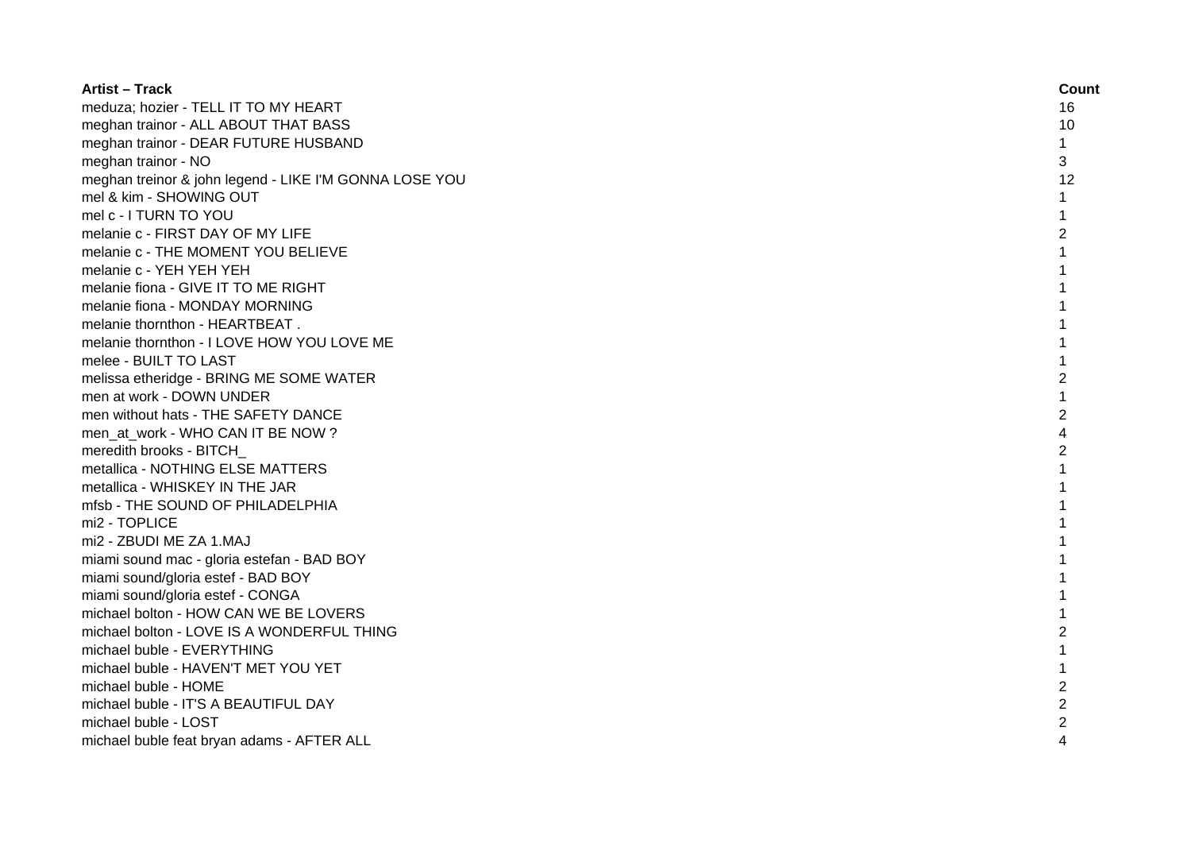| <b>Artist - Track</b>                                  | Count          |
|--------------------------------------------------------|----------------|
| meduza; hozier - TELL IT TO MY HEART                   | 16             |
| meghan trainor - ALL ABOUT THAT BASS                   | 10             |
| meghan trainor - DEAR FUTURE HUSBAND                   | $\mathbf{1}$   |
| meghan trainor - NO                                    | 3              |
| meghan treinor & john legend - LIKE I'M GONNA LOSE YOU | 12             |
| mel & kim - SHOWING OUT                                | 1              |
| mel c - I TURN TO YOU                                  | 1              |
| melanie c - FIRST DAY OF MY LIFE                       | $\overline{c}$ |
| melanie c - THE MOMENT YOU BELIEVE                     | 1              |
| melanie c - YEH YEH YEH                                | 1              |
| melanie fiona - GIVE IT TO ME RIGHT                    | $\mathbf{1}$   |
| melanie fiona - MONDAY MORNING                         | 1              |
| melanie thornthon - HEARTBEAT.                         | 1              |
| melanie thornthon - I LOVE HOW YOU LOVE ME             | 1              |
| melee - BUILT TO LAST                                  | 1              |
| melissa etheridge - BRING ME SOME WATER                | $\overline{c}$ |
| men at work - DOWN UNDER                               | 1              |
| men without hats - THE SAFETY DANCE                    | $\overline{2}$ |
| men_at_work - WHO CAN IT BE NOW ?                      | 4              |
| meredith brooks - BITCH                                | $\overline{2}$ |
| metallica - NOTHING ELSE MATTERS                       |                |
| metallica - WHISKEY IN THE JAR                         |                |
| mfsb - THE SOUND OF PHILADELPHIA                       |                |
| mi2 - TOPLICE                                          |                |
| mi2 - ZBUDI ME ZA 1.MAJ                                |                |
| miami sound mac - gloria estefan - BAD BOY             | 1              |
| miami sound/gloria estef - BAD BOY                     | 1              |
| miami sound/gloria estef - CONGA                       | 1              |
| michael bolton - HOW CAN WE BE LOVERS                  |                |
| michael bolton - LOVE IS A WONDERFUL THING             | $\overline{c}$ |
| michael buble - EVERYTHING                             |                |
| michael buble - HAVEN'T MET YOU YET                    |                |
| michael buble - HOME                                   | $\overline{c}$ |
| michael buble - IT'S A BEAUTIFUL DAY                   | $\overline{2}$ |
| michael buble - LOST                                   | 2              |
| michael buble feat bryan adams - AFTER ALL             | 4              |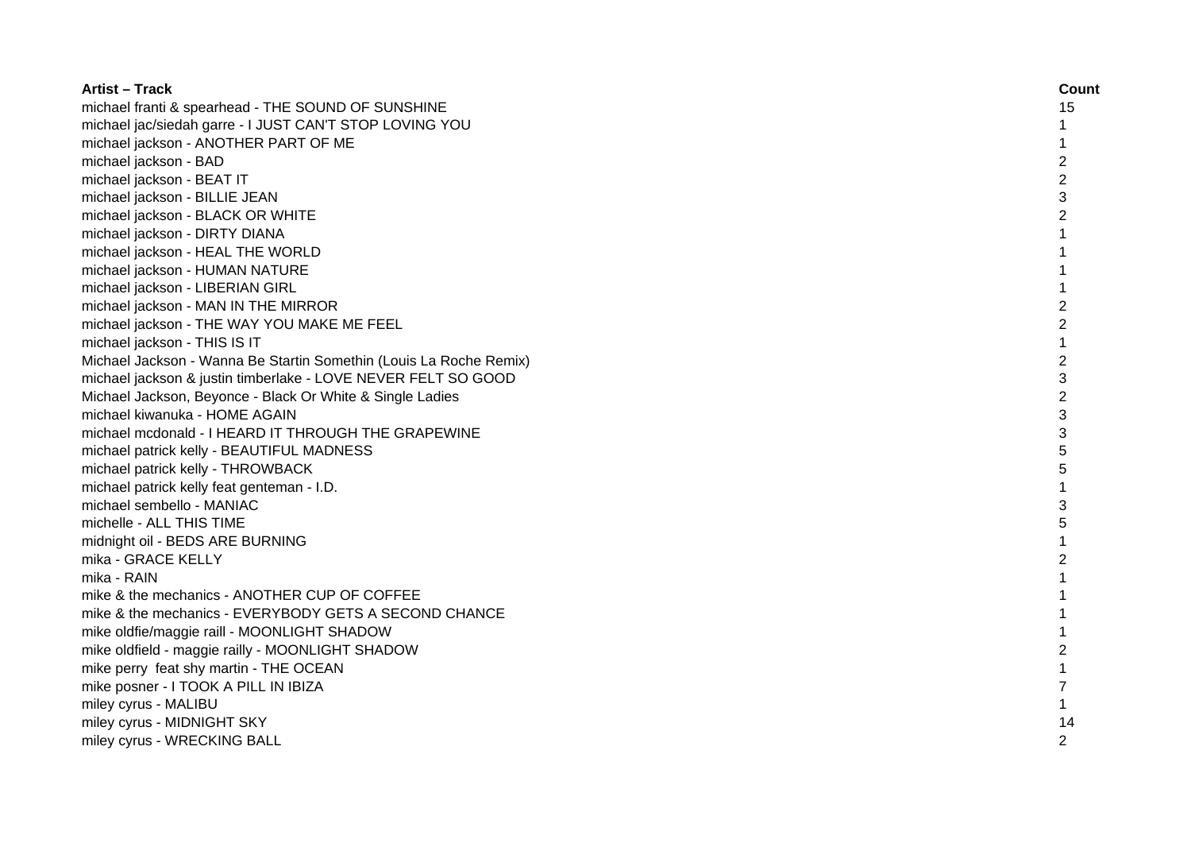| <b>Artist - Track</b>                                              | Count          |
|--------------------------------------------------------------------|----------------|
| michael franti & spearhead - THE SOUND OF SUNSHINE                 | 15             |
| michael jac/siedah garre - I JUST CAN'T STOP LOVING YOU            | $\mathbf{1}$   |
| michael jackson - ANOTHER PART OF ME                               | 1              |
| michael jackson - BAD                                              | $\overline{c}$ |
| michael jackson - BEAT IT                                          | $\overline{c}$ |
| michael jackson - BILLIE JEAN                                      | 3              |
| michael jackson - BLACK OR WHITE                                   | $\overline{c}$ |
| michael jackson - DIRTY DIANA                                      | $\mathbf{1}$   |
| michael jackson - HEAL THE WORLD                                   | $\mathbf{1}$   |
| michael jackson - HUMAN NATURE                                     | $\mathbf{1}$   |
| michael jackson - LIBERIAN GIRL                                    | $\mathbf 1$    |
| michael jackson - MAN IN THE MIRROR                                | $\overline{2}$ |
| michael jackson - THE WAY YOU MAKE ME FEEL                         | $\overline{2}$ |
| michael jackson - THIS IS IT                                       | $\mathbf{1}$   |
| Michael Jackson - Wanna Be Startin Somethin (Louis La Roche Remix) | $\overline{c}$ |
| michael jackson & justin timberlake - LOVE NEVER FELT SO GOOD      | 3              |
| Michael Jackson, Beyonce - Black Or White & Single Ladies          | $\overline{2}$ |
| michael kiwanuka - HOME AGAIN                                      | 3              |
| michael mcdonald - I HEARD IT THROUGH THE GRAPEWINE                | 3              |
| michael patrick kelly - BEAUTIFUL MADNESS                          | 5              |
| michael patrick kelly - THROWBACK                                  | 5              |
| michael patrick kelly feat genteman - I.D.                         |                |
| michael sembello - MANIAC                                          | 3              |
| michelle - ALL THIS TIME                                           | 5              |
| midnight oil - BEDS ARE BURNING                                    | 1              |
| mika - GRACE KELLY                                                 | 2              |
| mika - RAIN                                                        | $\mathbf{1}$   |
| mike & the mechanics - ANOTHER CUP OF COFFEE                       | 1              |
| mike & the mechanics - EVERYBODY GETS A SECOND CHANCE              | 1              |
| mike oldfie/maggie raill - MOONLIGHT SHADOW                        | 1              |
| mike oldfield - maggie railly - MOONLIGHT SHADOW                   | $\overline{c}$ |
| mike perry feat shy martin - THE OCEAN                             | $\mathbf{1}$   |
| mike posner - I TOOK A PILL IN IBIZA                               | 7              |
| miley cyrus - MALIBU                                               | $\mathbf 1$    |
| miley cyrus - MIDNIGHT SKY                                         | 14             |
| miley cyrus - WRECKING BALL                                        | $\overline{c}$ |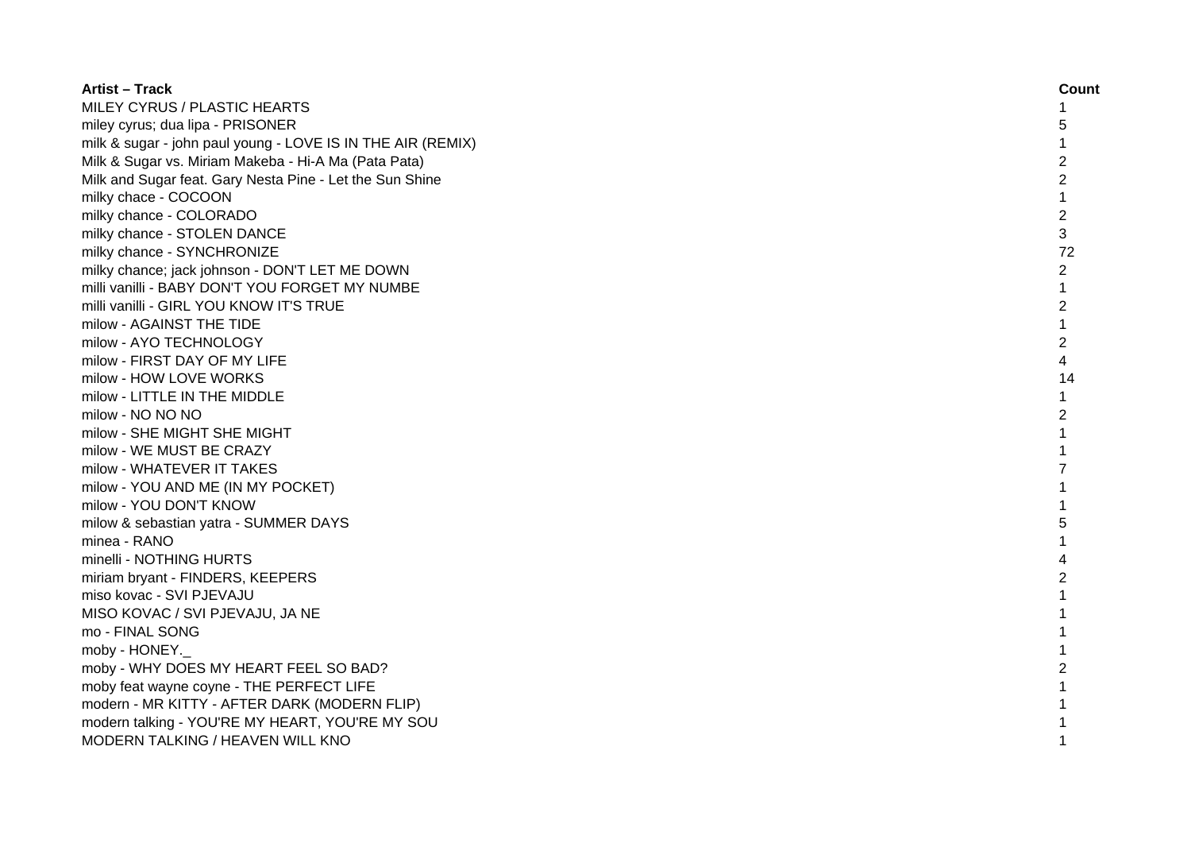| <b>Artist – Track</b>                                       | Count          |
|-------------------------------------------------------------|----------------|
| MILEY CYRUS / PLASTIC HEARTS                                | 1              |
| miley cyrus; dua lipa - PRISONER                            | 5              |
| milk & sugar - john paul young - LOVE IS IN THE AIR (REMIX) | $\mathbf{1}$   |
| Milk & Sugar vs. Miriam Makeba - Hi-A Ma (Pata Pata)        | 2              |
| Milk and Sugar feat. Gary Nesta Pine - Let the Sun Shine    | $\overline{c}$ |
| milky chace - COCOON                                        | 1              |
| milky chance - COLORADO                                     | $\overline{c}$ |
| milky chance - STOLEN DANCE                                 | 3              |
| milky chance - SYNCHRONIZE                                  | 72             |
| milky chance; jack johnson - DON'T LET ME DOWN              | $\overline{c}$ |
| milli vanilli - BABY DON'T YOU FORGET MY NUMBE              | $\mathbf 1$    |
| milli vanilli - GIRL YOU KNOW IT'S TRUE                     | $\overline{c}$ |
| milow - AGAINST THE TIDE                                    | $\mathbf{1}$   |
| milow - AYO TECHNOLOGY                                      | $\overline{2}$ |
| milow - FIRST DAY OF MY LIFE                                | $\overline{4}$ |
| milow - HOW LOVE WORKS                                      | 14             |
| milow - LITTLE IN THE MIDDLE                                | 1              |
| milow - NO NO NO                                            | $\overline{c}$ |
| milow - SHE MIGHT SHE MIGHT                                 | 1              |
| milow - WE MUST BE CRAZY                                    |                |
| milow - WHATEVER IT TAKES                                   | 7              |
| milow - YOU AND ME (IN MY POCKET)                           | 1              |
| milow - YOU DON'T KNOW                                      |                |
| milow & sebastian yatra - SUMMER DAYS                       | 5              |
| minea - RANO                                                | 1              |
| minelli - NOTHING HURTS                                     | 4              |
| miriam bryant - FINDERS, KEEPERS                            | 2              |
| miso kovac - SVI PJEVAJU                                    | 1              |
| MISO KOVAC / SVI PJEVAJU, JA NE                             | $\mathbf{1}$   |
| mo - FINAL SONG                                             | 1              |
| moby - HONEY.                                               | 1              |
| moby - WHY DOES MY HEART FEEL SO BAD?                       | $\overline{c}$ |
| moby feat wayne coyne - THE PERFECT LIFE                    |                |
| modern - MR KITTY - AFTER DARK (MODERN FLIP)                |                |
| modern talking - YOU'RE MY HEART, YOU'RE MY SOU             |                |
| MODERN TALKING / HEAVEN WILL KNO                            | 1              |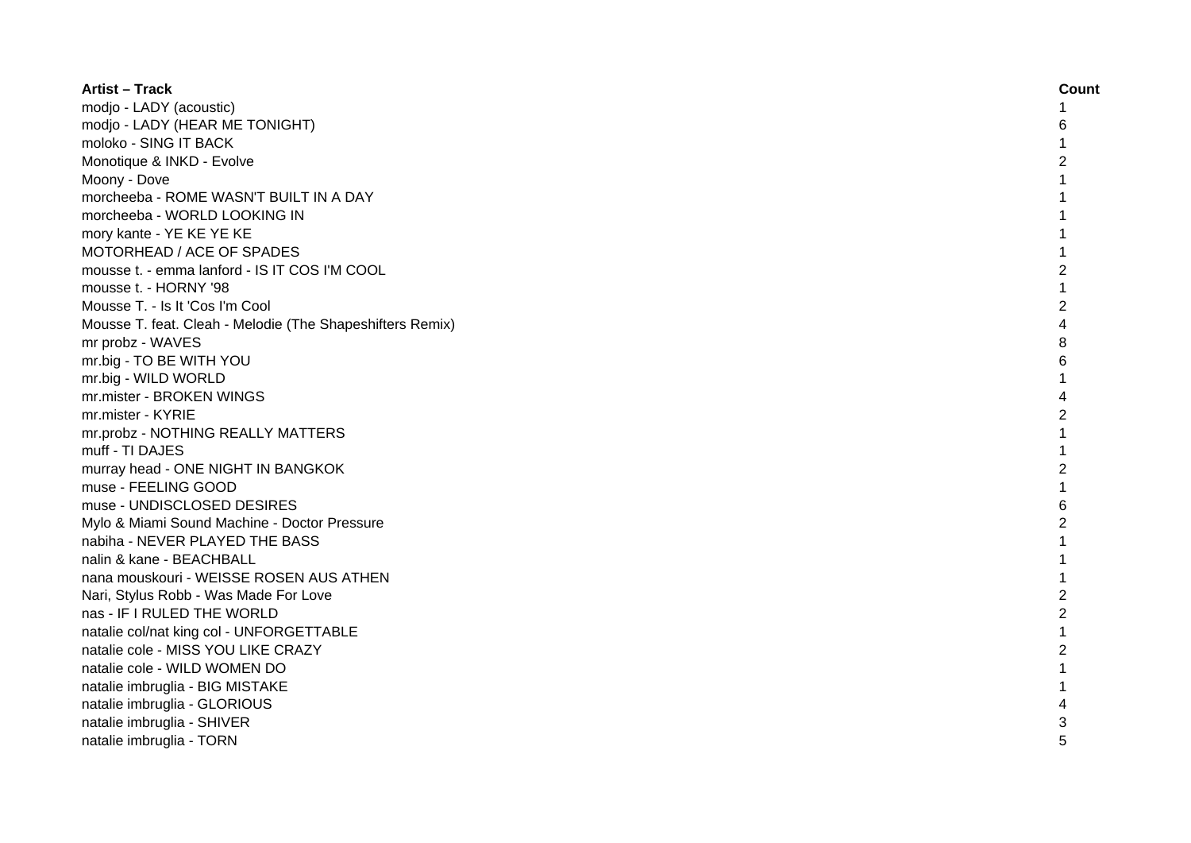| <b>Artist - Track</b>                                     | Count          |
|-----------------------------------------------------------|----------------|
| modjo - LADY (acoustic)                                   |                |
| modjo - LADY (HEAR ME TONIGHT)                            | 6              |
| moloko - SING IT BACK                                     |                |
| Monotique & INKD - Evolve                                 |                |
| Moony - Dove                                              |                |
| morcheeba - ROME WASN'T BUILT IN A DAY                    |                |
| morcheeba - WORLD LOOKING IN                              |                |
| mory kante - YE KE YE KE                                  |                |
| MOTORHEAD / ACE OF SPADES                                 |                |
| mousse t. - emma lanford - IS IT COS I'M COOL             | $\overline{c}$ |
| mousse t. - HORNY '98                                     | $\mathbf{1}$   |
| Mousse T. - Is It 'Cos I'm Cool                           | $\overline{2}$ |
| Mousse T. feat. Cleah - Melodie (The Shapeshifters Remix) | 4              |
| mr probz - WAVES                                          | 8              |
| mr.big - TO BE WITH YOU                                   | 6              |
| mr.big - WILD WORLD                                       |                |
| mr.mister - BROKEN WINGS                                  | 4              |
| mr.mister - KYRIE                                         | $\overline{2}$ |
| mr.probz - NOTHING REALLY MATTERS                         |                |
| muff - TI DAJES                                           |                |
| murray head - ONE NIGHT IN BANGKOK                        | $\overline{2}$ |
| muse - FEELING GOOD                                       |                |
| muse - UNDISCLOSED DESIRES                                | 6              |
| Mylo & Miami Sound Machine - Doctor Pressure              | 2              |
| nabiha - NEVER PLAYED THE BASS                            |                |
| nalin & kane - BEACHBALL                                  |                |
| nana mouskouri - WEISSE ROSEN AUS ATHEN                   |                |
| Nari, Stylus Robb - Was Made For Love                     | $\overline{c}$ |
| nas - IF I RULED THE WORLD                                | $\overline{2}$ |
| natalie col/nat king col - UNFORGETTABLE                  | $\mathbf{1}$   |
| natalie cole - MISS YOU LIKE CRAZY                        | $\overline{2}$ |
| natalie cole - WILD WOMEN DO                              |                |
| natalie imbruglia - BIG MISTAKE                           |                |
| natalie imbruglia - GLORIOUS                              |                |
| natalie imbruglia - SHIVER                                | 3              |
| natalie imbruglia - TORN                                  |                |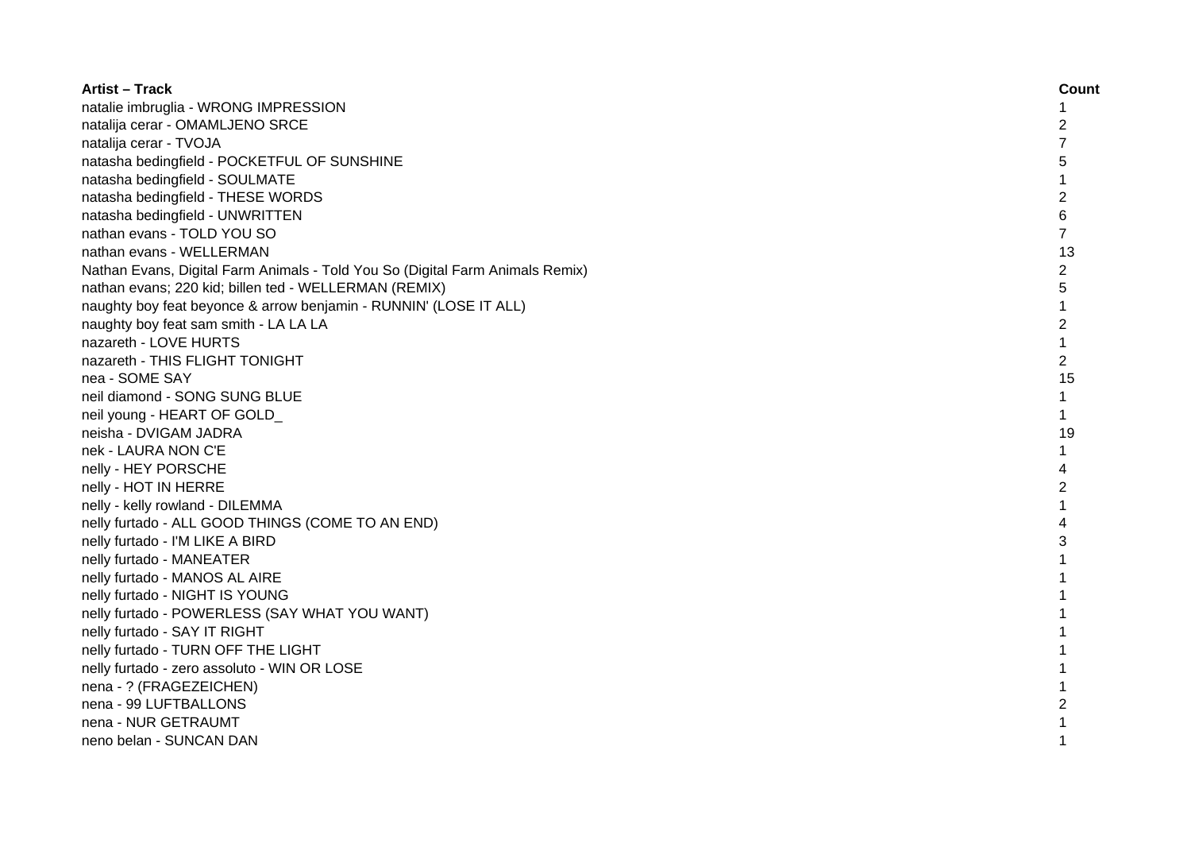| <b>Artist - Track</b>                                                         | Count          |
|-------------------------------------------------------------------------------|----------------|
| natalie imbruglia - WRONG IMPRESSION                                          | 1              |
| natalija cerar - OMAMLJENO SRCE                                               | 2              |
| natalija cerar - TVOJA                                                        | $\overline{7}$ |
| natasha bedingfield - POCKETFUL OF SUNSHINE                                   | 5              |
| natasha bedingfield - SOULMATE                                                |                |
| natasha bedingfield - THESE WORDS                                             | $\overline{c}$ |
| natasha bedingfield - UNWRITTEN                                               | 6              |
| nathan evans - TOLD YOU SO                                                    | $\overline{7}$ |
| nathan evans - WELLERMAN                                                      | 13             |
| Nathan Evans, Digital Farm Animals - Told You So (Digital Farm Animals Remix) | 2              |
| nathan evans; 220 kid; billen ted - WELLERMAN (REMIX)                         | 5              |
| naughty boy feat beyonce & arrow benjamin - RUNNIN' (LOSE IT ALL)             | 1              |
| naughty boy feat sam smith - LA LA LA                                         | $\overline{2}$ |
| nazareth - LOVE HURTS                                                         | $\mathbf{1}$   |
| nazareth - THIS FLIGHT TONIGHT                                                | $\overline{2}$ |
| nea - SOME SAY                                                                | 15             |
| neil diamond - SONG SUNG BLUE                                                 | 1              |
| neil young - HEART OF GOLD                                                    | 1              |
| neisha - DVIGAM JADRA                                                         | 19             |
| nek - LAURA NON C'E                                                           | 1              |
| nelly - HEY PORSCHE                                                           | 4              |
| nelly - HOT IN HERRE                                                          | 2              |
| nelly - kelly rowland - DILEMMA                                               | 1              |
| nelly furtado - ALL GOOD THINGS (COME TO AN END)                              | 4              |
| nelly furtado - I'M LIKE A BIRD                                               | 3              |
| nelly furtado - MANEATER                                                      |                |
| nelly furtado - MANOS AL AIRE                                                 |                |
| nelly furtado - NIGHT IS YOUNG                                                |                |
| nelly furtado - POWERLESS (SAY WHAT YOU WANT)                                 |                |
| nelly furtado - SAY IT RIGHT                                                  |                |
| nelly furtado - TURN OFF THE LIGHT                                            |                |
| nelly furtado - zero assoluto - WIN OR LOSE                                   | 1              |
| nena - ? (FRAGEZEICHEN)                                                       | 1              |
| nena - 99 LUFTBALLONS                                                         | $\overline{2}$ |
| nena - NUR GETRAUMT                                                           |                |
| neno belan - SUNCAN DAN                                                       | 1              |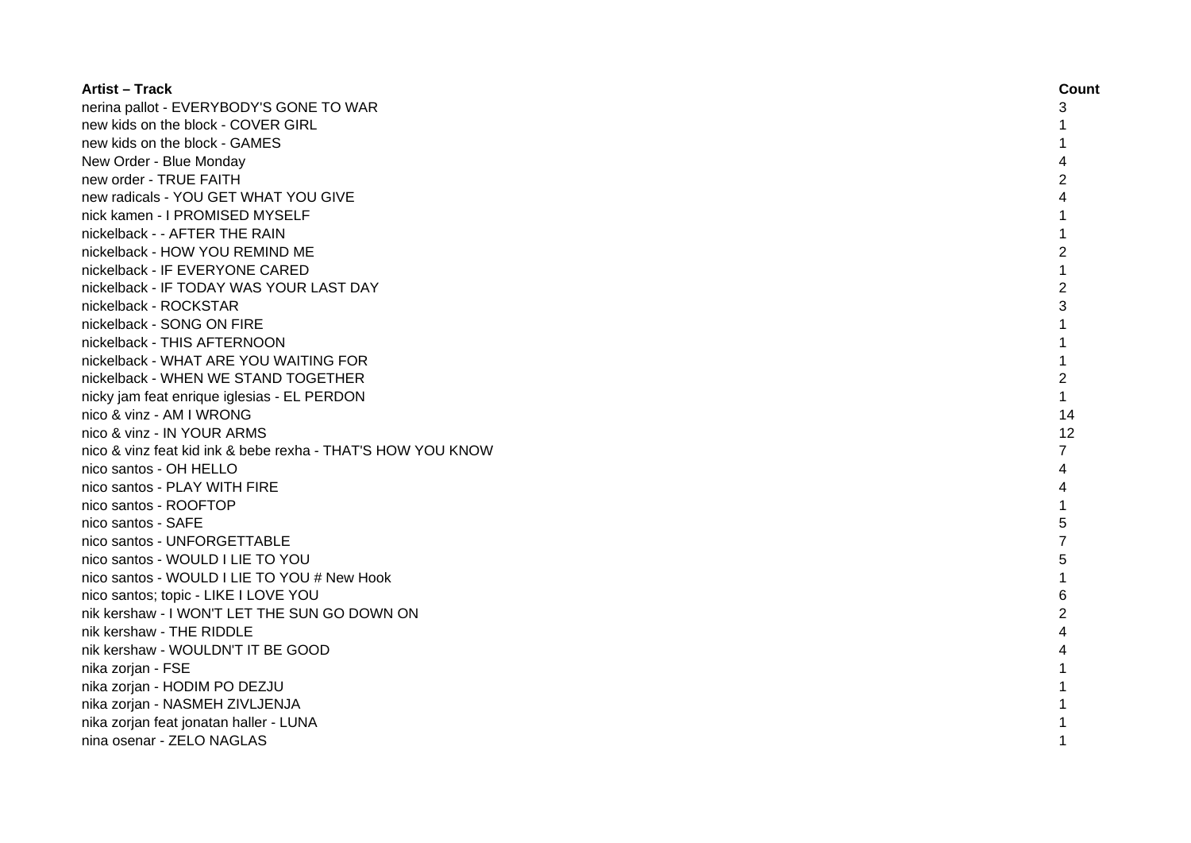| <b>Artist – Track</b>                                       | Count          |
|-------------------------------------------------------------|----------------|
| nerina pallot - EVERYBODY'S GONE TO WAR                     | 3              |
| new kids on the block - COVER GIRL                          |                |
| new kids on the block - GAMES                               |                |
| New Order - Blue Monday                                     |                |
| new order - TRUE FAITH                                      | $\overline{2}$ |
| new radicals - YOU GET WHAT YOU GIVE                        |                |
| nick kamen - I PROMISED MYSELF                              |                |
| nickelback - - AFTER THE RAIN                               | 1              |
| nickelback - HOW YOU REMIND ME                              | 2              |
| nickelback - IF EVERYONE CARED                              | 1              |
| nickelback - IF TODAY WAS YOUR LAST DAY                     | 2              |
| nickelback - ROCKSTAR                                       | 3              |
| nickelback - SONG ON FIRE                                   | 1              |
| nickelback - THIS AFTERNOON                                 | 1              |
| nickelback - WHAT ARE YOU WAITING FOR                       | $\mathbf{1}$   |
| nickelback - WHEN WE STAND TOGETHER                         | $\overline{c}$ |
| nicky jam feat enrique iglesias - EL PERDON                 | $\mathbf{1}$   |
| nico & vinz - AM I WRONG                                    | 14             |
| nico & vinz - IN YOUR ARMS                                  | 12             |
| nico & vinz feat kid ink & bebe rexha - THAT'S HOW YOU KNOW | 7              |
| nico santos - OH HELLO                                      | 4              |
| nico santos - PLAY WITH FIRE                                |                |
| nico santos - ROOFTOP                                       |                |
| nico santos - SAFE                                          | 5              |
| nico santos - UNFORGETTABLE                                 |                |
| nico santos - WOULD I LIE TO YOU                            | 5              |
| nico santos - WOULD I LIE TO YOU # New Hook                 |                |
| nico santos; topic - LIKE I LOVE YOU                        | 6              |
| nik kershaw - I WON'T LET THE SUN GO DOWN ON                | 2              |
| nik kershaw - THE RIDDLE                                    |                |
| nik kershaw - WOULDN'T IT BE GOOD                           |                |
| nika zorjan - FSE                                           |                |
| nika zorjan - HODIM PO DEZJU                                |                |
| nika zorjan - NASMEH ZIVLJENJA                              |                |
| nika zorjan feat jonatan haller - LUNA                      |                |
| nina osenar - ZELO NAGLAS                                   |                |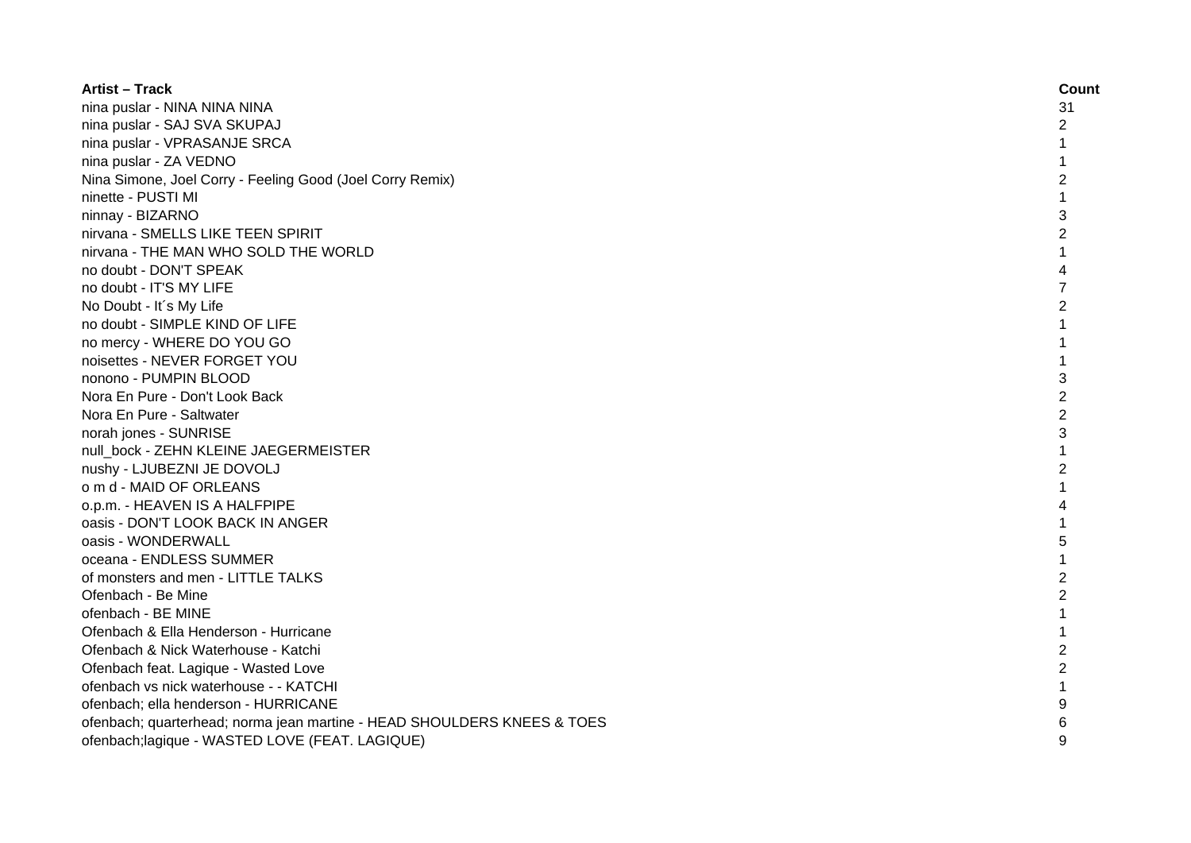| <b>Artist - Track</b>                                                   | Count          |
|-------------------------------------------------------------------------|----------------|
| nina puslar - NINA NINA NINA                                            | 31             |
| nina puslar - SAJ SVA SKUPAJ                                            | 2              |
| nina puslar - VPRASANJE SRCA                                            | $\mathbf{1}$   |
| nina puslar - ZA VEDNO                                                  | 1              |
| Nina Simone, Joel Corry - Feeling Good (Joel Corry Remix)               | $\overline{c}$ |
| ninette - PUSTI MI                                                      | 1              |
| ninnay - BIZARNO                                                        | 3              |
| nirvana - SMELLS LIKE TEEN SPIRIT                                       | $\overline{2}$ |
| nirvana - THE MAN WHO SOLD THE WORLD                                    | 1              |
| no doubt - DON'T SPEAK                                                  | 4              |
| no doubt - IT'S MY LIFE                                                 | $\overline{7}$ |
| No Doubt - It's My Life                                                 | $\overline{2}$ |
| no doubt - SIMPLE KIND OF LIFE                                          | $\mathbf{1}$   |
| no mercy - WHERE DO YOU GO                                              | $\mathbf{1}$   |
| noisettes - NEVER FORGET YOU                                            | $\mathbf{1}$   |
| nonono - PUMPIN BLOOD                                                   | 3              |
| Nora En Pure - Don't Look Back                                          | $\overline{2}$ |
| Nora En Pure - Saltwater                                                | $\overline{2}$ |
| norah jones - SUNRISE                                                   | 3              |
| null bock - ZEHN KLEINE JAEGERMEISTER                                   | $\mathbf{1}$   |
| nushy - LJUBEZNI JE DOVOLJ                                              | 2              |
| o m d - MAID OF ORLEANS                                                 |                |
| 0.p.m. - HEAVEN IS A HALFPIPE                                           | 4              |
| oasis - DON'T LOOK BACK IN ANGER                                        |                |
| oasis - WONDERWALL                                                      | 5              |
| oceana - ENDLESS SUMMER                                                 | 1              |
| of monsters and men - LITTLE TALKS                                      | 2              |
| Ofenbach - Be Mine                                                      | $\overline{c}$ |
| ofenbach - BE MINE                                                      | $\mathbf{1}$   |
| Ofenbach & Ella Henderson - Hurricane                                   | 1              |
| Ofenbach & Nick Waterhouse - Katchi                                     | $\overline{2}$ |
| Ofenbach feat. Lagique - Wasted Love                                    | $\overline{c}$ |
| ofenbach vs nick waterhouse - - KATCHI                                  | 1              |
| ofenbach; ella henderson - HURRICANE                                    | 9              |
| ofenbach; quarterhead; norma jean martine - HEAD SHOULDERS KNEES & TOES | 6              |
| ofenbach; lagique - WASTED LOVE (FEAT. LAGIQUE)                         | 9              |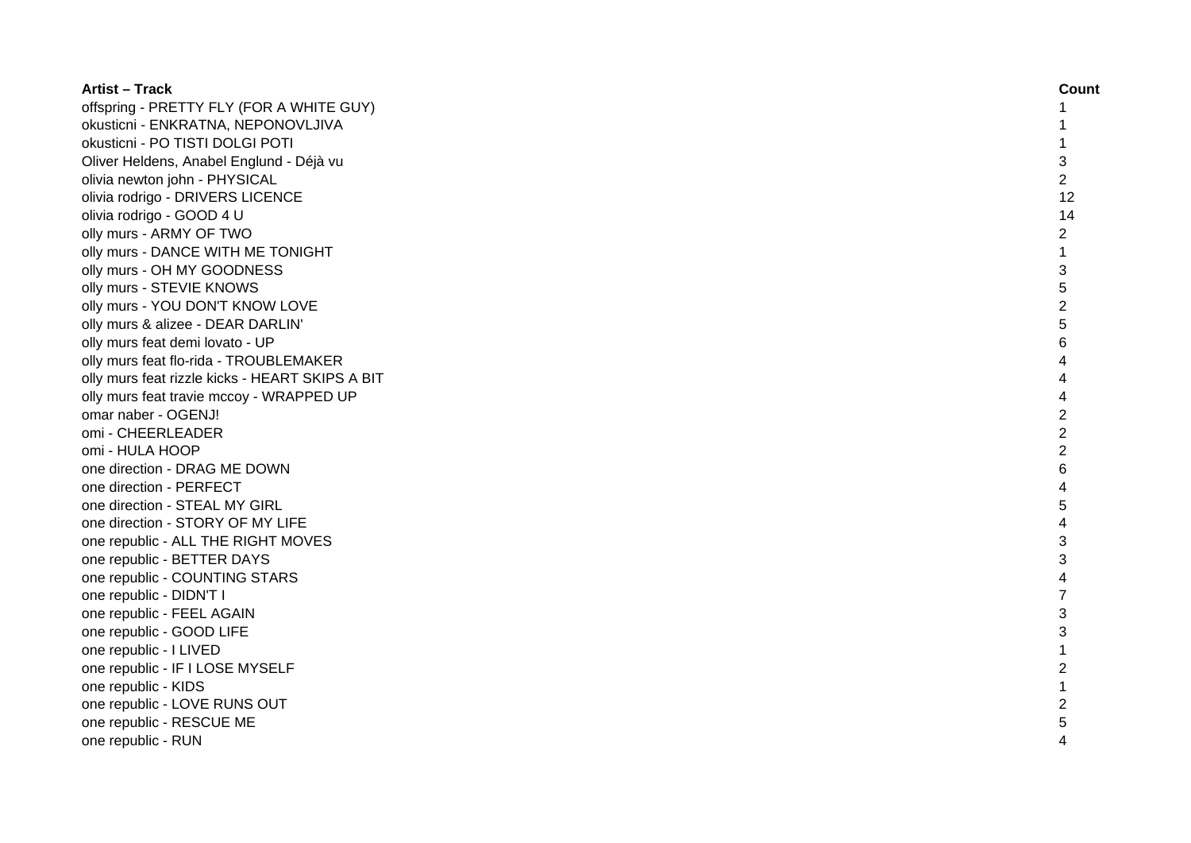| <b>Artist - Track</b>                           | Count          |
|-------------------------------------------------|----------------|
| offspring - PRETTY FLY (FOR A WHITE GUY)        | 1              |
| okusticni - ENKRATNA, NEPONOVLJIVA              | 1              |
| okusticni - PO TISTI DOLGI POTI                 | 1              |
| Oliver Heldens, Anabel Englund - Déjà vu        | 3              |
| olivia newton john - PHYSICAL                   | $\overline{2}$ |
| olivia rodrigo - DRIVERS LICENCE                | 12             |
| olivia rodrigo - GOOD 4 U                       | 14             |
| olly murs - ARMY OF TWO                         | $\overline{c}$ |
| olly murs - DANCE WITH ME TONIGHT               | $\mathbf{1}$   |
| olly murs - OH MY GOODNESS                      | 3              |
| olly murs - STEVIE KNOWS                        | 5              |
| olly murs - YOU DON'T KNOW LOVE                 | $\overline{2}$ |
| olly murs & alizee - DEAR DARLIN'               | 5              |
| olly murs feat demi lovato - UP                 | 6              |
| olly murs feat flo-rida - TROUBLEMAKER          | 4              |
| olly murs feat rizzle kicks - HEART SKIPS A BIT | 4              |
| olly murs feat travie mccoy - WRAPPED UP        | 4              |
| omar naber - OGENJ!                             | $\overline{c}$ |
| omi - CHEERLEADER                               | $\overline{2}$ |
| omi - HULA HOOP                                 | $\overline{2}$ |
| one direction - DRAG ME DOWN                    | 6              |
| one direction - PERFECT                         | 4              |
| one direction - STEAL MY GIRL                   | 5              |
| one direction - STORY OF MY LIFE                | 4              |
| one republic - ALL THE RIGHT MOVES              | 3              |
| one republic - BETTER DAYS                      | 3              |
| one republic - COUNTING STARS                   | 4              |
| one republic - DIDN'T I                         | $\overline{7}$ |
| one republic - FEEL AGAIN                       | 3              |
| one republic - GOOD LIFE                        | 3              |
| one republic - I LIVED                          | $\mathbf{1}$   |
| one republic - IF I LOSE MYSELF                 | 2              |
| one republic - KIDS                             | 1              |
| one republic - LOVE RUNS OUT                    | $\overline{2}$ |
| one republic - RESCUE ME                        | 5              |
| one republic - RUN                              | 4              |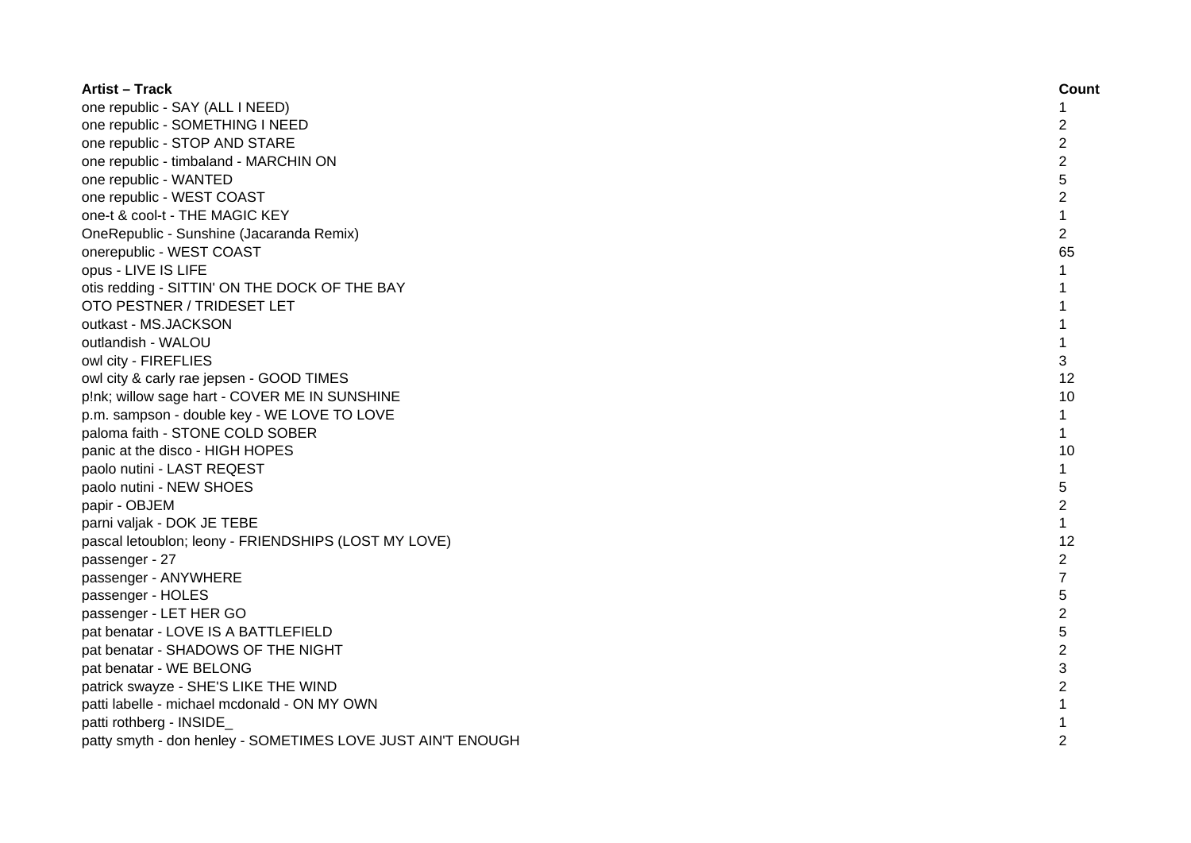| <b>Artist - Track</b>                                       | Count          |
|-------------------------------------------------------------|----------------|
| one republic - SAY (ALL I NEED)                             | 1              |
| one republic - SOMETHING I NEED                             | 2              |
| one republic - STOP AND STARE                               | $\overline{2}$ |
| one republic - timbaland - MARCHIN ON                       | $\overline{2}$ |
| one republic - WANTED                                       | 5              |
| one republic - WEST COAST                                   | $\overline{2}$ |
| one-t & cool-t - THE MAGIC KEY                              | $\mathbf 1$    |
| OneRepublic - Sunshine (Jacaranda Remix)                    | $\overline{2}$ |
| onerepublic - WEST COAST                                    | 65             |
| opus - LIVE IS LIFE                                         | $\mathbf{1}$   |
| otis redding - SITTIN' ON THE DOCK OF THE BAY               | 1              |
| OTO PESTNER / TRIDESET LET                                  | $\mathbf{1}$   |
| outkast - MS.JACKSON                                        | $\mathbf{1}$   |
| outlandish - WALOU                                          | $\mathbf{1}$   |
| owl city - FIREFLIES                                        | 3              |
| owl city & carly rae jepsen - GOOD TIMES                    | 12             |
| p!nk; willow sage hart - COVER ME IN SUNSHINE               | 10             |
| p.m. sampson - double key - WE LOVE TO LOVE                 | 1              |
| paloma faith - STONE COLD SOBER                             | 1              |
| panic at the disco - HIGH HOPES                             | 10             |
| paolo nutini - LAST REQEST                                  | 1              |
| paolo nutini - NEW SHOES                                    | 5              |
| papir - OBJEM                                               | $\overline{2}$ |
| parni valjak - DOK JE TEBE                                  | $\mathbf 1$    |
| pascal letoublon; leony - FRIENDSHIPS (LOST MY LOVE)        | 12             |
| passenger - 27                                              | $\overline{c}$ |
| passenger - ANYWHERE                                        | $\overline{7}$ |
| passenger - HOLES                                           | 5              |
| passenger - LET HER GO                                      | $\overline{c}$ |
| pat benatar - LOVE IS A BATTLEFIELD                         | 5              |
| pat benatar - SHADOWS OF THE NIGHT                          | $\overline{c}$ |
| pat benatar - WE BELONG                                     | 3              |
| patrick swayze - SHE'S LIKE THE WIND                        | $\overline{c}$ |
| patti labelle - michael mcdonald - ON MY OWN                |                |
| patti rothberg - INSIDE                                     |                |
| patty smyth - don henley - SOMETIMES LOVE JUST AIN'T ENOUGH | $\mathfrak{p}$ |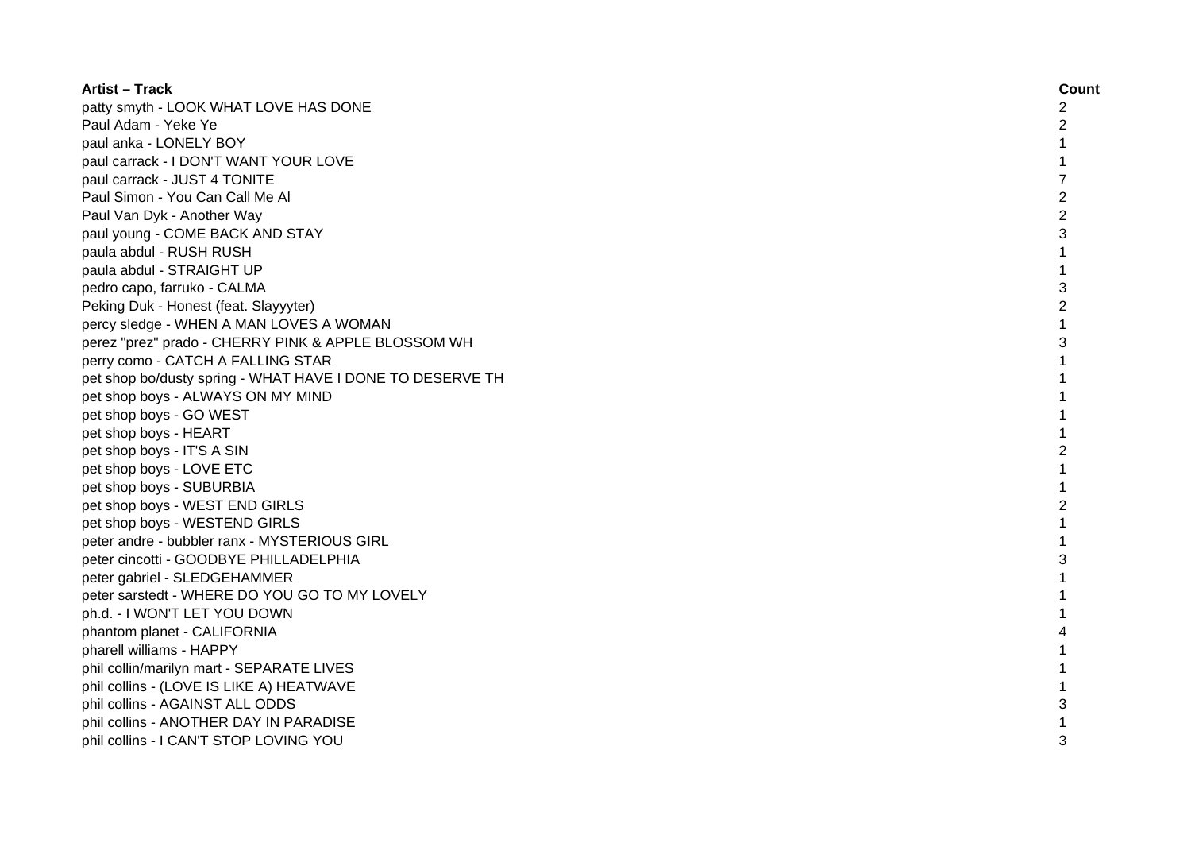| <b>Artist – Track</b>                                     | Count          |
|-----------------------------------------------------------|----------------|
| patty smyth - LOOK WHAT LOVE HAS DONE                     | 2              |
| Paul Adam - Yeke Ye                                       | 2              |
| paul anka - LONELY BOY                                    | 1              |
| paul carrack - I DON'T WANT YOUR LOVE                     |                |
| paul carrack - JUST 4 TONITE                              | 7              |
| Paul Simon - You Can Call Me Al                           | $\overline{2}$ |
| Paul Van Dyk - Another Way                                | $\overline{2}$ |
| paul young - COME BACK AND STAY                           | 3              |
| paula abdul - RUSH RUSH                                   | 1              |
| paula abdul - STRAIGHT UP                                 | $\mathbf{1}$   |
| pedro capo, farruko - CALMA                               | 3              |
| Peking Duk - Honest (feat. Slayyyter)                     | $\overline{2}$ |
| percy sledge - WHEN A MAN LOVES A WOMAN                   | $\mathbf{1}$   |
| perez "prez" prado - CHERRY PINK & APPLE BLOSSOM WH       | 3              |
| perry como - CATCH A FALLING STAR                         | 1              |
| pet shop bo/dusty spring - WHAT HAVE I DONE TO DESERVE TH | 1              |
| pet shop boys - ALWAYS ON MY MIND                         | 1              |
| pet shop boys - GO WEST                                   |                |
| pet shop boys - HEART                                     |                |
| pet shop boys - IT'S A SIN                                | 2              |
| pet shop boys - LOVE ETC                                  |                |
| pet shop boys - SUBURBIA                                  |                |
| pet shop boys - WEST END GIRLS                            | 2              |
| pet shop boys - WESTEND GIRLS                             |                |
| peter andre - bubbler ranx - MYSTERIOUS GIRL              |                |
| peter cincotti - GOODBYE PHILLADELPHIA                    | 3              |
| peter gabriel - SLEDGEHAMMER                              | 1              |
| peter sarstedt - WHERE DO YOU GO TO MY LOVELY             |                |
| ph.d. - I WON'T LET YOU DOWN                              | 1              |
| phantom planet - CALIFORNIA                               |                |
| pharell williams - HAPPY                                  |                |
| phil collin/marilyn mart - SEPARATE LIVES                 |                |
| phil collins - (LOVE IS LIKE A) HEATWAVE                  |                |
| phil collins - AGAINST ALL ODDS                           | 3              |
| phil collins - ANOTHER DAY IN PARADISE                    |                |
| phil collins - I CAN'T STOP LOVING YOU                    | 3              |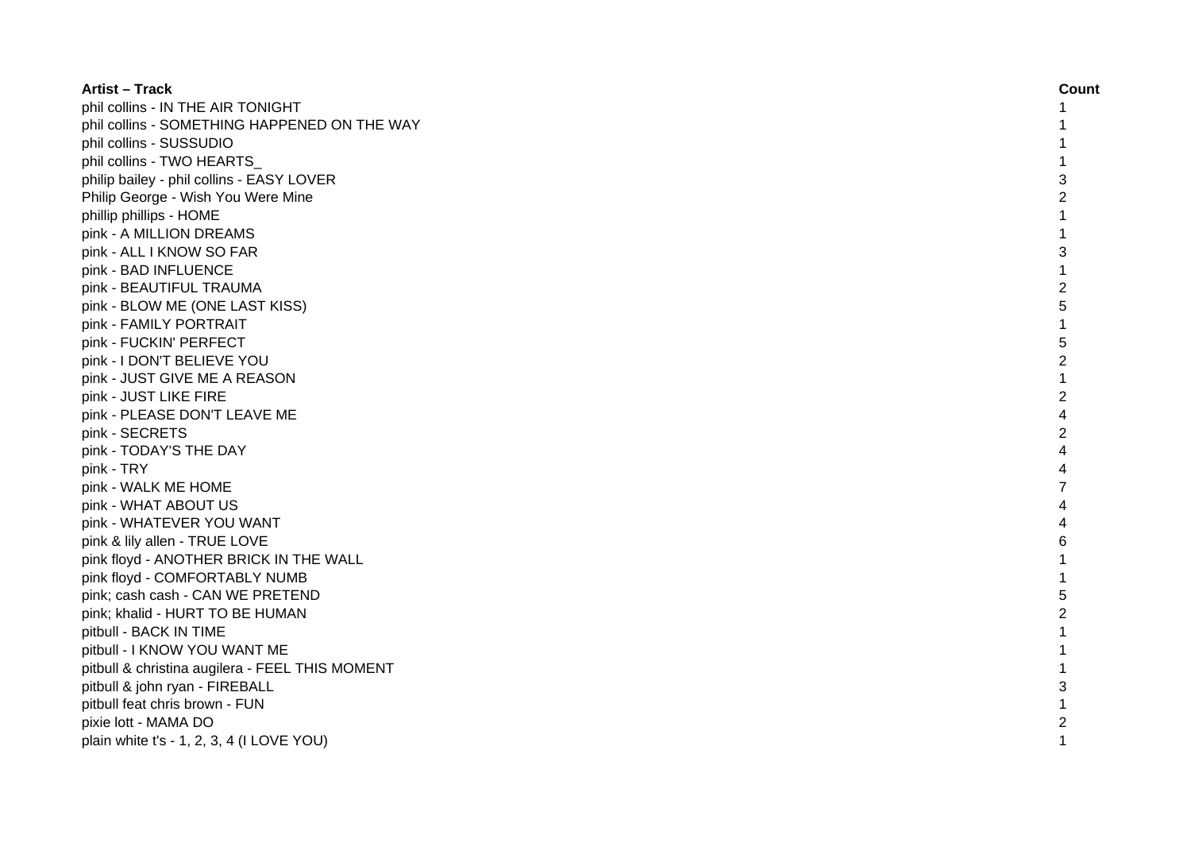| <b>Artist - Track</b>                           | Count          |
|-------------------------------------------------|----------------|
| phil collins - IN THE AIR TONIGHT               |                |
| phil collins - SOMETHING HAPPENED ON THE WAY    |                |
| phil collins - SUSSUDIO                         |                |
| phil collins - TWO HEARTS                       |                |
| philip bailey - phil collins - EASY LOVER       | 3              |
| Philip George - Wish You Were Mine              | 2              |
| phillip phillips - HOME                         |                |
| pink - A MILLION DREAMS                         |                |
| pink - ALL I KNOW SO FAR                        | 3              |
| pink - BAD INFLUENCE                            | 1              |
| pink - BEAUTIFUL TRAUMA                         | $\overline{2}$ |
| pink - BLOW ME (ONE LAST KISS)                  | 5              |
| pink - FAMILY PORTRAIT                          | $\mathbf{1}$   |
| pink - FUCKIN' PERFECT                          | 5              |
| pink - I DON'T BELIEVE YOU                      | $\overline{c}$ |
| pink - JUST GIVE ME A REASON                    | 1              |
| pink - JUST LIKE FIRE                           | $\overline{c}$ |
| pink - PLEASE DON'T LEAVE ME                    | 4              |
| pink - SECRETS                                  | $\overline{2}$ |
| pink - TODAY'S THE DAY                          | 4              |
| pink - TRY                                      | 4              |
| pink - WALK ME HOME                             |                |
| pink - WHAT ABOUT US                            |                |
| pink - WHATEVER YOU WANT                        |                |
| pink & lily allen - TRUE LOVE                   | 6              |
| pink floyd - ANOTHER BRICK IN THE WALL          |                |
| pink floyd - COMFORTABLY NUMB                   |                |
| pink; cash cash - CAN WE PRETEND                | 5              |
| pink; khalid - HURT TO BE HUMAN                 | 2              |
| pitbull - BACK IN TIME                          |                |
| pitbull - I KNOW YOU WANT ME                    |                |
| pitbull & christina augilera - FEEL THIS MOMENT |                |
| pitbull & john ryan - FIREBALL                  | 3              |
| pitbull feat chris brown - FUN                  |                |
| pixie lott - MAMA DO                            | $\overline{2}$ |
| plain white $t's - 1$ , 2, 3, 4 (I LOVE YOU)    | 1              |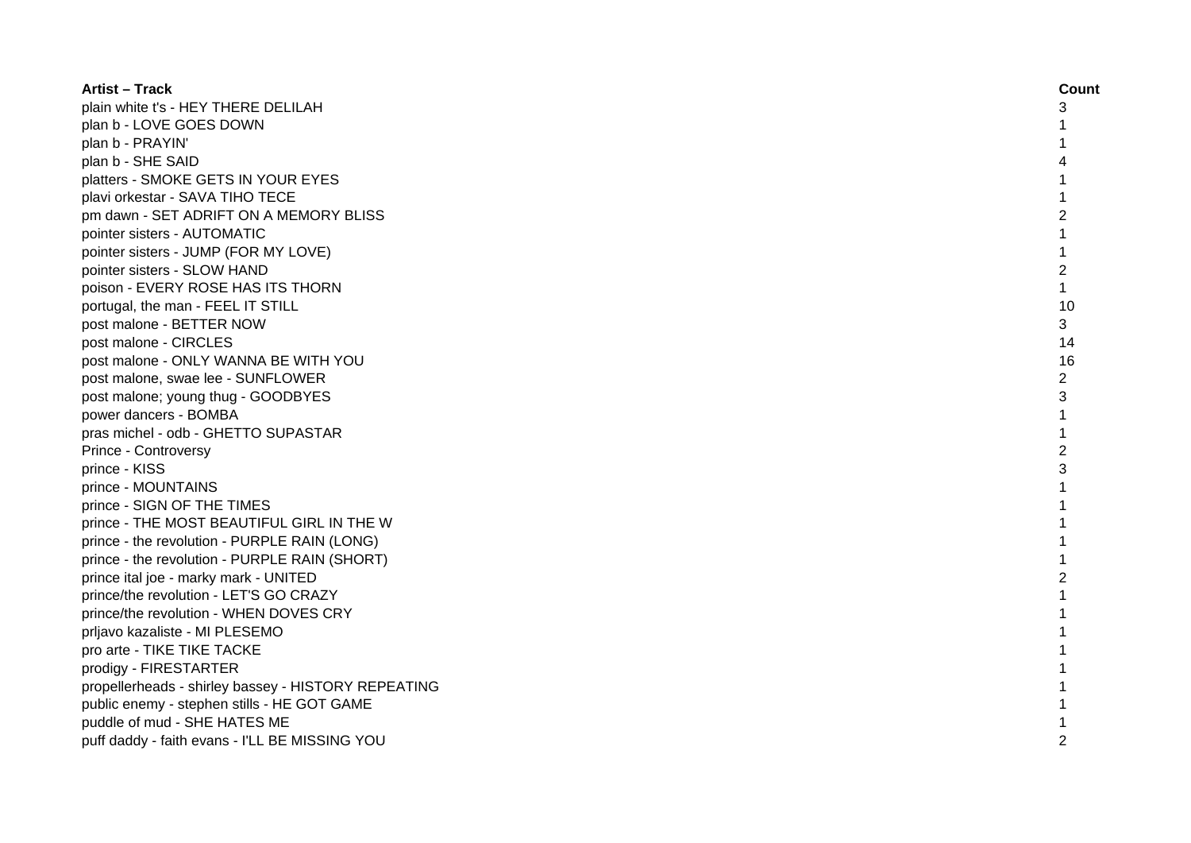| <b>Artist – Track</b>                               | Count          |
|-----------------------------------------------------|----------------|
| plain white t's - HEY THERE DELILAH                 | 3              |
| plan b - LOVE GOES DOWN                             |                |
| plan b - PRAYIN'                                    |                |
| plan b - SHE SAID                                   |                |
| platters - SMOKE GETS IN YOUR EYES                  |                |
| plavi orkestar - SAVA TIHO TECE                     | 1              |
| pm dawn - SET ADRIFT ON A MEMORY BLISS              | 2              |
| pointer sisters - AUTOMATIC                         |                |
| pointer sisters - JUMP (FOR MY LOVE)                | 1              |
| pointer sisters - SLOW HAND                         | $\overline{c}$ |
| poison - EVERY ROSE HAS ITS THORN                   | $\mathbf{1}$   |
| portugal, the man - FEEL IT STILL                   | 10             |
| post malone - BETTER NOW                            | 3              |
| post malone - CIRCLES                               | 14             |
| post malone - ONLY WANNA BE WITH YOU                | 16             |
| post malone, swae lee - SUNFLOWER                   | 2              |
| post malone; young thug - GOODBYES                  | 3              |
| power dancers - BOMBA                               | 1              |
| pras michel - odb - GHETTO SUPASTAR                 | 1              |
| Prince - Controversy                                | $\overline{2}$ |
| prince - KISS                                       | 3              |
| prince - MOUNTAINS                                  |                |
| prince - SIGN OF THE TIMES                          |                |
| prince - THE MOST BEAUTIFUL GIRL IN THE W           |                |
| prince - the revolution - PURPLE RAIN (LONG)        |                |
| prince - the revolution - PURPLE RAIN (SHORT)       |                |
| prince ital joe - marky mark - UNITED               | 2              |
| prince/the revolution - LET'S GO CRAZY              | 1              |
| prince/the revolution - WHEN DOVES CRY              | 1              |
| prljavo kazaliste - MI PLESEMO                      | 1              |
| pro arte - TIKE TIKE TACKE                          |                |
| prodigy - FIRESTARTER                               |                |
| propellerheads - shirley bassey - HISTORY REPEATING |                |
| public enemy - stephen stills - HE GOT GAME         |                |
| puddle of mud - SHE HATES ME                        |                |
| puff daddy - faith evans - I'LL BE MISSING YOU      | $\mathfrak{p}$ |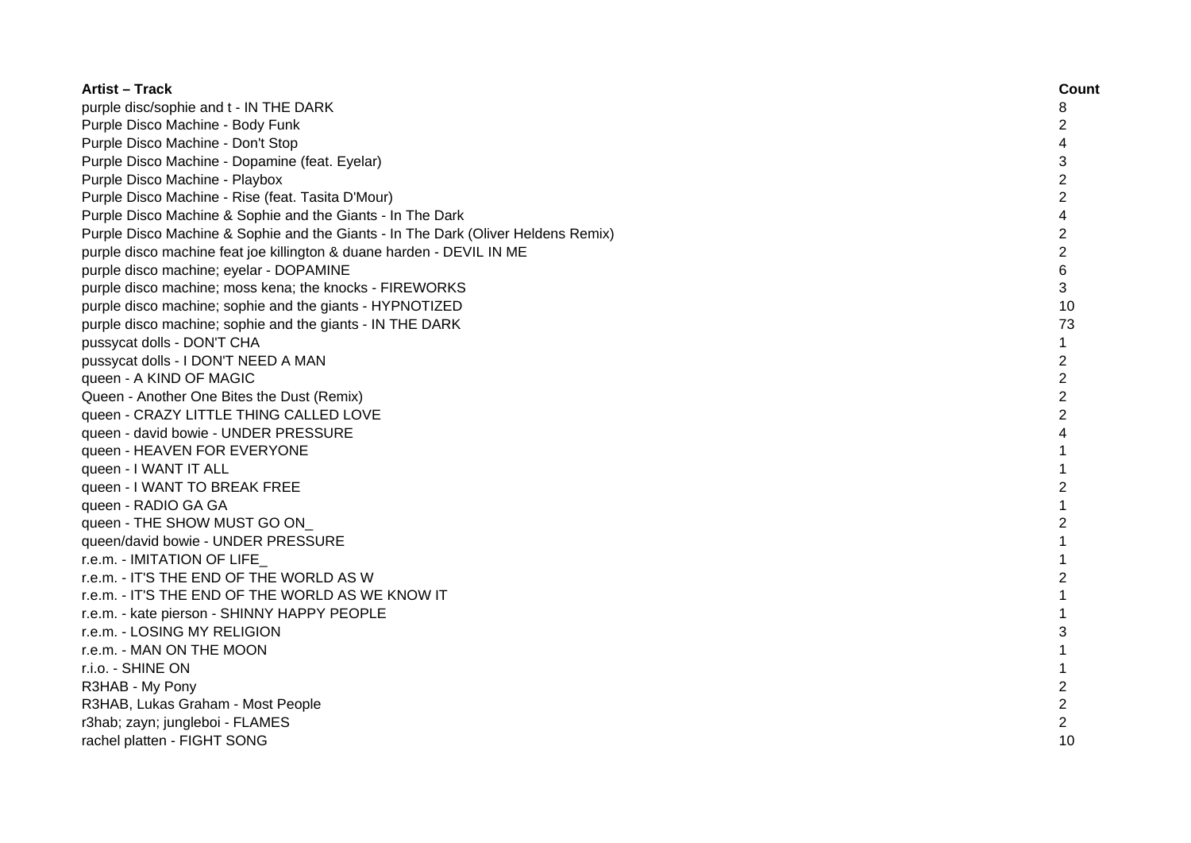| Artist – Track                                                                    | Count          |
|-----------------------------------------------------------------------------------|----------------|
| purple disc/sophie and t - IN THE DARK                                            | 8              |
| Purple Disco Machine - Body Funk                                                  | 2              |
| Purple Disco Machine - Don't Stop                                                 | 4              |
| Purple Disco Machine - Dopamine (feat. Eyelar)                                    | 3              |
| Purple Disco Machine - Playbox                                                    | $\overline{c}$ |
| Purple Disco Machine - Rise (feat. Tasita D'Mour)                                 | $\overline{c}$ |
| Purple Disco Machine & Sophie and the Giants - In The Dark                        | 4              |
| Purple Disco Machine & Sophie and the Giants - In The Dark (Oliver Heldens Remix) | $\overline{c}$ |
| purple disco machine feat joe killington & duane harden - DEVIL IN ME             | $\overline{2}$ |
| purple disco machine; eyelar - DOPAMINE                                           | $6\phantom{1}$ |
| purple disco machine; moss kena; the knocks - FIREWORKS                           | 3              |
| purple disco machine; sophie and the giants - HYPNOTIZED                          | 10             |
| purple disco machine; sophie and the giants - IN THE DARK                         | 73             |
| pussycat dolls - DON'T CHA                                                        | 1              |
| pussycat dolls - I DON'T NEED A MAN                                               | $\overline{2}$ |
| queen - A KIND OF MAGIC                                                           | $\overline{2}$ |
| Queen - Another One Bites the Dust (Remix)                                        | $\overline{2}$ |
| queen - CRAZY LITTLE THING CALLED LOVE                                            | $\overline{2}$ |
| queen - david bowie - UNDER PRESSURE                                              | 4              |
| queen - HEAVEN FOR EVERYONE                                                       | 1              |
| queen - I WANT IT ALL                                                             | $\mathbf{1}$   |
| queen - I WANT TO BREAK FREE                                                      | $\overline{c}$ |
| queen - RADIO GA GA                                                               | 1              |
| queen - THE SHOW MUST GO ON                                                       | $\overline{2}$ |
| queen/david bowie - UNDER PRESSURE                                                |                |
| r.e.m. - IMITATION OF LIFE                                                        |                |
| r.e.m. - IT'S THE END OF THE WORLD AS W                                           | 2              |
| r.e.m. - IT'S THE END OF THE WORLD AS WE KNOW IT                                  |                |
| r.e.m. - kate pierson - SHINNY HAPPY PEOPLE                                       |                |
| r.e.m. - LOSING MY RELIGION                                                       | 3              |
| r.e.m. - MAN ON THE MOON                                                          |                |
| r.i.o. - SHINE ON                                                                 | 1              |
| R3HAB - My Pony                                                                   | $\overline{c}$ |
| R3HAB, Lukas Graham - Most People                                                 | $\overline{c}$ |
| r3hab; zayn; jungleboi - FLAMES                                                   | $\overline{2}$ |
| rachel platten - FIGHT SONG                                                       | 10             |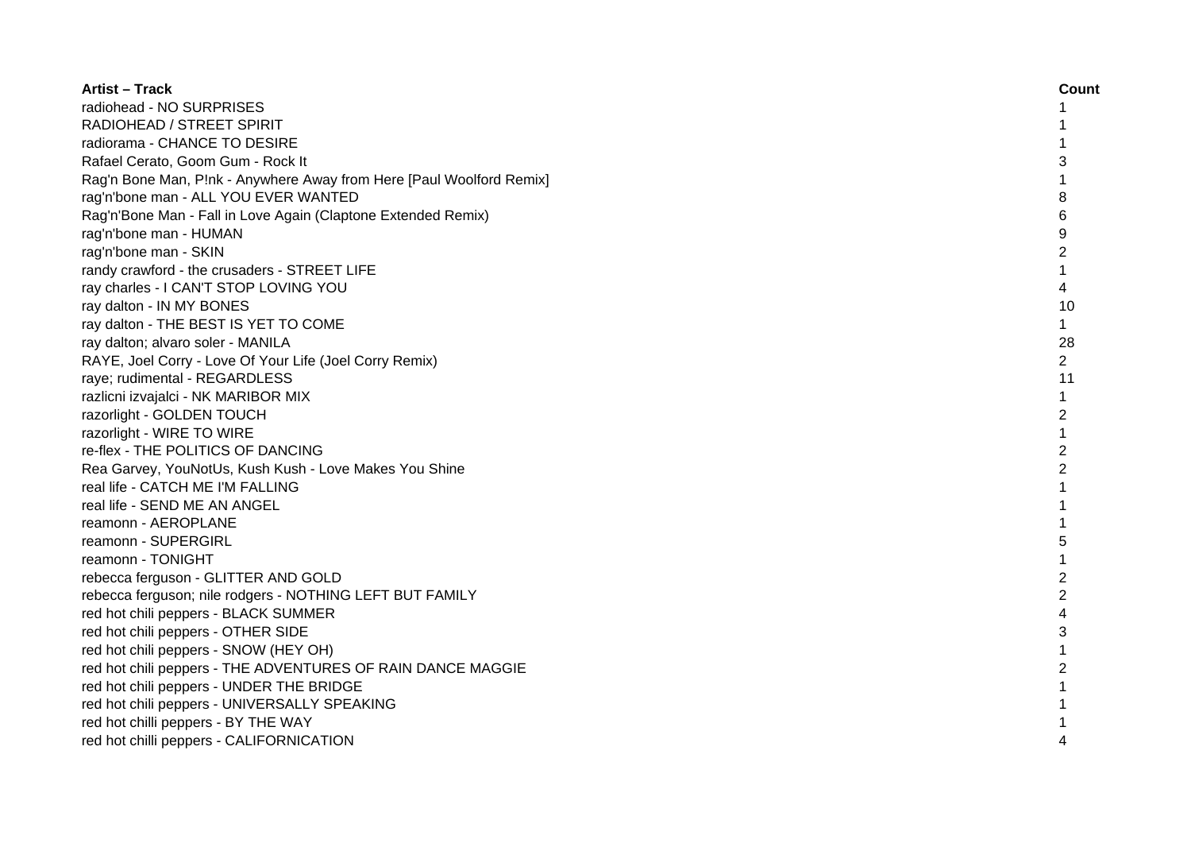| <b>Artist - Track</b>                                                | Count          |
|----------------------------------------------------------------------|----------------|
| radiohead - NO SURPRISES                                             | 1              |
| RADIOHEAD / STREET SPIRIT                                            |                |
| radiorama - CHANCE TO DESIRE                                         |                |
| Rafael Cerato, Goom Gum - Rock It                                    | 3              |
| Rag'n Bone Man, P!nk - Anywhere Away from Here [Paul Woolford Remix] | 1              |
| rag'n'bone man - ALL YOU EVER WANTED                                 | 8              |
| Rag'n'Bone Man - Fall in Love Again (Claptone Extended Remix)        | 6              |
| rag'n'bone man - HUMAN                                               | 9              |
| rag'n'bone man - SKIN                                                | $\overline{c}$ |
| randy crawford - the crusaders - STREET LIFE                         | $\mathbf{1}$   |
| ray charles - I CAN'T STOP LOVING YOU                                | 4              |
| ray dalton - IN MY BONES                                             | 10             |
| ray dalton - THE BEST IS YET TO COME                                 | $\mathbf{1}$   |
| ray dalton; alvaro soler - MANILA                                    | 28             |
| RAYE, Joel Corry - Love Of Your Life (Joel Corry Remix)              | $\overline{2}$ |
| raye; rudimental - REGARDLESS                                        | 11             |
| razlicni izvajalci - NK MARIBOR MIX                                  | 1              |
| razorlight - GOLDEN TOUCH                                            | $\overline{c}$ |
| razorlight - WIRE TO WIRE                                            | 1              |
| re-flex - THE POLITICS OF DANCING                                    | $\overline{2}$ |
| Rea Garvey, YouNotUs, Kush Kush - Love Makes You Shine               | $\overline{2}$ |
| real life - CATCH ME I'M FALLING                                     |                |
| real life - SEND ME AN ANGEL                                         |                |
| reamonn - AEROPLANE                                                  |                |
| reamonn - SUPERGIRL                                                  | 5              |
| reamonn - TONIGHT                                                    | 1              |
| rebecca ferguson - GLITTER AND GOLD                                  | 2              |
| rebecca ferguson; nile rodgers - NOTHING LEFT BUT FAMILY             | 2              |
| red hot chili peppers - BLACK SUMMER                                 | 4              |
| red hot chili peppers - OTHER SIDE                                   | 3              |
| red hot chili peppers - SNOW (HEY OH)                                | 1              |
| red hot chili peppers - THE ADVENTURES OF RAIN DANCE MAGGIE          | $\overline{c}$ |
| red hot chili peppers - UNDER THE BRIDGE                             |                |
| red hot chili peppers - UNIVERSALLY SPEAKING                         |                |
| red hot chilli peppers - BY THE WAY                                  |                |
| red hot chilli peppers - CALIFORNICATION                             | 4              |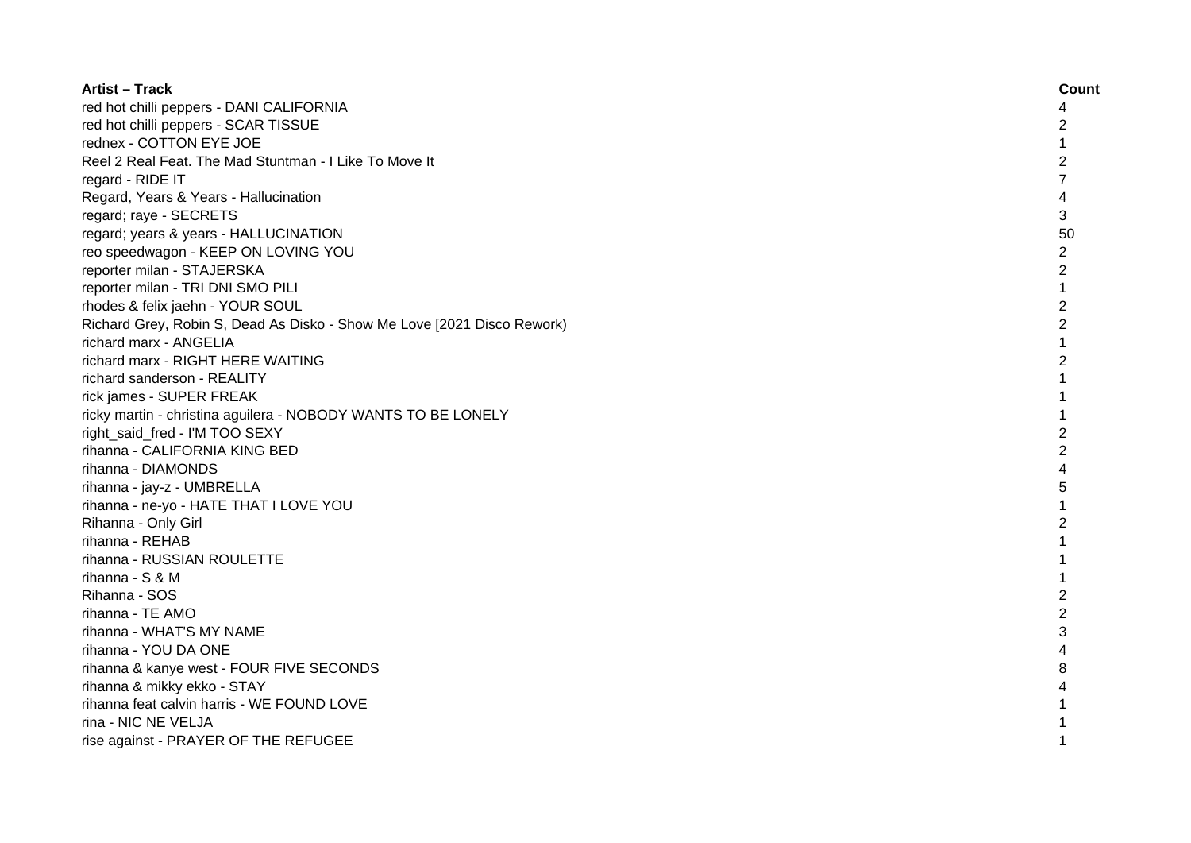| <b>Artist - Track</b>                                                   | Count          |
|-------------------------------------------------------------------------|----------------|
| red hot chilli peppers - DANI CALIFORNIA                                | 4              |
| red hot chilli peppers - SCAR TISSUE                                    | 2              |
| rednex - COTTON EYE JOE                                                 | $\mathbf{1}$   |
| Reel 2 Real Feat. The Mad Stuntman - I Like To Move It                  | 2              |
| regard - RIDE IT                                                        | $\overline{7}$ |
| Regard, Years & Years - Hallucination                                   | 4              |
| regard; raye - SECRETS                                                  | 3              |
| regard; years & years - HALLUCINATION                                   | 50             |
| reo speedwagon - KEEP ON LOVING YOU                                     | $\overline{c}$ |
| reporter milan - STAJERSKA                                              | $\overline{c}$ |
| reporter milan - TRI DNI SMO PILI                                       | $\mathbf{1}$   |
| rhodes & felix jaehn - YOUR SOUL                                        | $\overline{2}$ |
| Richard Grey, Robin S, Dead As Disko - Show Me Love [2021 Disco Rework) | $\overline{2}$ |
| richard marx - ANGELIA                                                  | $\mathbf{1}$   |
| richard marx - RIGHT HERE WAITING                                       | $\overline{2}$ |
| richard sanderson - REALITY                                             | $\mathbf{1}$   |
| rick james - SUPER FREAK                                                |                |
| ricky martin - christina aguilera - NOBODY WANTS TO BE LONELY           |                |
| right_said_fred - I'M TOO SEXY                                          | $\mathfrak{p}$ |
| rihanna - CALIFORNIA KING BED                                           | $\overline{2}$ |
| rihanna - DIAMONDS                                                      | 4              |
| rihanna - jay-z - UMBRELLA                                              | 5              |
| rihanna - ne-yo - HATE THAT I LOVE YOU                                  |                |
| Rihanna - Only Girl                                                     | $\overline{c}$ |
| rihanna - REHAB                                                         | $\mathbf{1}$   |
| rihanna - RUSSIAN ROULETTE                                              | 1              |
| rihanna - S & M                                                         | $\mathbf{1}$   |
| Rihanna - SOS                                                           | $\overline{2}$ |
| rihanna - TE AMO                                                        | $\overline{c}$ |
| rihanna - WHAT'S MY NAME                                                | 3              |
| rihanna - YOU DA ONE                                                    | 4              |
| rihanna & kanye west - FOUR FIVE SECONDS                                | 8              |
| rihanna & mikky ekko - STAY                                             |                |
| rihanna feat calvin harris - WE FOUND LOVE                              |                |
| rina - NIC NE VELJA                                                     |                |
| rise against - PRAYER OF THE REFUGEE                                    |                |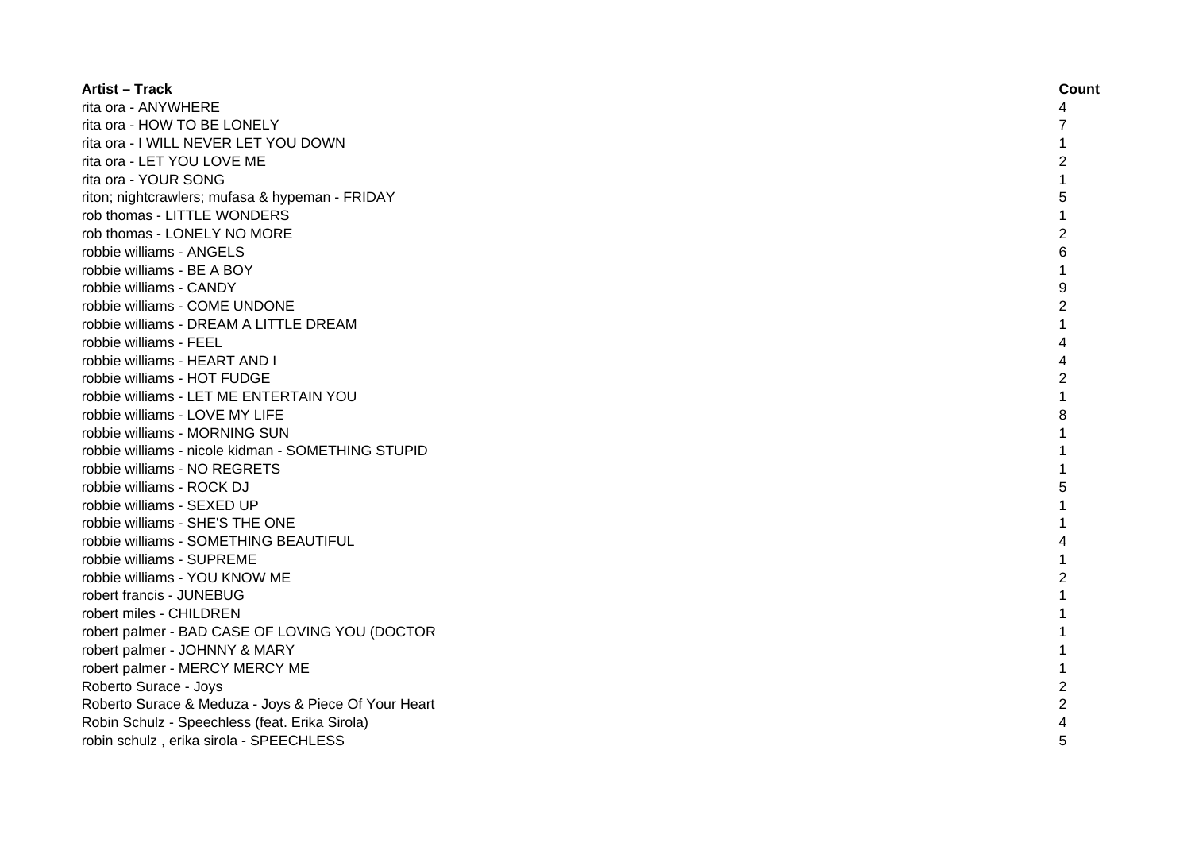| <b>Artist – Track</b>                                | Count          |
|------------------------------------------------------|----------------|
| rita ora - ANYWHERE                                  | 4              |
| rita ora - HOW TO BE LONELY                          |                |
| rita ora - I WILL NEVER LET YOU DOWN                 |                |
| rita ora - LET YOU LOVE ME                           | 2              |
| rita ora - YOUR SONG                                 |                |
| riton; nightcrawlers; mufasa & hypeman - FRIDAY      | 5              |
| rob thomas - LITTLE WONDERS                          |                |
| rob thomas - LONELY NO MORE                          | 2              |
| robbie williams - ANGELS                             | 6              |
| robbie williams - BE A BOY                           | 1              |
| robbie williams - CANDY                              | 9              |
| robbie williams - COME UNDONE                        | 2              |
| robbie williams - DREAM A LITTLE DREAM               | 1              |
| robbie williams - FEEL                               | 4              |
| robbie williams - HEART AND I                        | Δ              |
| robbie williams - HOT FUDGE                          | 2              |
| robbie williams - LET ME ENTERTAIN YOU               | 1              |
| robbie williams - LOVE MY LIFE                       | 8              |
| robbie williams - MORNING SUN                        |                |
| robbie williams - nicole kidman - SOMETHING STUPID   |                |
| robbie williams - NO REGRETS                         |                |
| robbie williams - ROCK DJ                            |                |
| robbie williams - SEXED UP                           |                |
| robbie williams - SHE'S THE ONE                      |                |
| robbie williams - SOMETHING BEAUTIFUL                | 4              |
| robbie williams - SUPREME                            | 1              |
| robbie williams - YOU KNOW ME                        | 2              |
| robert francis - JUNEBUG                             | 1              |
| robert miles - CHILDREN                              | 1              |
| robert palmer - BAD CASE OF LOVING YOU (DOCTOR       | 1              |
| robert palmer - JOHNNY & MARY                        |                |
| robert palmer - MERCY MERCY ME                       |                |
| Roberto Surace - Joys                                | $\overline{c}$ |
| Roberto Surace & Meduza - Joys & Piece Of Your Heart | $\overline{c}$ |
| Robin Schulz - Speechless (feat. Erika Sirola)       |                |
| robin schulz, erika sirola - SPEECHLESS              |                |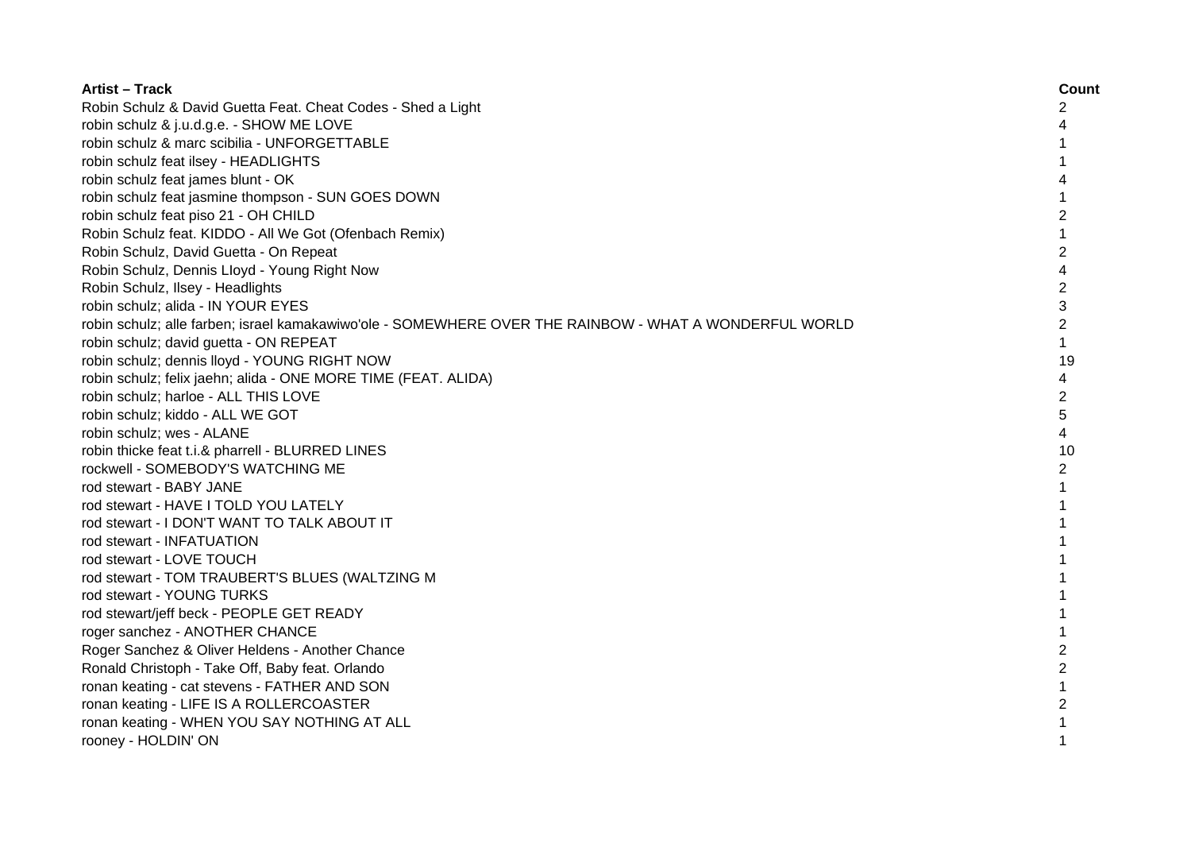| <b>Artist - Track</b>                                                                                  | Count          |
|--------------------------------------------------------------------------------------------------------|----------------|
| Robin Schulz & David Guetta Feat. Cheat Codes - Shed a Light                                           | 2              |
| robin schulz & j.u.d.g.e. - SHOW ME LOVE                                                               | 4              |
| robin schulz & marc scibilia - UNFORGETTABLE                                                           |                |
| robin schulz feat ilsey - HEADLIGHTS                                                                   |                |
| robin schulz feat james blunt - OK                                                                     | 4              |
| robin schulz feat jasmine thompson - SUN GOES DOWN                                                     | 1              |
| robin schulz feat piso 21 - OH CHILD                                                                   | $\overline{c}$ |
| Robin Schulz feat. KIDDO - All We Got (Ofenbach Remix)                                                 | $\mathbf{1}$   |
| Robin Schulz, David Guetta - On Repeat                                                                 | $\overline{c}$ |
| Robin Schulz, Dennis Lloyd - Young Right Now                                                           | 4              |
| Robin Schulz, Ilsey - Headlights                                                                       | $\overline{c}$ |
| robin schulz; alida - IN YOUR EYES                                                                     | 3              |
| robin schulz; alle farben; israel kamakawiwo'ole - SOMEWHERE OVER THE RAINBOW - WHAT A WONDERFUL WORLD | $\overline{2}$ |
| robin schulz; david guetta - ON REPEAT                                                                 | $\mathbf{1}$   |
| robin schulz; dennis lloyd - YOUNG RIGHT NOW                                                           | 19             |
| robin schulz; felix jaehn; alida - ONE MORE TIME (FEAT. ALIDA)                                         | 4              |
| robin schulz; harloe - ALL THIS LOVE                                                                   | $\overline{2}$ |
| robin schulz; kiddo - ALL WE GOT                                                                       | 5              |
| robin schulz; wes - ALANE                                                                              | 4              |
| robin thicke feat t.i.& pharrell - BLURRED LINES                                                       | 10             |
| rockwell - SOMEBODY'S WATCHING ME                                                                      | 2              |
| rod stewart - BABY JANE                                                                                | $\mathbf{1}$   |
| rod stewart - HAVE I TOLD YOU LATELY                                                                   | $\mathbf{1}$   |
| rod stewart - I DON'T WANT TO TALK ABOUT IT                                                            | $\mathbf{1}$   |
| rod stewart - INFATUATION                                                                              |                |
| rod stewart - LOVE TOUCH                                                                               |                |
| rod stewart - TOM TRAUBERT'S BLUES (WALTZING M                                                         |                |
| rod stewart - YOUNG TURKS                                                                              |                |
| rod stewart/jeff beck - PEOPLE GET READY                                                               |                |
| roger sanchez - ANOTHER CHANCE                                                                         |                |
| Roger Sanchez & Oliver Heldens - Another Chance                                                        | $\overline{c}$ |
| Ronald Christoph - Take Off, Baby feat. Orlando                                                        | $\overline{2}$ |
| ronan keating - cat stevens - FATHER AND SON                                                           | 1              |
| ronan keating - LIFE IS A ROLLERCOASTER                                                                | $\overline{c}$ |
| ronan keating - WHEN YOU SAY NOTHING AT ALL                                                            | 1              |
| rooney - HOLDIN' ON                                                                                    | 1              |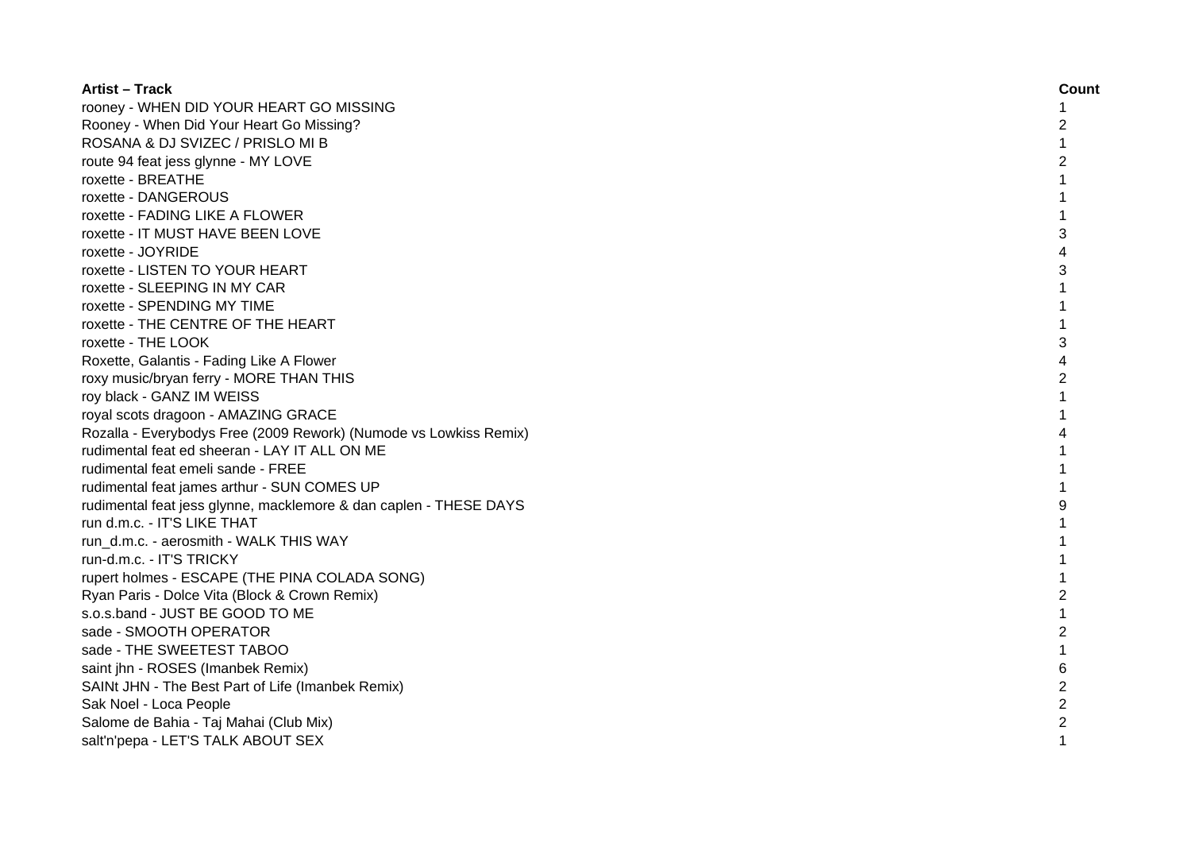| <b>Artist - Track</b>                                             | Count          |
|-------------------------------------------------------------------|----------------|
| rooney - WHEN DID YOUR HEART GO MISSING                           | 1              |
| Rooney - When Did Your Heart Go Missing?                          | 2              |
| ROSANA & DJ SVIZEC / PRISLO MI B                                  | 1              |
| route 94 feat jess glynne - MY LOVE                               | 2              |
| roxette - BREATHE                                                 |                |
| roxette - DANGEROUS                                               |                |
| roxette - FADING LIKE A FLOWER                                    |                |
| roxette - IT MUST HAVE BEEN LOVE                                  | 3              |
| roxette - JOYRIDE                                                 | 4              |
| roxette - LISTEN TO YOUR HEART                                    | 3              |
| roxette - SLEEPING IN MY CAR                                      | 1              |
| roxette - SPENDING MY TIME                                        | 1              |
| roxette - THE CENTRE OF THE HEART                                 | $\mathbf{1}$   |
| roxette - THE LOOK                                                | 3              |
| Roxette, Galantis - Fading Like A Flower                          | 4              |
| roxy music/bryan ferry - MORE THAN THIS                           | $\overline{2}$ |
| roy black - GANZ IM WEISS                                         | $\mathbf{1}$   |
| royal scots dragoon - AMAZING GRACE                               | 1              |
| Rozalla - Everybodys Free (2009 Rework) (Numode vs Lowkiss Remix) | 4              |
| rudimental feat ed sheeran - LAY IT ALL ON ME                     |                |
| rudimental feat emeli sande - FREE                                |                |
| rudimental feat james arthur - SUN COMES UP                       | 1              |
| rudimental feat jess glynne, macklemore & dan caplen - THESE DAYS | 9              |
| run d.m.c. - IT'S LIKE THAT                                       |                |
| run d.m.c. - aerosmith - WALK THIS WAY                            |                |
| run-d.m.c. - IT'S TRICKY                                          |                |
| rupert holmes - ESCAPE (THE PINA COLADA SONG)                     |                |
| Ryan Paris - Dolce Vita (Block & Crown Remix)                     | 2              |
| s.o.s.band - JUST BE GOOD TO ME                                   |                |
| sade - SMOOTH OPERATOR                                            | $\overline{2}$ |
| sade - THE SWEETEST TABOO                                         |                |
| saint jhn - ROSES (Imanbek Remix)                                 | 6              |
| SAINt JHN - The Best Part of Life (Imanbek Remix)                 | $\overline{c}$ |
| Sak Noel - Loca People                                            | $\overline{c}$ |
| Salome de Bahia - Taj Mahai (Club Mix)                            | 2              |
| salt'n'pepa - LET'S TALK ABOUT SEX                                | 1              |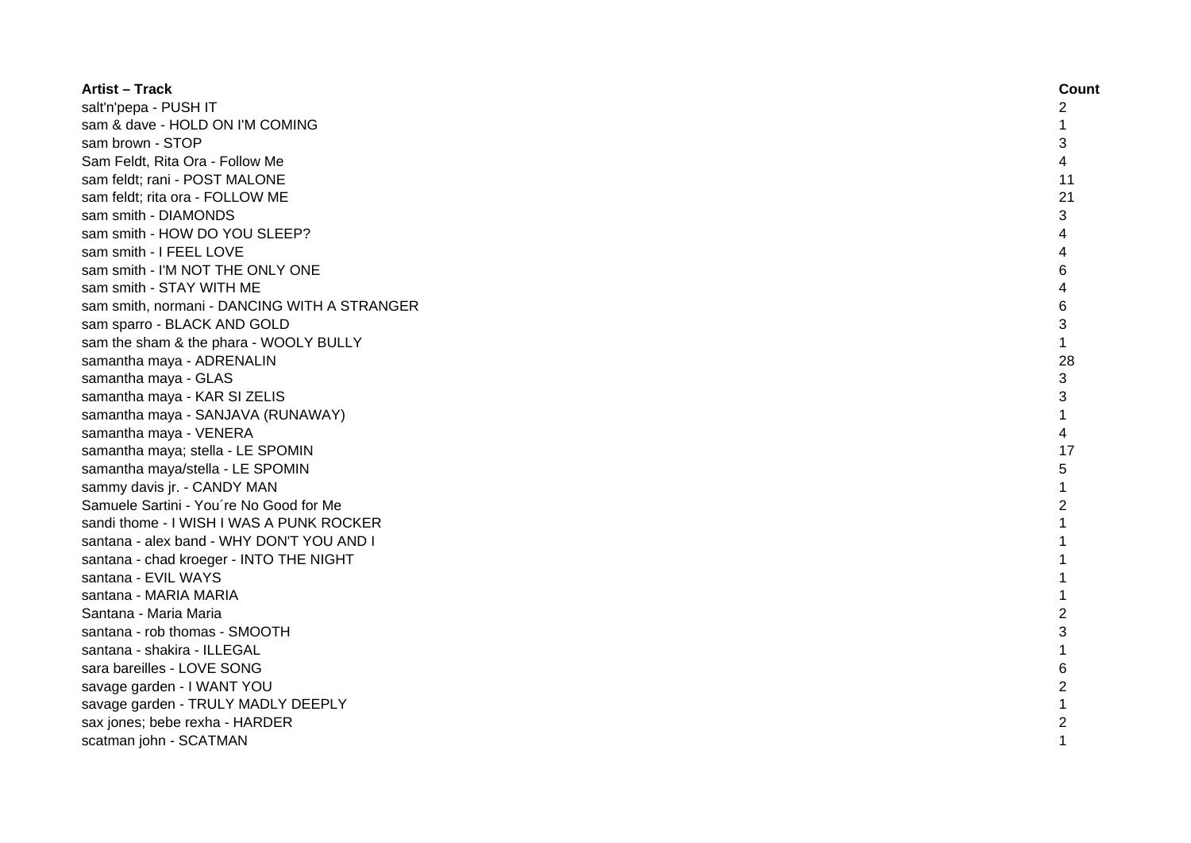| <b>Artist - Track</b>                        | Count          |
|----------------------------------------------|----------------|
| salt'n'pepa - PUSH IT                        | 2              |
| sam & dave - HOLD ON I'M COMING              | 1              |
| sam brown - STOP                             | 3              |
| Sam Feldt, Rita Ora - Follow Me              | 4              |
| sam feldt; rani - POST MALONE                | 11             |
| sam feldt; rita ora - FOLLOW ME              | 21             |
| sam smith - DIAMONDS                         | 3              |
| sam smith - HOW DO YOU SLEEP?                | 4              |
| sam smith - I FEEL LOVE                      |                |
| sam smith - I'M NOT THE ONLY ONE             | 6              |
| sam smith - STAY WITH ME                     |                |
| sam smith, normani - DANCING WITH A STRANGER | 6              |
| sam sparro - BLACK AND GOLD                  | 3              |
| sam the sham & the phara - WOOLY BULLY       | $\mathbf{1}$   |
| samantha maya - ADRENALIN                    | 28             |
| samantha maya - GLAS                         | 3              |
| samantha maya - KAR SI ZELIS                 | 3              |
| samantha maya - SANJAVA (RUNAWAY)            | $\mathbf 1$    |
| samantha maya - VENERA                       | 4              |
| samantha maya; stella - LE SPOMIN            | 17             |
| samantha maya/stella - LE SPOMIN             | 5              |
| sammy davis jr. - CANDY MAN                  | 1              |
| Samuele Sartini - You're No Good for Me      | $\overline{2}$ |
| sandi thome - I WISH I WAS A PUNK ROCKER     | 1              |
| santana - alex band - WHY DON'T YOU AND I    | 1              |
| santana - chad kroeger - INTO THE NIGHT      | 1              |
| santana - EVIL WAYS                          | 1              |
| santana - MARIA MARIA                        | 1              |
| Santana - Maria Maria                        | $\overline{c}$ |
| santana - rob thomas - SMOOTH                | 3              |
| santana - shakira - ILLEGAL                  | $\mathbf{1}$   |
| sara bareilles - LOVE SONG                   | 6              |
| savage garden - I WANT YOU                   | 2              |
| savage garden - TRULY MADLY DEEPLY           | $\mathbf{1}$   |
| sax jones; bebe rexha - HARDER               | $\overline{c}$ |
| scatman john - SCATMAN                       | $\mathbf{1}$   |
|                                              |                |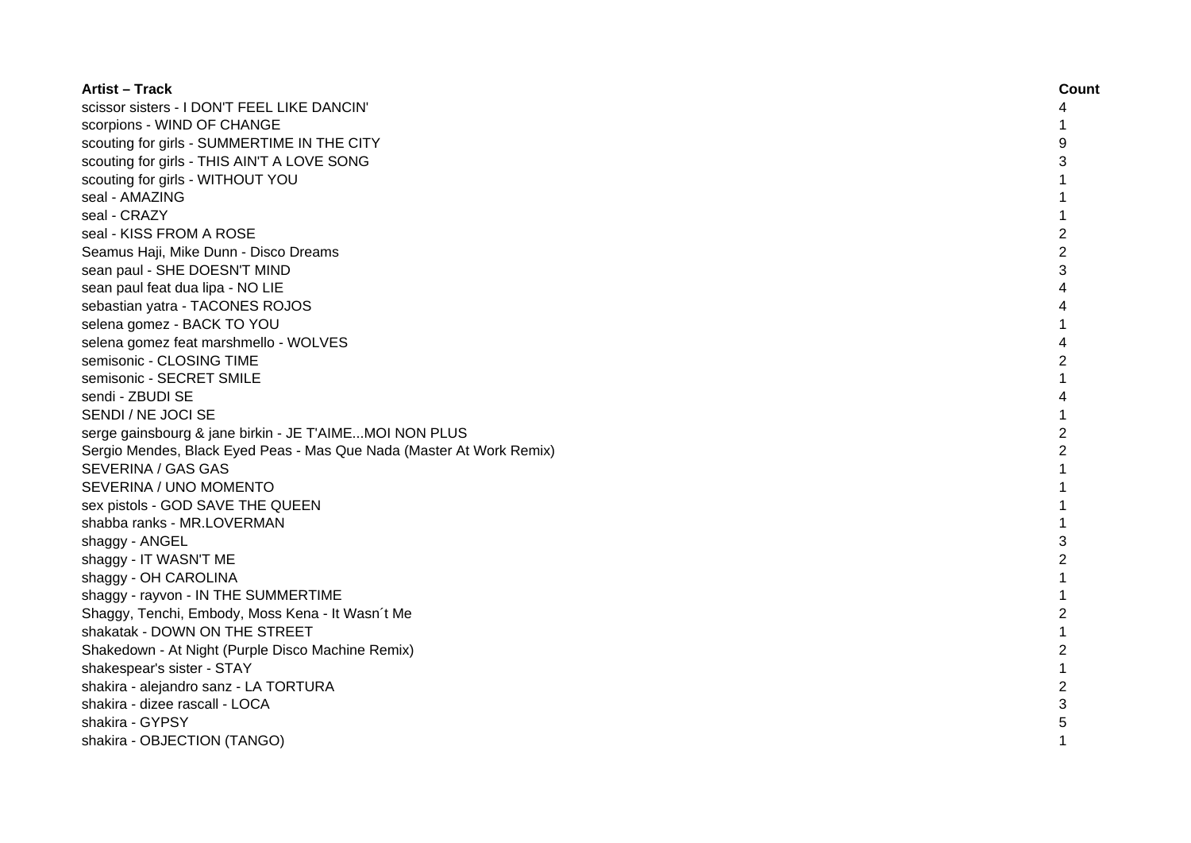| <b>Artist - Track</b>                                                | Count          |
|----------------------------------------------------------------------|----------------|
| scissor sisters - I DON'T FEEL LIKE DANCIN'                          | 4              |
| scorpions - WIND OF CHANGE                                           |                |
| scouting for girls - SUMMERTIME IN THE CITY                          | 9              |
| scouting for girls - THIS AIN'T A LOVE SONG                          | 3              |
| scouting for girls - WITHOUT YOU                                     |                |
| seal - AMAZING                                                       |                |
| seal - CRAZY                                                         | 1              |
| seal - KISS FROM A ROSE                                              | $\overline{c}$ |
| Seamus Haji, Mike Dunn - Disco Dreams                                | $\overline{c}$ |
| sean paul - SHE DOESN'T MIND                                         | 3              |
| sean paul feat dua lipa - NO LIE                                     | 4              |
| sebastian yatra - TACONES ROJOS                                      | 4              |
| selena gomez - BACK TO YOU                                           |                |
| selena gomez feat marshmello - WOLVES                                | 4              |
| semisonic - CLOSING TIME                                             | $\overline{2}$ |
| semisonic - SECRET SMILE                                             | 1              |
| sendi - ZBUDI SE                                                     | 4              |
| SENDI / NE JOCI SE                                                   | $\mathbf{1}$   |
| serge gainsbourg & jane birkin - JE T'AIMEMOI NON PLUS               | $\overline{2}$ |
| Sergio Mendes, Black Eyed Peas - Mas Que Nada (Master At Work Remix) | $\overline{2}$ |
| SEVERINA / GAS GAS                                                   | $\mathbf{1}$   |
| SEVERINA / UNO MOMENTO                                               | 1              |
| sex pistols - GOD SAVE THE QUEEN                                     | $\mathbf{1}$   |
| shabba ranks - MR.LOVERMAN                                           |                |
| shaggy - ANGEL                                                       | 3              |
| shaggy - IT WASN'T ME                                                | $\overline{2}$ |
| shaggy - OH CAROLINA                                                 |                |
| shaggy - rayvon - IN THE SUMMERTIME                                  |                |
| Shaggy, Tenchi, Embody, Moss Kena - It Wasn't Me                     | $\overline{2}$ |
| shakatak - DOWN ON THE STREET                                        |                |
| Shakedown - At Night (Purple Disco Machine Remix)                    | $\overline{c}$ |
| shakespear's sister - STAY                                           | $\mathbf{1}$   |
| shakira - alejandro sanz - LA TORTURA                                | 2              |
| shakira - dizee rascall - LOCA                                       | 3              |
| shakira - GYPSY                                                      | 5              |
| shakira - OBJECTION (TANGO)                                          | 1              |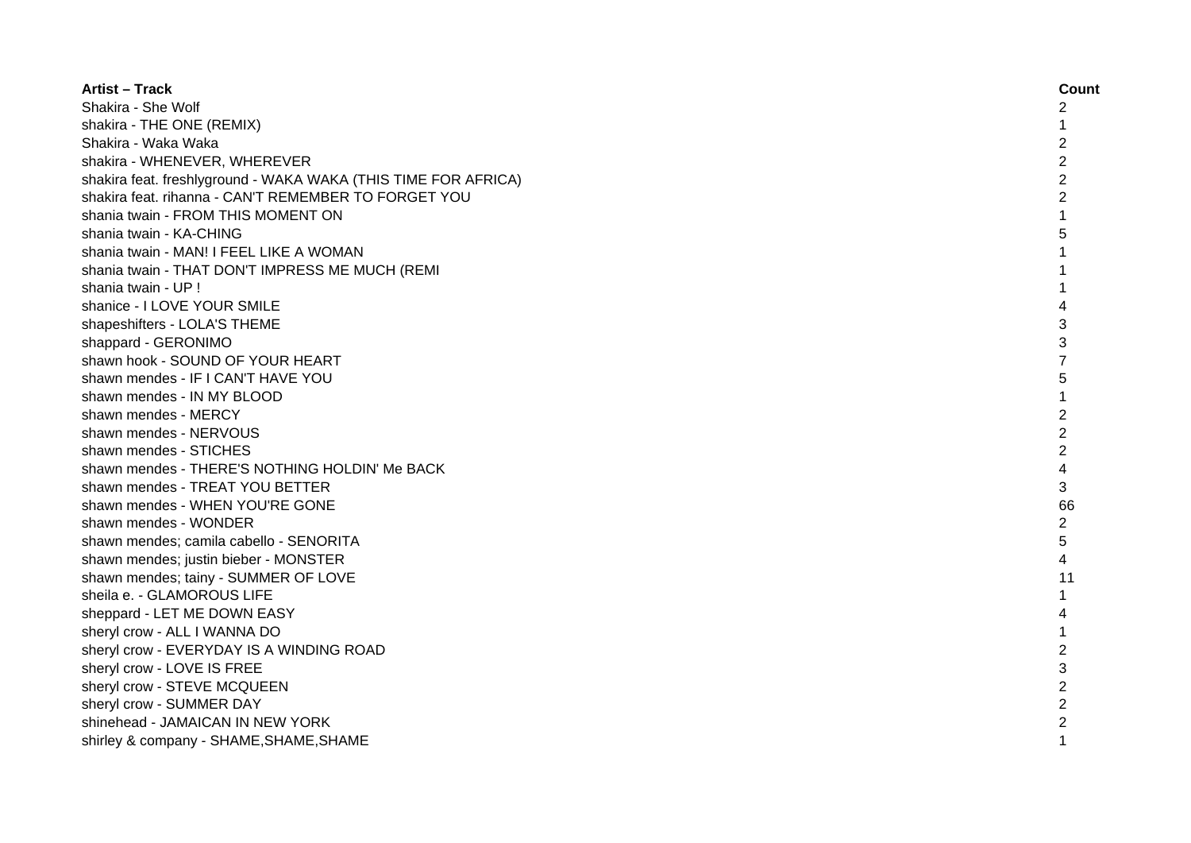| <b>Artist - Track</b>                                          | Count          |
|----------------------------------------------------------------|----------------|
| Shakira - She Wolf                                             | 2              |
| shakira - THE ONE (REMIX)                                      | 1              |
| Shakira - Waka Waka                                            | $\overline{c}$ |
| shakira - WHENEVER, WHEREVER                                   | $\overline{c}$ |
| shakira feat. freshlyground - WAKA WAKA (THIS TIME FOR AFRICA) | $\overline{c}$ |
| shakira feat. rihanna - CAN'T REMEMBER TO FORGET YOU           | $\overline{2}$ |
| shania twain - FROM THIS MOMENT ON                             |                |
| shania twain - KA-CHING                                        | 5              |
| shania twain - MAN! I FEEL LIKE A WOMAN                        |                |
| shania twain - THAT DON'T IMPRESS ME MUCH (REMI                |                |
| shania twain - UP !                                            |                |
| shanice - I LOVE YOUR SMILE                                    | 4              |
| shapeshifters - LOLA'S THEME                                   | 3              |
| shappard - GERONIMO                                            | 3              |
| shawn hook - SOUND OF YOUR HEART                               | 7              |
| shawn mendes - IF I CAN'T HAVE YOU                             | 5              |
| shawn mendes - IN MY BLOOD                                     |                |
| shawn mendes - MERCY                                           | $\overline{2}$ |
| shawn mendes - NERVOUS                                         | $\overline{2}$ |
| shawn mendes - STICHES                                         | $\overline{2}$ |
| shawn mendes - THERE'S NOTHING HOLDIN' Me BACK                 | 4              |
| shawn mendes - TREAT YOU BETTER                                | 3              |
| shawn mendes - WHEN YOU'RE GONE                                | 66             |
| shawn mendes - WONDER                                          | 2              |
| shawn mendes; camila cabello - SENORITA                        | 5              |
| shawn mendes; justin bieber - MONSTER                          | 4              |
| shawn mendes; tainy - SUMMER OF LOVE                           | 11             |
| sheila e. - GLAMOROUS LIFE                                     | 1              |
| sheppard - LET ME DOWN EASY                                    | 4              |
| sheryl crow - ALL I WANNA DO                                   |                |
| sheryl crow - EVERYDAY IS A WINDING ROAD                       | $\overline{c}$ |
| sheryl crow - LOVE IS FREE                                     | 3              |
| sheryl crow - STEVE MCQUEEN                                    | $\overline{c}$ |
| sheryl crow - SUMMER DAY                                       | $\overline{2}$ |
| shinehead - JAMAICAN IN NEW YORK                               | 2              |
| shirley & company - SHAME, SHAME, SHAME                        |                |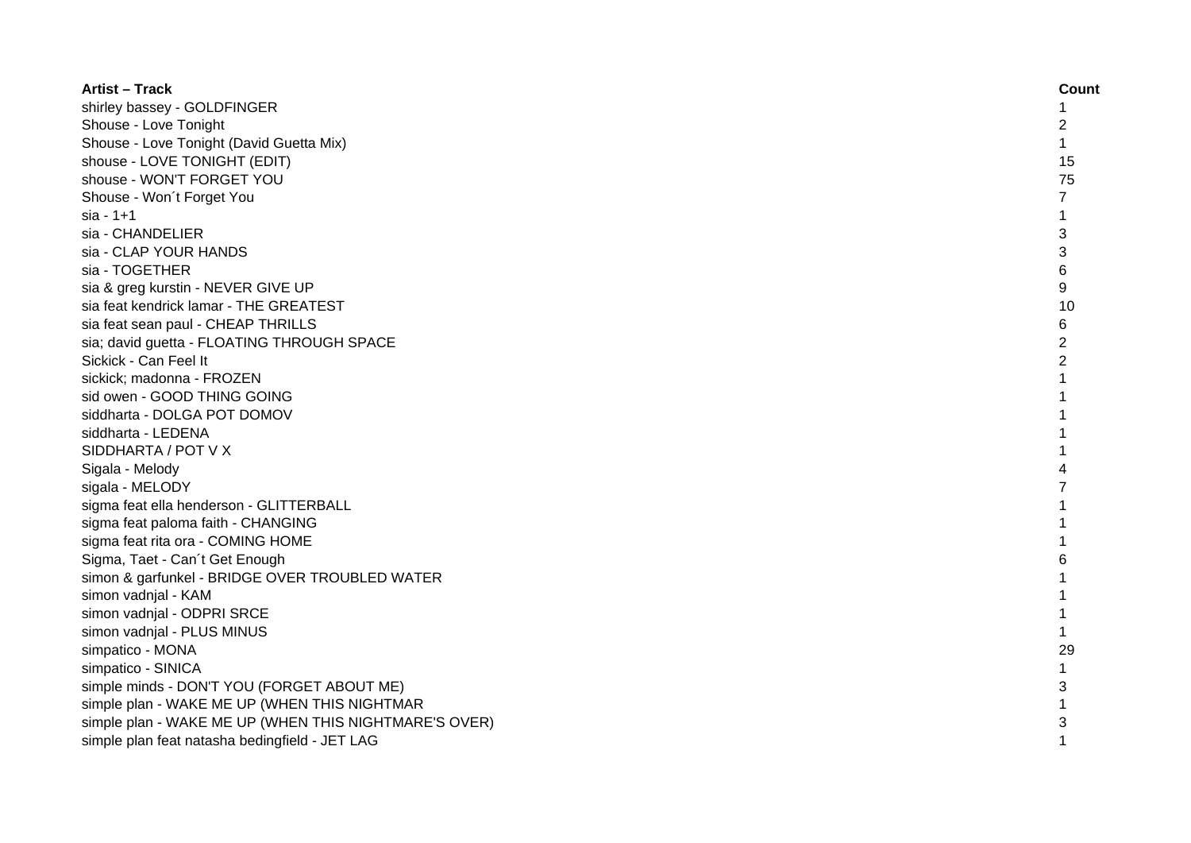| <b>Artist - Track</b>                                 | Count          |
|-------------------------------------------------------|----------------|
| shirley bassey - GOLDFINGER                           | 1              |
| Shouse - Love Tonight                                 | 2              |
| Shouse - Love Tonight (David Guetta Mix)              | $\mathbf{1}$   |
| shouse - LOVE TONIGHT (EDIT)                          | 15             |
| shouse - WON'T FORGET YOU                             | 75             |
| Shouse - Won't Forget You                             | 7              |
| $sia - 1 + 1$                                         | 1              |
| sia - CHANDELIER                                      | 3              |
| sia - CLAP YOUR HANDS                                 | 3              |
| sia - TOGETHER                                        | 6              |
| sia & greg kurstin - NEVER GIVE UP                    | 9              |
| sia feat kendrick lamar - THE GREATEST                | 10             |
| sia feat sean paul - CHEAP THRILLS                    | 6              |
| sia; david guetta - FLOATING THROUGH SPACE            | $\overline{2}$ |
| Sickick - Can Feel It                                 | $\overline{2}$ |
| sickick; madonna - FROZEN                             | 1              |
| sid owen - GOOD THING GOING                           |                |
| siddharta - DOLGA POT DOMOV                           |                |
| siddharta - LEDENA                                    |                |
| SIDDHARTA / POT V X                                   |                |
| Sigala - Melody                                       | Δ              |
| sigala - MELODY                                       |                |
| sigma feat ella henderson - GLITTERBALL               |                |
| sigma feat paloma faith - CHANGING                    |                |
| sigma feat rita ora - COMING HOME                     |                |
| Sigma, Taet - Can't Get Enough                        | 6              |
| simon & garfunkel - BRIDGE OVER TROUBLED WATER        | 1              |
| simon vadnjal - KAM                                   |                |
| simon vadnjal - ODPRI SRCE                            | 1              |
| simon vadnjal - PLUS MINUS                            | $\mathbf{1}$   |
| simpatico - MONA                                      | 29             |
| simpatico - SINICA                                    |                |
| simple minds - DON'T YOU (FORGET ABOUT ME)            | 3              |
| simple plan - WAKE ME UP (WHEN THIS NIGHTMAR          |                |
| simple plan - WAKE ME UP (WHEN THIS NIGHTMARE'S OVER) | 3              |
| simple plan feat natasha bedingfield - JET LAG        |                |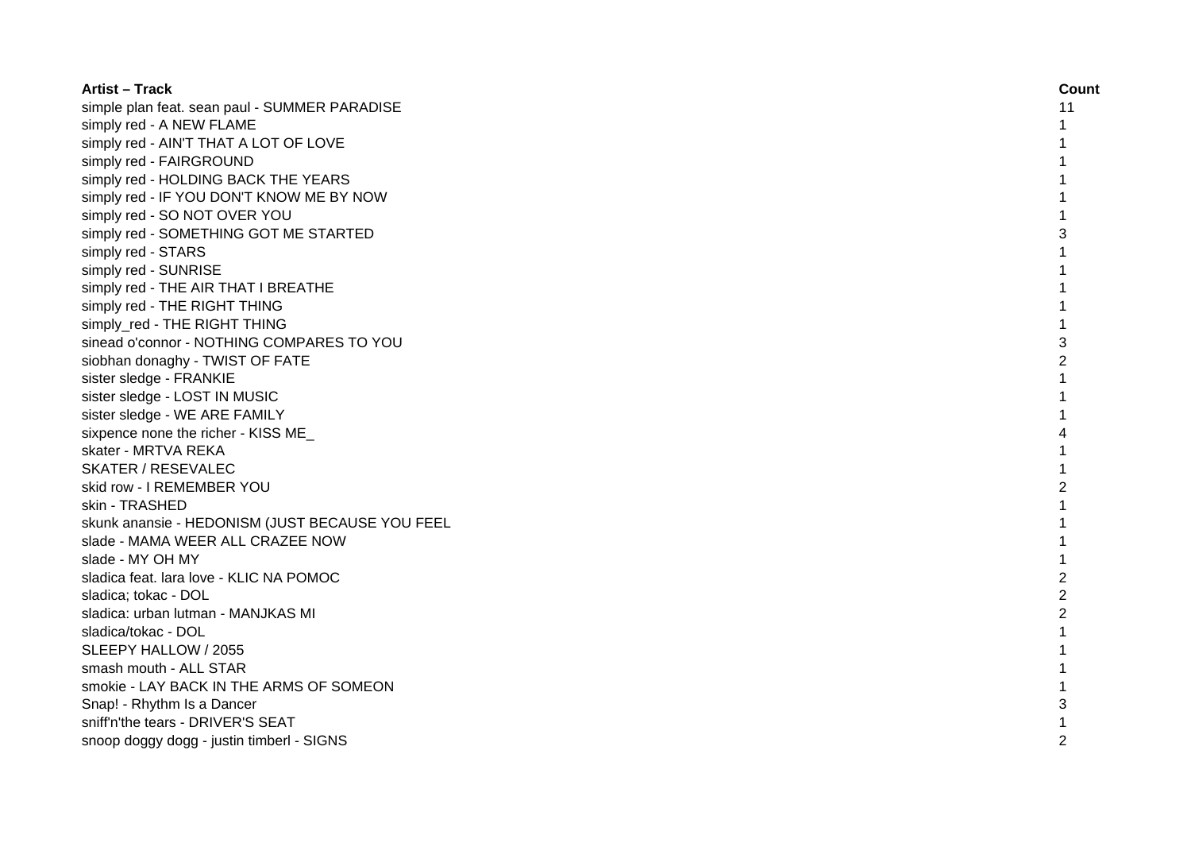| <b>Artist - Track</b>                           | Count          |
|-------------------------------------------------|----------------|
| simple plan feat. sean paul - SUMMER PARADISE   | 11             |
| simply red - A NEW FLAME                        | 1              |
| simply red - AIN'T THAT A LOT OF LOVE           |                |
| simply red - FAIRGROUND                         |                |
| simply red - HOLDING BACK THE YEARS             |                |
| simply red - IF YOU DON'T KNOW ME BY NOW        |                |
| simply red - SO NOT OVER YOU                    |                |
| simply red - SOMETHING GOT ME STARTED           | 3              |
| simply red - STARS                              |                |
| simply red - SUNRISE                            | 1              |
| simply red - THE AIR THAT I BREATHE             | 1              |
| simply red - THE RIGHT THING                    | 1              |
| simply red - THE RIGHT THING                    | $\mathbf{1}$   |
| sinead o'connor - NOTHING COMPARES TO YOU       | 3              |
| siobhan donaghy - TWIST OF FATE                 | $\overline{2}$ |
| sister sledge - FRANKIE                         | $\mathbf{1}$   |
| sister sledge - LOST IN MUSIC                   | 1              |
| sister sledge - WE ARE FAMILY                   |                |
| sixpence none the richer - KISS ME              | 4              |
| skater - MRTVA REKA                             |                |
| <b>SKATER / RESEVALEC</b>                       |                |
| skid row - I REMEMBER YOU                       | $\overline{2}$ |
| skin - TRASHED                                  |                |
| skunk anansie - HEDONISM (JUST BECAUSE YOU FEEL |                |
| slade - MAMA WEER ALL CRAZEE NOW                |                |
| slade - MY OH MY                                | 1              |
| sladica feat. lara love - KLIC NA POMOC         | $\overline{2}$ |
| sladica; tokac - DOL                            | $\overline{2}$ |
| sladica: urban lutman - MANJKAS MI              | $\overline{2}$ |
| sladica/tokac - DOL                             | 1              |
| SLEEPY HALLOW / 2055                            |                |
| smash mouth - ALL STAR                          |                |
| smokie - LAY BACK IN THE ARMS OF SOMEON         |                |
| Snap! - Rhythm Is a Dancer                      | 3              |
| sniff'n'the tears - DRIVER'S SEAT               |                |
| snoop doggy dogg - justin timberl - SIGNS       | $\mathfrak{p}$ |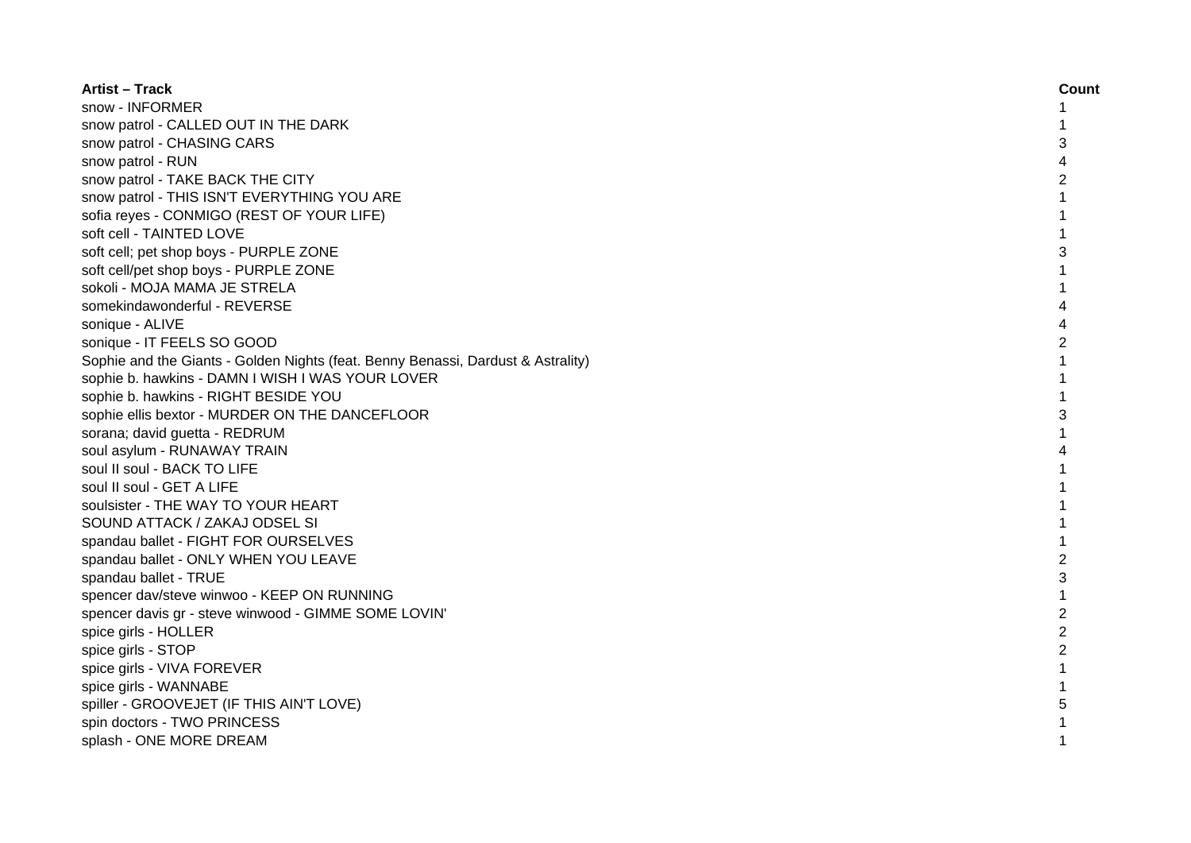| <b>Artist - Track</b>                                                            | Count          |
|----------------------------------------------------------------------------------|----------------|
| snow - INFORMER                                                                  |                |
| snow patrol - CALLED OUT IN THE DARK                                             |                |
| snow patrol - CHASING CARS                                                       | 3              |
| snow patrol - RUN                                                                | 4              |
| snow patrol - TAKE BACK THE CITY                                                 | 2              |
| snow patrol - THIS ISN'T EVERYTHING YOU ARE                                      | 1              |
| sofia reyes - CONMIGO (REST OF YOUR LIFE)                                        | 1              |
| soft cell - TAINTED LOVE                                                         | 1              |
| soft cell; pet shop boys - PURPLE ZONE                                           | 3              |
| soft cell/pet shop boys - PURPLE ZONE                                            | 1              |
| sokoli - MOJA MAMA JE STRELA                                                     | 1              |
| somekindawonderful - REVERSE                                                     | 4              |
| sonique - ALIVE                                                                  | 4              |
| sonique - IT FEELS SO GOOD                                                       | 2              |
| Sophie and the Giants - Golden Nights (feat. Benny Benassi, Dardust & Astrality) | $\mathbf{1}$   |
| sophie b. hawkins - DAMN I WISH I WAS YOUR LOVER                                 | $\mathbf{1}$   |
| sophie b. hawkins - RIGHT BESIDE YOU                                             | 1              |
| sophie ellis bextor - MURDER ON THE DANCEFLOOR                                   | 3              |
| sorana; david guetta - REDRUM                                                    |                |
| soul asylum - RUNAWAY TRAIN                                                      |                |
| soul II soul - BACK TO LIFE                                                      |                |
| soul II soul - GET A LIFE                                                        |                |
| soulsister - THE WAY TO YOUR HEART                                               |                |
| SOUND ATTACK / ZAKAJ ODSEL SI                                                    |                |
| spandau ballet - FIGHT FOR OURSELVES                                             |                |
| spandau ballet - ONLY WHEN YOU LEAVE                                             | $\overline{c}$ |
| spandau ballet - TRUE                                                            | 3              |
| spencer dav/steve winwoo - KEEP ON RUNNING                                       | $\mathbf{1}$   |
| spencer davis gr - steve winwood - GIMME SOME LOVIN'                             | $\overline{2}$ |
| spice girls - HOLLER                                                             | $\overline{2}$ |
| spice girls - STOP                                                               | $\overline{2}$ |
| spice girls - VIVA FOREVER                                                       | 1              |
| spice girls - WANNABE                                                            |                |
| spiller - GROOVEJET (IF THIS AIN'T LOVE)                                         | 5              |
| spin doctors - TWO PRINCESS                                                      |                |
| splash - ONE MORE DREAM                                                          |                |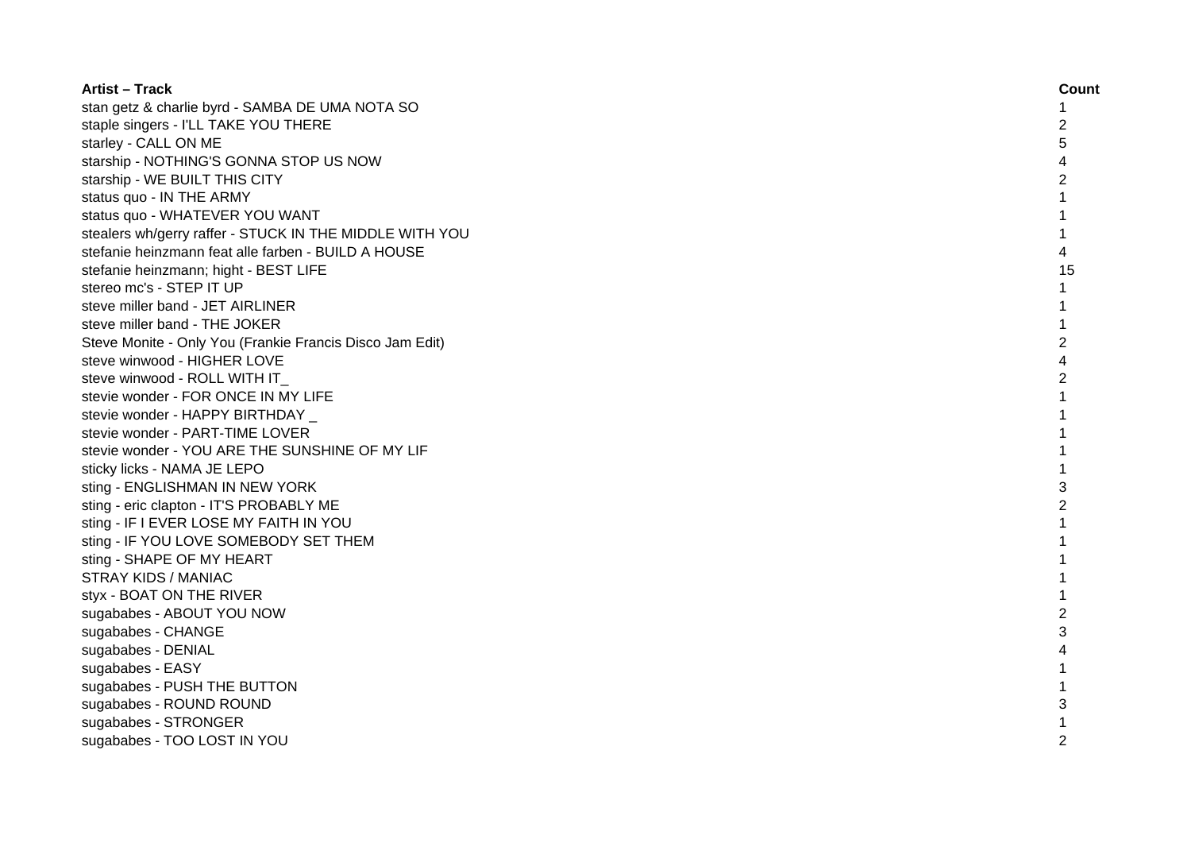| <b>Artist - Track</b>                                    | Count          |
|----------------------------------------------------------|----------------|
| stan getz & charlie byrd - SAMBA DE UMA NOTA SO          | 1              |
| staple singers - I'LL TAKE YOU THERE                     | 2              |
| starley - CALL ON ME                                     | 5              |
| starship - NOTHING'S GONNA STOP US NOW                   | 4              |
| starship - WE BUILT THIS CITY                            | 2              |
| status quo - IN THE ARMY                                 | 1              |
| status quo - WHATEVER YOU WANT                           | 1              |
| stealers wh/gerry raffer - STUCK IN THE MIDDLE WITH YOU  | 1              |
| stefanie heinzmann feat alle farben - BUILD A HOUSE      | 4              |
| stefanie heinzmann; hight - BEST LIFE                    | 15             |
| stereo mc's - STEP IT UP                                 | $\mathbf{1}$   |
| steve miller band - JET AIRLINER                         | 1              |
| steve miller band - THE JOKER                            | 1              |
| Steve Monite - Only You (Frankie Francis Disco Jam Edit) | $\overline{2}$ |
| steve winwood - HIGHER LOVE                              | 4              |
| steve winwood - ROLL WITH IT                             | 2              |
| stevie wonder - FOR ONCE IN MY LIFE                      | 1              |
| stevie wonder - HAPPY BIRTHDAY                           |                |
| stevie wonder - PART-TIME LOVER                          |                |
| stevie wonder - YOU ARE THE SUNSHINE OF MY LIF           |                |
| sticky licks - NAMA JE LEPO                              |                |
| sting - ENGLISHMAN IN NEW YORK                           | 3              |
| sting - eric clapton - IT'S PROBABLY ME                  | 2              |
| sting - IF I EVER LOSE MY FAITH IN YOU                   | 1              |
| sting - IF YOU LOVE SOMEBODY SET THEM                    | 1              |
| sting - SHAPE OF MY HEART                                | 1              |
| <b>STRAY KIDS / MANIAC</b>                               | 1              |
| styx - BOAT ON THE RIVER                                 | 1              |
| sugababes - ABOUT YOU NOW                                | $\overline{c}$ |
| sugababes - CHANGE                                       | 3              |
| sugababes - DENIAL                                       | 4              |
| sugababes - EASY                                         |                |
| sugababes - PUSH THE BUTTON                              |                |
| sugababes - ROUND ROUND                                  | 3              |
| sugababes - STRONGER                                     |                |
| sugababes - TOO LOST IN YOU                              |                |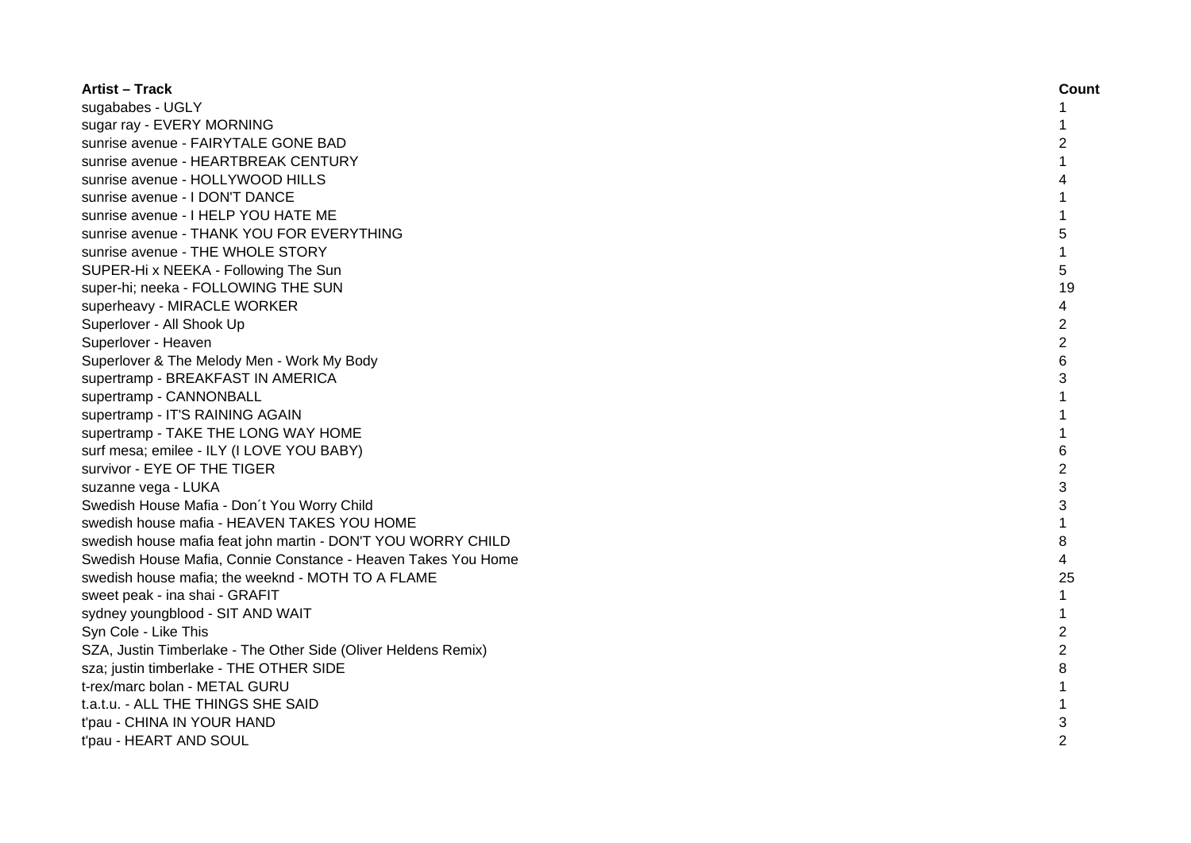| <b>Artist - Track</b>                                          | Count          |
|----------------------------------------------------------------|----------------|
| sugababes - UGLY                                               | 1              |
| sugar ray - EVERY MORNING                                      |                |
| sunrise avenue - FAIRYTALE GONE BAD                            | 2              |
| sunrise avenue - HEARTBREAK CENTURY                            |                |
| sunrise avenue - HOLLYWOOD HILLS                               |                |
| sunrise avenue - I DON'T DANCE                                 | 1              |
| sunrise avenue - I HELP YOU HATE ME                            | 1              |
| sunrise avenue - THANK YOU FOR EVERYTHING                      | 5              |
| sunrise avenue - THE WHOLE STORY                               | 1              |
| SUPER-Hi x NEEKA - Following The Sun                           | 5              |
| super-hi; neeka - FOLLOWING THE SUN                            | 19             |
| superheavy - MIRACLE WORKER                                    | 4              |
| Superlover - All Shook Up                                      | $\overline{2}$ |
| Superlover - Heaven                                            | $\overline{2}$ |
| Superlover & The Melody Men - Work My Body                     | 6              |
| supertramp - BREAKFAST IN AMERICA                              | 3              |
| supertramp - CANNONBALL                                        | $\mathbf{1}$   |
| supertramp - IT'S RAINING AGAIN                                | 1              |
| supertramp - TAKE THE LONG WAY HOME                            | $\mathbf{1}$   |
| surf mesa; emilee - ILY (I LOVE YOU BABY)                      | 6              |
| survivor - EYE OF THE TIGER                                    | $\overline{2}$ |
| suzanne vega - LUKA                                            | 3              |
| Swedish House Mafia - Don't You Worry Child                    | 3              |
| swedish house mafia - HEAVEN TAKES YOU HOME                    |                |
| swedish house mafia feat john martin - DON'T YOU WORRY CHILD   | 8              |
| Swedish House Mafia, Connie Constance - Heaven Takes You Home  | 4              |
| swedish house mafia; the weeknd - MOTH TO A FLAME              | 25             |
| sweet peak - ina shai - GRAFIT                                 | $\mathbf{1}$   |
| sydney youngblood - SIT AND WAIT                               | 1              |
| Syn Cole - Like This                                           | $\overline{c}$ |
| SZA, Justin Timberlake - The Other Side (Oliver Heldens Remix) | $\overline{2}$ |
| sza; justin timberlake - THE OTHER SIDE                        | 8              |
| t-rex/marc bolan - METAL GURU                                  | 1              |
| t.a.t.u. - ALL THE THINGS SHE SAID                             |                |
| t'pau - CHINA IN YOUR HAND                                     | 3              |
| t'pau - HEART AND SOUL                                         | 2              |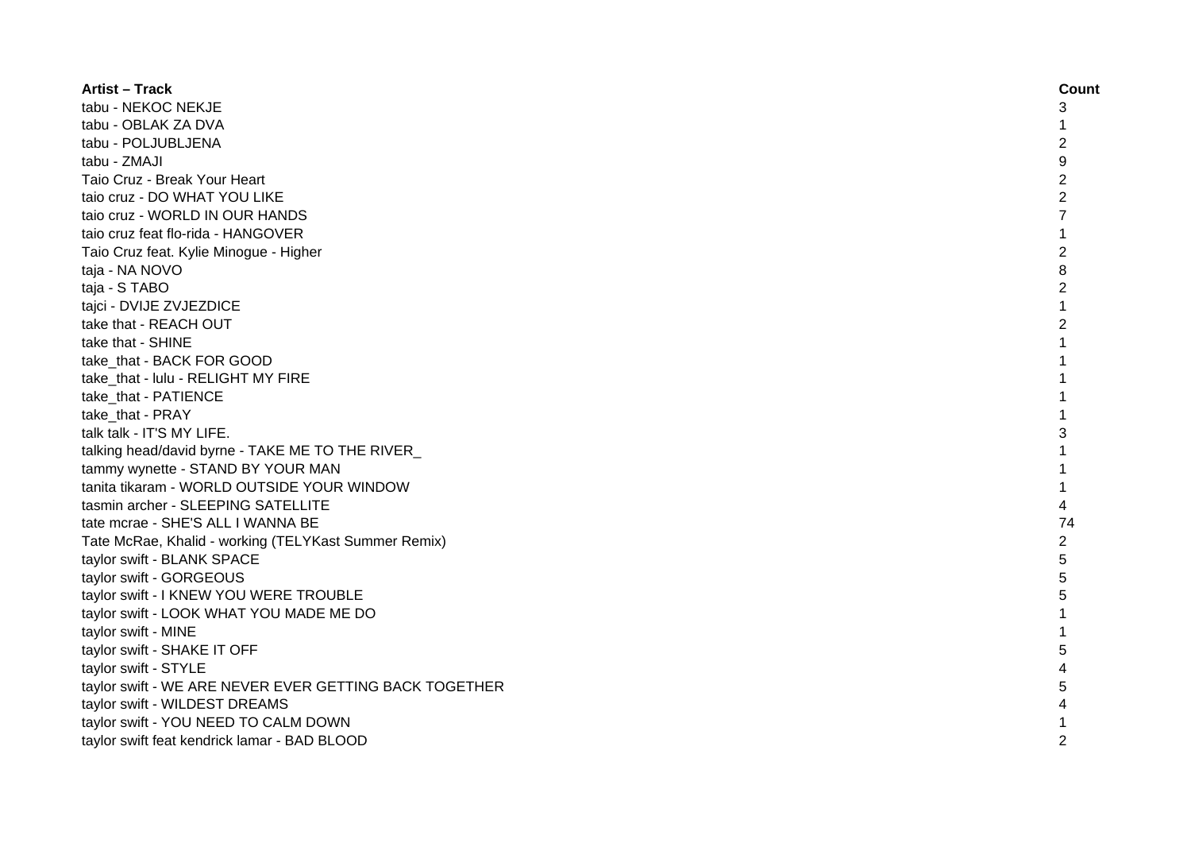| <b>Artist - Track</b>                                  | Count          |
|--------------------------------------------------------|----------------|
| tabu - NEKOC NEKJE                                     | 3              |
| tabu - OBLAK ZA DVA                                    |                |
| tabu - POLJUBLJENA                                     | $\overline{c}$ |
| tabu - ZMAJI                                           | 9              |
| Taio Cruz - Break Your Heart                           | $\overline{c}$ |
| taio cruz - DO WHAT YOU LIKE                           | $\overline{2}$ |
| taio cruz - WORLD IN OUR HANDS                         | 7              |
| taio cruz feat flo-rida - HANGOVER                     | 1              |
| Taio Cruz feat. Kylie Minogue - Higher                 | $\overline{c}$ |
| taja - NA NOVO                                         | 8              |
| taja - S TABO                                          | $\overline{c}$ |
| tajci - DVIJE ZVJEZDICE                                | 1              |
| take that - REACH OUT                                  | $\overline{2}$ |
| take that - SHINE                                      | 1              |
| take_that - BACK FOR GOOD                              | $\mathbf{1}$   |
| take_that - lulu - RELIGHT MY FIRE                     | $\mathbf{1}$   |
| take_that - PATIENCE                                   | 1              |
| take_that - PRAY                                       | $\mathbf{1}$   |
| talk talk - IT'S MY LIFE.                              | 3              |
| talking head/david byrne - TAKE ME TO THE RIVER        |                |
| tammy wynette - STAND BY YOUR MAN                      |                |
| tanita tikaram - WORLD OUTSIDE YOUR WINDOW             | 1              |
| tasmin archer - SLEEPING SATELLITE                     | 4              |
| tate mcrae - SHE'S ALL I WANNA BE                      | 74             |
| Tate McRae, Khalid - working (TELYKast Summer Remix)   | $\overline{2}$ |
| taylor swift - BLANK SPACE                             | 5              |
| taylor swift - GORGEOUS                                | 5              |
| taylor swift - I KNEW YOU WERE TROUBLE                 | 5              |
| taylor swift - LOOK WHAT YOU MADE ME DO                | 1              |
| taylor swift - MINE                                    | 1              |
| taylor swift - SHAKE IT OFF                            | 5              |
| taylor swift - STYLE                                   | 4              |
| taylor swift - WE ARE NEVER EVER GETTING BACK TOGETHER | 5              |
| taylor swift - WILDEST DREAMS                          |                |
| taylor swift - YOU NEED TO CALM DOWN                   |                |
| taylor swift feat kendrick lamar - BAD BLOOD           | $\overline{2}$ |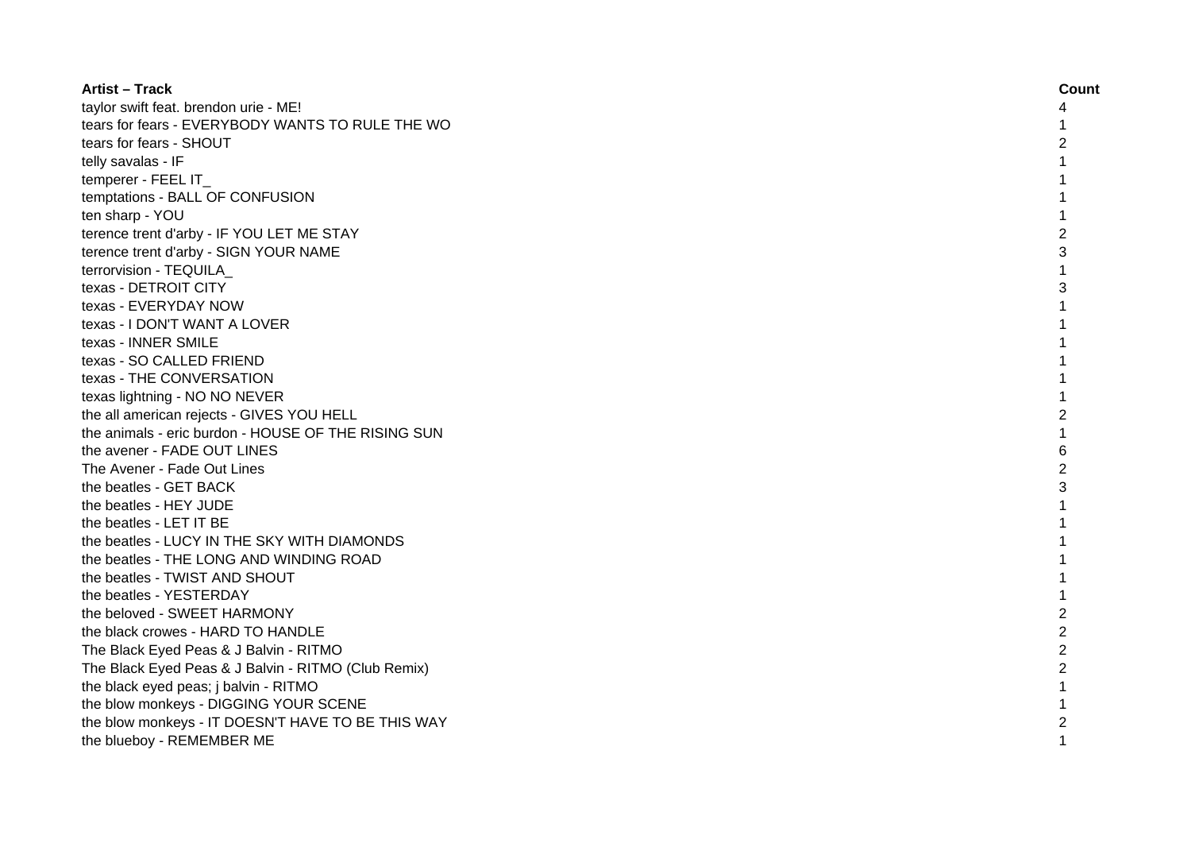| <b>Artist - Track</b>                               | Count          |
|-----------------------------------------------------|----------------|
| taylor swift feat. brendon urie - ME!               | 4              |
| tears for fears - EVERYBODY WANTS TO RULE THE WO    |                |
| tears for fears - SHOUT                             | 2              |
| telly savalas - IF                                  |                |
| temperer - FEEL IT                                  |                |
| temptations - BALL OF CONFUSION                     |                |
| ten sharp - YOU                                     |                |
| terence trent d'arby - IF YOU LET ME STAY           | 2              |
| terence trent d'arby - SIGN YOUR NAME               | 3              |
| terrorvision - TEQUILA                              | 1              |
| texas - DETROIT CITY                                | 3              |
| texas - EVERYDAY NOW                                | 1              |
| texas - I DON'T WANT A LOVER                        | 1              |
| texas - INNER SMILE                                 | 1              |
| texas - SO CALLED FRIEND                            |                |
| texas - THE CONVERSATION                            |                |
| texas lightning - NO NO NEVER                       |                |
| the all american rejects - GIVES YOU HELL           | 2              |
| the animals - eric burdon - HOUSE OF THE RISING SUN |                |
| the avener - FADE OUT LINES                         | 6              |
| The Avener - Fade Out Lines                         | 2              |
| the beatles - GET BACK                              | 3              |
| the beatles - HEY JUDE                              |                |
| the beatles - LET IT BE                             |                |
| the beatles - LUCY IN THE SKY WITH DIAMONDS         |                |
| the beatles - THE LONG AND WINDING ROAD             |                |
| the beatles - TWIST AND SHOUT                       |                |
| the beatles - YESTERDAY                             |                |
| the beloved - SWEET HARMONY                         | 2              |
| the black crowes - HARD TO HANDLE                   | $\overline{2}$ |
| The Black Eyed Peas & J Balvin - RITMO              | $\overline{2}$ |
| The Black Eyed Peas & J Balvin - RITMO (Club Remix) | $\overline{2}$ |
| the black eyed peas; j balvin - RITMO               | $\mathbf{1}$   |
| the blow monkeys - DIGGING YOUR SCENE               |                |
| the blow monkeys - IT DOESN'T HAVE TO BE THIS WAY   | 2              |
| the blueboy - REMEMBER ME                           | $\mathbf{1}$   |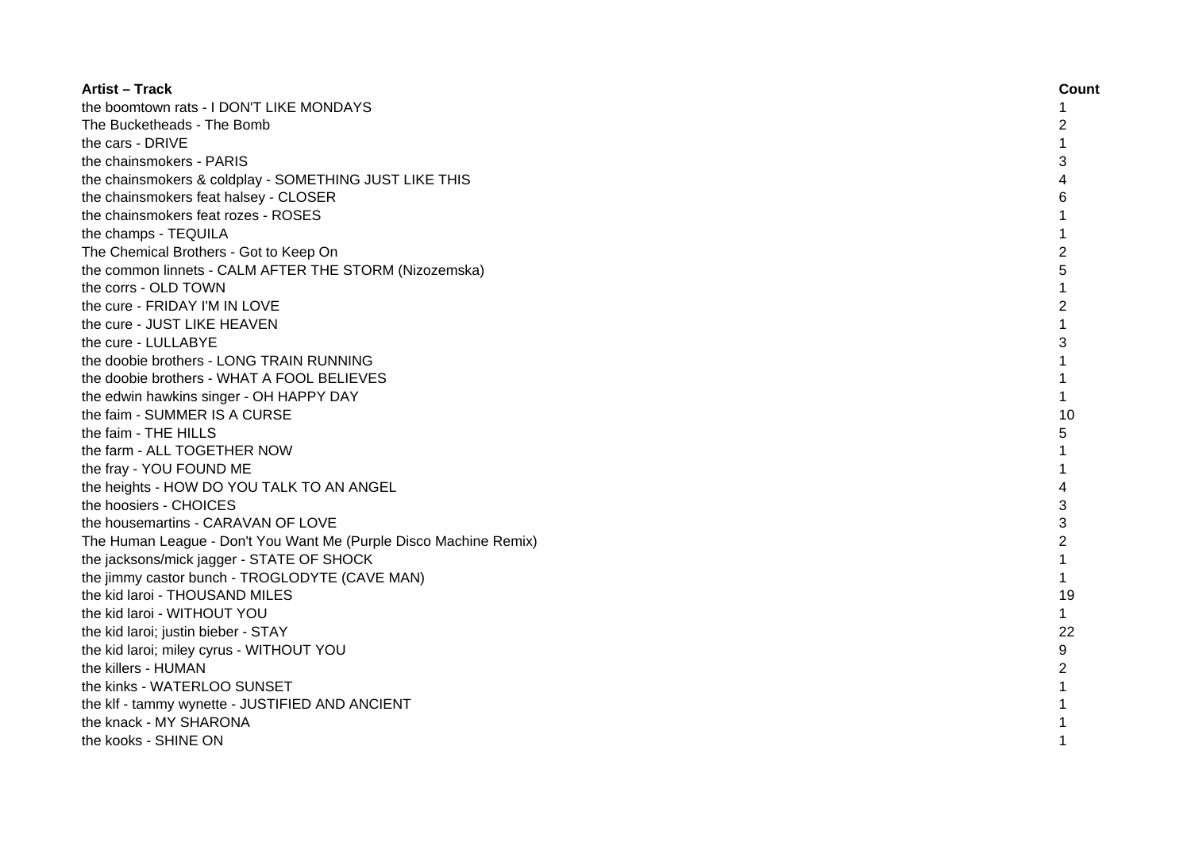| <b>Artist - Track</b>                                             | Count          |
|-------------------------------------------------------------------|----------------|
| the boomtown rats - I DON'T LIKE MONDAYS                          | 1              |
| The Bucketheads - The Bomb                                        | 2              |
| the cars - DRIVE                                                  | $\mathbf{1}$   |
| the chainsmokers - PARIS                                          | 3              |
| the chainsmokers & coldplay - SOMETHING JUST LIKE THIS            |                |
| the chainsmokers feat halsey - CLOSER                             | 6              |
| the chainsmokers feat rozes - ROSES                               |                |
| the champs - TEQUILA                                              | 1              |
| The Chemical Brothers - Got to Keep On                            | 2              |
| the common linnets - CALM AFTER THE STORM (Nizozemska)            | 5              |
| the corrs - OLD TOWN                                              | 1              |
| the cure - FRIDAY I'M IN LOVE                                     | $\overline{2}$ |
| the cure - JUST LIKE HEAVEN                                       | $\mathbf{1}$   |
| the cure - LULLABYE                                               | 3              |
| the doobie brothers - LONG TRAIN RUNNING                          | $\mathbf{1}$   |
| the doobie brothers - WHAT A FOOL BELIEVES                        | $\mathbf{1}$   |
| the edwin hawkins singer - OH HAPPY DAY                           | $\mathbf{1}$   |
| the faim - SUMMER IS A CURSE                                      | 10             |
| the faim - THE HILLS                                              | 5              |
| the farm - ALL TOGETHER NOW                                       |                |
| the fray - YOU FOUND ME                                           |                |
| the heights - HOW DO YOU TALK TO AN ANGEL                         | 4              |
| the hoosiers - CHOICES                                            | 3              |
| the housemartins - CARAVAN OF LOVE                                | 3              |
| The Human League - Don't You Want Me (Purple Disco Machine Remix) | $\overline{c}$ |
| the jacksons/mick jagger - STATE OF SHOCK                         | 1              |
| the jimmy castor bunch - TROGLODYTE (CAVE MAN)                    | $\mathbf{1}$   |
| the kid laroi - THOUSAND MILES                                    | 19             |
| the kid laroi - WITHOUT YOU                                       | $\mathbf{1}$   |
| the kid laroi; justin bieber - STAY                               | 22             |
| the kid laroi; miley cyrus - WITHOUT YOU                          | 9              |
| the killers - HUMAN                                               | $\overline{2}$ |
| the kinks - WATERLOO SUNSET                                       |                |
| the klf - tammy wynette - JUSTIFIED AND ANCIENT                   |                |
| the knack - MY SHARONA                                            |                |
| the kooks - SHINE ON                                              | 1              |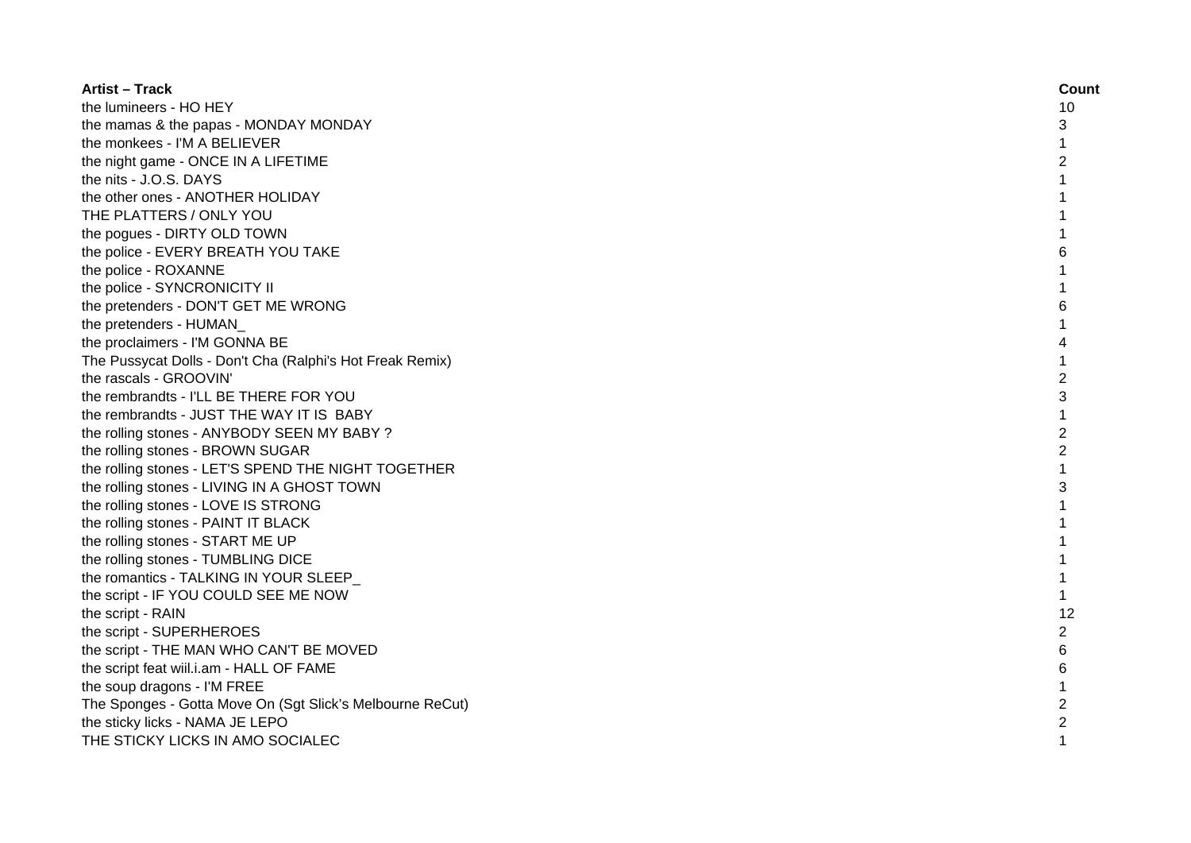| <b>Artist – Track</b>                                     | Count          |
|-----------------------------------------------------------|----------------|
| the lumineers - HO HEY                                    | 10             |
| the mamas & the papas - MONDAY MONDAY                     | 3              |
| the monkees - I'M A BELIEVER                              | $\mathbf{1}$   |
| the night game - ONCE IN A LIFETIME                       | $\overline{2}$ |
| the nits - J.O.S. DAYS                                    | 1              |
| the other ones - ANOTHER HOLIDAY                          | 1              |
| THE PLATTERS / ONLY YOU                                   | 1              |
| the pogues - DIRTY OLD TOWN                               |                |
| the police - EVERY BREATH YOU TAKE                        | 6              |
| the police - ROXANNE                                      | 1              |
| the police - SYNCRONICITY II                              | 1              |
| the pretenders - DON'T GET ME WRONG                       | 6              |
| the pretenders - HUMAN                                    | 1              |
| the proclaimers - I'M GONNA BE                            | 4              |
| The Pussycat Dolls - Don't Cha (Ralphi's Hot Freak Remix) | 1              |
| the rascals - GROOVIN'                                    | $\overline{2}$ |
| the rembrandts - I'LL BE THERE FOR YOU                    | 3              |
| the rembrandts - JUST THE WAY IT IS BABY                  | $\mathbf{1}$   |
| the rolling stones - ANYBODY SEEN MY BABY ?               | $\overline{c}$ |
| the rolling stones - BROWN SUGAR                          | $\overline{2}$ |
| the rolling stones - LET'S SPEND THE NIGHT TOGETHER       | 1              |
| the rolling stones - LIVING IN A GHOST TOWN               | 3              |
| the rolling stones - LOVE IS STRONG                       |                |
| the rolling stones - PAINT IT BLACK                       |                |
| the rolling stones - START ME UP                          |                |
| the rolling stones - TUMBLING DICE                        |                |
| the romantics - TALKING IN YOUR SLEEP                     | $\mathbf{1}$   |
| the script - IF YOU COULD SEE ME NOW                      | $\mathbf{1}$   |
| the script - RAIN                                         | 12             |
| the script - SUPERHEROES                                  | 2              |
| the script - THE MAN WHO CAN'T BE MOVED                   | 6              |
| the script feat wiil.i.am - HALL OF FAME                  | 6              |
| the soup dragons - I'M FREE                               |                |
| The Sponges - Gotta Move On (Sgt Slick's Melbourne ReCut) | $\overline{c}$ |
| the sticky licks - NAMA JE LEPO                           | $\overline{c}$ |
| THE STICKY LICKS IN AMO SOCIALEC                          | 1              |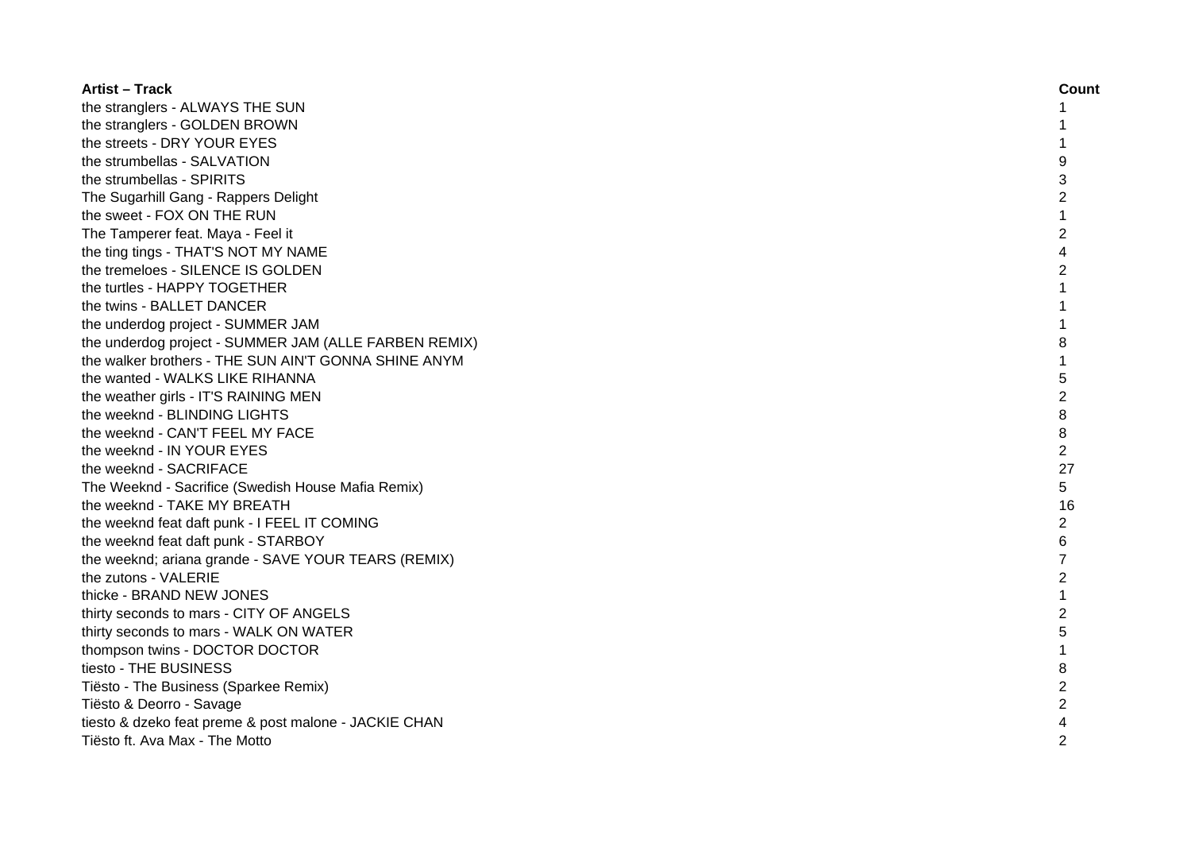| <b>Artist – Track</b>                                 | Count          |
|-------------------------------------------------------|----------------|
| the stranglers - ALWAYS THE SUN                       | 1              |
| the stranglers - GOLDEN BROWN                         |                |
| the streets - DRY YOUR EYES                           | 1              |
| the strumbellas - SALVATION                           | 9              |
| the strumbellas - SPIRITS                             | 3              |
| The Sugarhill Gang - Rappers Delight                  | $\overline{2}$ |
| the sweet - FOX ON THE RUN                            | $\mathbf 1$    |
| The Tamperer feat. Maya - Feel it                     | $\overline{2}$ |
| the ting tings - THAT'S NOT MY NAME                   | 4              |
| the tremeloes - SILENCE IS GOLDEN                     | $\overline{c}$ |
| the turtles - HAPPY TOGETHER                          | $\mathbf{1}$   |
| the twins - BALLET DANCER                             | $\mathbf{1}$   |
| the underdog project - SUMMER JAM                     | $\mathbf{1}$   |
| the underdog project - SUMMER JAM (ALLE FARBEN REMIX) | 8              |
| the walker brothers - THE SUN AIN'T GONNA SHINE ANYM  | $\mathbf{1}$   |
| the wanted - WALKS LIKE RIHANNA                       | 5              |
| the weather girls - IT'S RAINING MEN                  | $\overline{c}$ |
| the weeknd - BLINDING LIGHTS                          | 8              |
| the weeknd - CAN'T FEEL MY FACE                       | 8              |
| the weeknd - IN YOUR EYES                             | $\overline{2}$ |
| the weeknd - SACRIFACE                                | 27             |
| The Weeknd - Sacrifice (Swedish House Mafia Remix)    | 5              |
| the weeknd - TAKE MY BREATH                           | 16             |
| the weeknd feat daft punk - I FEEL IT COMING          | $\overline{c}$ |
| the weeknd feat daft punk - STARBOY                   | 6              |
| the weeknd; ariana grande - SAVE YOUR TEARS (REMIX)   | 7              |
| the zutons - VALERIE                                  | $\overline{2}$ |
| thicke - BRAND NEW JONES                              | $\mathbf{1}$   |
| thirty seconds to mars - CITY OF ANGELS               | $\overline{2}$ |
| thirty seconds to mars - WALK ON WATER                | 5              |
| thompson twins - DOCTOR DOCTOR                        | 1              |
| tiesto - THE BUSINESS                                 | 8              |
| Tiësto - The Business (Sparkee Remix)                 | 2              |
| Tiësto & Deorro - Savage                              | $\overline{c}$ |
| tiesto & dzeko feat preme & post malone - JACKIE CHAN | 4              |
| Tiësto ft. Ava Max - The Motto                        | $\mathfrak{p}$ |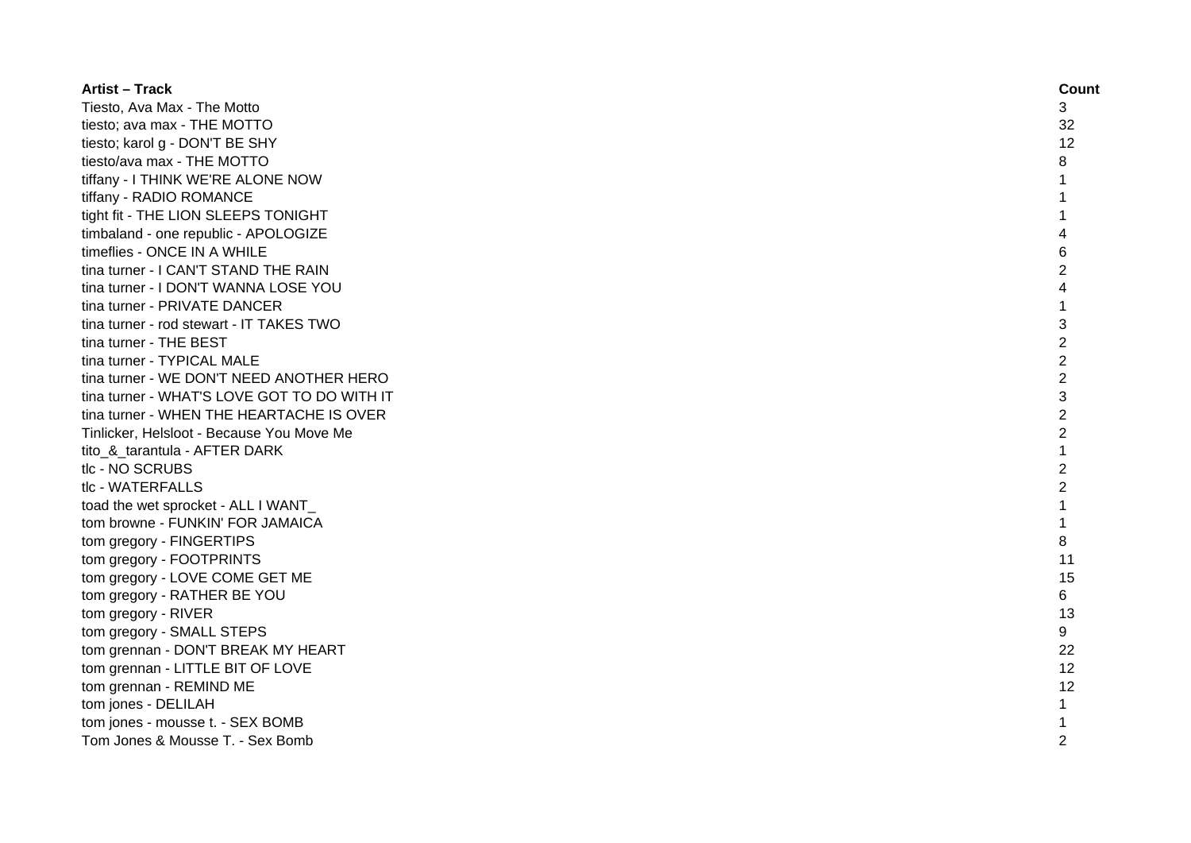| <b>Artist - Track</b>                       | Count          |
|---------------------------------------------|----------------|
| Tiesto, Ava Max - The Motto                 | 3              |
| tiesto; ava max - THE MOTTO                 | 32             |
| tiesto; karol g - DON'T BE SHY              | 12             |
| tiesto/ava max - THE MOTTO                  | 8              |
| tiffany - I THINK WE'RE ALONE NOW           | 1              |
| tiffany - RADIO ROMANCE                     | 1              |
| tight fit - THE LION SLEEPS TONIGHT         | 1              |
| timbaland - one republic - APOLOGIZE        | 4              |
| timeflies - ONCE IN A WHILE                 | 6              |
| tina turner - I CAN'T STAND THE RAIN        | 2              |
| tina turner - I DON'T WANNA LOSE YOU        | 4              |
| tina turner - PRIVATE DANCER                | $\mathbf{1}$   |
| tina turner - rod stewart - IT TAKES TWO    | 3              |
| tina turner - THE BEST                      | $\overline{2}$ |
| tina turner - TYPICAL MALE                  | $\overline{c}$ |
| tina turner - WE DON'T NEED ANOTHER HERO    | $\overline{2}$ |
| tina turner - WHAT'S LOVE GOT TO DO WITH IT | 3              |
| tina turner - WHEN THE HEARTACHE IS OVER    | $\overline{2}$ |
| Tinlicker, Helsloot - Because You Move Me   | $\overline{2}$ |
| tito_&_tarantula - AFTER DARK               |                |
| tlc - NO SCRUBS                             | $\overline{2}$ |
| tlc - WATERFALLS                            | $\overline{2}$ |
| toad the wet sprocket - ALL I WANT          | $\mathbf{1}$   |
| tom browne - FUNKIN' FOR JAMAICA            | $\mathbf 1$    |
| tom gregory - FINGERTIPS                    | 8              |
| tom gregory - FOOTPRINTS                    | 11             |
| tom gregory - LOVE COME GET ME              | 15             |
| tom gregory - RATHER BE YOU                 | 6              |
| tom gregory - RIVER                         | 13             |
| tom gregory - SMALL STEPS                   | 9              |
| tom grennan - DON'T BREAK MY HEART          | 22             |
| tom grennan - LITTLE BIT OF LOVE            | 12             |
| tom grennan - REMIND ME                     | 12             |
| tom jones - DELILAH                         | $\mathbf{1}$   |
| tom jones - mousse t. - SEX BOMB            | $\mathbf 1$    |
| Tom Jones & Mousse T. - Sex Bomb            | $\mathfrak{p}$ |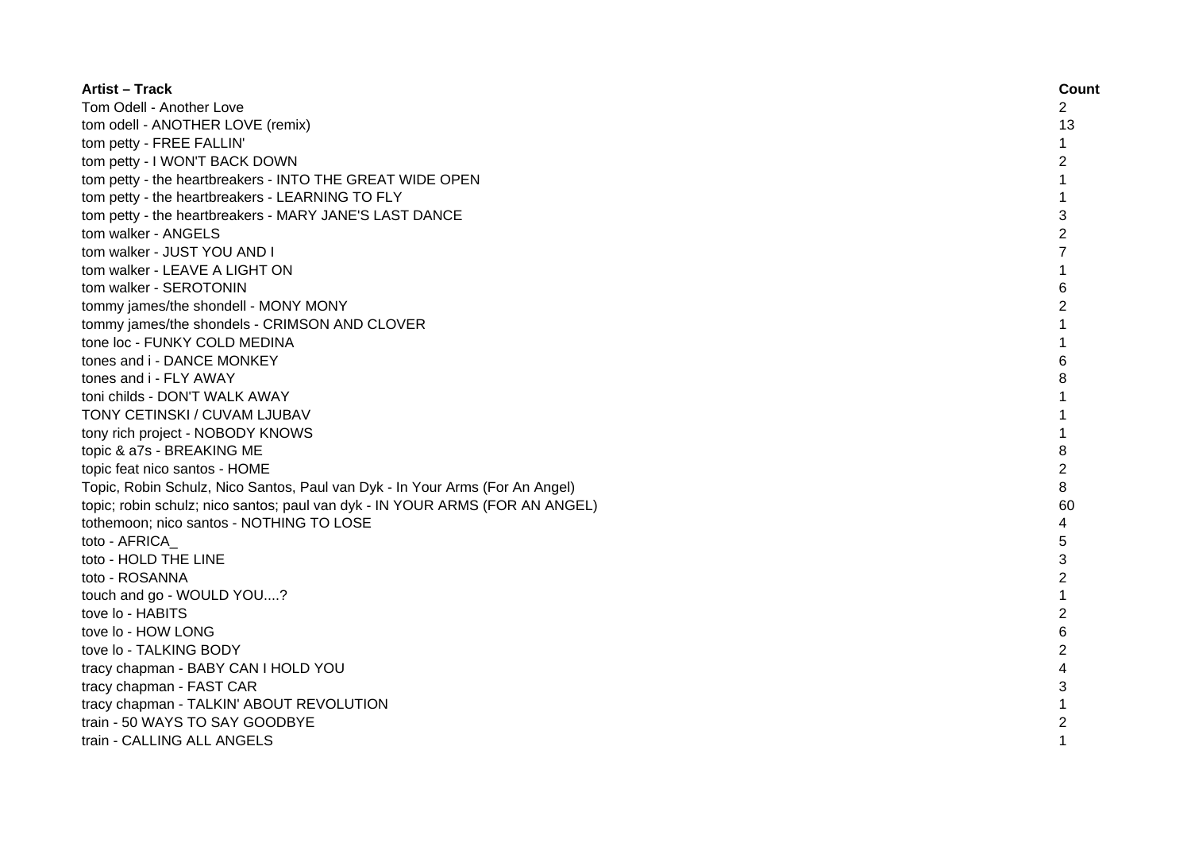| <b>Artist - Track</b>                                                        | Count          |
|------------------------------------------------------------------------------|----------------|
| Tom Odell - Another Love                                                     | 2              |
| tom odell - ANOTHER LOVE (remix)                                             | 13             |
| tom petty - FREE FALLIN'                                                     | 1              |
| tom petty - I WON'T BACK DOWN                                                | 2              |
| tom petty - the heartbreakers - INTO THE GREAT WIDE OPEN                     | 1              |
| tom petty - the heartbreakers - LEARNING TO FLY                              | 1              |
| tom petty - the heartbreakers - MARY JANE'S LAST DANCE                       | 3              |
| tom walker - ANGELS                                                          | $\overline{c}$ |
| tom walker - JUST YOU AND I                                                  | 7              |
| tom walker - LEAVE A LIGHT ON                                                | 1              |
| tom walker - SEROTONIN                                                       | 6              |
| tommy james/the shondell - MONY MONY                                         | 2              |
| tommy james/the shondels - CRIMSON AND CLOVER                                | 1              |
| tone loc - FUNKY COLD MEDINA                                                 | 1              |
| tones and i - DANCE MONKEY                                                   | 6              |
| tones and i - FLY AWAY                                                       | 8              |
| toni childs - DON'T WALK AWAY                                                | 1              |
| TONY CETINSKI / CUVAM LJUBAV                                                 | 1              |
| tony rich project - NOBODY KNOWS                                             | $\mathbf{1}$   |
| topic & a7s - BREAKING ME                                                    | 8              |
| topic feat nico santos - HOME                                                | $\overline{c}$ |
| Topic, Robin Schulz, Nico Santos, Paul van Dyk - In Your Arms (For An Angel) | 8              |
| topic; robin schulz; nico santos; paul van dyk - IN YOUR ARMS (FOR AN ANGEL) | 60             |
| tothemoon; nico santos - NOTHING TO LOSE                                     | 4              |
| toto - AFRICA                                                                | 5              |
| toto - HOLD THE LINE                                                         | 3              |
| toto - ROSANNA                                                               | $\overline{c}$ |
| touch and go - WOULD YOU?                                                    | $\mathbf{1}$   |
| tove lo - HABITS                                                             | $\overline{2}$ |
| tove lo - HOW LONG                                                           | 6              |
| tove lo - TALKING BODY                                                       | 2              |
| tracy chapman - BABY CAN I HOLD YOU                                          | 4              |
| tracy chapman - FAST CAR                                                     | 3              |
| tracy chapman - TALKIN' ABOUT REVOLUTION                                     | $\mathbf{1}$   |
| train - 50 WAYS TO SAY GOODBYE                                               | 2              |
| train - CALLING ALL ANGELS                                                   | $\mathbf{1}$   |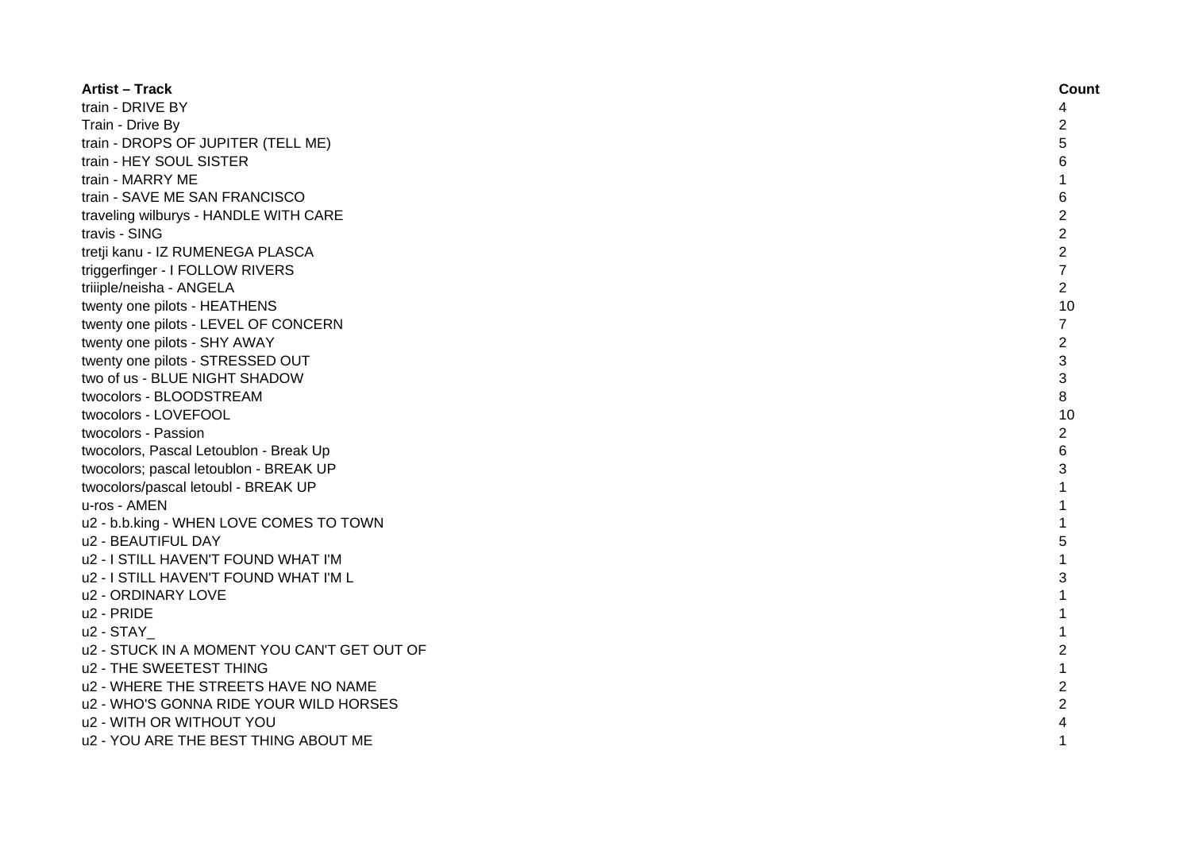| <b>Artist – Track</b>                       | Count          |
|---------------------------------------------|----------------|
| train - DRIVE BY                            | 4              |
| Train - Drive By                            | $\overline{2}$ |
| train - DROPS OF JUPITER (TELL ME)          | 5              |
| train - HEY SOUL SISTER                     | 6              |
| train - MARRY ME                            |                |
| train - SAVE ME SAN FRANCISCO               | 6              |
| traveling wilburys - HANDLE WITH CARE       | $\overline{c}$ |
| travis - SING                               | $\overline{c}$ |
| tretji kanu - IZ RUMENEGA PLASCA            | $\overline{2}$ |
| triggerfinger - I FOLLOW RIVERS             | $\overline{7}$ |
| triiiple/neisha - ANGELA                    | $\overline{c}$ |
| twenty one pilots - HEATHENS                | 10             |
| twenty one pilots - LEVEL OF CONCERN        | $\overline{7}$ |
| twenty one pilots - SHY AWAY                | $\overline{2}$ |
| twenty one pilots - STRESSED OUT            | 3              |
| two of us - BLUE NIGHT SHADOW               | 3              |
| twocolors - BLOODSTREAM                     | 8              |
| twocolors - LOVEFOOL                        | 10             |
| twocolors - Passion                         | $\overline{c}$ |
| twocolors, Pascal Letoublon - Break Up      | 6              |
| twocolors; pascal letoublon - BREAK UP      | 3              |
| twocolors/pascal letoubl - BREAK UP         | 1              |
| u-ros - AMEN                                |                |
| u2 - b.b.king - WHEN LOVE COMES TO TOWN     |                |
| u2 - BEAUTIFUL DAY                          | 5              |
| u2 - I STILL HAVEN'T FOUND WHAT I'M         |                |
| u2 - I STILL HAVEN'T FOUND WHAT I'M L       | 3              |
| u2 - ORDINARY LOVE                          | 1              |
| u2 - PRIDE                                  | $\mathbf{1}$   |
| u2 - STAY                                   | 1              |
| u2 - STUCK IN A MOMENT YOU CAN'T GET OUT OF | $\overline{2}$ |
| u2 - THE SWEETEST THING                     | 1              |
| u2 - WHERE THE STREETS HAVE NO NAME         | $\overline{2}$ |
| u2 - WHO'S GONNA RIDE YOUR WILD HORSES      | $\overline{c}$ |
| u2 - WITH OR WITHOUT YOU                    |                |
| u2 - YOU ARE THE BEST THING ABOUT ME        | 1              |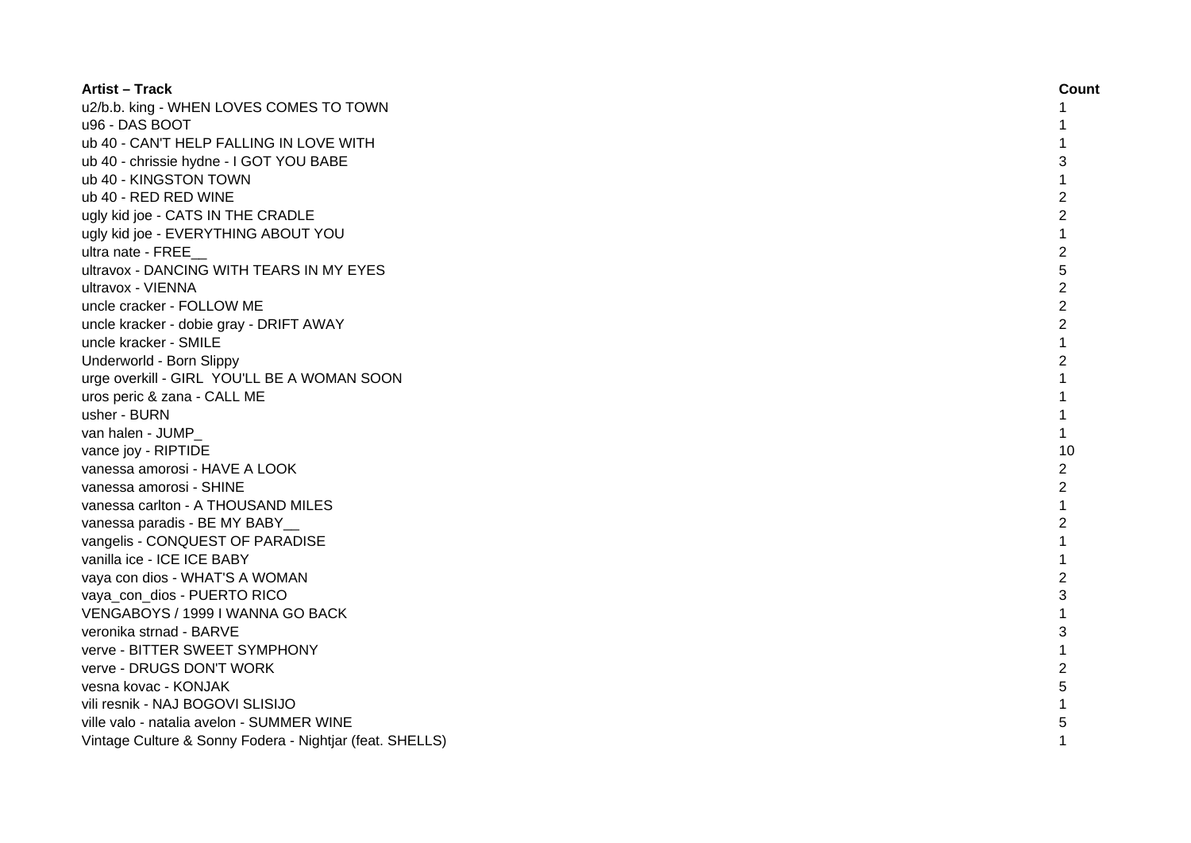| <b>Artist – Track</b>                                    | Count          |
|----------------------------------------------------------|----------------|
| u2/b.b. king - WHEN LOVES COMES TO TOWN                  | 1              |
| u96 - DAS BOOT                                           |                |
| ub 40 - CAN'T HELP FALLING IN LOVE WITH                  |                |
| ub 40 - chrissie hydne - I GOT YOU BABE                  | 3              |
| ub 40 - KINGSTON TOWN                                    | 1              |
| ub 40 - RED RED WINE                                     | 2              |
| ugly kid joe - CATS IN THE CRADLE                        | $\overline{c}$ |
| ugly kid joe - EVERYTHING ABOUT YOU                      | 1              |
| ultra nate - FREE                                        | $\overline{c}$ |
| ultravox - DANCING WITH TEARS IN MY EYES                 | 5              |
| ultravox - VIENNA                                        | $\overline{2}$ |
| uncle cracker - FOLLOW ME                                | $\overline{2}$ |
| uncle kracker - dobie gray - DRIFT AWAY                  | $\overline{2}$ |
| uncle kracker - SMILE                                    | $\mathbf{1}$   |
| Underworld - Born Slippy                                 | $\overline{2}$ |
| urge overkill - GIRL YOU'LL BE A WOMAN SOON              | 1              |
| uros peric & zana - CALL ME                              |                |
| usher - BURN                                             |                |
| van halen - JUMP                                         | 1              |
| vance joy - RIPTIDE                                      | 10             |
| vanessa amorosi - HAVE A LOOK                            | 2              |
| vanessa amorosi - SHINE                                  | 2              |
| vanessa carlton - A THOUSAND MILES                       | 1              |
| vanessa paradis - BE MY BABY                             | 2              |
| vangelis - CONQUEST OF PARADISE                          | $\mathbf{1}$   |
| vanilla ice - ICE ICE BABY                               | 1              |
| vaya con dios - WHAT'S A WOMAN                           | $\overline{c}$ |
| vaya_con_dios - PUERTO RICO                              | 3              |
| VENGABOYS / 1999 I WANNA GO BACK                         | $\mathbf{1}$   |
| veronika strnad - BARVE                                  | 3              |
| verve - BITTER SWEET SYMPHONY                            | 1              |
| verve - DRUGS DON'T WORK                                 | $\overline{c}$ |
| vesna kovac - KONJAK                                     | 5              |
| vili resnik - NAJ BOGOVI SLISIJO                         |                |
| ville valo - natalia avelon - SUMMER WINE                | 5              |
| Vintage Culture & Sonny Fodera - Nightjar (feat. SHELLS) |                |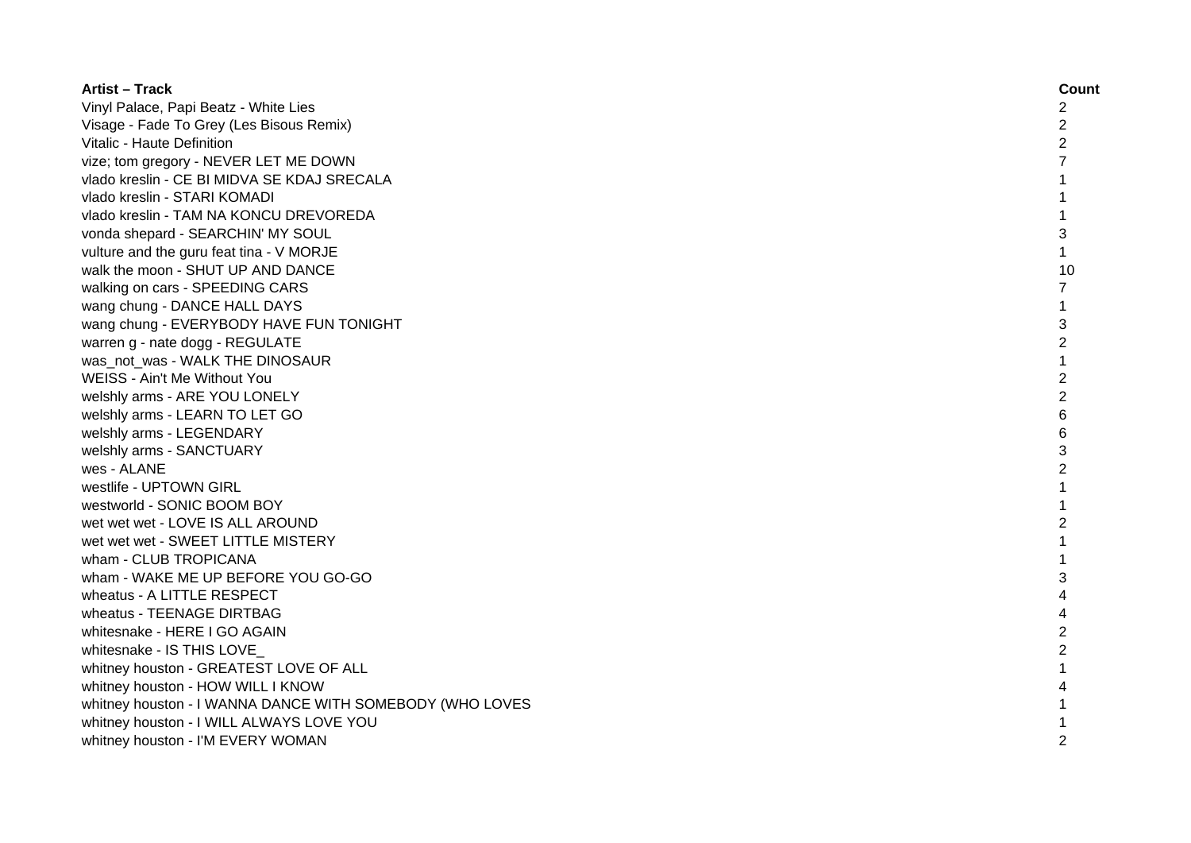| <b>Artist - Track</b>                                    | Count          |
|----------------------------------------------------------|----------------|
| Vinyl Palace, Papi Beatz - White Lies                    | 2              |
| Visage - Fade To Grey (Les Bisous Remix)                 | 2              |
| Vitalic - Haute Definition                               | $\overline{2}$ |
| vize; tom gregory - NEVER LET ME DOWN                    |                |
| vlado kreslin - CE BI MIDVA SE KDAJ SRECALA              | 1              |
| vlado kreslin - STARI KOMADI                             | 1              |
| vlado kreslin - TAM NA KONCU DREVOREDA                   | 1              |
| vonda shepard - SEARCHIN' MY SOUL                        | 3              |
| vulture and the guru feat tina - V MORJE                 | $\mathbf{1}$   |
| walk the moon - SHUT UP AND DANCE                        | 10             |
| walking on cars - SPEEDING CARS                          | $\overline{7}$ |
| wang chung - DANCE HALL DAYS                             | $\mathbf{1}$   |
| wang chung - EVERYBODY HAVE FUN TONIGHT                  | 3              |
| warren g - nate dogg - REGULATE                          | $\overline{2}$ |
| was not was - WALK THE DINOSAUR                          | $\mathbf{1}$   |
| WEISS - Ain't Me Without You                             | $\overline{2}$ |
| welshly arms - ARE YOU LONELY                            | $\overline{2}$ |
| welshly arms - LEARN TO LET GO                           | 6              |
| welshly arms - LEGENDARY                                 | 6              |
| welshly arms - SANCTUARY                                 | 3              |
| wes - ALANE                                              | $\overline{c}$ |
| westlife - UPTOWN GIRL                                   |                |
| westworld - SONIC BOOM BOY                               | 1              |
| wet wet wet - LOVE IS ALL AROUND                         | $\overline{c}$ |
| wet wet wet - SWEET LITTLE MISTERY                       | $\mathbf{1}$   |
| wham - CLUB TROPICANA                                    | 1              |
| wham - WAKE ME UP BEFORE YOU GO-GO                       | 3              |
| wheatus - A LITTLE RESPECT                               | 4              |
| wheatus - TEENAGE DIRTBAG                                | 4              |
| whitesnake - HERE I GO AGAIN                             | $\overline{c}$ |
| whitesnake - IS THIS LOVE                                | $\overline{c}$ |
| whitney houston - GREATEST LOVE OF ALL                   |                |
| whitney houston - HOW WILL I KNOW                        |                |
| whitney houston - I WANNA DANCE WITH SOMEBODY (WHO LOVES |                |
| whitney houston - I WILL ALWAYS LOVE YOU                 |                |
| whitney houston - I'M EVERY WOMAN                        | $\mathcal{P}$  |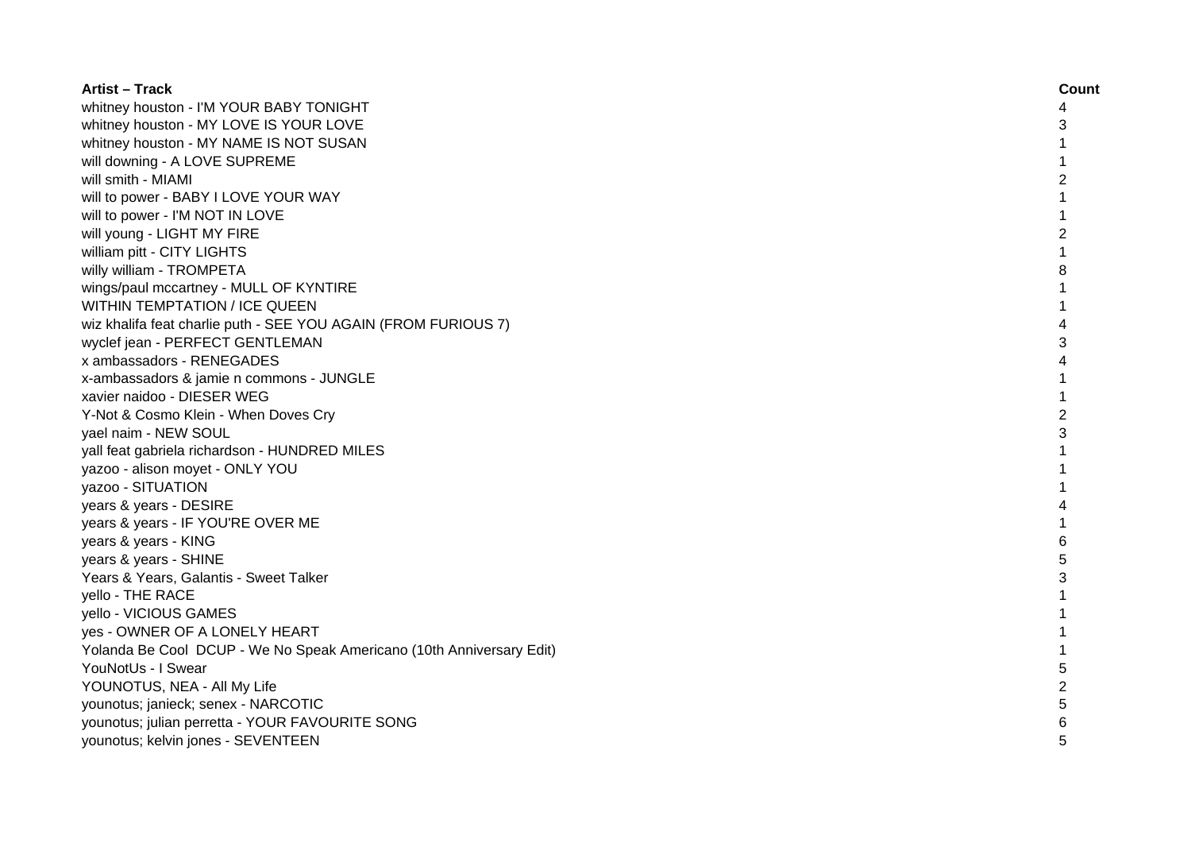| <b>Artist - Track</b>                                                | Count          |
|----------------------------------------------------------------------|----------------|
| whitney houston - I'M YOUR BABY TONIGHT                              | 4              |
| whitney houston - MY LOVE IS YOUR LOVE                               | 3              |
| whitney houston - MY NAME IS NOT SUSAN                               | $\mathbf{1}$   |
| will downing - A LOVE SUPREME                                        |                |
| will smith - MIAMI                                                   | 2              |
| will to power - BABY I LOVE YOUR WAY                                 | 1              |
| will to power - I'M NOT IN LOVE                                      | 1              |
| will young - LIGHT MY FIRE                                           | $\overline{2}$ |
| william pitt - CITY LIGHTS                                           | 1              |
| willy william - TROMPETA                                             | 8              |
| wings/paul mccartney - MULL OF KYNTIRE                               | 1              |
| WITHIN TEMPTATION / ICE QUEEN                                        | 1              |
| wiz khalifa feat charlie puth - SEE YOU AGAIN (FROM FURIOUS 7)       | 4              |
| wyclef jean - PERFECT GENTLEMAN                                      | 3              |
| x ambassadors - RENEGADES                                            | 4              |
| x-ambassadors & jamie n commons - JUNGLE                             | 1              |
| xavier naidoo - DIESER WEG                                           | $\mathbf{1}$   |
| Y-Not & Cosmo Klein - When Doves Cry                                 | $\overline{2}$ |
| yael naim - NEW SOUL                                                 | 3              |
| yall feat gabriela richardson - HUNDRED MILES                        |                |
| yazoo - alison moyet - ONLY YOU                                      |                |
| yazoo - SITUATION                                                    |                |
| years & years - DESIRE                                               | 4              |
| years & years - IF YOU'RE OVER ME                                    |                |
| years & years - KING                                                 | 6              |
| years & years - SHINE                                                | 5              |
| Years & Years, Galantis - Sweet Talker                               | 3              |
| yello - THE RACE                                                     | 1              |
| yello - VICIOUS GAMES                                                | $\mathbf{1}$   |
| yes - OWNER OF A LONELY HEART                                        | 1              |
| Yolanda Be Cool DCUP - We No Speak Americano (10th Anniversary Edit) | 1              |
| YouNotUs - I Swear                                                   | 5              |
| YOUNOTUS, NEA - All My Life                                          | $\overline{c}$ |
| younotus; janieck; senex - NARCOTIC                                  | 5              |
| younotus; julian perretta - YOUR FAVOURITE SONG                      |                |
| younotus; kelvin jones - SEVENTEEN                                   |                |